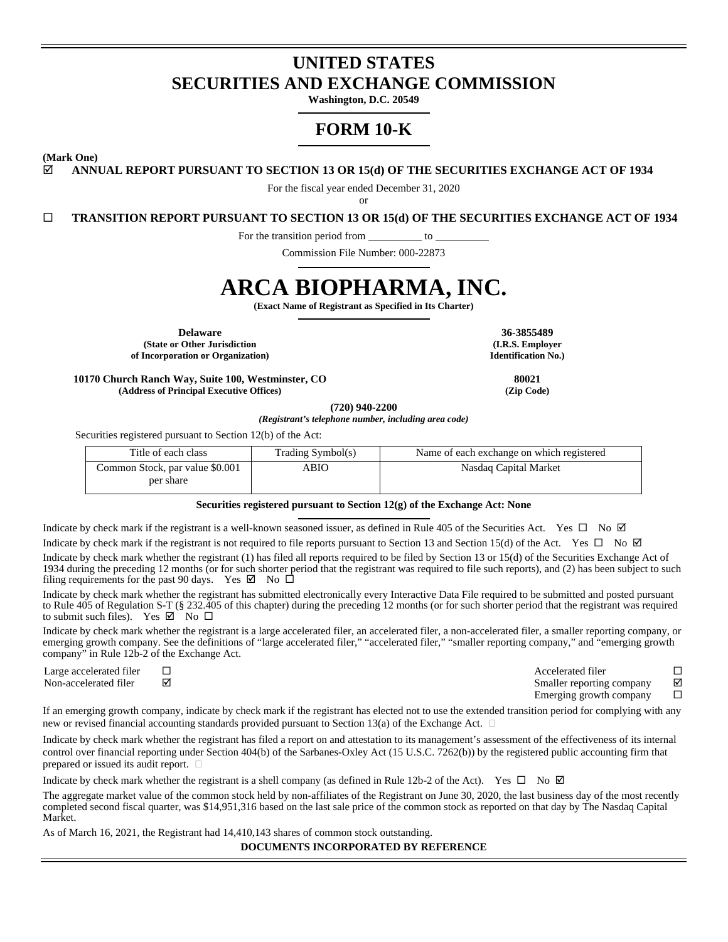# **UNITED STATES SECURITIES AND EXCHANGE COMMISSION**

**Washington, D.C. 20549** 

# **FORM 10-K**

**(Mark One)** 

**ANNUAL REPORT PURSUANT TO SECTION 13 OR 15(d) OF THE SECURITIES EXCHANGE ACT OF 1934** 

For the fiscal year ended December 31, 2020

or

**TRANSITION REPORT PURSUANT TO SECTION 13 OR 15(d) OF THE SECURITIES EXCHANGE ACT OF 1934** 

For the transition period from \_\_\_\_\_\_\_\_\_\_ to

Commission File Number: 000-22873

# **ARCA BIOPHARMA, INC.**

**(Exact Name of Registrant as Specified in Its Charter)** 

**Delaware 36-3855489 (State or Other Jurisdiction of Incorporation or Organization)**

**(I.R.S. Employer Identification No.)**

**10170 Church Ranch Way, Suite 100, Westminster, CO 80021 (Address of Principal Executive Offices) (Zip Code)**

**(720) 940-2200** 

*(Registrant's telephone number, including area code)* 

Securities registered pursuant to Section 12(b) of the Act:

| Title of each class             | Trading Symbol(s) | Name of each exchange on which registered |
|---------------------------------|-------------------|-------------------------------------------|
| Common Stock, par value \$0.001 | ABIO              | Nasdaq Capital Market                     |
| per share                       |                   |                                           |

#### **Securities registered pursuant to Section 12(g) of the Exchange Act: None**

Indicate by check mark if the registrant is a well-known seasoned issuer, as defined in Rule 405 of the Securities Act. Yes  $\Box$  No  $\Box$ 

Indicate by check mark if the registrant is not required to file reports pursuant to Section 13 and Section 15(d) of the Act. Yes  $\Box$  No  $\Box$ Indicate by check mark whether the registrant (1) has filed all reports required to be filed by Section 13 or 15(d) of the Securities Exchange Act of 1934 during the preceding 12 months (or for such shorter period that the registrant was required to file such reports), and (2) has been subject to such filing requirements for the past 90 days. Yes  $\boxtimes$  No  $\square$ 

Indicate by check mark whether the registrant has submitted electronically every Interactive Data File required to be submitted and posted pursuant to Rule 405 of Regulation S-T (§ 232.405 of this chapter) during the preceding 12 months (or for such shorter period that the registrant was required to submit such files). Yes  $\boxtimes$  No  $\square$ 

Indicate by check mark whether the registrant is a large accelerated filer, an accelerated filer, a non-accelerated filer, a smaller reporting company, or emerging growth company. See the definitions of "large accelerated filer," "accelerated filer," "smaller reporting company," and "emerging growth company" in Rule 12b-2 of the Exchange Act.

Large accelerated filer Accelerated filer Non-accelerated filer  $\boxtimes$ Emerging growth company  $\square$ 

If an emerging growth company, indicate by check mark if the registrant has elected not to use the extended transition period for complying with any new or revised financial accounting standards provided pursuant to Section 13(a) of the Exchange Act.  $\Box$ 

Indicate by check mark whether the registrant has filed a report on and attestation to its management's assessment of the effectiveness of its internal control over financial reporting under Section 404(b) of the Sarbanes-Oxley Act (15 U.S.C. 7262(b)) by the registered public accounting firm that prepared or issued its audit report.

Indicate by check mark whether the registrant is a shell company (as defined in Rule 12b-2 of the Act). Yes  $\Box$  No  $\Box$ 

The aggregate market value of the common stock held by non-affiliates of the Registrant on June 30, 2020, the last business day of the most recently completed second fiscal quarter, was \$14,951,316 based on the last sale price of the common stock as reported on that day by The Nasdaq Capital Market.

As of March 16, 2021, the Registrant had 14,410,143 shares of common stock outstanding.

**DOCUMENTS INCORPORATED BY REFERENCE**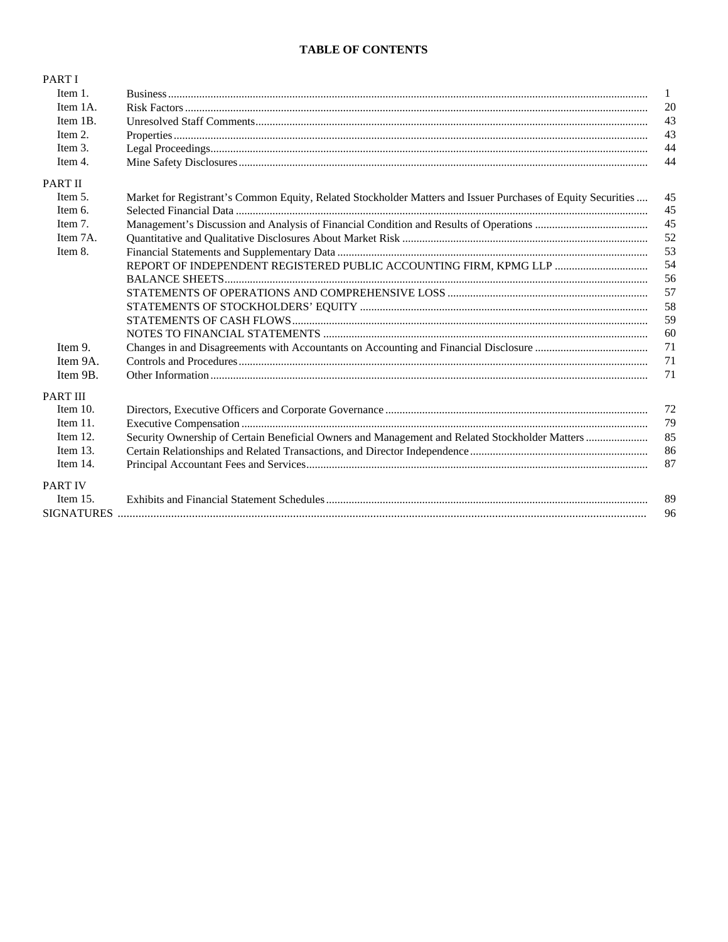# **TABLE OF CONTENTS**

| PART I            |                                                                                                              |              |
|-------------------|--------------------------------------------------------------------------------------------------------------|--------------|
| Item 1.           |                                                                                                              | $\mathbf{1}$ |
| Item 1A.          |                                                                                                              | 20           |
| Item 1B.          |                                                                                                              | 43           |
| Item 2.           |                                                                                                              | 43           |
| Item 3.           |                                                                                                              | 44           |
| Item 4.           |                                                                                                              | 44           |
| <b>PART II</b>    |                                                                                                              |              |
| Item 5.           | Market for Registrant's Common Equity, Related Stockholder Matters and Issuer Purchases of Equity Securities | 45           |
| Item 6.           |                                                                                                              | 45           |
| Item 7.           |                                                                                                              | 45           |
| Item 7A.          |                                                                                                              | 52           |
| Item 8.           |                                                                                                              | 53           |
|                   |                                                                                                              | 54           |
|                   |                                                                                                              | 56           |
|                   |                                                                                                              | 57           |
|                   |                                                                                                              | 58           |
|                   |                                                                                                              | 59           |
|                   |                                                                                                              | 60           |
| Item 9.           |                                                                                                              | 71           |
| Item 9A.          |                                                                                                              | 71           |
| Item 9B.          |                                                                                                              | 71           |
| <b>PART III</b>   |                                                                                                              |              |
| Item $10$ .       |                                                                                                              | 72           |
| Item 11.          |                                                                                                              | 79           |
| Item 12.          |                                                                                                              | 85           |
| Item $13$ .       |                                                                                                              | 86           |
| Item 14.          |                                                                                                              | 87           |
| <b>PART IV</b>    |                                                                                                              |              |
| Item $15$ .       |                                                                                                              | 89           |
| <b>SIGNATURES</b> |                                                                                                              | 96           |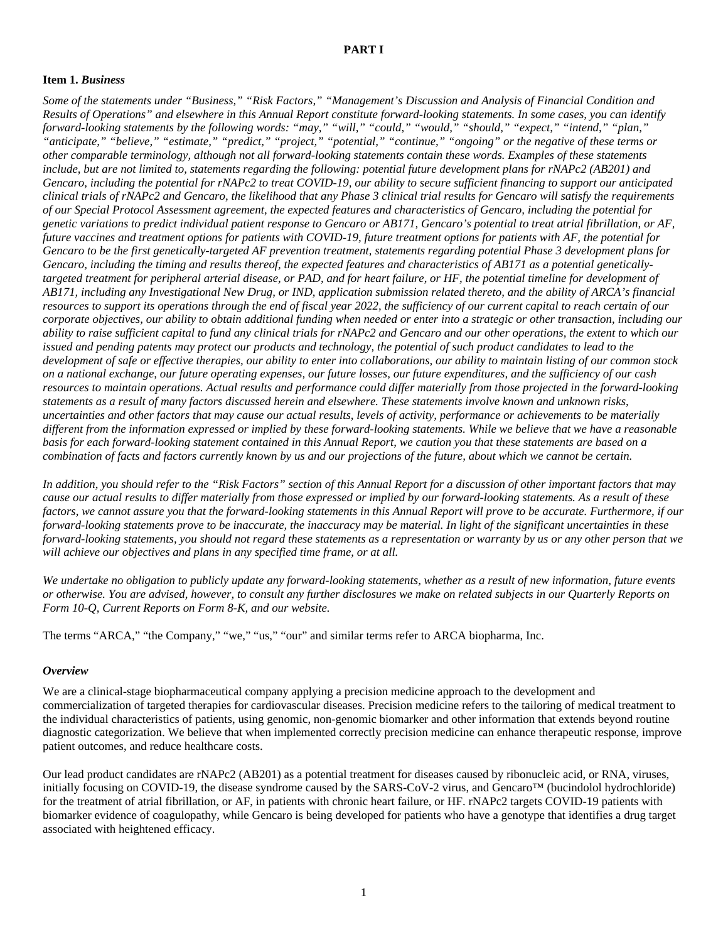# <span id="page-2-0"></span>**PART I**

#### <span id="page-2-1"></span>**Item 1.** *Business*

*Some of the statements under "Business," "Risk Factors," "Management's Discussion and Analysis of Financial Condition and Results of Operations" and elsewhere in this Annual Report constitute forward-looking statements. In some cases, you can identify forward-looking statements by the following words: "may," "will," "could," "would," "should," "expect," "intend," "plan," "anticipate," "believe," "estimate," "predict," "project," "potential," "continue," "ongoing" or the negative of these terms or other comparable terminology, although not all forward-looking statements contain these words. Examples of these statements include, but are not limited to, statements regarding the following: potential future development plans for rNAPc2 (AB201) and Gencaro, including the potential for rNAPc2 to treat COVID-19, our ability to secure sufficient financing to support our anticipated clinical trials of rNAPc2 and Gencaro, the likelihood that any Phase 3 clinical trial results for Gencaro will satisfy the requirements of our Special Protocol Assessment agreement, the expected features and characteristics of Gencaro, including the potential for genetic variations to predict individual patient response to Gencaro or AB171, Gencaro's potential to treat atrial fibrillation, or AF, future vaccines and treatment options for patients with COVID-19, future treatment options for patients with AF, the potential for Gencaro to be the first genetically-targeted AF prevention treatment, statements regarding potential Phase 3 development plans for Gencaro, including the timing and results thereof, the expected features and characteristics of AB171 as a potential geneticallytargeted treatment for peripheral arterial disease, or PAD, and for heart failure, or HF, the potential timeline for development of AB171, including any Investigational New Drug, or IND, application submission related thereto, and the ability of ARCA's financial resources to support its operations through the end of fiscal year 2022, the sufficiency of our current capital to reach certain of our corporate objectives, our ability to obtain additional funding when needed or enter into a strategic or other transaction, including our ability to raise sufficient capital to fund any clinical trials for rNAPc2 and Gencaro and our other operations, the extent to which our issued and pending patents may protect our products and technology, the potential of such product candidates to lead to the development of safe or effective therapies, our ability to enter into collaborations, our ability to maintain listing of our common stock on a national exchange, our future operating expenses, our future losses, our future expenditures, and the sufficiency of our cash resources to maintain operations. Actual results and performance could differ materially from those projected in the forward-looking statements as a result of many factors discussed herein and elsewhere. These statements involve known and unknown risks, uncertainties and other factors that may cause our actual results, levels of activity, performance or achievements to be materially different from the information expressed or implied by these forward-looking statements. While we believe that we have a reasonable basis for each forward-looking statement contained in this Annual Report, we caution you that these statements are based on a combination of facts and factors currently known by us and our projections of the future, about which we cannot be certain.*

*In addition, you should refer to the "Risk Factors" section of this Annual Report for a discussion of other important factors that may cause our actual results to differ materially from those expressed or implied by our forward-looking statements. As a result of these*  factors, we cannot assure you that the forward-looking statements in this Annual Report will prove to be accurate. Furthermore, if our *forward-looking statements prove to be inaccurate, the inaccuracy may be material. In light of the significant uncertainties in these forward-looking statements, you should not regard these statements as a representation or warranty by us or any other person that we will achieve our objectives and plans in any specified time frame, or at all.* 

*We undertake no obligation to publicly update any forward-looking statements, whether as a result of new information, future events or otherwise. You are advised, however, to consult any further disclosures we make on related subjects in our Quarterly Reports on Form 10-Q, Current Reports on Form 8-K, and our website.* 

The terms "ARCA," "the Company," "we," "us," "our" and similar terms refer to ARCA biopharma, Inc.

#### *Overview*

We are a clinical-stage biopharmaceutical company applying a precision medicine approach to the development and commercialization of targeted therapies for cardiovascular diseases. Precision medicine refers to the tailoring of medical treatment to the individual characteristics of patients, using genomic, non-genomic biomarker and other information that extends beyond routine diagnostic categorization. We believe that when implemented correctly precision medicine can enhance therapeutic response, improve patient outcomes, and reduce healthcare costs.

Our lead product candidates are rNAPc2 (AB201) as a potential treatment for diseases caused by ribonucleic acid, or RNA, viruses, initially focusing on COVID-19, the disease syndrome caused by the SARS-CoV-2 virus, and Gencaro™ (bucindolol hydrochloride) for the treatment of atrial fibrillation, or AF, in patients with chronic heart failure, or HF. rNAPc2 targets COVID-19 patients with biomarker evidence of coagulopathy, while Gencaro is being developed for patients who have a genotype that identifies a drug target associated with heightened efficacy.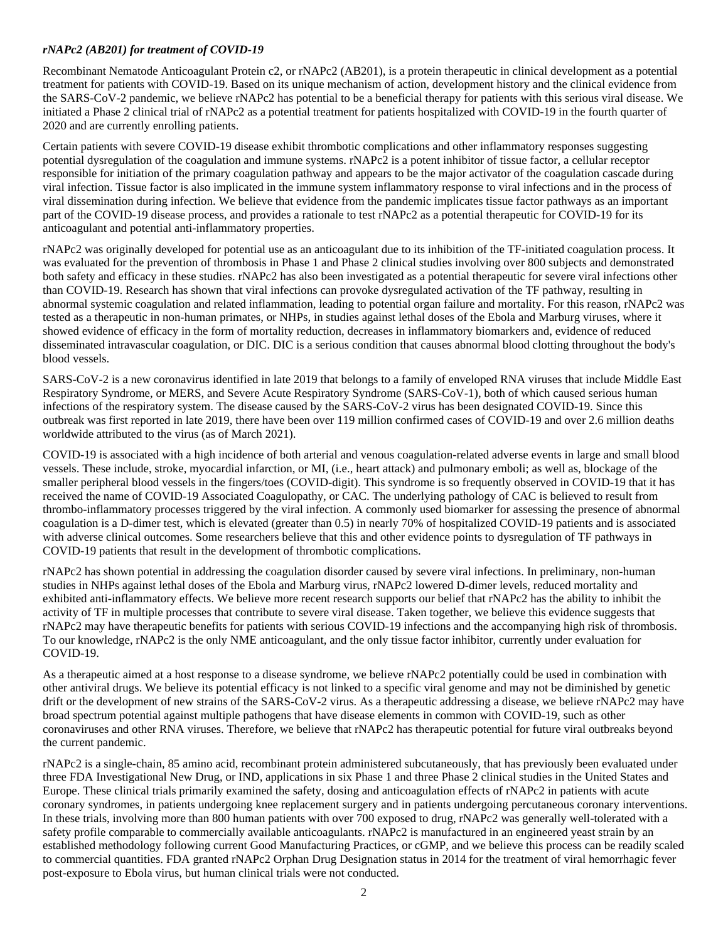### *rNAPc2 (AB201) for treatment of COVID-19*

Recombinant Nematode Anticoagulant Protein c2, or rNAPc2 (AB201), is a protein therapeutic in clinical development as a potential treatment for patients with COVID-19. Based on its unique mechanism of action, development history and the clinical evidence from the SARS-CoV-2 pandemic, we believe rNAPc2 has potential to be a beneficial therapy for patients with this serious viral disease. We initiated a Phase 2 clinical trial of rNAPc2 as a potential treatment for patients hospitalized with COVID-19 in the fourth quarter of 2020 and are currently enrolling patients.

Certain patients with severe COVID-19 disease exhibit thrombotic complications and other inflammatory responses suggesting potential dysregulation of the coagulation and immune systems. rNAPc2 is a potent inhibitor of tissue factor, a cellular receptor responsible for initiation of the primary coagulation pathway and appears to be the major activator of the coagulation cascade during viral infection. Tissue factor is also implicated in the immune system inflammatory response to viral infections and in the process of viral dissemination during infection. We believe that evidence from the pandemic implicates tissue factor pathways as an important part of the COVID-19 disease process, and provides a rationale to test rNAPc2 as a potential therapeutic for COVID-19 for its anticoagulant and potential anti-inflammatory properties.

rNAPc2 was originally developed for potential use as an anticoagulant due to its inhibition of the TF-initiated coagulation process. It was evaluated for the prevention of thrombosis in Phase 1 and Phase 2 clinical studies involving over 800 subjects and demonstrated both safety and efficacy in these studies. rNAPc2 has also been investigated as a potential therapeutic for severe viral infections other than COVID-19. Research has shown that viral infections can provoke dysregulated activation of the TF pathway, resulting in abnormal systemic coagulation and related inflammation, leading to potential organ failure and mortality. For this reason, rNAPc2 was tested as a therapeutic in non-human primates, or NHPs, in studies against lethal doses of the Ebola and Marburg viruses, where it showed evidence of efficacy in the form of mortality reduction, decreases in inflammatory biomarkers and, evidence of reduced disseminated intravascular coagulation, or DIC. DIC is a serious condition that causes abnormal blood clotting throughout the body's blood vessels.

SARS-CoV-2 is a new coronavirus identified in late 2019 that belongs to a family of enveloped RNA viruses that include Middle East Respiratory Syndrome, or MERS, and Severe Acute Respiratory Syndrome (SARS-CoV-1), both of which caused serious human infections of the respiratory system. The disease caused by the SARS-CoV-2 virus has been designated COVID-19. Since this outbreak was first reported in late 2019, there have been over 119 million confirmed cases of COVID-19 and over 2.6 million deaths worldwide attributed to the virus (as of March 2021).

COVID-19 is associated with a high incidence of both arterial and venous coagulation-related adverse events in large and small blood vessels. These include, stroke, myocardial infarction, or MI, (i.e., heart attack) and pulmonary emboli; as well as, blockage of the smaller peripheral blood vessels in the fingers/toes (COVID-digit). This syndrome is so frequently observed in COVID-19 that it has received the name of COVID-19 Associated Coagulopathy, or CAC. The underlying pathology of CAC is believed to result from thrombo-inflammatory processes triggered by the viral infection. A commonly used biomarker for assessing the presence of abnormal coagulation is a D-dimer test, which is elevated (greater than 0.5) in nearly 70% of hospitalized COVID-19 patients and is associated with adverse clinical outcomes. Some researchers believe that this and other evidence points to dysregulation of TF pathways in COVID-19 patients that result in the development of thrombotic complications.

rNAPc2 has shown potential in addressing the coagulation disorder caused by severe viral infections. In preliminary, non-human studies in NHPs against lethal doses of the Ebola and Marburg virus, rNAPc2 lowered D-dimer levels, reduced mortality and exhibited anti-inflammatory effects. We believe more recent research supports our belief that rNAPc2 has the ability to inhibit the activity of TF in multiple processes that contribute to severe viral disease. Taken together, we believe this evidence suggests that rNAPc2 may have therapeutic benefits for patients with serious COVID-19 infections and the accompanying high risk of thrombosis. To our knowledge, rNAPc2 is the only NME anticoagulant, and the only tissue factor inhibitor, currently under evaluation for COVID-19.

As a therapeutic aimed at a host response to a disease syndrome, we believe rNAPc2 potentially could be used in combination with other antiviral drugs. We believe its potential efficacy is not linked to a specific viral genome and may not be diminished by genetic drift or the development of new strains of the SARS-CoV-2 virus. As a therapeutic addressing a disease, we believe rNAPc2 may have broad spectrum potential against multiple pathogens that have disease elements in common with COVID-19, such as other coronaviruses and other RNA viruses. Therefore, we believe that rNAPc2 has therapeutic potential for future viral outbreaks beyond the current pandemic.

rNAPc2 is a single-chain, 85 amino acid, recombinant protein administered subcutaneously, that has previously been evaluated under three FDA Investigational New Drug, or IND, applications in six Phase 1 and three Phase 2 clinical studies in the United States and Europe. These clinical trials primarily examined the safety, dosing and anticoagulation effects of rNAPc2 in patients with acute coronary syndromes, in patients undergoing knee replacement surgery and in patients undergoing percutaneous coronary interventions. In these trials, involving more than 800 human patients with over 700 exposed to drug, rNAPc2 was generally well-tolerated with a safety profile comparable to commercially available anticoagulants. rNAPc2 is manufactured in an engineered yeast strain by an established methodology following current Good Manufacturing Practices, or cGMP, and we believe this process can be readily scaled to commercial quantities. FDA granted rNAPc2 Orphan Drug Designation status in 2014 for the treatment of viral hemorrhagic fever post-exposure to Ebola virus, but human clinical trials were not conducted.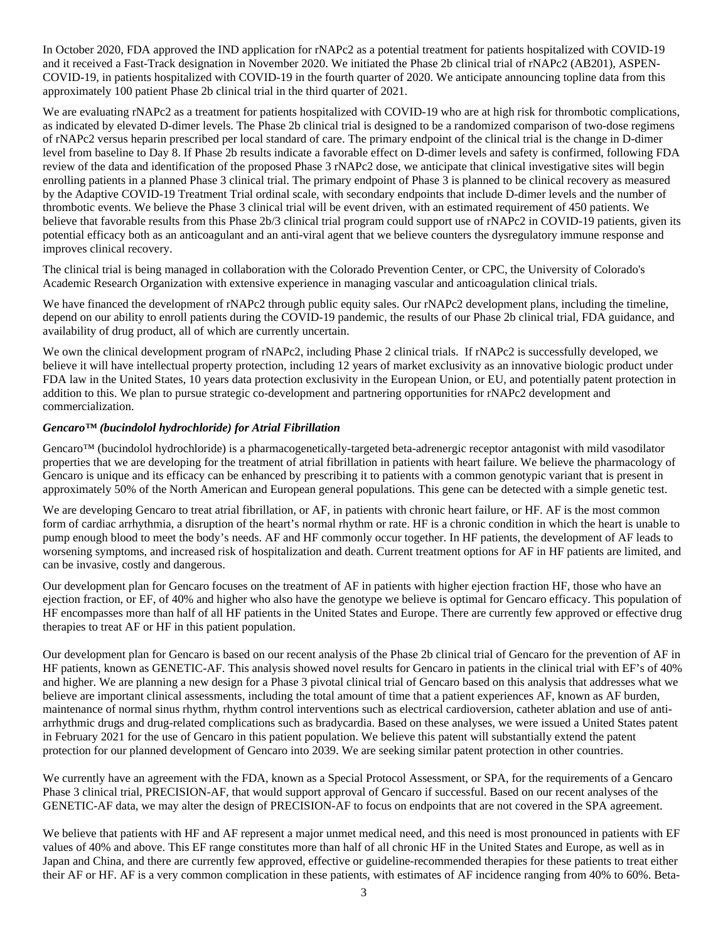In October 2020, FDA approved the IND application for rNAPc2 as a potential treatment for patients hospitalized with COVID-19 and it received a Fast-Track designation in November 2020. We initiated the Phase 2b clinical trial of rNAPc2 (AB201), ASPEN-COVID-19, in patients hospitalized with COVID-19 in the fourth quarter of 2020. We anticipate announcing topline data from this approximately 100 patient Phase 2b clinical trial in the third quarter of 2021.

We are evaluating rNAPc2 as a treatment for patients hospitalized with COVID-19 who are at high risk for thrombotic complications, as indicated by elevated D-dimer levels. The Phase 2b clinical trial is designed to be a randomized comparison of two-dose regimens of rNAPc2 versus heparin prescribed per local standard of care. The primary endpoint of the clinical trial is the change in D-dimer level from baseline to Day 8. If Phase 2b results indicate a favorable effect on D-dimer levels and safety is confirmed, following FDA review of the data and identification of the proposed Phase 3 rNAPc2 dose, we anticipate that clinical investigative sites will begin enrolling patients in a planned Phase 3 clinical trial. The primary endpoint of Phase 3 is planned to be clinical recovery as measured by the Adaptive COVID-19 Treatment Trial ordinal scale, with secondary endpoints that include D-dimer levels and the number of thrombotic events. We believe the Phase 3 clinical trial will be event driven, with an estimated requirement of 450 patients. We believe that favorable results from this Phase 2b/3 clinical trial program could support use of rNAPc2 in COVID-19 patients, given its potential efficacy both as an anticoagulant and an anti-viral agent that we believe counters the dysregulatory immune response and improves clinical recovery.

The clinical trial is being managed in collaboration with the Colorado Prevention Center, or CPC, the University of Colorado's Academic Research Organization with extensive experience in managing vascular and anticoagulation clinical trials.

We have financed the development of rNAPc2 through public equity sales. Our rNAPc2 development plans, including the timeline, depend on our ability to enroll patients during the COVID-19 pandemic, the results of our Phase 2b clinical trial, FDA guidance, and availability of drug product, all of which are currently uncertain.

We own the clinical development program of rNAPc2, including Phase 2 clinical trials. If rNAPc2 is successfully developed, we believe it will have intellectual property protection, including 12 years of market exclusivity as an innovative biologic product under FDA law in the United States, 10 years data protection exclusivity in the European Union, or EU, and potentially patent protection in addition to this. We plan to pursue strategic co-development and partnering opportunities for rNAPc2 development and commercialization.

#### *Gencaro™ (bucindolol hydrochloride) for Atrial Fibrillation*

Gencaro™ (bucindolol hydrochloride) is a pharmacogenetically-targeted beta-adrenergic receptor antagonist with mild vasodilator properties that we are developing for the treatment of atrial fibrillation in patients with heart failure. We believe the pharmacology of Gencaro is unique and its efficacy can be enhanced by prescribing it to patients with a common genotypic variant that is present in approximately 50% of the North American and European general populations. This gene can be detected with a simple genetic test.

We are developing Gencaro to treat atrial fibrillation, or AF, in patients with chronic heart failure, or HF. AF is the most common form of cardiac arrhythmia, a disruption of the heart's normal rhythm or rate. HF is a chronic condition in which the heart is unable to pump enough blood to meet the body's needs. AF and HF commonly occur together. In HF patients, the development of AF leads to worsening symptoms, and increased risk of hospitalization and death. Current treatment options for AF in HF patients are limited, and can be invasive, costly and dangerous.

Our development plan for Gencaro focuses on the treatment of AF in patients with higher ejection fraction HF, those who have an ejection fraction, or EF, of 40% and higher who also have the genotype we believe is optimal for Gencaro efficacy. This population of HF encompasses more than half of all HF patients in the United States and Europe. There are currently few approved or effective drug therapies to treat AF or HF in this patient population.

Our development plan for Gencaro is based on our recent analysis of the Phase 2b clinical trial of Gencaro for the prevention of AF in HF patients, known as GENETIC-AF. This analysis showed novel results for Gencaro in patients in the clinical trial with EF's of 40% and higher. We are planning a new design for a Phase 3 pivotal clinical trial of Gencaro based on this analysis that addresses what we believe are important clinical assessments, including the total amount of time that a patient experiences AF, known as AF burden, maintenance of normal sinus rhythm, rhythm control interventions such as electrical cardioversion, catheter ablation and use of antiarrhythmic drugs and drug-related complications such as bradycardia. Based on these analyses, we were issued a United States patent in February 2021 for the use of Gencaro in this patient population. We believe this patent will substantially extend the patent protection for our planned development of Gencaro into 2039. We are seeking similar patent protection in other countries.

We currently have an agreement with the FDA, known as a Special Protocol Assessment, or SPA, for the requirements of a Gencaro Phase 3 clinical trial, PRECISION-AF, that would support approval of Gencaro if successful. Based on our recent analyses of the GENETIC-AF data, we may alter the design of PRECISION-AF to focus on endpoints that are not covered in the SPA agreement.

We believe that patients with HF and AF represent a major unmet medical need, and this need is most pronounced in patients with EF values of 40% and above. This EF range constitutes more than half of all chronic HF in the United States and Europe, as well as in Japan and China, and there are currently few approved, effective or guideline-recommended therapies for these patients to treat either their AF or HF. AF is a very common complication in these patients, with estimates of AF incidence ranging from 40% to 60%. Beta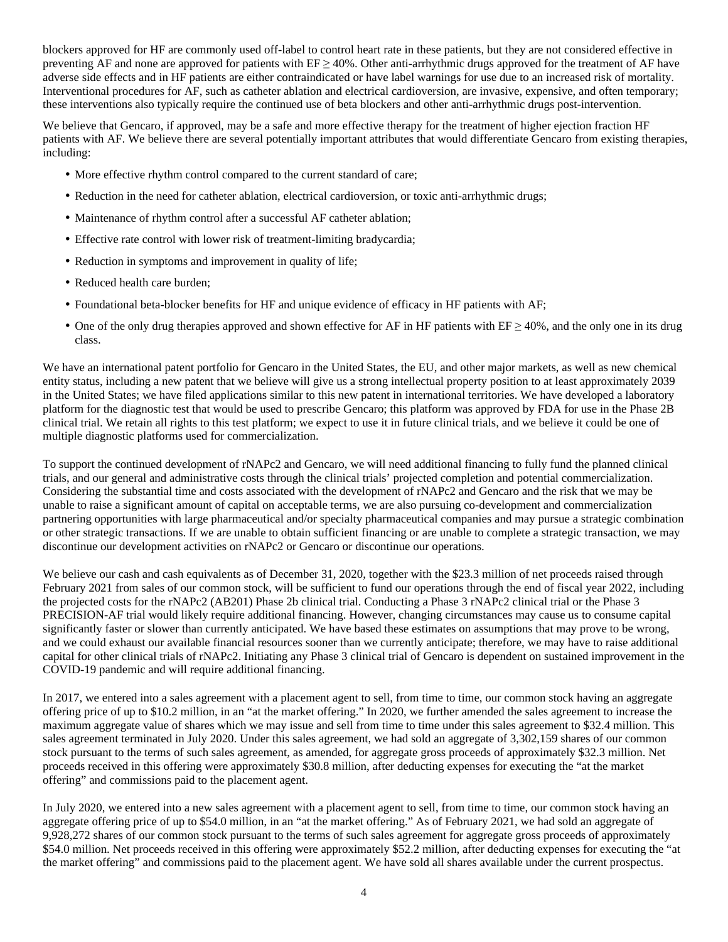blockers approved for HF are commonly used off-label to control heart rate in these patients, but they are not considered effective in preventing AF and none are approved for patients with  $EF \geq 40\%$ . Other anti-arrhythmic drugs approved for the treatment of AF have adverse side effects and in HF patients are either contraindicated or have label warnings for use due to an increased risk of mortality. Interventional procedures for AF, such as catheter ablation and electrical cardioversion, are invasive, expensive, and often temporary; these interventions also typically require the continued use of beta blockers and other anti-arrhythmic drugs post-intervention.

We believe that Gencaro, if approved, may be a safe and more effective therapy for the treatment of higher ejection fraction HF patients with AF. We believe there are several potentially important attributes that would differentiate Gencaro from existing therapies, including:

- More effective rhythm control compared to the current standard of care;
- Reduction in the need for catheter ablation, electrical cardioversion, or toxic anti-arrhythmic drugs;
- Maintenance of rhythm control after a successful AF catheter ablation;
- Effective rate control with lower risk of treatment-limiting bradycardia;
- Reduction in symptoms and improvement in quality of life;
- Reduced health care burden;
- Foundational beta-blocker benefits for HF and unique evidence of efficacy in HF patients with AF;
- One of the only drug therapies approved and shown effective for AF in HF patients with  $EF \ge 40\%$ , and the only one in its drug class.

We have an international patent portfolio for Gencaro in the United States, the EU, and other major markets, as well as new chemical entity status, including a new patent that we believe will give us a strong intellectual property position to at least approximately 2039 in the United States; we have filed applications similar to this new patent in international territories. We have developed a laboratory platform for the diagnostic test that would be used to prescribe Gencaro; this platform was approved by FDA for use in the Phase 2B clinical trial. We retain all rights to this test platform; we expect to use it in future clinical trials, and we believe it could be one of multiple diagnostic platforms used for commercialization.

To support the continued development of rNAPc2 and Gencaro, we will need additional financing to fully fund the planned clinical trials, and our general and administrative costs through the clinical trials' projected completion and potential commercialization. Considering the substantial time and costs associated with the development of rNAPc2 and Gencaro and the risk that we may be unable to raise a significant amount of capital on acceptable terms, we are also pursuing co-development and commercialization partnering opportunities with large pharmaceutical and/or specialty pharmaceutical companies and may pursue a strategic combination or other strategic transactions. If we are unable to obtain sufficient financing or are unable to complete a strategic transaction, we may discontinue our development activities on rNAPc2 or Gencaro or discontinue our operations.

We believe our cash and cash equivalents as of December 31, 2020, together with the \$23.3 million of net proceeds raised through February 2021 from sales of our common stock, will be sufficient to fund our operations through the end of fiscal year 2022, including the projected costs for the rNAPc2 (AB201) Phase 2b clinical trial. Conducting a Phase 3 rNAPc2 clinical trial or the Phase 3 PRECISION-AF trial would likely require additional financing. However, changing circumstances may cause us to consume capital significantly faster or slower than currently anticipated. We have based these estimates on assumptions that may prove to be wrong, and we could exhaust our available financial resources sooner than we currently anticipate; therefore, we may have to raise additional capital for other clinical trials of rNAPc2. Initiating any Phase 3 clinical trial of Gencaro is dependent on sustained improvement in the COVID-19 pandemic and will require additional financing.

In 2017, we entered into a sales agreement with a placement agent to sell, from time to time, our common stock having an aggregate offering price of up to \$10.2 million, in an "at the market offering." In 2020, we further amended the sales agreement to increase the maximum aggregate value of shares which we may issue and sell from time to time under this sales agreement to \$32.4 million. This sales agreement terminated in July 2020. Under this sales agreement, we had sold an aggregate of 3,302,159 shares of our common stock pursuant to the terms of such sales agreement, as amended, for aggregate gross proceeds of approximately \$32.3 million. Net proceeds received in this offering were approximately \$30.8 million, after deducting expenses for executing the "at the market offering" and commissions paid to the placement agent.

In July 2020, we entered into a new sales agreement with a placement agent to sell, from time to time, our common stock having an aggregate offering price of up to \$54.0 million, in an "at the market offering." As of February 2021, we had sold an aggregate of 9,928,272 shares of our common stock pursuant to the terms of such sales agreement for aggregate gross proceeds of approximately \$54.0 million. Net proceeds received in this offering were approximately \$52.2 million, after deducting expenses for executing the "at the market offering" and commissions paid to the placement agent. We have sold all shares available under the current prospectus.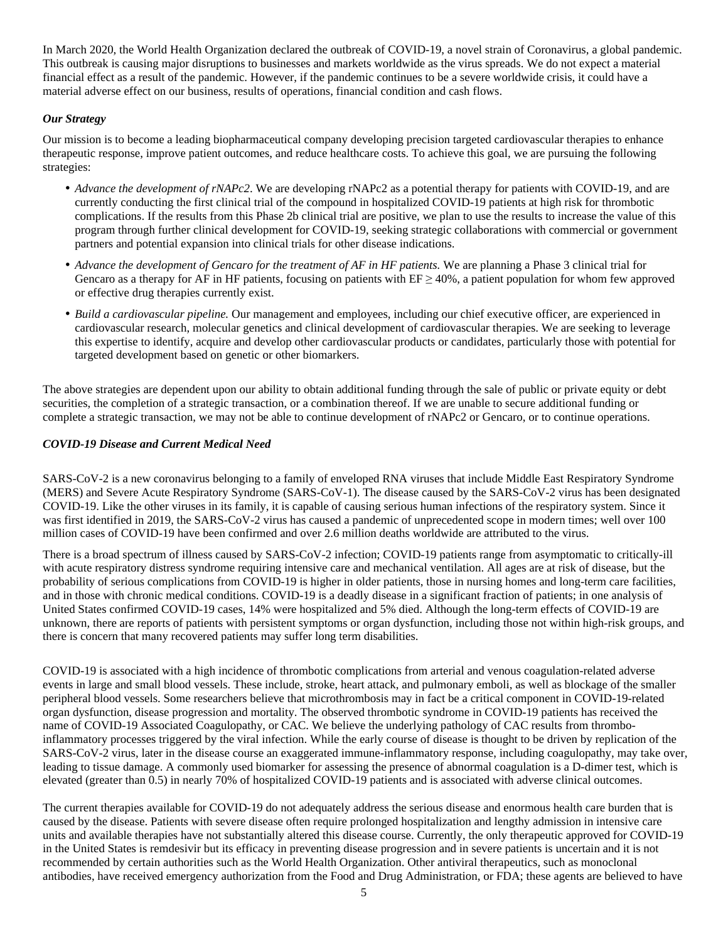In March 2020, the World Health Organization declared the outbreak of COVID-19, a novel strain of Coronavirus, a global pandemic. This outbreak is causing major disruptions to businesses and markets worldwide as the virus spreads. We do not expect a material financial effect as a result of the pandemic. However, if the pandemic continues to be a severe worldwide crisis, it could have a material adverse effect on our business, results of operations, financial condition and cash flows.

# *Our Strategy*

Our mission is to become a leading biopharmaceutical company developing precision targeted cardiovascular therapies to enhance therapeutic response, improve patient outcomes, and reduce healthcare costs. To achieve this goal, we are pursuing the following strategies:

- *Advance the development of rNAPc2*. We are developing rNAPc2 as a potential therapy for patients with COVID-19, and are currently conducting the first clinical trial of the compound in hospitalized COVID-19 patients at high risk for thrombotic complications. If the results from this Phase 2b clinical trial are positive, we plan to use the results to increase the value of this program through further clinical development for COVID-19, seeking strategic collaborations with commercial or government partners and potential expansion into clinical trials for other disease indications.
- *Advance the development of Gencaro for the treatment of AF in HF patients.* We are planning a Phase 3 clinical trial for Gencaro as a therapy for AF in HF patients, focusing on patients with  $EF \ge 40\%$ , a patient population for whom few approved or effective drug therapies currently exist.
- *Build a cardiovascular pipeline.* Our management and employees, including our chief executive officer, are experienced in cardiovascular research, molecular genetics and clinical development of cardiovascular therapies. We are seeking to leverage this expertise to identify, acquire and develop other cardiovascular products or candidates, particularly those with potential for targeted development based on genetic or other biomarkers.

The above strategies are dependent upon our ability to obtain additional funding through the sale of public or private equity or debt securities, the completion of a strategic transaction, or a combination thereof. If we are unable to secure additional funding or complete a strategic transaction, we may not be able to continue development of rNAPc2 or Gencaro, or to continue operations.

# *COVID-19 Disease and Current Medical Need*

SARS-CoV-2 is a new coronavirus belonging to a family of enveloped RNA viruses that include Middle East Respiratory Syndrome (MERS) and Severe Acute Respiratory Syndrome (SARS-CoV-1). The disease caused by the SARS-CoV-2 virus has been designated COVID-19. Like the other viruses in its family, it is capable of causing serious human infections of the respiratory system. Since it was first identified in 2019, the SARS-CoV-2 virus has caused a pandemic of unprecedented scope in modern times; well over 100 million cases of COVID-19 have been confirmed and over 2.6 million deaths worldwide are attributed to the virus.

There is a broad spectrum of illness caused by SARS-CoV-2 infection; COVID-19 patients range from asymptomatic to critically-ill with acute respiratory distress syndrome requiring intensive care and mechanical ventilation. All ages are at risk of disease, but the probability of serious complications from COVID-19 is higher in older patients, those in nursing homes and long-term care facilities, and in those with chronic medical conditions. COVID-19 is a deadly disease in a significant fraction of patients; in one analysis of United States confirmed COVID-19 cases, 14% were hospitalized and 5% died. Although the long-term effects of COVID-19 are unknown, there are reports of patients with persistent symptoms or organ dysfunction, including those not within high-risk groups, and there is concern that many recovered patients may suffer long term disabilities.

COVID-19 is associated with a high incidence of thrombotic complications from arterial and venous coagulation-related adverse events in large and small blood vessels. These include, stroke, heart attack, and pulmonary emboli, as well as blockage of the smaller peripheral blood vessels. Some researchers believe that microthrombosis may in fact be a critical component in COVID-19-related organ dysfunction, disease progression and mortality. The observed thrombotic syndrome in COVID-19 patients has received the name of COVID-19 Associated Coagulopathy, or CAC. We believe the underlying pathology of CAC results from thromboinflammatory processes triggered by the viral infection. While the early course of disease is thought to be driven by replication of the SARS-CoV-2 virus, later in the disease course an exaggerated immune-inflammatory response, including coagulopathy, may take over, leading to tissue damage. A commonly used biomarker for assessing the presence of abnormal coagulation is a D-dimer test, which is elevated (greater than 0.5) in nearly 70% of hospitalized COVID-19 patients and is associated with adverse clinical outcomes.

The current therapies available for COVID-19 do not adequately address the serious disease and enormous health care burden that is caused by the disease. Patients with severe disease often require prolonged hospitalization and lengthy admission in intensive care units and available therapies have not substantially altered this disease course. Currently, the only therapeutic approved for COVID-19 in the United States is remdesivir but its efficacy in preventing disease progression and in severe patients is uncertain and it is not recommended by certain authorities such as the World Health Organization. Other antiviral therapeutics, such as monoclonal antibodies, have received emergency authorization from the Food and Drug Administration, or FDA; these agents are believed to have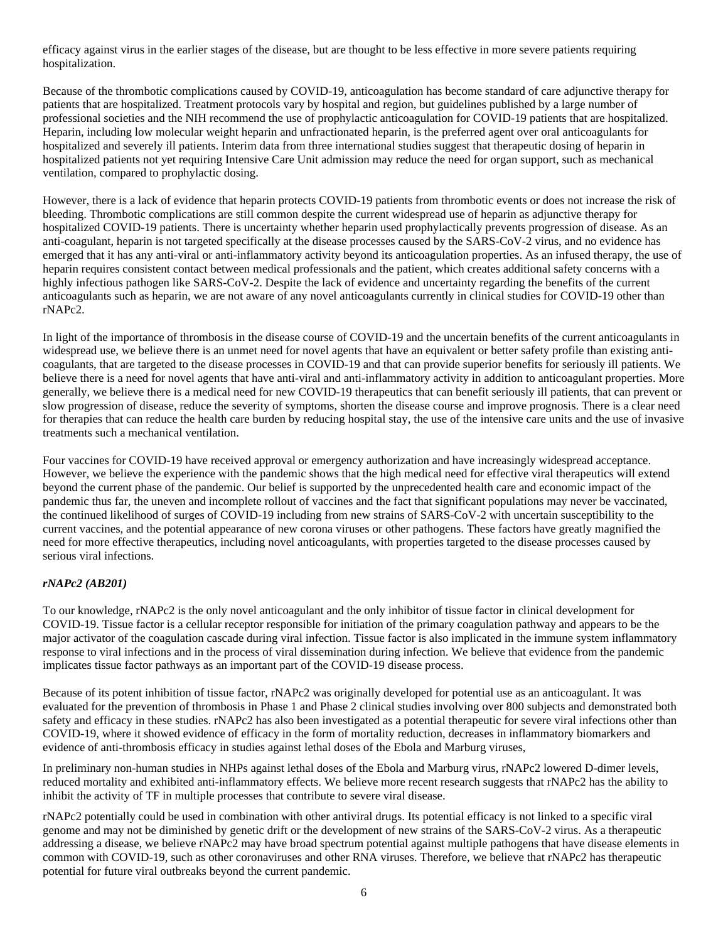efficacy against virus in the earlier stages of the disease, but are thought to be less effective in more severe patients requiring hospitalization.

Because of the thrombotic complications caused by COVID-19, anticoagulation has become standard of care adjunctive therapy for patients that are hospitalized. Treatment protocols vary by hospital and region, but guidelines published by a large number of professional societies and the NIH recommend the use of prophylactic anticoagulation for COVID-19 patients that are hospitalized. Heparin, including low molecular weight heparin and unfractionated heparin, is the preferred agent over oral anticoagulants for hospitalized and severely ill patients. Interim data from three international studies suggest that therapeutic dosing of heparin in hospitalized patients not yet requiring Intensive Care Unit admission may reduce the need for organ support, such as mechanical ventilation, compared to prophylactic dosing.

However, there is a lack of evidence that heparin protects COVID-19 patients from thrombotic events or does not increase the risk of bleeding. Thrombotic complications are still common despite the current widespread use of heparin as adjunctive therapy for hospitalized COVID-19 patients. There is uncertainty whether heparin used prophylactically prevents progression of disease. As an anti-coagulant, heparin is not targeted specifically at the disease processes caused by the SARS-CoV-2 virus, and no evidence has emerged that it has any anti-viral or anti-inflammatory activity beyond its anticoagulation properties. As an infused therapy, the use of heparin requires consistent contact between medical professionals and the patient, which creates additional safety concerns with a highly infectious pathogen like SARS-CoV-2. Despite the lack of evidence and uncertainty regarding the benefits of the current anticoagulants such as heparin, we are not aware of any novel anticoagulants currently in clinical studies for COVID-19 other than rNAPc2.

In light of the importance of thrombosis in the disease course of COVID-19 and the uncertain benefits of the current anticoagulants in widespread use, we believe there is an unmet need for novel agents that have an equivalent or better safety profile than existing anticoagulants, that are targeted to the disease processes in COVID-19 and that can provide superior benefits for seriously ill patients. We believe there is a need for novel agents that have anti-viral and anti-inflammatory activity in addition to anticoagulant properties. More generally, we believe there is a medical need for new COVID-19 therapeutics that can benefit seriously ill patients, that can prevent or slow progression of disease, reduce the severity of symptoms, shorten the disease course and improve prognosis. There is a clear need for therapies that can reduce the health care burden by reducing hospital stay, the use of the intensive care units and the use of invasive treatments such a mechanical ventilation.

Four vaccines for COVID-19 have received approval or emergency authorization and have increasingly widespread acceptance. However, we believe the experience with the pandemic shows that the high medical need for effective viral therapeutics will extend beyond the current phase of the pandemic. Our belief is supported by the unprecedented health care and economic impact of the pandemic thus far, the uneven and incomplete rollout of vaccines and the fact that significant populations may never be vaccinated, the continued likelihood of surges of COVID-19 including from new strains of SARS-CoV-2 with uncertain susceptibility to the current vaccines, and the potential appearance of new corona viruses or other pathogens. These factors have greatly magnified the need for more effective therapeutics, including novel anticoagulants, with properties targeted to the disease processes caused by serious viral infections.

#### *rNAPc2 (AB201)*

To our knowledge, rNAPc2 is the only novel anticoagulant and the only inhibitor of tissue factor in clinical development for COVID-19. Tissue factor is a cellular receptor responsible for initiation of the primary coagulation pathway and appears to be the major activator of the coagulation cascade during viral infection. Tissue factor is also implicated in the immune system inflammatory response to viral infections and in the process of viral dissemination during infection. We believe that evidence from the pandemic implicates tissue factor pathways as an important part of the COVID-19 disease process.

Because of its potent inhibition of tissue factor, rNAPc2 was originally developed for potential use as an anticoagulant. It was evaluated for the prevention of thrombosis in Phase 1 and Phase 2 clinical studies involving over 800 subjects and demonstrated both safety and efficacy in these studies. rNAPc2 has also been investigated as a potential therapeutic for severe viral infections other than COVID-19, where it showed evidence of efficacy in the form of mortality reduction, decreases in inflammatory biomarkers and evidence of anti-thrombosis efficacy in studies against lethal doses of the Ebola and Marburg viruses,

In preliminary non-human studies in NHPs against lethal doses of the Ebola and Marburg virus, rNAPc2 lowered D-dimer levels, reduced mortality and exhibited anti-inflammatory effects. We believe more recent research suggests that rNAPc2 has the ability to inhibit the activity of TF in multiple processes that contribute to severe viral disease.

rNAPc2 potentially could be used in combination with other antiviral drugs. Its potential efficacy is not linked to a specific viral genome and may not be diminished by genetic drift or the development of new strains of the SARS-CoV-2 virus. As a therapeutic addressing a disease, we believe rNAPc2 may have broad spectrum potential against multiple pathogens that have disease elements in common with COVID-19, such as other coronaviruses and other RNA viruses. Therefore, we believe that rNAPc2 has therapeutic potential for future viral outbreaks beyond the current pandemic.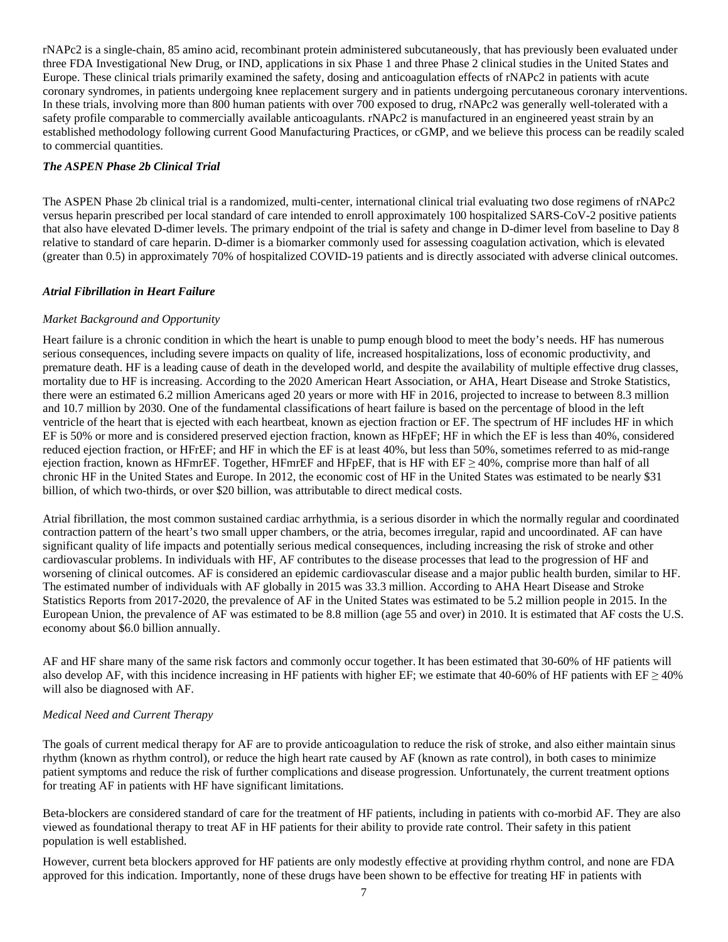rNAPc2 is a single-chain, 85 amino acid, recombinant protein administered subcutaneously, that has previously been evaluated under three FDA Investigational New Drug, or IND, applications in six Phase 1 and three Phase 2 clinical studies in the United States and Europe. These clinical trials primarily examined the safety, dosing and anticoagulation effects of rNAPc2 in patients with acute coronary syndromes, in patients undergoing knee replacement surgery and in patients undergoing percutaneous coronary interventions. In these trials, involving more than 800 human patients with over 700 exposed to drug, rNAPc2 was generally well-tolerated with a safety profile comparable to commercially available anticoagulants. rNAPc2 is manufactured in an engineered yeast strain by an established methodology following current Good Manufacturing Practices, or cGMP, and we believe this process can be readily scaled to commercial quantities.

# *The ASPEN Phase 2b Clinical Trial*

The ASPEN Phase 2b clinical trial is a randomized, multi-center, international clinical trial evaluating two dose regimens of rNAPc2 versus heparin prescribed per local standard of care intended to enroll approximately 100 hospitalized SARS-CoV-2 positive patients that also have elevated D-dimer levels. The primary endpoint of the trial is safety and change in D-dimer level from baseline to Day 8 relative to standard of care heparin. D-dimer is a biomarker commonly used for assessing coagulation activation, which is elevated (greater than 0.5) in approximately 70% of hospitalized COVID-19 patients and is directly associated with adverse clinical outcomes.

#### *Atrial Fibrillation in Heart Failure*

#### *Market Background and Opportunity*

Heart failure is a chronic condition in which the heart is unable to pump enough blood to meet the body's needs. HF has numerous serious consequences, including severe impacts on quality of life, increased hospitalizations, loss of economic productivity, and premature death. HF is a leading cause of death in the developed world, and despite the availability of multiple effective drug classes, mortality due to HF is increasing. According to the 2020 American Heart Association, or AHA, Heart Disease and Stroke Statistics, there were an estimated 6.2 million Americans aged 20 years or more with HF in 2016, projected to increase to between 8.3 million and 10.7 million by 2030. One of the fundamental classifications of heart failure is based on the percentage of blood in the left ventricle of the heart that is ejected with each heartbeat, known as ejection fraction or EF. The spectrum of HF includes HF in which EF is 50% or more and is considered preserved ejection fraction, known as HFpEF; HF in which the EF is less than 40%, considered reduced ejection fraction, or HFrEF; and HF in which the EF is at least 40%, but less than 50%, sometimes referred to as mid-range ejection fraction, known as HFmrEF. Together, HFmrEF and HFpEF, that is HF with  $EF \geq 40\%$ , comprise more than half of all chronic HF in the United States and Europe. In 2012, the economic cost of HF in the United States was estimated to be nearly \$31 billion, of which two-thirds, or over \$20 billion, was attributable to direct medical costs.

Atrial fibrillation, the most common sustained cardiac arrhythmia, is a serious disorder in which the normally regular and coordinated contraction pattern of the heart's two small upper chambers, or the atria, becomes irregular, rapid and uncoordinated. AF can have significant quality of life impacts and potentially serious medical consequences, including increasing the risk of stroke and other cardiovascular problems. In individuals with HF, AF contributes to the disease processes that lead to the progression of HF and worsening of clinical outcomes. AF is considered an epidemic cardiovascular disease and a major public health burden, similar to HF. The estimated number of individuals with AF globally in 2015 was 33.3 million. According to AHA Heart Disease and Stroke Statistics Reports from 2017-2020, the prevalence of AF in the United States was estimated to be 5.2 million people in 2015. In the European Union, the prevalence of AF was estimated to be 8.8 million (age 55 and over) in 2010. It is estimated that AF costs the U.S. economy about \$6.0 billion annually.

AF and HF share many of the same risk factors and commonly occur together.It has been estimated that 30-60% of HF patients will also develop AF, with this incidence increasing in HF patients with higher EF; we estimate that 40-60% of HF patients with EF  $\geq$  40% will also be diagnosed with AF.

#### *Medical Need and Current Therapy*

The goals of current medical therapy for AF are to provide anticoagulation to reduce the risk of stroke, and also either maintain sinus rhythm (known as rhythm control), or reduce the high heart rate caused by AF (known as rate control), in both cases to minimize patient symptoms and reduce the risk of further complications and disease progression. Unfortunately, the current treatment options for treating AF in patients with HF have significant limitations.

Beta-blockers are considered standard of care for the treatment of HF patients, including in patients with co-morbid AF. They are also viewed as foundational therapy to treat AF in HF patients for their ability to provide rate control. Their safety in this patient population is well established.

However, current beta blockers approved for HF patients are only modestly effective at providing rhythm control, and none are FDA approved for this indication. Importantly, none of these drugs have been shown to be effective for treating HF in patients with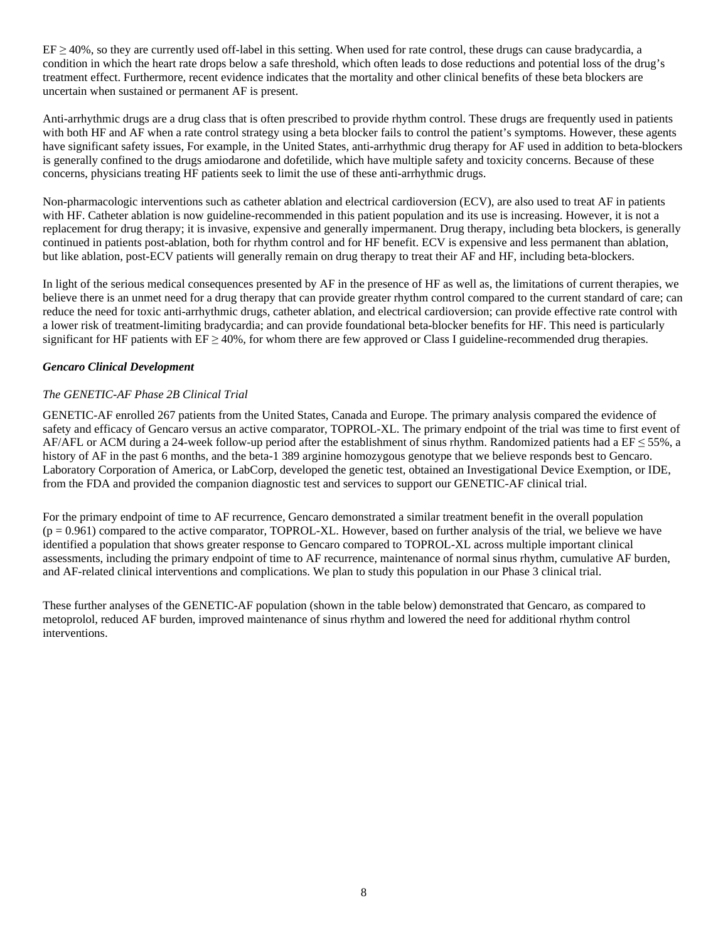$EF \ge 40\%$ , so they are currently used off-label in this setting. When used for rate control, these drugs can cause bradycardia, a condition in which the heart rate drops below a safe threshold, which often leads to dose reductions and potential loss of the drug's treatment effect. Furthermore, recent evidence indicates that the mortality and other clinical benefits of these beta blockers are uncertain when sustained or permanent AF is present.

Anti-arrhythmic drugs are a drug class that is often prescribed to provide rhythm control. These drugs are frequently used in patients with both HF and AF when a rate control strategy using a beta blocker fails to control the patient's symptoms. However, these agents have significant safety issues, For example, in the United States, anti-arrhythmic drug therapy for AF used in addition to beta-blockers is generally confined to the drugs amiodarone and dofetilide, which have multiple safety and toxicity concerns. Because of these concerns, physicians treating HF patients seek to limit the use of these anti-arrhythmic drugs.

Non-pharmacologic interventions such as catheter ablation and electrical cardioversion (ECV), are also used to treat AF in patients with HF. Catheter ablation is now guideline-recommended in this patient population and its use is increasing. However, it is not a replacement for drug therapy; it is invasive, expensive and generally impermanent. Drug therapy, including beta blockers, is generally continued in patients post-ablation, both for rhythm control and for HF benefit. ECV is expensive and less permanent than ablation, but like ablation, post-ECV patients will generally remain on drug therapy to treat their AF and HF, including beta-blockers.

In light of the serious medical consequences presented by AF in the presence of HF as well as, the limitations of current therapies, we believe there is an unmet need for a drug therapy that can provide greater rhythm control compared to the current standard of care; can reduce the need for toxic anti-arrhythmic drugs, catheter ablation, and electrical cardioversion; can provide effective rate control with a lower risk of treatment-limiting bradycardia; and can provide foundational beta-blocker benefits for HF. This need is particularly significant for HF patients with  $EF \geq 40\%$ , for whom there are few approved or Class I guideline-recommended drug therapies.

#### *Gencaro Clinical Development*

#### *The GENETIC-AF Phase 2B Clinical Trial*

GENETIC-AF enrolled 267 patients from the United States, Canada and Europe. The primary analysis compared the evidence of safety and efficacy of Gencaro versus an active comparator, TOPROL-XL. The primary endpoint of the trial was time to first event of AF/AFL or ACM during a 24-week follow-up period after the establishment of sinus rhythm. Randomized patients had a  $EF \le 55\%$ , a history of AF in the past 6 months, and the beta-1 389 arginine homozygous genotype that we believe responds best to Gencaro. Laboratory Corporation of America, or LabCorp, developed the genetic test, obtained an Investigational Device Exemption, or IDE, from the FDA and provided the companion diagnostic test and services to support our GENETIC-AF clinical trial.

For the primary endpoint of time to AF recurrence, Gencaro demonstrated a similar treatment benefit in the overall population  $(p = 0.961)$  compared to the active comparator, TOPROL-XL. However, based on further analysis of the trial, we believe we have identified a population that shows greater response to Gencaro compared to TOPROL-XL across multiple important clinical assessments, including the primary endpoint of time to AF recurrence, maintenance of normal sinus rhythm, cumulative AF burden, and AF-related clinical interventions and complications. We plan to study this population in our Phase 3 clinical trial.

These further analyses of the GENETIC-AF population (shown in the table below) demonstrated that Gencaro, as compared to metoprolol, reduced AF burden, improved maintenance of sinus rhythm and lowered the need for additional rhythm control interventions.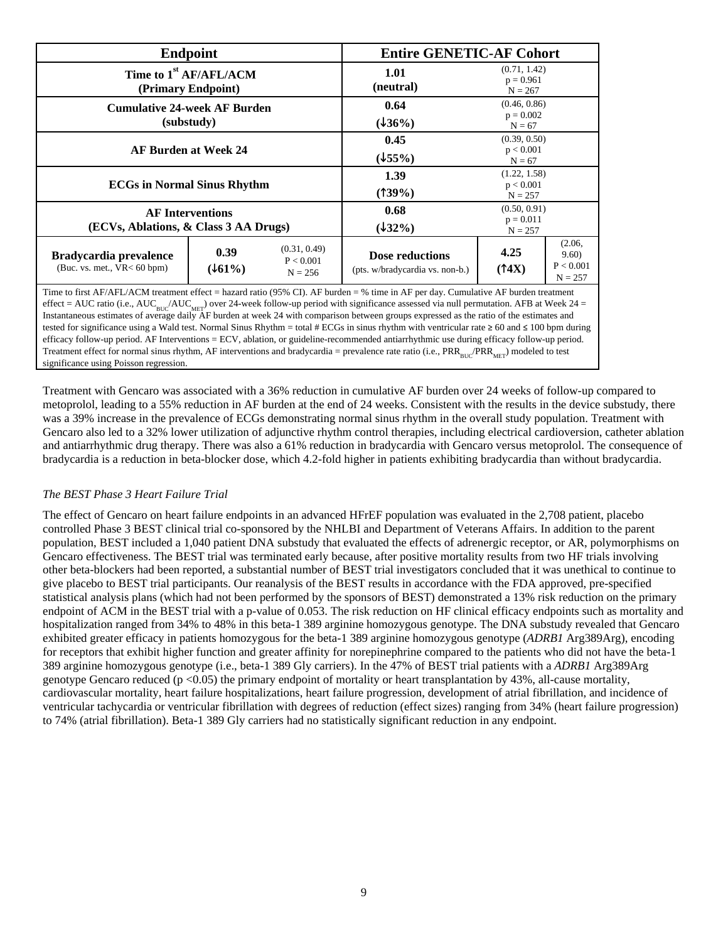| <b>Endpoint</b>                                                                                                                   |                |                                        | <b>Entire GENETIC-AF Cohort</b>                           |                                          |                                          |  |
|-----------------------------------------------------------------------------------------------------------------------------------|----------------|----------------------------------------|-----------------------------------------------------------|------------------------------------------|------------------------------------------|--|
| Time to 1 <sup>st</sup> AF/AFL/ACM<br>(Primary Endpoint)                                                                          |                |                                        | 1.01<br>(neutral)                                         | (0.71, 1.42)<br>$p = 0.961$<br>$N = 267$ |                                          |  |
| <b>Cumulative 24-week AF Burden</b><br>(substudy)                                                                                 |                |                                        | 0.64<br>$(\frac{136}{6})$                                 | (0.46, 0.86)<br>$p = 0.002$<br>$N = 67$  |                                          |  |
| <b>AF Burden at Week 24</b>                                                                                                       |                |                                        | 0.45<br>(155%)                                            | (0.39, 0.50)<br>p < 0.001<br>$N = 67$    |                                          |  |
| <b>ECGs in Normal Sinus Rhythm</b>                                                                                                |                |                                        | 1.39<br>$(139\%)$                                         | (1.22, 1.58)<br>p < 0.001<br>$N = 257$   |                                          |  |
| <b>AF Interventions</b><br>(ECVs, Ablations, & Class 3 AA Drugs)                                                                  |                |                                        | 0.68<br>$(\frac{132\%}{2})$                               | (0.50, 0.91)<br>$p = 0.011$<br>$N = 257$ |                                          |  |
| Bradycardia prevalence<br>(Buc. vs. met., $VR < 60$ bpm)                                                                          | 0.39<br>(161%) | (0.31, 0.49)<br>P < 0.001<br>$N = 256$ | <b>Dose reductions</b><br>(pts. w/bradycardia vs. non-b.) | 4.25<br>(14X)                            | (2.06,<br>9.60<br>P < 0.001<br>$N = 257$ |  |
| Time to first AF/AFI/ACM treatment effect = hazard ratio (95% CI) AF burden = % time in AF per day Cumulative AF burden treatment |                |                                        |                                                           |                                          |                                          |  |

Time to first AF/AFL/ACM treatment effect = hazard ratio (95% CI). AF burden = % time in AF per day. Cumulative AF burden treatment effect = AUC ratio (i.e., AUC<sub>BUC</sub>/AUC<sub>MET</sub>) over 24-week follow-up period with significance assessed via null permutation. AFB at Week 24 = Instantaneous estimates of average daily AF burden at week 24 with comparison between groups expressed as the ratio of the estimates and tested for significance using a Wald test. Normal Sinus Rhythm = total # ECGs in sinus rhythm with ventricular rate ≥ 60 and ≤ 100 bpm during efficacy follow-up period. AF Interventions = ECV, ablation, or guideline-recommended antiarrhythmic use during efficacy follow-up period. Treatment effect for normal sinus rhythm, AF interventions and bradycardia = prevalence rate ratio (i.e.,  $PRR_{BUC}/PRR_{MET}$ ) modeled to test significance using Poisson regression.

Treatment with Gencaro was associated with a 36% reduction in cumulative AF burden over 24 weeks of follow-up compared to metoprolol, leading to a 55% reduction in AF burden at the end of 24 weeks. Consistent with the results in the device substudy, there was a 39% increase in the prevalence of ECGs demonstrating normal sinus rhythm in the overall study population. Treatment with Gencaro also led to a 32% lower utilization of adjunctive rhythm control therapies, including electrical cardioversion, catheter ablation and antiarrhythmic drug therapy. There was also a 61% reduction in bradycardia with Gencaro versus metoprolol. The consequence of bradycardia is a reduction in beta-blocker dose, which 4.2-fold higher in patients exhibiting bradycardia than without bradycardia.

# *The BEST Phase 3 Heart Failure Trial*

The effect of Gencaro on heart failure endpoints in an advanced HFrEF population was evaluated in the 2,708 patient, placebo controlled Phase 3 BEST clinical trial co-sponsored by the NHLBI and Department of Veterans Affairs. In addition to the parent population, BEST included a 1,040 patient DNA substudy that evaluated the effects of adrenergic receptor, or AR, polymorphisms on Gencaro effectiveness. The BEST trial was terminated early because, after positive mortality results from two HF trials involving other beta-blockers had been reported, a substantial number of BEST trial investigators concluded that it was unethical to continue to give placebo to BEST trial participants. Our reanalysis of the BEST results in accordance with the FDA approved, pre-specified statistical analysis plans (which had not been performed by the sponsors of BEST) demonstrated a 13% risk reduction on the primary endpoint of ACM in the BEST trial with a p-value of 0.053. The risk reduction on HF clinical efficacy endpoints such as mortality and hospitalization ranged from 34% to 48% in this beta-1 389 arginine homozygous genotype. The DNA substudy revealed that Gencaro exhibited greater efficacy in patients homozygous for the beta-1 389 arginine homozygous genotype (*ADRB1* Arg389Arg), encoding for receptors that exhibit higher function and greater affinity for norepinephrine compared to the patients who did not have the beta-1 389 arginine homozygous genotype (i.e., beta-1 389 Gly carriers). In the 47% of BEST trial patients with a *ADRB1* Arg389Arg genotype Gencaro reduced (p <0.05) the primary endpoint of mortality or heart transplantation by 43%, all-cause mortality, cardiovascular mortality, heart failure hospitalizations, heart failure progression, development of atrial fibrillation, and incidence of ventricular tachycardia or ventricular fibrillation with degrees of reduction (effect sizes) ranging from 34% (heart failure progression) to 74% (atrial fibrillation). Beta-1 389 Gly carriers had no statistically significant reduction in any endpoint.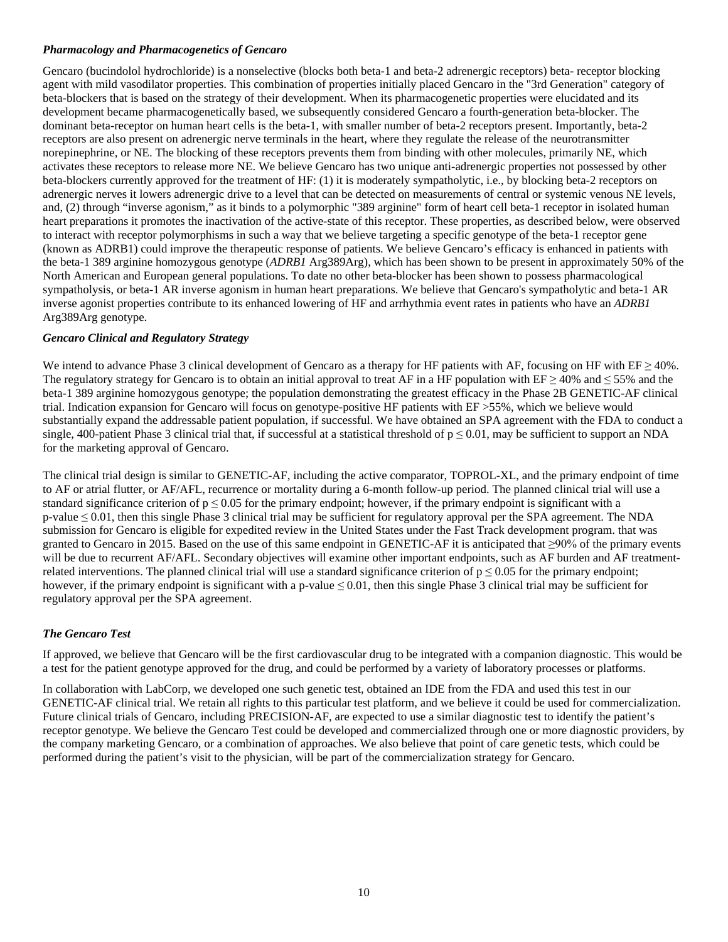#### *Pharmacology and Pharmacogenetics of Gencaro*

Gencaro (bucindolol hydrochloride) is a nonselective (blocks both beta-1 and beta-2 adrenergic receptors) beta- receptor blocking agent with mild vasodilator properties. This combination of properties initially placed Gencaro in the "3rd Generation" category of beta-blockers that is based on the strategy of their development. When its pharmacogenetic properties were elucidated and its development became pharmacogenetically based, we subsequently considered Gencaro a fourth-generation beta-blocker. The dominant beta-receptor on human heart cells is the beta-1, with smaller number of beta-2 receptors present. Importantly, beta-2 receptors are also present on adrenergic nerve terminals in the heart, where they regulate the release of the neurotransmitter norepinephrine, or NE. The blocking of these receptors prevents them from binding with other molecules, primarily NE, which activates these receptors to release more NE. We believe Gencaro has two unique anti-adrenergic properties not possessed by other beta-blockers currently approved for the treatment of HF: (1) it is moderately sympatholytic, i.e., by blocking beta-2 receptors on adrenergic nerves it lowers adrenergic drive to a level that can be detected on measurements of central or systemic venous NE levels, and, (2) through "inverse agonism," as it binds to a polymorphic "389 arginine" form of heart cell beta-1 receptor in isolated human heart preparations it promotes the inactivation of the active-state of this receptor. These properties, as described below, were observed to interact with receptor polymorphisms in such a way that we believe targeting a specific genotype of the beta-1 receptor gene (known as ADRB1) could improve the therapeutic response of patients. We believe Gencaro's efficacy is enhanced in patients with the beta-1 389 arginine homozygous genotype (*ADRB1* Arg389Arg), which has been shown to be present in approximately 50% of the North American and European general populations. To date no other beta-blocker has been shown to possess pharmacological sympatholysis, or beta-1 AR inverse agonism in human heart preparations. We believe that Gencaro's sympatholytic and beta-1 AR inverse agonist properties contribute to its enhanced lowering of HF and arrhythmia event rates in patients who have an *ADRB1* Arg389Arg genotype.

#### *Gencaro Clinical and Regulatory Strategy*

We intend to advance Phase 3 clinical development of Gencaro as a therapy for HF patients with AF, focusing on HF with  $EF \ge 40\%$ . The regulatory strategy for Gencaro is to obtain an initial approval to treat AF in a HF population with  $EF \geq 40\%$  and  $\leq 55\%$  and the beta-1 389 arginine homozygous genotype; the population demonstrating the greatest efficacy in the Phase 2B GENETIC-AF clinical trial. Indication expansion for Gencaro will focus on genotype-positive HF patients with EF >55%, which we believe would substantially expand the addressable patient population, if successful. We have obtained an SPA agreement with the FDA to conduct a single, 400-patient Phase 3 clinical trial that, if successful at a statistical threshold of  $p \le 0.01$ , may be sufficient to support an NDA for the marketing approval of Gencaro.

The clinical trial design is similar to GENETIC-AF, including the active comparator, TOPROL-XL, and the primary endpoint of time to AF or atrial flutter, or AF/AFL, recurrence or mortality during a 6-month follow-up period. The planned clinical trial will use a standard significance criterion of  $p \le 0.05$  for the primary endpoint; however, if the primary endpoint is significant with a p-value ≤ 0.01, then this single Phase 3 clinical trial may be sufficient for regulatory approval per the SPA agreement. The NDA submission for Gencaro is eligible for expedited review in the United States under the Fast Track development program. that was granted to Gencaro in 2015. Based on the use of this same endpoint in GENETIC-AF it is anticipated that ≥90% of the primary events will be due to recurrent AF/AFL. Secondary objectives will examine other important endpoints, such as AF burden and AF treatmentrelated interventions. The planned clinical trial will use a standard significance criterion of  $p \leq 0.05$  for the primary endpoint; however, if the primary endpoint is significant with a p-value  $\leq 0.01$ , then this single Phase 3 clinical trial may be sufficient for regulatory approval per the SPA agreement.

# *The Gencaro Test*

If approved, we believe that Gencaro will be the first cardiovascular drug to be integrated with a companion diagnostic. This would be a test for the patient genotype approved for the drug, and could be performed by a variety of laboratory processes or platforms.

In collaboration with LabCorp, we developed one such genetic test, obtained an IDE from the FDA and used this test in our GENETIC-AF clinical trial. We retain all rights to this particular test platform, and we believe it could be used for commercialization. Future clinical trials of Gencaro, including PRECISION-AF, are expected to use a similar diagnostic test to identify the patient's receptor genotype. We believe the Gencaro Test could be developed and commercialized through one or more diagnostic providers, by the company marketing Gencaro, or a combination of approaches. We also believe that point of care genetic tests, which could be performed during the patient's visit to the physician, will be part of the commercialization strategy for Gencaro.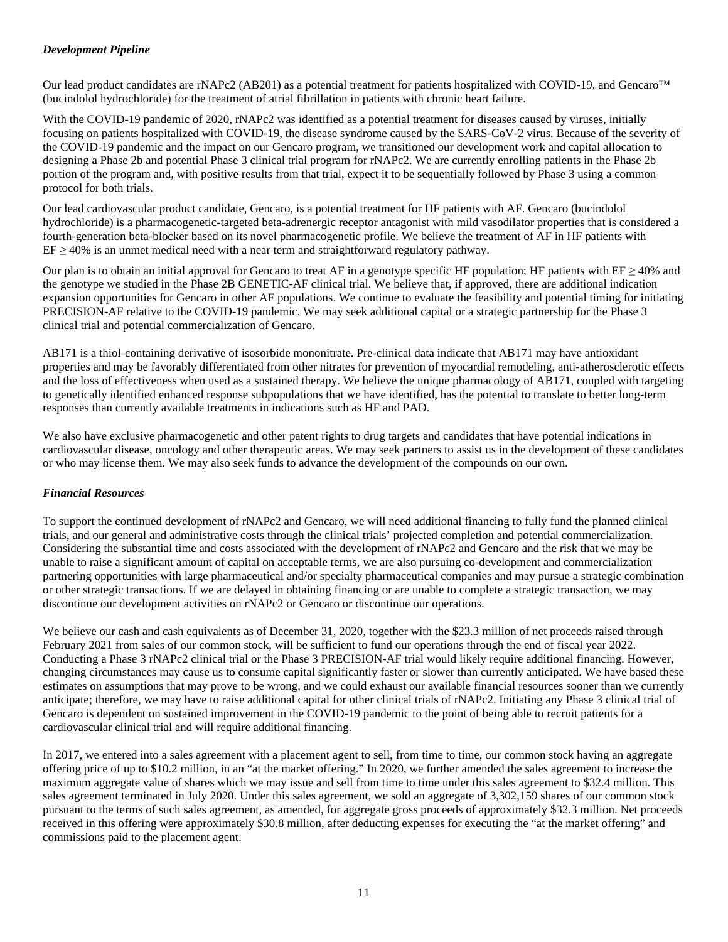# *Development Pipeline*

Our lead product candidates are rNAPc2 (AB201) as a potential treatment for patients hospitalized with COVID-19, and Gencaro<sup>™</sup> (bucindolol hydrochloride) for the treatment of atrial fibrillation in patients with chronic heart failure.

With the COVID-19 pandemic of 2020, rNAPc2 was identified as a potential treatment for diseases caused by viruses, initially focusing on patients hospitalized with COVID-19, the disease syndrome caused by the SARS-CoV-2 virus. Because of the severity of the COVID-19 pandemic and the impact on our Gencaro program, we transitioned our development work and capital allocation to designing a Phase 2b and potential Phase 3 clinical trial program for rNAPc2. We are currently enrolling patients in the Phase 2b portion of the program and, with positive results from that trial, expect it to be sequentially followed by Phase 3 using a common protocol for both trials.

Our lead cardiovascular product candidate, Gencaro, is a potential treatment for HF patients with AF. Gencaro (bucindolol hydrochloride) is a pharmacogenetic-targeted beta-adrenergic receptor antagonist with mild vasodilator properties that is considered a fourth-generation beta-blocker based on its novel pharmacogenetic profile. We believe the treatment of AF in HF patients with  $EF \geq 40\%$  is an unmet medical need with a near term and straightforward regulatory pathway.

Our plan is to obtain an initial approval for Gencaro to treat AF in a genotype specific HF population; HF patients with  $EF \ge 40\%$  and the genotype we studied in the Phase 2B GENETIC-AF clinical trial. We believe that, if approved, there are additional indication expansion opportunities for Gencaro in other AF populations. We continue to evaluate the feasibility and potential timing for initiating PRECISION-AF relative to the COVID-19 pandemic. We may seek additional capital or a strategic partnership for the Phase 3 clinical trial and potential commercialization of Gencaro.

AB171 is a thiol-containing derivative of isosorbide mononitrate. Pre-clinical data indicate that AB171 may have antioxidant properties and may be favorably differentiated from other nitrates for prevention of myocardial remodeling, anti-atherosclerotic effects and the loss of effectiveness when used as a sustained therapy. We believe the unique pharmacology of AB171, coupled with targeting to genetically identified enhanced response subpopulations that we have identified, has the potential to translate to better long-term responses than currently available treatments in indications such as HF and PAD.

We also have exclusive pharmacogenetic and other patent rights to drug targets and candidates that have potential indications in cardiovascular disease, oncology and other therapeutic areas. We may seek partners to assist us in the development of these candidates or who may license them. We may also seek funds to advance the development of the compounds on our own.

# *Financial Resources*

To support the continued development of rNAPc2 and Gencaro, we will need additional financing to fully fund the planned clinical trials, and our general and administrative costs through the clinical trials' projected completion and potential commercialization. Considering the substantial time and costs associated with the development of rNAPc2 and Gencaro and the risk that we may be unable to raise a significant amount of capital on acceptable terms, we are also pursuing co-development and commercialization partnering opportunities with large pharmaceutical and/or specialty pharmaceutical companies and may pursue a strategic combination or other strategic transactions. If we are delayed in obtaining financing or are unable to complete a strategic transaction, we may discontinue our development activities on rNAPc2 or Gencaro or discontinue our operations.

We believe our cash and cash equivalents as of December 31, 2020, together with the \$23.3 million of net proceeds raised through February 2021 from sales of our common stock, will be sufficient to fund our operations through the end of fiscal year 2022. Conducting a Phase 3 rNAPc2 clinical trial or the Phase 3 PRECISION-AF trial would likely require additional financing. However, changing circumstances may cause us to consume capital significantly faster or slower than currently anticipated. We have based these estimates on assumptions that may prove to be wrong, and we could exhaust our available financial resources sooner than we currently anticipate; therefore, we may have to raise additional capital for other clinical trials of rNAPc2. Initiating any Phase 3 clinical trial of Gencaro is dependent on sustained improvement in the COVID-19 pandemic to the point of being able to recruit patients for a cardiovascular clinical trial and will require additional financing.

In 2017, we entered into a sales agreement with a placement agent to sell, from time to time, our common stock having an aggregate offering price of up to \$10.2 million, in an "at the market offering." In 2020, we further amended the sales agreement to increase the maximum aggregate value of shares which we may issue and sell from time to time under this sales agreement to \$32.4 million. This sales agreement terminated in July 2020. Under this sales agreement, we sold an aggregate of 3,302,159 shares of our common stock pursuant to the terms of such sales agreement, as amended, for aggregate gross proceeds of approximately \$32.3 million. Net proceeds received in this offering were approximately \$30.8 million, after deducting expenses for executing the "at the market offering" and commissions paid to the placement agent.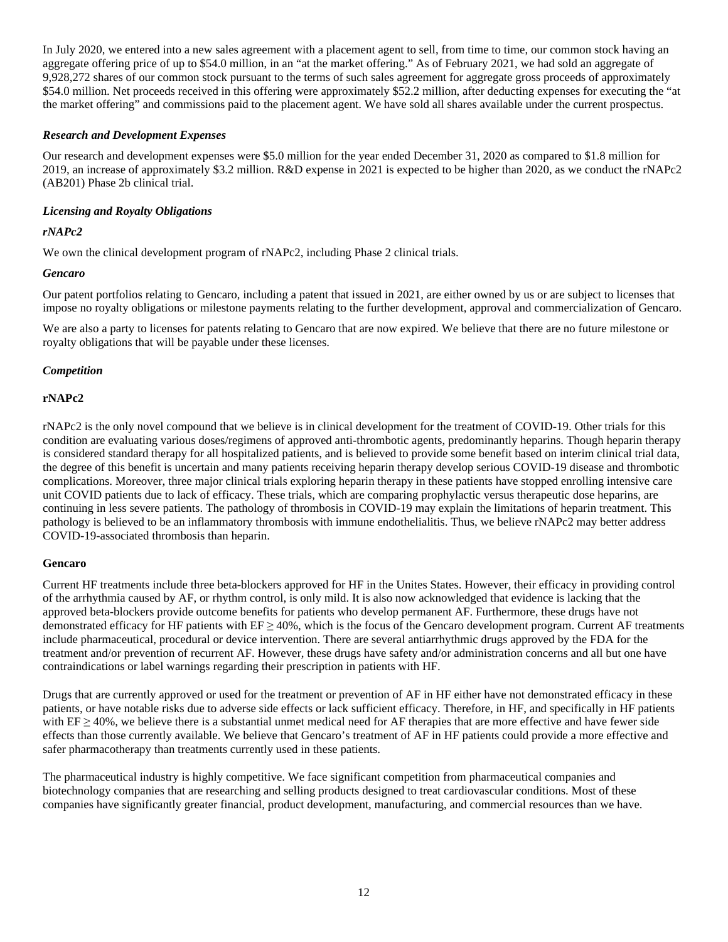In July 2020, we entered into a new sales agreement with a placement agent to sell, from time to time, our common stock having an aggregate offering price of up to \$54.0 million, in an "at the market offering." As of February 2021, we had sold an aggregate of 9,928,272 shares of our common stock pursuant to the terms of such sales agreement for aggregate gross proceeds of approximately \$54.0 million. Net proceeds received in this offering were approximately \$52.2 million, after deducting expenses for executing the "at the market offering" and commissions paid to the placement agent. We have sold all shares available under the current prospectus.

#### *Research and Development Expenses*

Our research and development expenses were \$5.0 million for the year ended December 31, 2020 as compared to \$1.8 million for 2019, an increase of approximately \$3.2 million. R&D expense in 2021 is expected to be higher than 2020, as we conduct the rNAPc2 (AB201) Phase 2b clinical trial.

#### *Licensing and Royalty Obligations*

#### *rNAPc2*

We own the clinical development program of rNAPc2, including Phase 2 clinical trials.

#### *Gencaro*

Our patent portfolios relating to Gencaro, including a patent that issued in 2021, are either owned by us or are subject to licenses that impose no royalty obligations or milestone payments relating to the further development, approval and commercialization of Gencaro.

We are also a party to licenses for patents relating to Gencaro that are now expired. We believe that there are no future milestone or royalty obligations that will be payable under these licenses.

#### *Competition*

#### **rNAPc2**

rNAPc2 is the only novel compound that we believe is in clinical development for the treatment of COVID-19. Other trials for this condition are evaluating various doses/regimens of approved anti-thrombotic agents, predominantly heparins. Though heparin therapy is considered standard therapy for all hospitalized patients, and is believed to provide some benefit based on interim clinical trial data, the degree of this benefit is uncertain and many patients receiving heparin therapy develop serious COVID-19 disease and thrombotic complications. Moreover, three major clinical trials exploring heparin therapy in these patients have stopped enrolling intensive care unit COVID patients due to lack of efficacy. These trials, which are comparing prophylactic versus therapeutic dose heparins, are continuing in less severe patients. The pathology of thrombosis in COVID-19 may explain the limitations of heparin treatment. This pathology is believed to be an inflammatory thrombosis with immune endothelialitis. Thus, we believe rNAPc2 may better address COVID-19-associated thrombosis than heparin.

#### **Gencaro**

Current HF treatments include three beta-blockers approved for HF in the Unites States. However, their efficacy in providing control of the arrhythmia caused by AF, or rhythm control, is only mild. It is also now acknowledged that evidence is lacking that the approved beta-blockers provide outcome benefits for patients who develop permanent AF. Furthermore, these drugs have not demonstrated efficacy for HF patients with  $EF \ge 40\%$ , which is the focus of the Gencaro development program. Current AF treatments include pharmaceutical, procedural or device intervention. There are several antiarrhythmic drugs approved by the FDA for the treatment and/or prevention of recurrent AF. However, these drugs have safety and/or administration concerns and all but one have contraindications or label warnings regarding their prescription in patients with HF.

Drugs that are currently approved or used for the treatment or prevention of AF in HF either have not demonstrated efficacy in these patients, or have notable risks due to adverse side effects or lack sufficient efficacy. Therefore, in HF, and specifically in HF patients with  $EF \ge 40\%$ , we believe there is a substantial unmet medical need for AF therapies that are more effective and have fewer side effects than those currently available. We believe that Gencaro's treatment of AF in HF patients could provide a more effective and safer pharmacotherapy than treatments currently used in these patients.

The pharmaceutical industry is highly competitive. We face significant competition from pharmaceutical companies and biotechnology companies that are researching and selling products designed to treat cardiovascular conditions. Most of these companies have significantly greater financial, product development, manufacturing, and commercial resources than we have.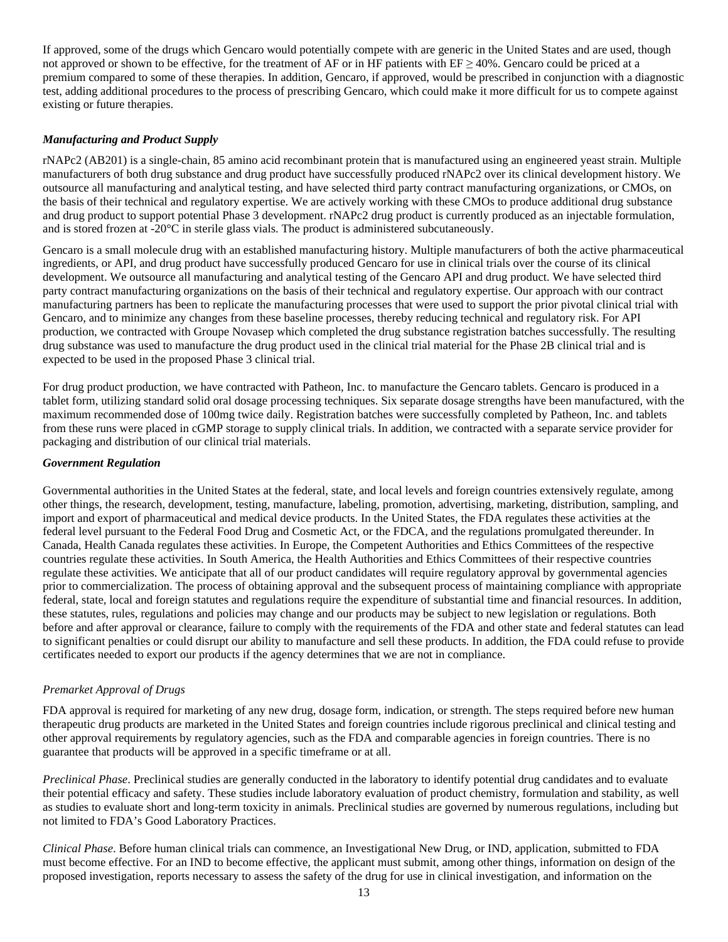If approved, some of the drugs which Gencaro would potentially compete with are generic in the United States and are used, though not approved or shown to be effective, for the treatment of AF or in HF patients with  $EF \ge 40\%$ . Gencaro could be priced at a premium compared to some of these therapies. In addition, Gencaro, if approved, would be prescribed in conjunction with a diagnostic test, adding additional procedures to the process of prescribing Gencaro, which could make it more difficult for us to compete against existing or future therapies.

# *Manufacturing and Product Supply*

rNAPc2 (AB201) is a single-chain, 85 amino acid recombinant protein that is manufactured using an engineered yeast strain. Multiple manufacturers of both drug substance and drug product have successfully produced rNAPc2 over its clinical development history. We outsource all manufacturing and analytical testing, and have selected third party contract manufacturing organizations, or CMOs, on the basis of their technical and regulatory expertise. We are actively working with these CMOs to produce additional drug substance and drug product to support potential Phase 3 development. rNAPc2 drug product is currently produced as an injectable formulation, and is stored frozen at -20°C in sterile glass vials. The product is administered subcutaneously.

Gencaro is a small molecule drug with an established manufacturing history. Multiple manufacturers of both the active pharmaceutical ingredients, or API, and drug product have successfully produced Gencaro for use in clinical trials over the course of its clinical development. We outsource all manufacturing and analytical testing of the Gencaro API and drug product. We have selected third party contract manufacturing organizations on the basis of their technical and regulatory expertise. Our approach with our contract manufacturing partners has been to replicate the manufacturing processes that were used to support the prior pivotal clinical trial with Gencaro, and to minimize any changes from these baseline processes, thereby reducing technical and regulatory risk. For API production, we contracted with Groupe Novasep which completed the drug substance registration batches successfully. The resulting drug substance was used to manufacture the drug product used in the clinical trial material for the Phase 2B clinical trial and is expected to be used in the proposed Phase 3 clinical trial.

For drug product production, we have contracted with Patheon, Inc. to manufacture the Gencaro tablets. Gencaro is produced in a tablet form, utilizing standard solid oral dosage processing techniques. Six separate dosage strengths have been manufactured, with the maximum recommended dose of 100mg twice daily. Registration batches were successfully completed by Patheon, Inc. and tablets from these runs were placed in cGMP storage to supply clinical trials. In addition, we contracted with a separate service provider for packaging and distribution of our clinical trial materials.

#### *Government Regulation*

Governmental authorities in the United States at the federal, state, and local levels and foreign countries extensively regulate, among other things, the research, development, testing, manufacture, labeling, promotion, advertising, marketing, distribution, sampling, and import and export of pharmaceutical and medical device products. In the United States, the FDA regulates these activities at the federal level pursuant to the Federal Food Drug and Cosmetic Act, or the FDCA, and the regulations promulgated thereunder. In Canada, Health Canada regulates these activities. In Europe, the Competent Authorities and Ethics Committees of the respective countries regulate these activities. In South America, the Health Authorities and Ethics Committees of their respective countries regulate these activities. We anticipate that all of our product candidates will require regulatory approval by governmental agencies prior to commercialization. The process of obtaining approval and the subsequent process of maintaining compliance with appropriate federal, state, local and foreign statutes and regulations require the expenditure of substantial time and financial resources. In addition, these statutes, rules, regulations and policies may change and our products may be subject to new legislation or regulations. Both before and after approval or clearance, failure to comply with the requirements of the FDA and other state and federal statutes can lead to significant penalties or could disrupt our ability to manufacture and sell these products. In addition, the FDA could refuse to provide certificates needed to export our products if the agency determines that we are not in compliance.

#### *Premarket Approval of Drugs*

FDA approval is required for marketing of any new drug, dosage form, indication, or strength. The steps required before new human therapeutic drug products are marketed in the United States and foreign countries include rigorous preclinical and clinical testing and other approval requirements by regulatory agencies, such as the FDA and comparable agencies in foreign countries. There is no guarantee that products will be approved in a specific timeframe or at all.

*Preclinical Phase*. Preclinical studies are generally conducted in the laboratory to identify potential drug candidates and to evaluate their potential efficacy and safety. These studies include laboratory evaluation of product chemistry, formulation and stability, as well as studies to evaluate short and long-term toxicity in animals. Preclinical studies are governed by numerous regulations, including but not limited to FDA's Good Laboratory Practices.

*Clinical Phase*. Before human clinical trials can commence, an Investigational New Drug, or IND, application, submitted to FDA must become effective. For an IND to become effective, the applicant must submit, among other things, information on design of the proposed investigation, reports necessary to assess the safety of the drug for use in clinical investigation, and information on the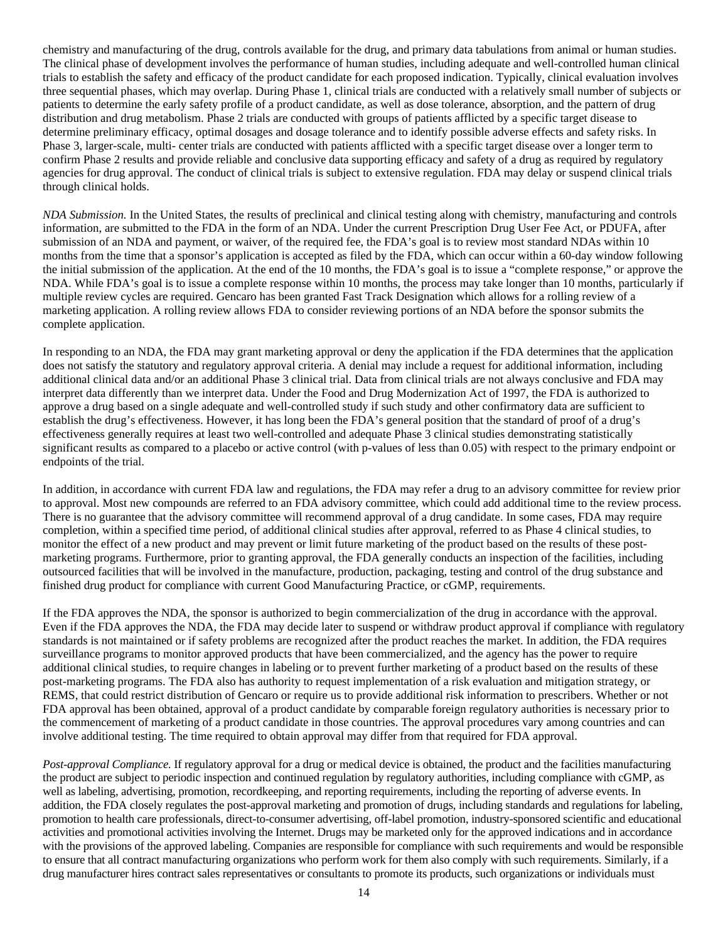chemistry and manufacturing of the drug, controls available for the drug, and primary data tabulations from animal or human studies. The clinical phase of development involves the performance of human studies, including adequate and well-controlled human clinical trials to establish the safety and efficacy of the product candidate for each proposed indication. Typically, clinical evaluation involves three sequential phases, which may overlap. During Phase 1, clinical trials are conducted with a relatively small number of subjects or patients to determine the early safety profile of a product candidate, as well as dose tolerance, absorption, and the pattern of drug distribution and drug metabolism. Phase 2 trials are conducted with groups of patients afflicted by a specific target disease to determine preliminary efficacy, optimal dosages and dosage tolerance and to identify possible adverse effects and safety risks. In Phase 3, larger-scale, multi- center trials are conducted with patients afflicted with a specific target disease over a longer term to confirm Phase 2 results and provide reliable and conclusive data supporting efficacy and safety of a drug as required by regulatory agencies for drug approval. The conduct of clinical trials is subject to extensive regulation. FDA may delay or suspend clinical trials through clinical holds.

*NDA Submission.* In the United States, the results of preclinical and clinical testing along with chemistry, manufacturing and controls information, are submitted to the FDA in the form of an NDA. Under the current Prescription Drug User Fee Act, or PDUFA, after submission of an NDA and payment, or waiver, of the required fee, the FDA's goal is to review most standard NDAs within 10 months from the time that a sponsor's application is accepted as filed by the FDA, which can occur within a 60-day window following the initial submission of the application. At the end of the 10 months, the FDA's goal is to issue a "complete response," or approve the NDA. While FDA's goal is to issue a complete response within 10 months, the process may take longer than 10 months, particularly if multiple review cycles are required. Gencaro has been granted Fast Track Designation which allows for a rolling review of a marketing application. A rolling review allows FDA to consider reviewing portions of an NDA before the sponsor submits the complete application.

In responding to an NDA, the FDA may grant marketing approval or deny the application if the FDA determines that the application does not satisfy the statutory and regulatory approval criteria. A denial may include a request for additional information, including additional clinical data and/or an additional Phase 3 clinical trial. Data from clinical trials are not always conclusive and FDA may interpret data differently than we interpret data. Under the Food and Drug Modernization Act of 1997, the FDA is authorized to approve a drug based on a single adequate and well-controlled study if such study and other confirmatory data are sufficient to establish the drug's effectiveness. However, it has long been the FDA's general position that the standard of proof of a drug's effectiveness generally requires at least two well-controlled and adequate Phase 3 clinical studies demonstrating statistically significant results as compared to a placebo or active control (with p-values of less than 0.05) with respect to the primary endpoint or endpoints of the trial.

In addition, in accordance with current FDA law and regulations, the FDA may refer a drug to an advisory committee for review prior to approval. Most new compounds are referred to an FDA advisory committee, which could add additional time to the review process. There is no guarantee that the advisory committee will recommend approval of a drug candidate. In some cases, FDA may require completion, within a specified time period, of additional clinical studies after approval, referred to as Phase 4 clinical studies, to monitor the effect of a new product and may prevent or limit future marketing of the product based on the results of these postmarketing programs. Furthermore, prior to granting approval, the FDA generally conducts an inspection of the facilities, including outsourced facilities that will be involved in the manufacture, production, packaging, testing and control of the drug substance and finished drug product for compliance with current Good Manufacturing Practice, or cGMP, requirements.

If the FDA approves the NDA, the sponsor is authorized to begin commercialization of the drug in accordance with the approval. Even if the FDA approves the NDA, the FDA may decide later to suspend or withdraw product approval if compliance with regulatory standards is not maintained or if safety problems are recognized after the product reaches the market. In addition, the FDA requires surveillance programs to monitor approved products that have been commercialized, and the agency has the power to require additional clinical studies, to require changes in labeling or to prevent further marketing of a product based on the results of these post-marketing programs. The FDA also has authority to request implementation of a risk evaluation and mitigation strategy, or REMS, that could restrict distribution of Gencaro or require us to provide additional risk information to prescribers. Whether or not FDA approval has been obtained, approval of a product candidate by comparable foreign regulatory authorities is necessary prior to the commencement of marketing of a product candidate in those countries. The approval procedures vary among countries and can involve additional testing. The time required to obtain approval may differ from that required for FDA approval.

*Post-approval Compliance.* If regulatory approval for a drug or medical device is obtained, the product and the facilities manufacturing the product are subject to periodic inspection and continued regulation by regulatory authorities, including compliance with cGMP, as well as labeling, advertising, promotion, recordkeeping, and reporting requirements, including the reporting of adverse events. In addition, the FDA closely regulates the post-approval marketing and promotion of drugs, including standards and regulations for labeling, promotion to health care professionals, direct-to-consumer advertising, off-label promotion, industry-sponsored scientific and educational activities and promotional activities involving the Internet. Drugs may be marketed only for the approved indications and in accordance with the provisions of the approved labeling. Companies are responsible for compliance with such requirements and would be responsible to ensure that all contract manufacturing organizations who perform work for them also comply with such requirements. Similarly, if a drug manufacturer hires contract sales representatives or consultants to promote its products, such organizations or individuals must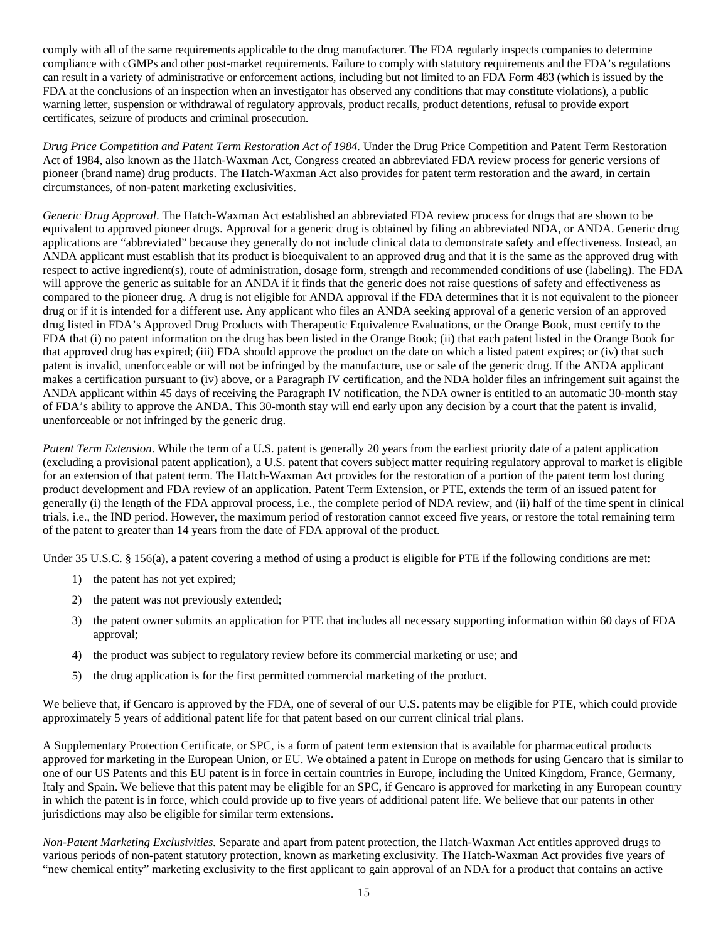comply with all of the same requirements applicable to the drug manufacturer. The FDA regularly inspects companies to determine compliance with cGMPs and other post-market requirements. Failure to comply with statutory requirements and the FDA's regulations can result in a variety of administrative or enforcement actions, including but not limited to an FDA Form 483 (which is issued by the FDA at the conclusions of an inspection when an investigator has observed any conditions that may constitute violations), a public warning letter, suspension or withdrawal of regulatory approvals, product recalls, product detentions, refusal to provide export certificates, seizure of products and criminal prosecution.

*Drug Price Competition and Patent Term Restoration Act of 1984.* Under the Drug Price Competition and Patent Term Restoration Act of 1984, also known as the Hatch-Waxman Act, Congress created an abbreviated FDA review process for generic versions of pioneer (brand name) drug products. The Hatch-Waxman Act also provides for patent term restoration and the award, in certain circumstances, of non-patent marketing exclusivities.

*Generic Drug Approval*. The Hatch-Waxman Act established an abbreviated FDA review process for drugs that are shown to be equivalent to approved pioneer drugs. Approval for a generic drug is obtained by filing an abbreviated NDA, or ANDA. Generic drug applications are "abbreviated" because they generally do not include clinical data to demonstrate safety and effectiveness. Instead, an ANDA applicant must establish that its product is bioequivalent to an approved drug and that it is the same as the approved drug with respect to active ingredient(s), route of administration, dosage form, strength and recommended conditions of use (labeling). The FDA will approve the generic as suitable for an ANDA if it finds that the generic does not raise questions of safety and effectiveness as compared to the pioneer drug. A drug is not eligible for ANDA approval if the FDA determines that it is not equivalent to the pioneer drug or if it is intended for a different use. Any applicant who files an ANDA seeking approval of a generic version of an approved drug listed in FDA's Approved Drug Products with Therapeutic Equivalence Evaluations, or the Orange Book, must certify to the FDA that (i) no patent information on the drug has been listed in the Orange Book; (ii) that each patent listed in the Orange Book for that approved drug has expired; (iii) FDA should approve the product on the date on which a listed patent expires; or (iv) that such patent is invalid, unenforceable or will not be infringed by the manufacture, use or sale of the generic drug. If the ANDA applicant makes a certification pursuant to (iv) above, or a Paragraph IV certification, and the NDA holder files an infringement suit against the ANDA applicant within 45 days of receiving the Paragraph IV notification, the NDA owner is entitled to an automatic 30-month stay of FDA's ability to approve the ANDA. This 30-month stay will end early upon any decision by a court that the patent is invalid, unenforceable or not infringed by the generic drug.

*Patent Term Extension*. While the term of a U.S. patent is generally 20 years from the earliest priority date of a patent application (excluding a provisional patent application), a U.S. patent that covers subject matter requiring regulatory approval to market is eligible for an extension of that patent term. The Hatch-Waxman Act provides for the restoration of a portion of the patent term lost during product development and FDA review of an application. Patent Term Extension, or PTE, extends the term of an issued patent for generally (i) the length of the FDA approval process, i.e., the complete period of NDA review, and (ii) half of the time spent in clinical trials, i.e., the IND period. However, the maximum period of restoration cannot exceed five years, or restore the total remaining term of the patent to greater than 14 years from the date of FDA approval of the product.

Under 35 U.S.C. § 156(a), a patent covering a method of using a product is eligible for PTE if the following conditions are met:

- 1) the patent has not yet expired;
- 2) the patent was not previously extended;
- 3) the patent owner submits an application for PTE that includes all necessary supporting information within 60 days of FDA approval;
- 4) the product was subject to regulatory review before its commercial marketing or use; and
- 5) the drug application is for the first permitted commercial marketing of the product.

We believe that, if Gencaro is approved by the FDA, one of several of our U.S. patents may be eligible for PTE, which could provide approximately 5 years of additional patent life for that patent based on our current clinical trial plans.

A Supplementary Protection Certificate, or SPC, is a form of patent term extension that is available for pharmaceutical products approved for marketing in the European Union, or EU. We obtained a patent in Europe on methods for using Gencaro that is similar to one of our US Patents and this EU patent is in force in certain countries in Europe, including the United Kingdom, France, Germany, Italy and Spain. We believe that this patent may be eligible for an SPC, if Gencaro is approved for marketing in any European country in which the patent is in force, which could provide up to five years of additional patent life. We believe that our patents in other jurisdictions may also be eligible for similar term extensions.

*Non-Patent Marketing Exclusivities.* Separate and apart from patent protection, the Hatch-Waxman Act entitles approved drugs to various periods of non-patent statutory protection, known as marketing exclusivity. The Hatch-Waxman Act provides five years of "new chemical entity" marketing exclusivity to the first applicant to gain approval of an NDA for a product that contains an active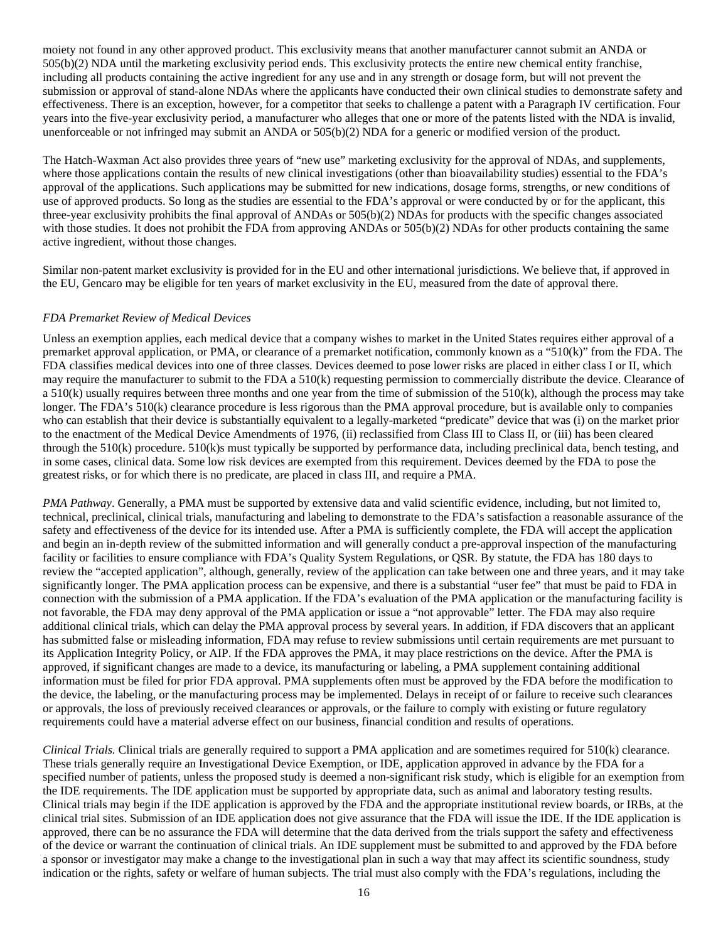moiety not found in any other approved product. This exclusivity means that another manufacturer cannot submit an ANDA or 505(b)(2) NDA until the marketing exclusivity period ends. This exclusivity protects the entire new chemical entity franchise, including all products containing the active ingredient for any use and in any strength or dosage form, but will not prevent the submission or approval of stand-alone NDAs where the applicants have conducted their own clinical studies to demonstrate safety and effectiveness. There is an exception, however, for a competitor that seeks to challenge a patent with a Paragraph IV certification. Four years into the five-year exclusivity period, a manufacturer who alleges that one or more of the patents listed with the NDA is invalid, unenforceable or not infringed may submit an ANDA or 505(b)(2) NDA for a generic or modified version of the product.

The Hatch-Waxman Act also provides three years of "new use" marketing exclusivity for the approval of NDAs, and supplements, where those applications contain the results of new clinical investigations (other than bioavailability studies) essential to the FDA's approval of the applications. Such applications may be submitted for new indications, dosage forms, strengths, or new conditions of use of approved products. So long as the studies are essential to the FDA's approval or were conducted by or for the applicant, this three-year exclusivity prohibits the final approval of ANDAs or 505(b)(2) NDAs for products with the specific changes associated with those studies. It does not prohibit the FDA from approving ANDAs or 505(b)(2) NDAs for other products containing the same active ingredient, without those changes.

Similar non-patent market exclusivity is provided for in the EU and other international jurisdictions. We believe that, if approved in the EU, Gencaro may be eligible for ten years of market exclusivity in the EU, measured from the date of approval there.

#### *FDA Premarket Review of Medical Devices*

Unless an exemption applies, each medical device that a company wishes to market in the United States requires either approval of a premarket approval application, or PMA, or clearance of a premarket notification, commonly known as a "510(k)" from the FDA. The FDA classifies medical devices into one of three classes. Devices deemed to pose lower risks are placed in either class I or II, which may require the manufacturer to submit to the FDA a 510(k) requesting permission to commercially distribute the device. Clearance of  $a$  510(k) usually requires between three months and one year from the time of submission of the 510(k), although the process may take longer. The FDA's 510(k) clearance procedure is less rigorous than the PMA approval procedure, but is available only to companies who can establish that their device is substantially equivalent to a legally-marketed "predicate" device that was (i) on the market prior to the enactment of the Medical Device Amendments of 1976, (ii) reclassified from Class III to Class II, or (iii) has been cleared through the 510(k) procedure. 510(k)s must typically be supported by performance data, including preclinical data, bench testing, and in some cases, clinical data. Some low risk devices are exempted from this requirement. Devices deemed by the FDA to pose the greatest risks, or for which there is no predicate, are placed in class III, and require a PMA.

*PMA Pathway*. Generally, a PMA must be supported by extensive data and valid scientific evidence, including, but not limited to, technical, preclinical, clinical trials, manufacturing and labeling to demonstrate to the FDA's satisfaction a reasonable assurance of the safety and effectiveness of the device for its intended use. After a PMA is sufficiently complete, the FDA will accept the application and begin an in-depth review of the submitted information and will generally conduct a pre-approval inspection of the manufacturing facility or facilities to ensure compliance with FDA's Quality System Regulations, or QSR. By statute, the FDA has 180 days to review the "accepted application", although, generally, review of the application can take between one and three years, and it may take significantly longer. The PMA application process can be expensive, and there is a substantial "user fee" that must be paid to FDA in connection with the submission of a PMA application. If the FDA's evaluation of the PMA application or the manufacturing facility is not favorable, the FDA may deny approval of the PMA application or issue a "not approvable" letter. The FDA may also require additional clinical trials, which can delay the PMA approval process by several years. In addition, if FDA discovers that an applicant has submitted false or misleading information, FDA may refuse to review submissions until certain requirements are met pursuant to its Application Integrity Policy, or AIP. If the FDA approves the PMA, it may place restrictions on the device. After the PMA is approved, if significant changes are made to a device, its manufacturing or labeling, a PMA supplement containing additional information must be filed for prior FDA approval. PMA supplements often must be approved by the FDA before the modification to the device, the labeling, or the manufacturing process may be implemented. Delays in receipt of or failure to receive such clearances or approvals, the loss of previously received clearances or approvals, or the failure to comply with existing or future regulatory requirements could have a material adverse effect on our business, financial condition and results of operations.

*Clinical Trials.* Clinical trials are generally required to support a PMA application and are sometimes required for 510(k) clearance. These trials generally require an Investigational Device Exemption, or IDE, application approved in advance by the FDA for a specified number of patients, unless the proposed study is deemed a non-significant risk study, which is eligible for an exemption from the IDE requirements. The IDE application must be supported by appropriate data, such as animal and laboratory testing results. Clinical trials may begin if the IDE application is approved by the FDA and the appropriate institutional review boards, or IRBs, at the clinical trial sites. Submission of an IDE application does not give assurance that the FDA will issue the IDE. If the IDE application is approved, there can be no assurance the FDA will determine that the data derived from the trials support the safety and effectiveness of the device or warrant the continuation of clinical trials. An IDE supplement must be submitted to and approved by the FDA before a sponsor or investigator may make a change to the investigational plan in such a way that may affect its scientific soundness, study indication or the rights, safety or welfare of human subjects. The trial must also comply with the FDA's regulations, including the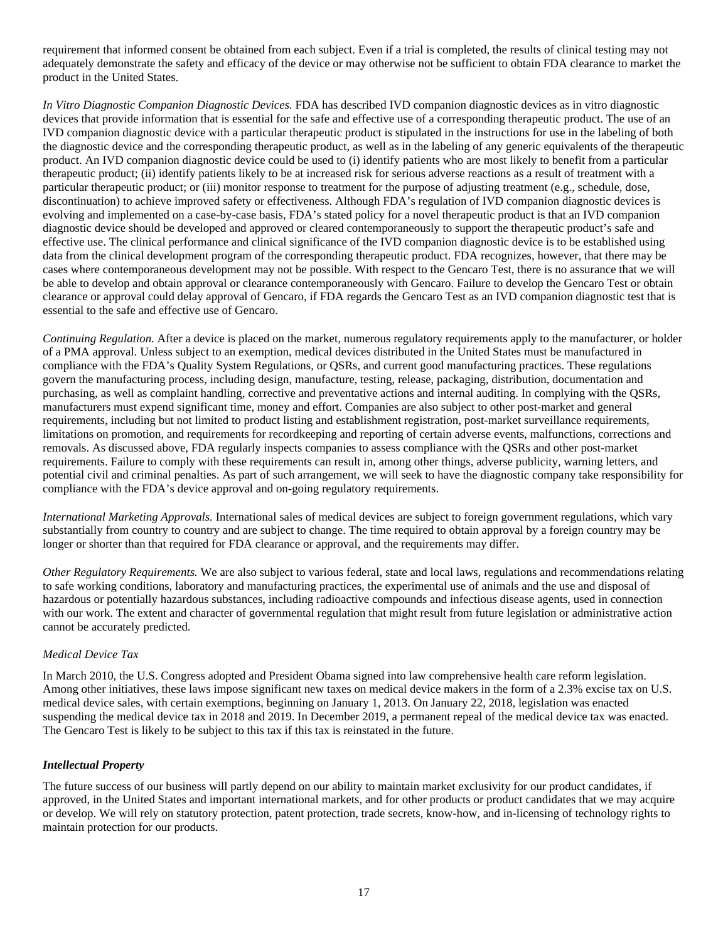requirement that informed consent be obtained from each subject. Even if a trial is completed, the results of clinical testing may not adequately demonstrate the safety and efficacy of the device or may otherwise not be sufficient to obtain FDA clearance to market the product in the United States.

*In Vitro Diagnostic Companion Diagnostic Devices.* FDA has described IVD companion diagnostic devices as in vitro diagnostic devices that provide information that is essential for the safe and effective use of a corresponding therapeutic product. The use of an IVD companion diagnostic device with a particular therapeutic product is stipulated in the instructions for use in the labeling of both the diagnostic device and the corresponding therapeutic product, as well as in the labeling of any generic equivalents of the therapeutic product. An IVD companion diagnostic device could be used to (i) identify patients who are most likely to benefit from a particular therapeutic product; (ii) identify patients likely to be at increased risk for serious adverse reactions as a result of treatment with a particular therapeutic product; or (iii) monitor response to treatment for the purpose of adjusting treatment (e.g., schedule, dose, discontinuation) to achieve improved safety or effectiveness. Although FDA's regulation of IVD companion diagnostic devices is evolving and implemented on a case-by-case basis, FDA's stated policy for a novel therapeutic product is that an IVD companion diagnostic device should be developed and approved or cleared contemporaneously to support the therapeutic product's safe and effective use. The clinical performance and clinical significance of the IVD companion diagnostic device is to be established using data from the clinical development program of the corresponding therapeutic product. FDA recognizes, however, that there may be cases where contemporaneous development may not be possible. With respect to the Gencaro Test, there is no assurance that we will be able to develop and obtain approval or clearance contemporaneously with Gencaro. Failure to develop the Gencaro Test or obtain clearance or approval could delay approval of Gencaro, if FDA regards the Gencaro Test as an IVD companion diagnostic test that is essential to the safe and effective use of Gencaro.

*Continuing Regulation.* After a device is placed on the market, numerous regulatory requirements apply to the manufacturer, or holder of a PMA approval. Unless subject to an exemption, medical devices distributed in the United States must be manufactured in compliance with the FDA's Quality System Regulations, or QSRs, and current good manufacturing practices. These regulations govern the manufacturing process, including design, manufacture, testing, release, packaging, distribution, documentation and purchasing, as well as complaint handling, corrective and preventative actions and internal auditing. In complying with the QSRs, manufacturers must expend significant time, money and effort. Companies are also subject to other post-market and general requirements, including but not limited to product listing and establishment registration, post-market surveillance requirements, limitations on promotion, and requirements for recordkeeping and reporting of certain adverse events, malfunctions, corrections and removals. As discussed above, FDA regularly inspects companies to assess compliance with the QSRs and other post-market requirements. Failure to comply with these requirements can result in, among other things, adverse publicity, warning letters, and potential civil and criminal penalties. As part of such arrangement, we will seek to have the diagnostic company take responsibility for compliance with the FDA's device approval and on-going regulatory requirements.

*International Marketing Approvals.* International sales of medical devices are subject to foreign government regulations, which vary substantially from country to country and are subject to change. The time required to obtain approval by a foreign country may be longer or shorter than that required for FDA clearance or approval, and the requirements may differ.

*Other Regulatory Requirements.* We are also subject to various federal, state and local laws, regulations and recommendations relating to safe working conditions, laboratory and manufacturing practices, the experimental use of animals and the use and disposal of hazardous or potentially hazardous substances, including radioactive compounds and infectious disease agents, used in connection with our work. The extent and character of governmental regulation that might result from future legislation or administrative action cannot be accurately predicted.

#### *Medical Device Tax*

In March 2010, the U.S. Congress adopted and President Obama signed into law comprehensive health care reform legislation. Among other initiatives, these laws impose significant new taxes on medical device makers in the form of a 2.3% excise tax on U.S. medical device sales, with certain exemptions, beginning on January 1, 2013. On January 22, 2018, legislation was enacted suspending the medical device tax in 2018 and 2019. In December 2019, a permanent repeal of the medical device tax was enacted. The Gencaro Test is likely to be subject to this tax if this tax is reinstated in the future.

#### *Intellectual Property*

The future success of our business will partly depend on our ability to maintain market exclusivity for our product candidates, if approved, in the United States and important international markets, and for other products or product candidates that we may acquire or develop. We will rely on statutory protection, patent protection, trade secrets, know-how, and in-licensing of technology rights to maintain protection for our products.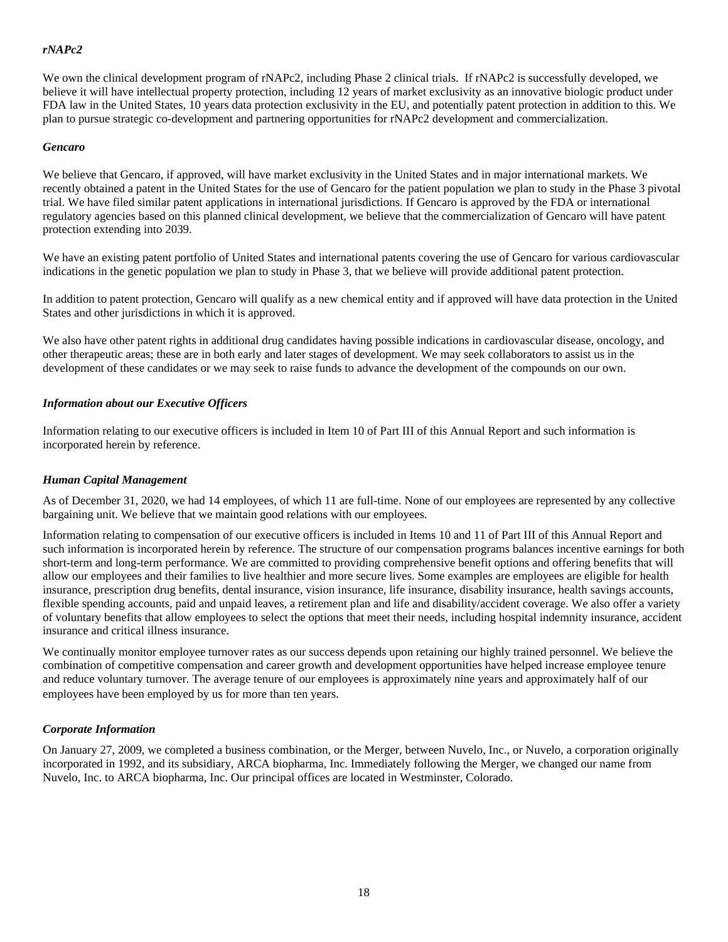# *rNAPc2*

We own the clinical development program of rNAPc2, including Phase 2 clinical trials. If rNAPc2 is successfully developed, we believe it will have intellectual property protection, including 12 years of market exclusivity as an innovative biologic product under FDA law in the United States, 10 years data protection exclusivity in the EU, and potentially patent protection in addition to this. We plan to pursue strategic co-development and partnering opportunities for rNAPc2 development and commercialization.

#### *Gencaro*

We believe that Gencaro, if approved, will have market exclusivity in the United States and in major international markets. We recently obtained a patent in the United States for the use of Gencaro for the patient population we plan to study in the Phase 3 pivotal trial. We have filed similar patent applications in international jurisdictions. If Gencaro is approved by the FDA or international regulatory agencies based on this planned clinical development, we believe that the commercialization of Gencaro will have patent protection extending into 2039.

We have an existing patent portfolio of United States and international patents covering the use of Gencaro for various cardiovascular indications in the genetic population we plan to study in Phase 3, that we believe will provide additional patent protection.

In addition to patent protection, Gencaro will qualify as a new chemical entity and if approved will have data protection in the United States and other jurisdictions in which it is approved.

We also have other patent rights in additional drug candidates having possible indications in cardiovascular disease, oncology, and other therapeutic areas; these are in both early and later stages of development. We may seek collaborators to assist us in the development of these candidates or we may seek to raise funds to advance the development of the compounds on our own.

#### *Information about our Executive Officers*

Information relating to our executive officers is included in Item 10 of Part III of this Annual Report and such information is incorporated herein by reference.

#### *Human Capital Management*

As of December 31, 2020, we had 14 employees, of which 11 are full-time. None of our employees are represented by any collective bargaining unit. We believe that we maintain good relations with our employees.

Information relating to compensation of our executive officers is included in Items 10 and 11 of Part III of this Annual Report and such information is incorporated herein by reference. The structure of our compensation programs balances incentive earnings for both short-term and long-term performance. We are committed to providing comprehensive benefit options and offering benefits that will allow our employees and their families to live healthier and more secure lives. Some examples are employees are eligible for health insurance, prescription drug benefits, dental insurance, vision insurance, life insurance, disability insurance, health savings accounts, flexible spending accounts, paid and unpaid leaves, a retirement plan and life and disability/accident coverage. We also offer a variety of voluntary benefits that allow employees to select the options that meet their needs, including hospital indemnity insurance, accident insurance and critical illness insurance.

We continually monitor employee turnover rates as our success depends upon retaining our highly trained personnel. We believe the combination of competitive compensation and career growth and development opportunities have helped increase employee tenure and reduce voluntary turnover. The average tenure of our employees is approximately nine years and approximately half of our employees have been employed by us for more than ten years.

#### *Corporate Information*

On January 27, 2009, we completed a business combination, or the Merger, between Nuvelo, Inc., or Nuvelo, a corporation originally incorporated in 1992, and its subsidiary, ARCA biopharma, Inc. Immediately following the Merger, we changed our name from Nuvelo, Inc. to ARCA biopharma, Inc. Our principal offices are located in Westminster, Colorado.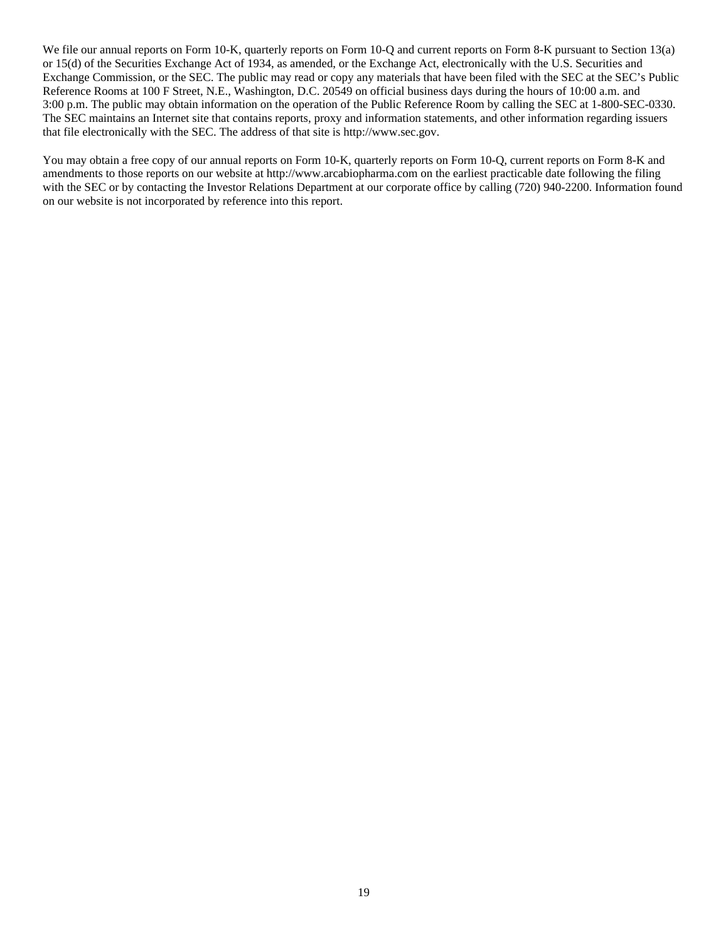We file our annual reports on Form 10-K, quarterly reports on Form 10-O and current reports on Form 8-K pursuant to Section 13(a) or 15(d) of the Securities Exchange Act of 1934, as amended, or the Exchange Act, electronically with the U.S. Securities and Exchange Commission, or the SEC. The public may read or copy any materials that have been filed with the SEC at the SEC's Public Reference Rooms at 100 F Street, N.E., Washington, D.C. 20549 on official business days during the hours of 10:00 a.m. and 3:00 p.m. The public may obtain information on the operation of the Public Reference Room by calling the SEC at 1-800-SEC-0330. The SEC maintains an Internet site that contains reports, proxy and information statements, and other information regarding issuers that file electronically with the SEC. The address of that site is http://www.sec.gov.

You may obtain a free copy of our annual reports on Form 10-K, quarterly reports on Form 10-Q, current reports on Form 8-K and amendments to those reports on our website at http://www.arcabiopharma.com on the earliest practicable date following the filing with the SEC or by contacting the Investor Relations Department at our corporate office by calling (720) 940-2200. Information found on our website is not incorporated by reference into this report.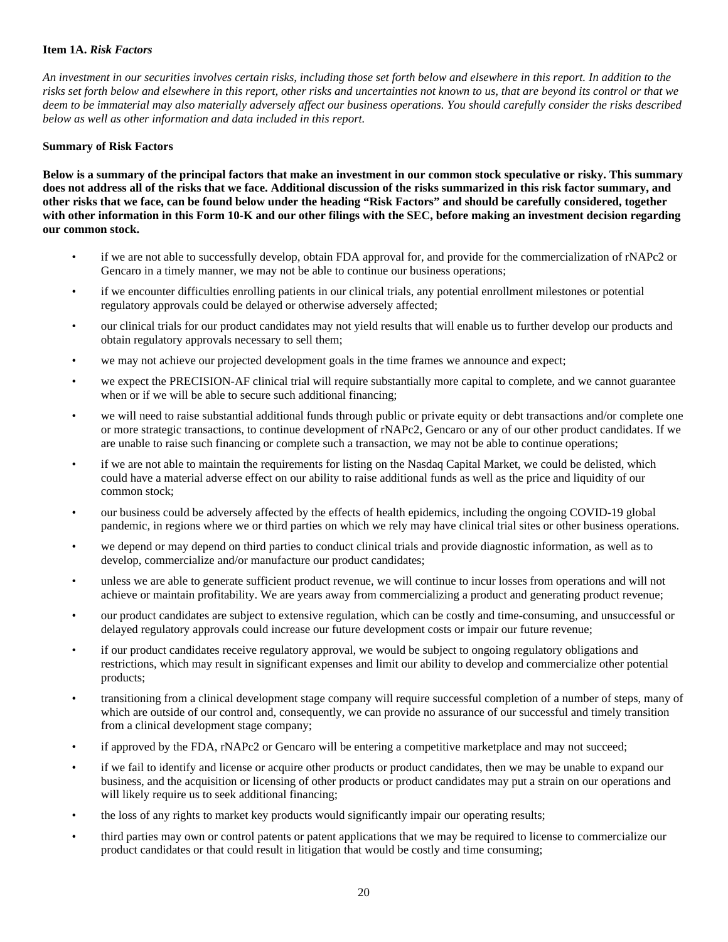#### <span id="page-21-0"></span>**Item 1A.** *Risk Factors*

*An investment in our securities involves certain risks, including those set forth below and elsewhere in this report. In addition to the risks set forth below and elsewhere in this report, other risks and uncertainties not known to us, that are beyond its control or that we deem to be immaterial may also materially adversely affect our business operations. You should carefully consider the risks described below as well as other information and data included in this report.* 

#### **Summary of Risk Factors**

**Below is a summary of the principal factors that make an investment in our common stock speculative or risky. This summary does not address all of the risks that we face. Additional discussion of the risks summarized in this risk factor summary, and other risks that we face, can be found below under the heading "Risk Factors" and should be carefully considered, together with other information in this Form 10-K and our other filings with the SEC, before making an investment decision regarding our common stock.**

- if we are not able to successfully develop, obtain FDA approval for, and provide for the commercialization of rNAPc2 or Gencaro in a timely manner, we may not be able to continue our business operations;
- if we encounter difficulties enrolling patients in our clinical trials, any potential enrollment milestones or potential regulatory approvals could be delayed or otherwise adversely affected;
- our clinical trials for our product candidates may not yield results that will enable us to further develop our products and obtain regulatory approvals necessary to sell them;
- we may not achieve our projected development goals in the time frames we announce and expect;
- we expect the PRECISION-AF clinical trial will require substantially more capital to complete, and we cannot guarantee when or if we will be able to secure such additional financing;
- we will need to raise substantial additional funds through public or private equity or debt transactions and/or complete one or more strategic transactions, to continue development of rNAPc2, Gencaro or any of our other product candidates. If we are unable to raise such financing or complete such a transaction, we may not be able to continue operations;
- if we are not able to maintain the requirements for listing on the Nasdaq Capital Market, we could be delisted, which could have a material adverse effect on our ability to raise additional funds as well as the price and liquidity of our common stock;
- our business could be adversely affected by the effects of health epidemics, including the ongoing COVID-19 global pandemic, in regions where we or third parties on which we rely may have clinical trial sites or other business operations.
- we depend or may depend on third parties to conduct clinical trials and provide diagnostic information, as well as to develop, commercialize and/or manufacture our product candidates;
- unless we are able to generate sufficient product revenue, we will continue to incur losses from operations and will not achieve or maintain profitability. We are years away from commercializing a product and generating product revenue;
- our product candidates are subject to extensive regulation, which can be costly and time-consuming, and unsuccessful or delayed regulatory approvals could increase our future development costs or impair our future revenue;
- if our product candidates receive regulatory approval, we would be subject to ongoing regulatory obligations and restrictions, which may result in significant expenses and limit our ability to develop and commercialize other potential products;
- transitioning from a clinical development stage company will require successful completion of a number of steps, many of which are outside of our control and, consequently, we can provide no assurance of our successful and timely transition from a clinical development stage company;
- if approved by the FDA, rNAPc2 or Gencaro will be entering a competitive marketplace and may not succeed;
- if we fail to identify and license or acquire other products or product candidates, then we may be unable to expand our business, and the acquisition or licensing of other products or product candidates may put a strain on our operations and will likely require us to seek additional financing;
- the loss of any rights to market key products would significantly impair our operating results;
- third parties may own or control patents or patent applications that we may be required to license to commercialize our product candidates or that could result in litigation that would be costly and time consuming;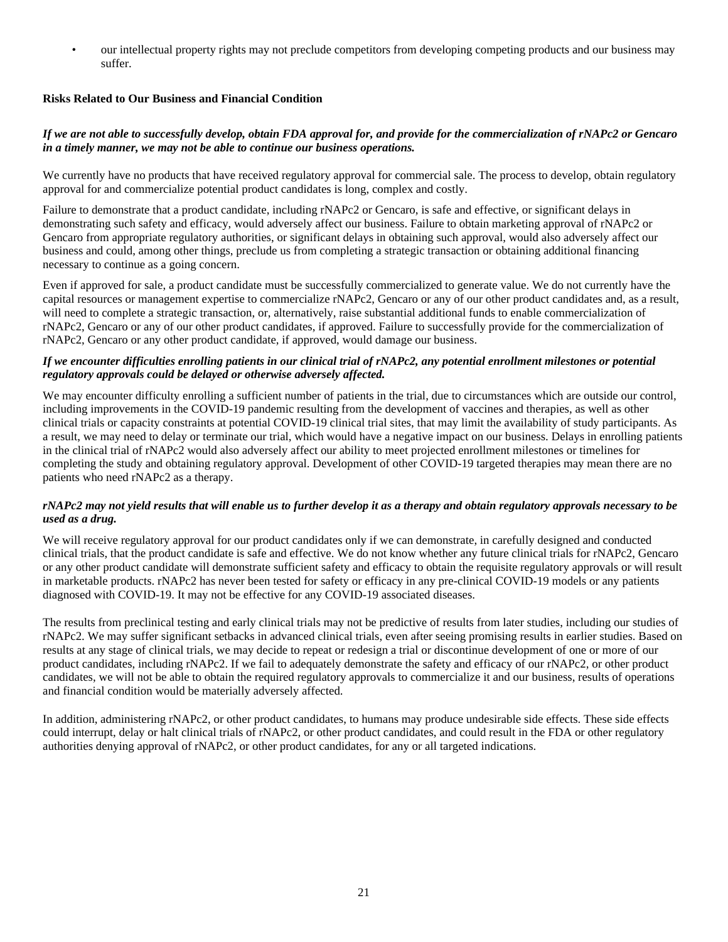• our intellectual property rights may not preclude competitors from developing competing products and our business may suffer.

# **Risks Related to Our Business and Financial Condition**

# *If we are not able to successfully develop, obtain FDA approval for, and provide for the commercialization of rNAPc2 or Gencaro in a timely manner, we may not be able to continue our business operations.*

We currently have no products that have received regulatory approval for commercial sale. The process to develop, obtain regulatory approval for and commercialize potential product candidates is long, complex and costly.

Failure to demonstrate that a product candidate, including rNAPc2 or Gencaro, is safe and effective, or significant delays in demonstrating such safety and efficacy, would adversely affect our business. Failure to obtain marketing approval of rNAPc2 or Gencaro from appropriate regulatory authorities, or significant delays in obtaining such approval, would also adversely affect our business and could, among other things, preclude us from completing a strategic transaction or obtaining additional financing necessary to continue as a going concern.

Even if approved for sale, a product candidate must be successfully commercialized to generate value. We do not currently have the capital resources or management expertise to commercialize rNAPc2, Gencaro or any of our other product candidates and, as a result, will need to complete a strategic transaction, or, alternatively, raise substantial additional funds to enable commercialization of rNAPc2, Gencaro or any of our other product candidates, if approved. Failure to successfully provide for the commercialization of rNAPc2, Gencaro or any other product candidate, if approved, would damage our business.

#### *If we encounter difficulties enrolling patients in our clinical trial of rNAPc2, any potential enrollment milestones or potential regulatory approvals could be delayed or otherwise adversely affected.*

We may encounter difficulty enrolling a sufficient number of patients in the trial, due to circumstances which are outside our control. including improvements in the COVID-19 pandemic resulting from the development of vaccines and therapies, as well as other clinical trials or capacity constraints at potential COVID-19 clinical trial sites, that may limit the availability of study participants. As a result, we may need to delay or terminate our trial, which would have a negative impact on our business. Delays in enrolling patients in the clinical trial of rNAPc2 would also adversely affect our ability to meet projected enrollment milestones or timelines for completing the study and obtaining regulatory approval. Development of other COVID-19 targeted therapies may mean there are no patients who need rNAPc2 as a therapy.

#### *rNAPc2 may not yield results that will enable us to further develop it as a therapy and obtain regulatory approvals necessary to be used as a drug.*

We will receive regulatory approval for our product candidates only if we can demonstrate, in carefully designed and conducted clinical trials, that the product candidate is safe and effective. We do not know whether any future clinical trials for rNAPc2, Gencaro or any other product candidate will demonstrate sufficient safety and efficacy to obtain the requisite regulatory approvals or will result in marketable products. rNAPc2 has never been tested for safety or efficacy in any pre-clinical COVID-19 models or any patients diagnosed with COVID-19. It may not be effective for any COVID-19 associated diseases.

The results from preclinical testing and early clinical trials may not be predictive of results from later studies, including our studies of rNAPc2. We may suffer significant setbacks in advanced clinical trials, even after seeing promising results in earlier studies. Based on results at any stage of clinical trials, we may decide to repeat or redesign a trial or discontinue development of one or more of our product candidates, including rNAPc2. If we fail to adequately demonstrate the safety and efficacy of our rNAPc2, or other product candidates, we will not be able to obtain the required regulatory approvals to commercialize it and our business, results of operations and financial condition would be materially adversely affected.

In addition, administering rNAPc2, or other product candidates, to humans may produce undesirable side effects. These side effects could interrupt, delay or halt clinical trials of rNAPc2, or other product candidates, and could result in the FDA or other regulatory authorities denying approval of rNAPc2, or other product candidates, for any or all targeted indications.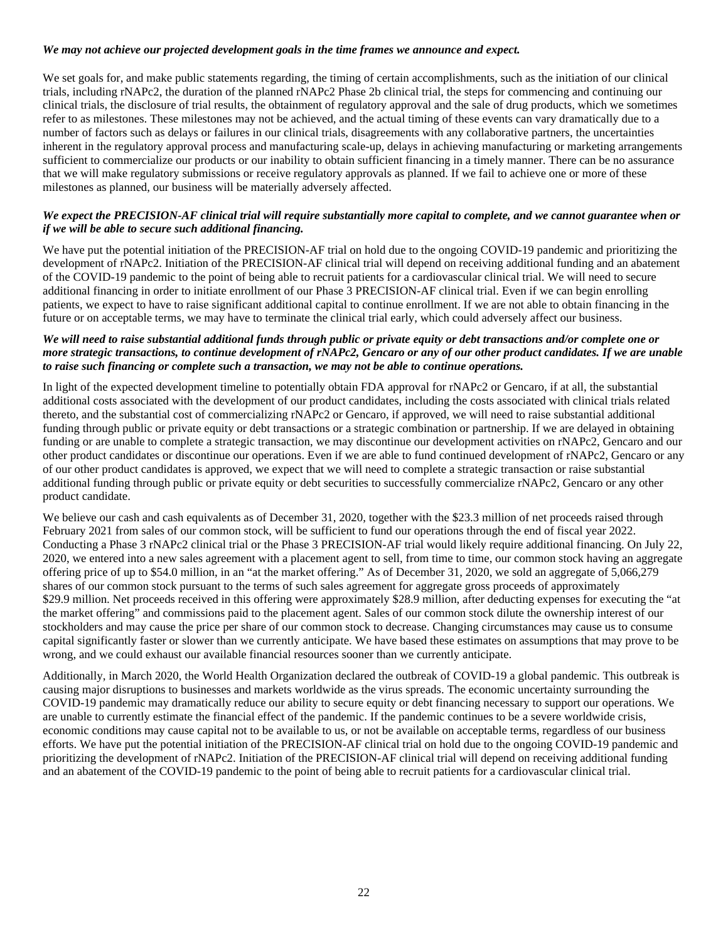#### *We may not achieve our projected development goals in the time frames we announce and expect.*

We set goals for, and make public statements regarding, the timing of certain accomplishments, such as the initiation of our clinical trials, including rNAPc2, the duration of the planned rNAPc2 Phase 2b clinical trial, the steps for commencing and continuing our clinical trials, the disclosure of trial results, the obtainment of regulatory approval and the sale of drug products, which we sometimes refer to as milestones. These milestones may not be achieved, and the actual timing of these events can vary dramatically due to a number of factors such as delays or failures in our clinical trials, disagreements with any collaborative partners, the uncertainties inherent in the regulatory approval process and manufacturing scale-up, delays in achieving manufacturing or marketing arrangements sufficient to commercialize our products or our inability to obtain sufficient financing in a timely manner. There can be no assurance that we will make regulatory submissions or receive regulatory approvals as planned. If we fail to achieve one or more of these milestones as planned, our business will be materially adversely affected.

#### *We expect the PRECISION-AF clinical trial will require substantially more capital to complete, and we cannot guarantee when or if we will be able to secure such additional financing.*

We have put the potential initiation of the PRECISION-AF trial on hold due to the ongoing COVID-19 pandemic and prioritizing the development of rNAPc2. Initiation of the PRECISION-AF clinical trial will depend on receiving additional funding and an abatement of the COVID-19 pandemic to the point of being able to recruit patients for a cardiovascular clinical trial. We will need to secure additional financing in order to initiate enrollment of our Phase 3 PRECISION-AF clinical trial. Even if we can begin enrolling patients, we expect to have to raise significant additional capital to continue enrollment. If we are not able to obtain financing in the future or on acceptable terms, we may have to terminate the clinical trial early, which could adversely affect our business.

#### *We will need to raise substantial additional funds through public or private equity or debt transactions and/or complete one or more strategic transactions, to continue development of rNAPc2, Gencaro or any of our other product candidates. If we are unable to raise such financing or complete such a transaction, we may not be able to continue operations.*

In light of the expected development timeline to potentially obtain FDA approval for rNAPc2 or Gencaro, if at all, the substantial additional costs associated with the development of our product candidates, including the costs associated with clinical trials related thereto, and the substantial cost of commercializing rNAPc2 or Gencaro, if approved, we will need to raise substantial additional funding through public or private equity or debt transactions or a strategic combination or partnership. If we are delayed in obtaining funding or are unable to complete a strategic transaction, we may discontinue our development activities on rNAPc2, Gencaro and our other product candidates or discontinue our operations. Even if we are able to fund continued development of rNAPc2, Gencaro or any of our other product candidates is approved, we expect that we will need to complete a strategic transaction or raise substantial additional funding through public or private equity or debt securities to successfully commercialize rNAPc2, Gencaro or any other product candidate.

We believe our cash and cash equivalents as of December 31, 2020, together with the \$23.3 million of net proceeds raised through February 2021 from sales of our common stock, will be sufficient to fund our operations through the end of fiscal year 2022. Conducting a Phase 3 rNAPc2 clinical trial or the Phase 3 PRECISION-AF trial would likely require additional financing. On July 22, 2020, we entered into a new sales agreement with a placement agent to sell, from time to time, our common stock having an aggregate offering price of up to \$54.0 million, in an "at the market offering." As of December 31, 2020, we sold an aggregate of 5,066,279 shares of our common stock pursuant to the terms of such sales agreement for aggregate gross proceeds of approximately \$29.9 million. Net proceeds received in this offering were approximately \$28.9 million, after deducting expenses for executing the "at the market offering" and commissions paid to the placement agent. Sales of our common stock dilute the ownership interest of our stockholders and may cause the price per share of our common stock to decrease. Changing circumstances may cause us to consume capital significantly faster or slower than we currently anticipate. We have based these estimates on assumptions that may prove to be wrong, and we could exhaust our available financial resources sooner than we currently anticipate.

Additionally, in March 2020, the World Health Organization declared the outbreak of COVID-19 a global pandemic. This outbreak is causing major disruptions to businesses and markets worldwide as the virus spreads. The economic uncertainty surrounding the COVID-19 pandemic may dramatically reduce our ability to secure equity or debt financing necessary to support our operations. We are unable to currently estimate the financial effect of the pandemic. If the pandemic continues to be a severe worldwide crisis, economic conditions may cause capital not to be available to us, or not be available on acceptable terms, regardless of our business efforts. We have put the potential initiation of the PRECISION-AF clinical trial on hold due to the ongoing COVID-19 pandemic and prioritizing the development of rNAPc2. Initiation of the PRECISION-AF clinical trial will depend on receiving additional funding and an abatement of the COVID-19 pandemic to the point of being able to recruit patients for a cardiovascular clinical trial.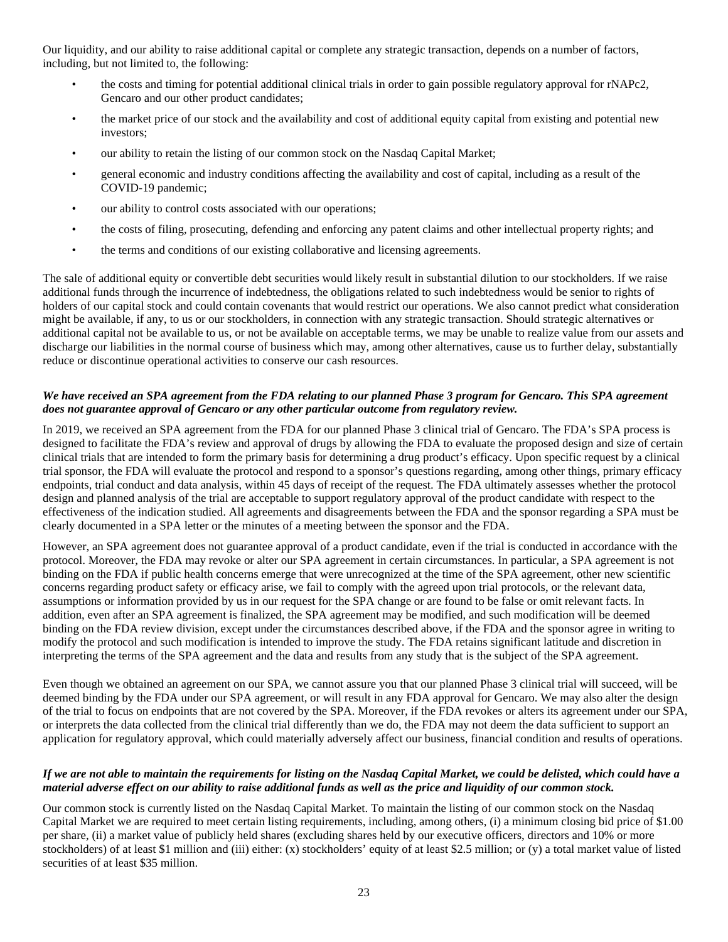Our liquidity, and our ability to raise additional capital or complete any strategic transaction, depends on a number of factors, including, but not limited to, the following:

- the costs and timing for potential additional clinical trials in order to gain possible regulatory approval for rNAPc2, Gencaro and our other product candidates;
- the market price of our stock and the availability and cost of additional equity capital from existing and potential new investors;
- our ability to retain the listing of our common stock on the Nasdaq Capital Market;
- general economic and industry conditions affecting the availability and cost of capital, including as a result of the COVID-19 pandemic;
- our ability to control costs associated with our operations;
- the costs of filing, prosecuting, defending and enforcing any patent claims and other intellectual property rights; and
- the terms and conditions of our existing collaborative and licensing agreements.

The sale of additional equity or convertible debt securities would likely result in substantial dilution to our stockholders. If we raise additional funds through the incurrence of indebtedness, the obligations related to such indebtedness would be senior to rights of holders of our capital stock and could contain covenants that would restrict our operations. We also cannot predict what consideration might be available, if any, to us or our stockholders, in connection with any strategic transaction. Should strategic alternatives or additional capital not be available to us, or not be available on acceptable terms, we may be unable to realize value from our assets and discharge our liabilities in the normal course of business which may, among other alternatives, cause us to further delay, substantially reduce or discontinue operational activities to conserve our cash resources.

#### *We have received an SPA agreement from the FDA relating to our planned Phase 3 program for Gencaro. This SPA agreement does not guarantee approval of Gencaro or any other particular outcome from regulatory review.*

In 2019, we received an SPA agreement from the FDA for our planned Phase 3 clinical trial of Gencaro. The FDA's SPA process is designed to facilitate the FDA's review and approval of drugs by allowing the FDA to evaluate the proposed design and size of certain clinical trials that are intended to form the primary basis for determining a drug product's efficacy. Upon specific request by a clinical trial sponsor, the FDA will evaluate the protocol and respond to a sponsor's questions regarding, among other things, primary efficacy endpoints, trial conduct and data analysis, within 45 days of receipt of the request. The FDA ultimately assesses whether the protocol design and planned analysis of the trial are acceptable to support regulatory approval of the product candidate with respect to the effectiveness of the indication studied. All agreements and disagreements between the FDA and the sponsor regarding a SPA must be clearly documented in a SPA letter or the minutes of a meeting between the sponsor and the FDA.

However, an SPA agreement does not guarantee approval of a product candidate, even if the trial is conducted in accordance with the protocol. Moreover, the FDA may revoke or alter our SPA agreement in certain circumstances. In particular, a SPA agreement is not binding on the FDA if public health concerns emerge that were unrecognized at the time of the SPA agreement, other new scientific concerns regarding product safety or efficacy arise, we fail to comply with the agreed upon trial protocols, or the relevant data, assumptions or information provided by us in our request for the SPA change or are found to be false or omit relevant facts. In addition, even after an SPA agreement is finalized, the SPA agreement may be modified, and such modification will be deemed binding on the FDA review division, except under the circumstances described above, if the FDA and the sponsor agree in writing to modify the protocol and such modification is intended to improve the study. The FDA retains significant latitude and discretion in interpreting the terms of the SPA agreement and the data and results from any study that is the subject of the SPA agreement.

Even though we obtained an agreement on our SPA, we cannot assure you that our planned Phase 3 clinical trial will succeed, will be deemed binding by the FDA under our SPA agreement, or will result in any FDA approval for Gencaro. We may also alter the design of the trial to focus on endpoints that are not covered by the SPA. Moreover, if the FDA revokes or alters its agreement under our SPA, or interprets the data collected from the clinical trial differently than we do, the FDA may not deem the data sufficient to support an application for regulatory approval, which could materially adversely affect our business, financial condition and results of operations.

#### *If we are not able to maintain the requirements for listing on the Nasdaq Capital Market, we could be delisted, which could have a material adverse effect on our ability to raise additional funds as well as the price and liquidity of our common stock.*

Our common stock is currently listed on the Nasdaq Capital Market. To maintain the listing of our common stock on the Nasdaq Capital Market we are required to meet certain listing requirements, including, among others, (i) a minimum closing bid price of \$1.00 per share, (ii) a market value of publicly held shares (excluding shares held by our executive officers, directors and 10% or more stockholders) of at least \$1 million and (iii) either: (x) stockholders' equity of at least \$2.5 million; or (y) a total market value of listed securities of at least \$35 million.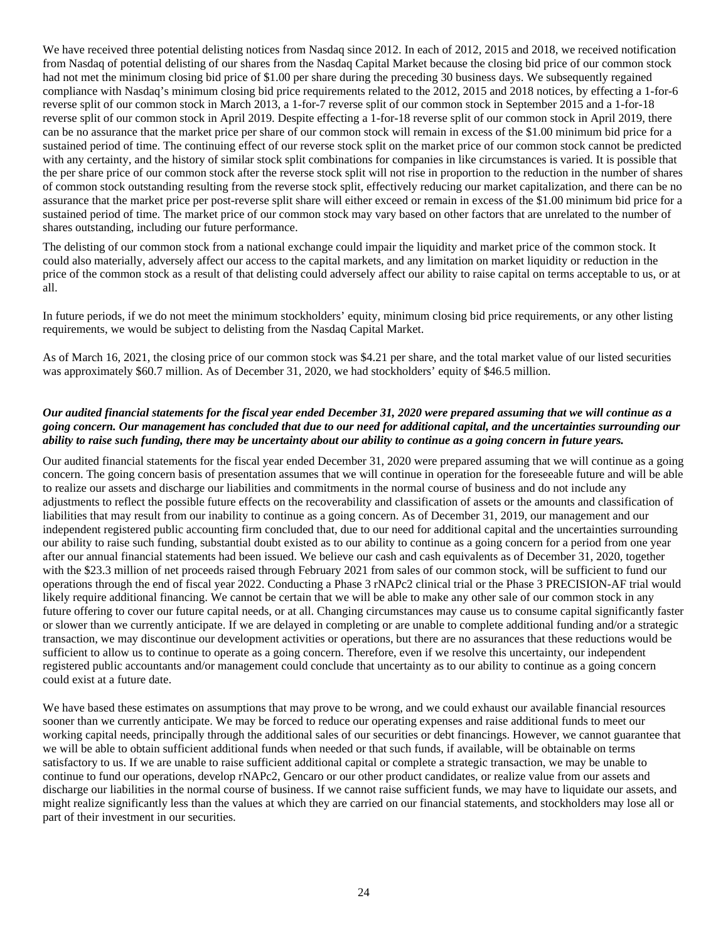We have received three potential delisting notices from Nasdaq since 2012. In each of 2012, 2015 and 2018, we received notification from Nasdaq of potential delisting of our shares from the Nasdaq Capital Market because the closing bid price of our common stock had not met the minimum closing bid price of \$1.00 per share during the preceding 30 business days. We subsequently regained compliance with Nasdaq's minimum closing bid price requirements related to the 2012, 2015 and 2018 notices, by effecting a 1-for-6 reverse split of our common stock in March 2013, a 1-for-7 reverse split of our common stock in September 2015 and a 1-for-18 reverse split of our common stock in April 2019. Despite effecting a 1-for-18 reverse split of our common stock in April 2019, there can be no assurance that the market price per share of our common stock will remain in excess of the \$1.00 minimum bid price for a sustained period of time. The continuing effect of our reverse stock split on the market price of our common stock cannot be predicted with any certainty, and the history of similar stock split combinations for companies in like circumstances is varied. It is possible that the per share price of our common stock after the reverse stock split will not rise in proportion to the reduction in the number of shares of common stock outstanding resulting from the reverse stock split, effectively reducing our market capitalization, and there can be no assurance that the market price per post-reverse split share will either exceed or remain in excess of the \$1.00 minimum bid price for a sustained period of time. The market price of our common stock may vary based on other factors that are unrelated to the number of shares outstanding, including our future performance.

The delisting of our common stock from a national exchange could impair the liquidity and market price of the common stock. It could also materially, adversely affect our access to the capital markets, and any limitation on market liquidity or reduction in the price of the common stock as a result of that delisting could adversely affect our ability to raise capital on terms acceptable to us, or at all.

In future periods, if we do not meet the minimum stockholders' equity, minimum closing bid price requirements, or any other listing requirements, we would be subject to delisting from the Nasdaq Capital Market.

As of March 16, 2021, the closing price of our common stock was \$4.21 per share, and the total market value of our listed securities was approximately \$60.7 million. As of December 31, 2020, we had stockholders' equity of \$46.5 million.

#### *Our audited financial statements for the fiscal year ended December 31, 2020 were prepared assuming that we will continue as a going concern. Our management has concluded that due to our need for additional capital, and the uncertainties surrounding our ability to raise such funding, there may be uncertainty about our ability to continue as a going concern in future years.*

Our audited financial statements for the fiscal year ended December 31, 2020 were prepared assuming that we will continue as a going concern. The going concern basis of presentation assumes that we will continue in operation for the foreseeable future and will be able to realize our assets and discharge our liabilities and commitments in the normal course of business and do not include any adjustments to reflect the possible future effects on the recoverability and classification of assets or the amounts and classification of liabilities that may result from our inability to continue as a going concern. As of December 31, 2019, our management and our independent registered public accounting firm concluded that, due to our need for additional capital and the uncertainties surrounding our ability to raise such funding, substantial doubt existed as to our ability to continue as a going concern for a period from one year after our annual financial statements had been issued. We believe our cash and cash equivalents as of December 31, 2020, together with the \$23.3 million of net proceeds raised through February 2021 from sales of our common stock, will be sufficient to fund our operations through the end of fiscal year 2022. Conducting a Phase 3 rNAPc2 clinical trial or the Phase 3 PRECISION-AF trial would likely require additional financing. We cannot be certain that we will be able to make any other sale of our common stock in any future offering to cover our future capital needs, or at all. Changing circumstances may cause us to consume capital significantly faster or slower than we currently anticipate. If we are delayed in completing or are unable to complete additional funding and/or a strategic transaction, we may discontinue our development activities or operations, but there are no assurances that these reductions would be sufficient to allow us to continue to operate as a going concern. Therefore, even if we resolve this uncertainty, our independent registered public accountants and/or management could conclude that uncertainty as to our ability to continue as a going concern could exist at a future date.

We have based these estimates on assumptions that may prove to be wrong, and we could exhaust our available financial resources sooner than we currently anticipate. We may be forced to reduce our operating expenses and raise additional funds to meet our working capital needs, principally through the additional sales of our securities or debt financings. However, we cannot guarantee that we will be able to obtain sufficient additional funds when needed or that such funds, if available, will be obtainable on terms satisfactory to us. If we are unable to raise sufficient additional capital or complete a strategic transaction, we may be unable to continue to fund our operations, develop rNAPc2, Gencaro or our other product candidates, or realize value from our assets and discharge our liabilities in the normal course of business. If we cannot raise sufficient funds, we may have to liquidate our assets, and might realize significantly less than the values at which they are carried on our financial statements, and stockholders may lose all or part of their investment in our securities.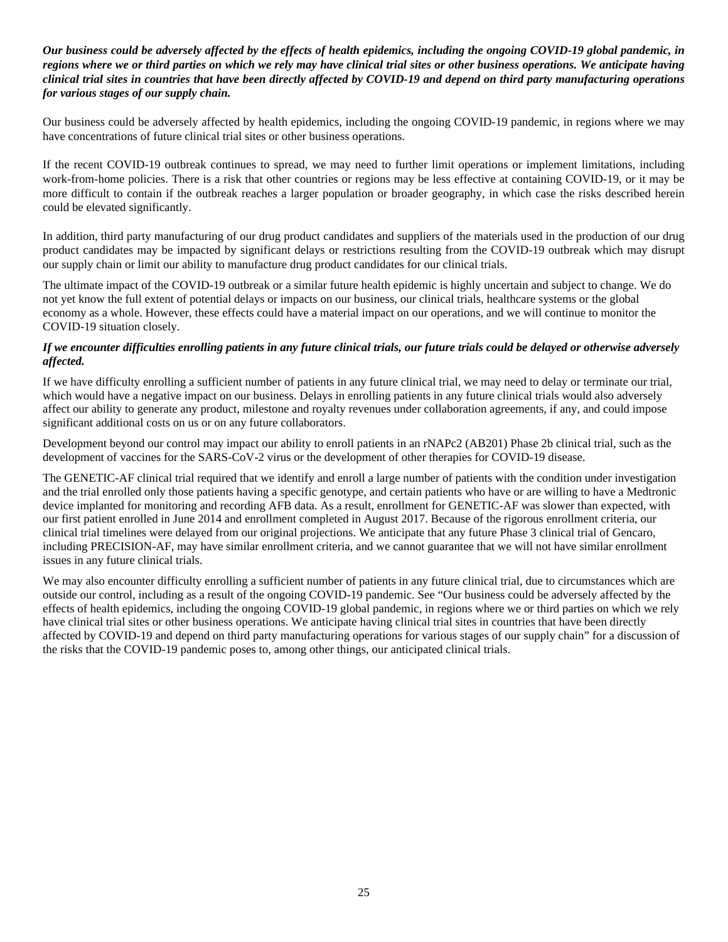## *Our business could be adversely affected by the effects of health epidemics, including the ongoing COVID-19 global pandemic, in regions where we or third parties on which we rely may have clinical trial sites or other business operations. We anticipate having clinical trial sites in countries that have been directly affected by COVID-19 and depend on third party manufacturing operations for various stages of our supply chain.*

Our business could be adversely affected by health epidemics, including the ongoing COVID-19 pandemic, in regions where we may have concentrations of future clinical trial sites or other business operations.

If the recent COVID-19 outbreak continues to spread, we may need to further limit operations or implement limitations, including work-from-home policies. There is a risk that other countries or regions may be less effective at containing COVID-19, or it may be more difficult to contain if the outbreak reaches a larger population or broader geography, in which case the risks described herein could be elevated significantly.

In addition, third party manufacturing of our drug product candidates and suppliers of the materials used in the production of our drug product candidates may be impacted by significant delays or restrictions resulting from the COVID-19 outbreak which may disrupt our supply chain or limit our ability to manufacture drug product candidates for our clinical trials.

The ultimate impact of the COVID-19 outbreak or a similar future health epidemic is highly uncertain and subject to change. We do not yet know the full extent of potential delays or impacts on our business, our clinical trials, healthcare systems or the global economy as a whole. However, these effects could have a material impact on our operations, and we will continue to monitor the COVID-19 situation closely.

#### *If we encounter difficulties enrolling patients in any future clinical trials, our future trials could be delayed or otherwise adversely affected.*

If we have difficulty enrolling a sufficient number of patients in any future clinical trial, we may need to delay or terminate our trial, which would have a negative impact on our business. Delays in enrolling patients in any future clinical trials would also adversely affect our ability to generate any product, milestone and royalty revenues under collaboration agreements, if any, and could impose significant additional costs on us or on any future collaborators.

Development beyond our control may impact our ability to enroll patients in an rNAPc2 (AB201) Phase 2b clinical trial, such as the development of vaccines for the SARS-CoV-2 virus or the development of other therapies for COVID-19 disease.

The GENETIC-AF clinical trial required that we identify and enroll a large number of patients with the condition under investigation and the trial enrolled only those patients having a specific genotype, and certain patients who have or are willing to have a Medtronic device implanted for monitoring and recording AFB data. As a result, enrollment for GENETIC-AF was slower than expected, with our first patient enrolled in June 2014 and enrollment completed in August 2017. Because of the rigorous enrollment criteria, our clinical trial timelines were delayed from our original projections. We anticipate that any future Phase 3 clinical trial of Gencaro, including PRECISION-AF, may have similar enrollment criteria, and we cannot guarantee that we will not have similar enrollment issues in any future clinical trials.

We may also encounter difficulty enrolling a sufficient number of patients in any future clinical trial, due to circumstances which are outside our control, including as a result of the ongoing COVID-19 pandemic. See "Our business could be adversely affected by the effects of health epidemics, including the ongoing COVID-19 global pandemic, in regions where we or third parties on which we rely have clinical trial sites or other business operations. We anticipate having clinical trial sites in countries that have been directly affected by COVID-19 and depend on third party manufacturing operations for various stages of our supply chain" for a discussion of the risks that the COVID-19 pandemic poses to, among other things, our anticipated clinical trials.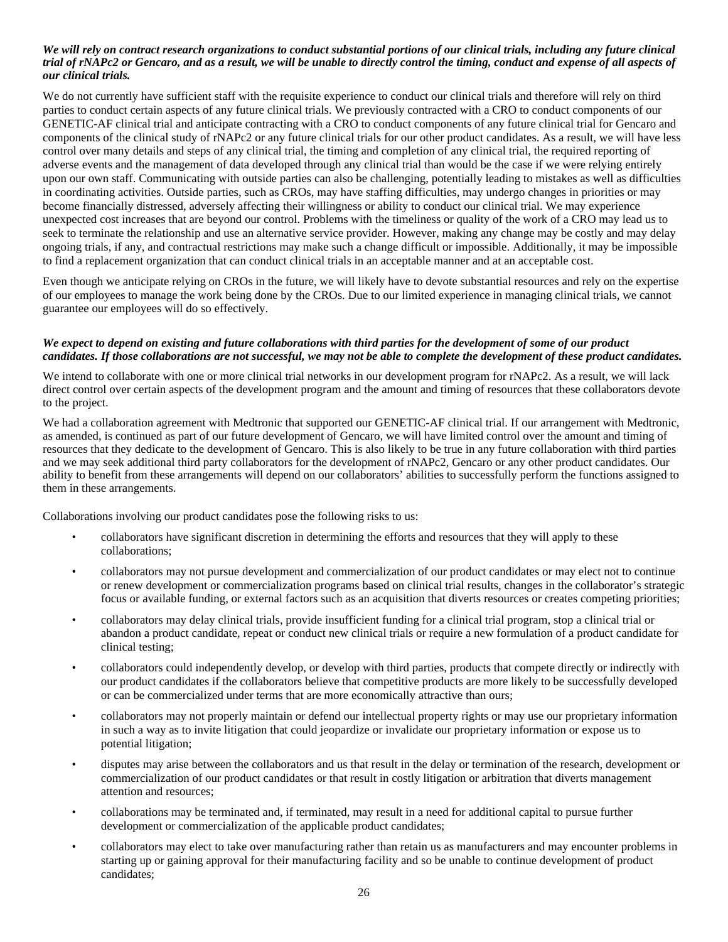#### *We will rely on contract research organizations to conduct substantial portions of our clinical trials, including any future clinical trial of rNAPc2 or Gencaro, and as a result, we will be unable to directly control the timing, conduct and expense of all aspects of our clinical trials.*

We do not currently have sufficient staff with the requisite experience to conduct our clinical trials and therefore will rely on third parties to conduct certain aspects of any future clinical trials. We previously contracted with a CRO to conduct components of our GENETIC-AF clinical trial and anticipate contracting with a CRO to conduct components of any future clinical trial for Gencaro and components of the clinical study of rNAPc2 or any future clinical trials for our other product candidates. As a result, we will have less control over many details and steps of any clinical trial, the timing and completion of any clinical trial, the required reporting of adverse events and the management of data developed through any clinical trial than would be the case if we were relying entirely upon our own staff. Communicating with outside parties can also be challenging, potentially leading to mistakes as well as difficulties in coordinating activities. Outside parties, such as CROs, may have staffing difficulties, may undergo changes in priorities or may become financially distressed, adversely affecting their willingness or ability to conduct our clinical trial. We may experience unexpected cost increases that are beyond our control. Problems with the timeliness or quality of the work of a CRO may lead us to seek to terminate the relationship and use an alternative service provider. However, making any change may be costly and may delay ongoing trials, if any, and contractual restrictions may make such a change difficult or impossible. Additionally, it may be impossible to find a replacement organization that can conduct clinical trials in an acceptable manner and at an acceptable cost.

Even though we anticipate relying on CROs in the future, we will likely have to devote substantial resources and rely on the expertise of our employees to manage the work being done by the CROs. Due to our limited experience in managing clinical trials, we cannot guarantee our employees will do so effectively.

#### *We expect to depend on existing and future collaborations with third parties for the development of some of our product candidates. If those collaborations are not successful, we may not be able to complete the development of these product candidates.*

We intend to collaborate with one or more clinical trial networks in our development program for rNAPc2. As a result, we will lack direct control over certain aspects of the development program and the amount and timing of resources that these collaborators devote to the project.

We had a collaboration agreement with Medtronic that supported our GENETIC-AF clinical trial. If our arrangement with Medtronic, as amended, is continued as part of our future development of Gencaro, we will have limited control over the amount and timing of resources that they dedicate to the development of Gencaro. This is also likely to be true in any future collaboration with third parties and we may seek additional third party collaborators for the development of rNAPc2, Gencaro or any other product candidates. Our ability to benefit from these arrangements will depend on our collaborators' abilities to successfully perform the functions assigned to them in these arrangements.

Collaborations involving our product candidates pose the following risks to us:

- collaborators have significant discretion in determining the efforts and resources that they will apply to these collaborations;
- collaborators may not pursue development and commercialization of our product candidates or may elect not to continue or renew development or commercialization programs based on clinical trial results, changes in the collaborator's strategic focus or available funding, or external factors such as an acquisition that diverts resources or creates competing priorities;
- collaborators may delay clinical trials, provide insufficient funding for a clinical trial program, stop a clinical trial or abandon a product candidate, repeat or conduct new clinical trials or require a new formulation of a product candidate for clinical testing;
- collaborators could independently develop, or develop with third parties, products that compete directly or indirectly with our product candidates if the collaborators believe that competitive products are more likely to be successfully developed or can be commercialized under terms that are more economically attractive than ours;
- collaborators may not properly maintain or defend our intellectual property rights or may use our proprietary information in such a way as to invite litigation that could jeopardize or invalidate our proprietary information or expose us to potential litigation;
- disputes may arise between the collaborators and us that result in the delay or termination of the research, development or commercialization of our product candidates or that result in costly litigation or arbitration that diverts management attention and resources;
- collaborations may be terminated and, if terminated, may result in a need for additional capital to pursue further development or commercialization of the applicable product candidates;
- collaborators may elect to take over manufacturing rather than retain us as manufacturers and may encounter problems in starting up or gaining approval for their manufacturing facility and so be unable to continue development of product candidates;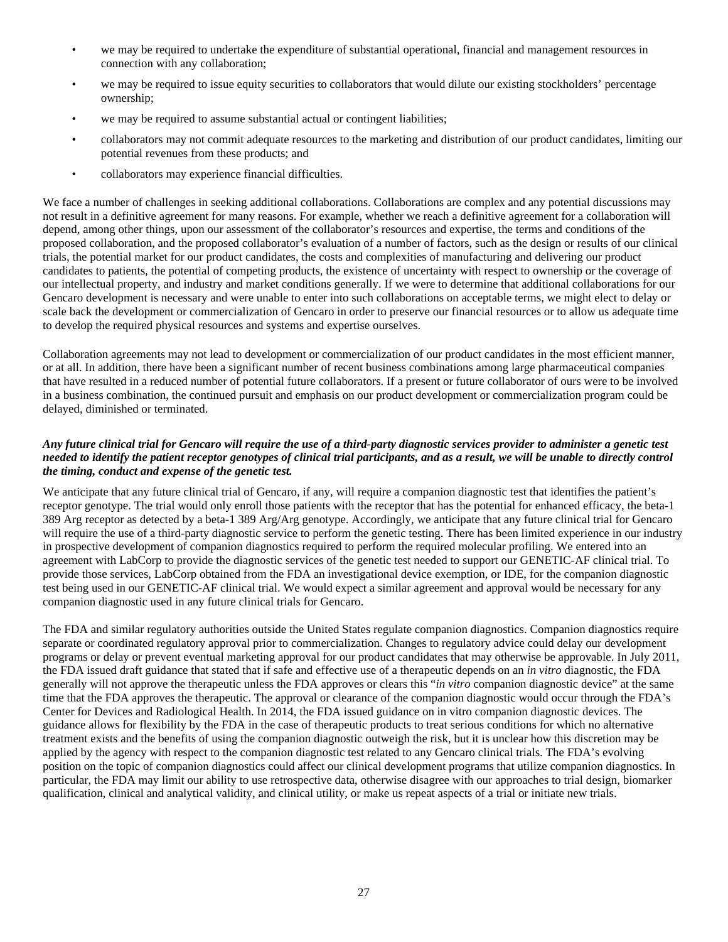- we may be required to undertake the expenditure of substantial operational, financial and management resources in connection with any collaboration;
- we may be required to issue equity securities to collaborators that would dilute our existing stockholders' percentage ownership;
- we may be required to assume substantial actual or contingent liabilities;
- collaborators may not commit adequate resources to the marketing and distribution of our product candidates, limiting our potential revenues from these products; and
- collaborators may experience financial difficulties.

We face a number of challenges in seeking additional collaborations. Collaborations are complex and any potential discussions may not result in a definitive agreement for many reasons. For example, whether we reach a definitive agreement for a collaboration will depend, among other things, upon our assessment of the collaborator's resources and expertise, the terms and conditions of the proposed collaboration, and the proposed collaborator's evaluation of a number of factors, such as the design or results of our clinical trials, the potential market for our product candidates, the costs and complexities of manufacturing and delivering our product candidates to patients, the potential of competing products, the existence of uncertainty with respect to ownership or the coverage of our intellectual property, and industry and market conditions generally. If we were to determine that additional collaborations for our Gencaro development is necessary and were unable to enter into such collaborations on acceptable terms, we might elect to delay or scale back the development or commercialization of Gencaro in order to preserve our financial resources or to allow us adequate time to develop the required physical resources and systems and expertise ourselves.

Collaboration agreements may not lead to development or commercialization of our product candidates in the most efficient manner, or at all. In addition, there have been a significant number of recent business combinations among large pharmaceutical companies that have resulted in a reduced number of potential future collaborators. If a present or future collaborator of ours were to be involved in a business combination, the continued pursuit and emphasis on our product development or commercialization program could be delayed, diminished or terminated.

## *Any future clinical trial for Gencaro will require the use of a third-party diagnostic services provider to administer a genetic test needed to identify the patient receptor genotypes of clinical trial participants, and as a result, we will be unable to directly control the timing, conduct and expense of the genetic test.*

We anticipate that any future clinical trial of Gencaro, if any, will require a companion diagnostic test that identifies the patient's receptor genotype. The trial would only enroll those patients with the receptor that has the potential for enhanced efficacy, the beta-1 389 Arg receptor as detected by a beta-1 389 Arg/Arg genotype. Accordingly, we anticipate that any future clinical trial for Gencaro will require the use of a third-party diagnostic service to perform the genetic testing. There has been limited experience in our industry in prospective development of companion diagnostics required to perform the required molecular profiling. We entered into an agreement with LabCorp to provide the diagnostic services of the genetic test needed to support our GENETIC-AF clinical trial. To provide those services, LabCorp obtained from the FDA an investigational device exemption, or IDE, for the companion diagnostic test being used in our GENETIC-AF clinical trial. We would expect a similar agreement and approval would be necessary for any companion diagnostic used in any future clinical trials for Gencaro.

The FDA and similar regulatory authorities outside the United States regulate companion diagnostics. Companion diagnostics require separate or coordinated regulatory approval prior to commercialization. Changes to regulatory advice could delay our development programs or delay or prevent eventual marketing approval for our product candidates that may otherwise be approvable. In July 2011, the FDA issued draft guidance that stated that if safe and effective use of a therapeutic depends on an *in vitro* diagnostic, the FDA generally will not approve the therapeutic unless the FDA approves or clears this "*in vitro* companion diagnostic device" at the same time that the FDA approves the therapeutic. The approval or clearance of the companion diagnostic would occur through the FDA's Center for Devices and Radiological Health. In 2014, the FDA issued guidance on in vitro companion diagnostic devices. The guidance allows for flexibility by the FDA in the case of therapeutic products to treat serious conditions for which no alternative treatment exists and the benefits of using the companion diagnostic outweigh the risk, but it is unclear how this discretion may be applied by the agency with respect to the companion diagnostic test related to any Gencaro clinical trials. The FDA's evolving position on the topic of companion diagnostics could affect our clinical development programs that utilize companion diagnostics. In particular, the FDA may limit our ability to use retrospective data, otherwise disagree with our approaches to trial design, biomarker qualification, clinical and analytical validity, and clinical utility, or make us repeat aspects of a trial or initiate new trials.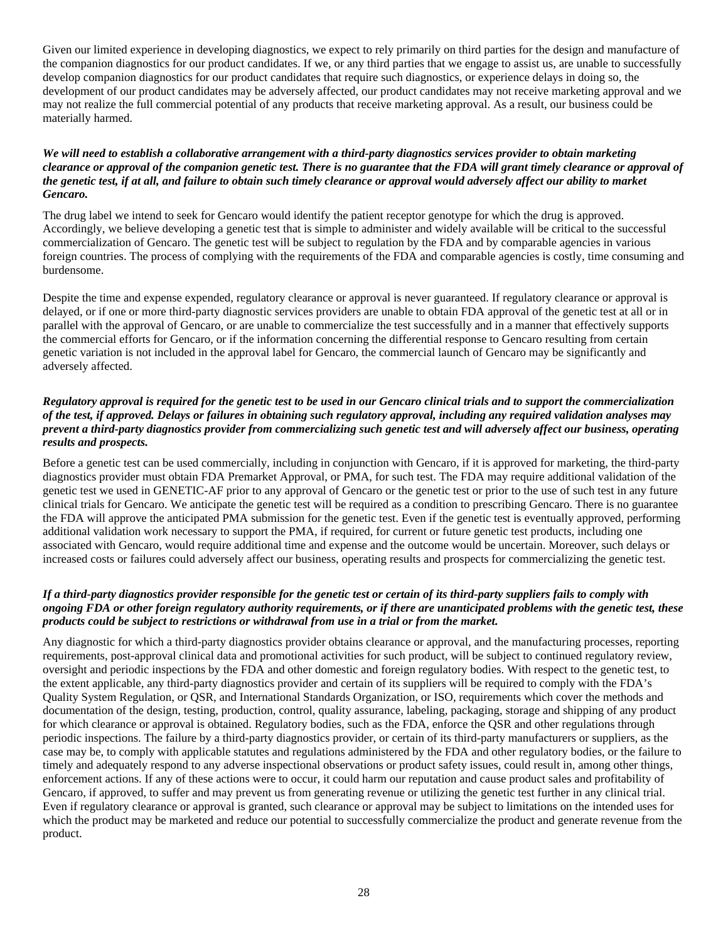Given our limited experience in developing diagnostics, we expect to rely primarily on third parties for the design and manufacture of the companion diagnostics for our product candidates. If we, or any third parties that we engage to assist us, are unable to successfully develop companion diagnostics for our product candidates that require such diagnostics, or experience delays in doing so, the development of our product candidates may be adversely affected, our product candidates may not receive marketing approval and we may not realize the full commercial potential of any products that receive marketing approval. As a result, our business could be materially harmed.

#### *We will need to establish a collaborative arrangement with a third-party diagnostics services provider to obtain marketing clearance or approval of the companion genetic test. There is no guarantee that the FDA will grant timely clearance or approval of the genetic test, if at all, and failure to obtain such timely clearance or approval would adversely affect our ability to market Gencaro.*

The drug label we intend to seek for Gencaro would identify the patient receptor genotype for which the drug is approved. Accordingly, we believe developing a genetic test that is simple to administer and widely available will be critical to the successful commercialization of Gencaro. The genetic test will be subject to regulation by the FDA and by comparable agencies in various foreign countries. The process of complying with the requirements of the FDA and comparable agencies is costly, time consuming and burdensome.

Despite the time and expense expended, regulatory clearance or approval is never guaranteed. If regulatory clearance or approval is delayed, or if one or more third-party diagnostic services providers are unable to obtain FDA approval of the genetic test at all or in parallel with the approval of Gencaro, or are unable to commercialize the test successfully and in a manner that effectively supports the commercial efforts for Gencaro, or if the information concerning the differential response to Gencaro resulting from certain genetic variation is not included in the approval label for Gencaro, the commercial launch of Gencaro may be significantly and adversely affected.

#### *Regulatory approval is required for the genetic test to be used in our Gencaro clinical trials and to support the commercialization of the test, if approved. Delays or failures in obtaining such regulatory approval, including any required validation analyses may prevent a third-party diagnostics provider from commercializing such genetic test and will adversely affect our business, operating results and prospects.*

Before a genetic test can be used commercially, including in conjunction with Gencaro, if it is approved for marketing, the third-party diagnostics provider must obtain FDA Premarket Approval, or PMA, for such test. The FDA may require additional validation of the genetic test we used in GENETIC-AF prior to any approval of Gencaro or the genetic test or prior to the use of such test in any future clinical trials for Gencaro. We anticipate the genetic test will be required as a condition to prescribing Gencaro. There is no guarantee the FDA will approve the anticipated PMA submission for the genetic test. Even if the genetic test is eventually approved, performing additional validation work necessary to support the PMA, if required, for current or future genetic test products, including one associated with Gencaro, would require additional time and expense and the outcome would be uncertain. Moreover, such delays or increased costs or failures could adversely affect our business, operating results and prospects for commercializing the genetic test.

#### *If a third-party diagnostics provider responsible for the genetic test or certain of its third-party suppliers fails to comply with ongoing FDA or other foreign regulatory authority requirements, or if there are unanticipated problems with the genetic test, these products could be subject to restrictions or withdrawal from use in a trial or from the market.*

Any diagnostic for which a third-party diagnostics provider obtains clearance or approval, and the manufacturing processes, reporting requirements, post-approval clinical data and promotional activities for such product, will be subject to continued regulatory review, oversight and periodic inspections by the FDA and other domestic and foreign regulatory bodies. With respect to the genetic test, to the extent applicable, any third-party diagnostics provider and certain of its suppliers will be required to comply with the FDA's Quality System Regulation, or QSR, and International Standards Organization, or ISO, requirements which cover the methods and documentation of the design, testing, production, control, quality assurance, labeling, packaging, storage and shipping of any product for which clearance or approval is obtained. Regulatory bodies, such as the FDA, enforce the QSR and other regulations through periodic inspections. The failure by a third-party diagnostics provider, or certain of its third-party manufacturers or suppliers, as the case may be, to comply with applicable statutes and regulations administered by the FDA and other regulatory bodies, or the failure to timely and adequately respond to any adverse inspectional observations or product safety issues, could result in, among other things, enforcement actions. If any of these actions were to occur, it could harm our reputation and cause product sales and profitability of Gencaro, if approved, to suffer and may prevent us from generating revenue or utilizing the genetic test further in any clinical trial. Even if regulatory clearance or approval is granted, such clearance or approval may be subject to limitations on the intended uses for which the product may be marketed and reduce our potential to successfully commercialize the product and generate revenue from the product.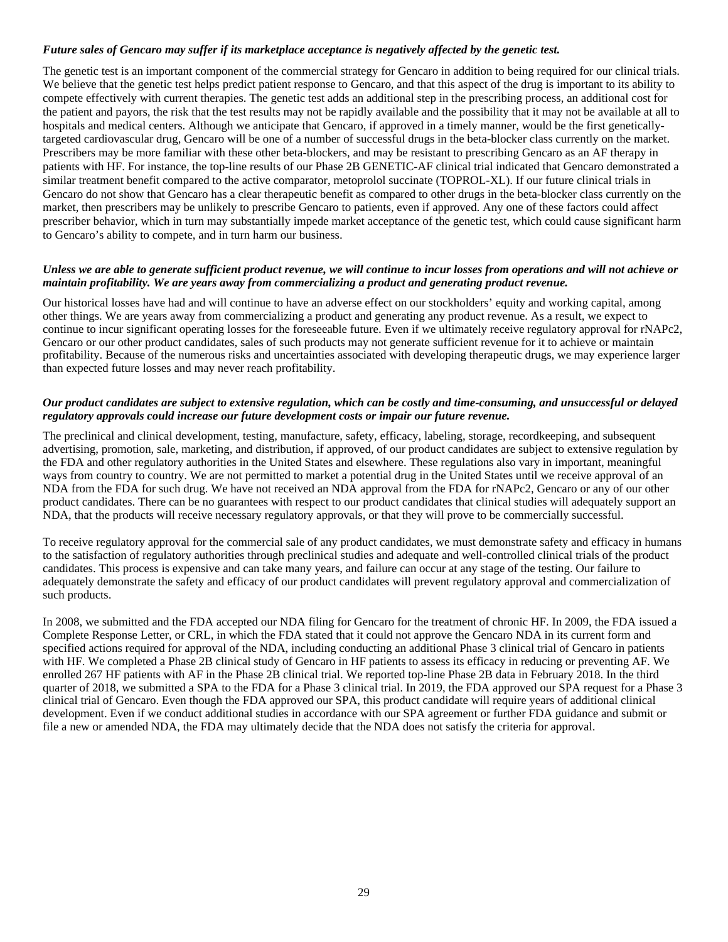#### *Future sales of Gencaro may suffer if its marketplace acceptance is negatively affected by the genetic test.*

The genetic test is an important component of the commercial strategy for Gencaro in addition to being required for our clinical trials. We believe that the genetic test helps predict patient response to Gencaro, and that this aspect of the drug is important to its ability to compete effectively with current therapies. The genetic test adds an additional step in the prescribing process, an additional cost for the patient and payors, the risk that the test results may not be rapidly available and the possibility that it may not be available at all to hospitals and medical centers. Although we anticipate that Gencaro, if approved in a timely manner, would be the first geneticallytargeted cardiovascular drug, Gencaro will be one of a number of successful drugs in the beta-blocker class currently on the market. Prescribers may be more familiar with these other beta-blockers, and may be resistant to prescribing Gencaro as an AF therapy in patients with HF. For instance, the top-line results of our Phase 2B GENETIC-AF clinical trial indicated that Gencaro demonstrated a similar treatment benefit compared to the active comparator, metoprolol succinate (TOPROL-XL). If our future clinical trials in Gencaro do not show that Gencaro has a clear therapeutic benefit as compared to other drugs in the beta-blocker class currently on the market, then prescribers may be unlikely to prescribe Gencaro to patients, even if approved. Any one of these factors could affect prescriber behavior, which in turn may substantially impede market acceptance of the genetic test, which could cause significant harm to Gencaro's ability to compete, and in turn harm our business.

#### *Unless we are able to generate sufficient product revenue, we will continue to incur losses from operations and will not achieve or maintain profitability. We are years away from commercializing a product and generating product revenue.*

Our historical losses have had and will continue to have an adverse effect on our stockholders' equity and working capital, among other things. We are years away from commercializing a product and generating any product revenue. As a result, we expect to continue to incur significant operating losses for the foreseeable future. Even if we ultimately receive regulatory approval for rNAPc2, Gencaro or our other product candidates, sales of such products may not generate sufficient revenue for it to achieve or maintain profitability. Because of the numerous risks and uncertainties associated with developing therapeutic drugs, we may experience larger than expected future losses and may never reach profitability.

#### *Our product candidates are subject to extensive regulation, which can be costly and time-consuming, and unsuccessful or delayed regulatory approvals could increase our future development costs or impair our future revenue.*

The preclinical and clinical development, testing, manufacture, safety, efficacy, labeling, storage, recordkeeping, and subsequent advertising, promotion, sale, marketing, and distribution, if approved, of our product candidates are subject to extensive regulation by the FDA and other regulatory authorities in the United States and elsewhere. These regulations also vary in important, meaningful ways from country to country. We are not permitted to market a potential drug in the United States until we receive approval of an NDA from the FDA for such drug. We have not received an NDA approval from the FDA for rNAPc2, Gencaro or any of our other product candidates. There can be no guarantees with respect to our product candidates that clinical studies will adequately support an NDA, that the products will receive necessary regulatory approvals, or that they will prove to be commercially successful.

To receive regulatory approval for the commercial sale of any product candidates, we must demonstrate safety and efficacy in humans to the satisfaction of regulatory authorities through preclinical studies and adequate and well-controlled clinical trials of the product candidates. This process is expensive and can take many years, and failure can occur at any stage of the testing. Our failure to adequately demonstrate the safety and efficacy of our product candidates will prevent regulatory approval and commercialization of such products.

In 2008, we submitted and the FDA accepted our NDA filing for Gencaro for the treatment of chronic HF. In 2009, the FDA issued a Complete Response Letter, or CRL, in which the FDA stated that it could not approve the Gencaro NDA in its current form and specified actions required for approval of the NDA, including conducting an additional Phase 3 clinical trial of Gencaro in patients with HF. We completed a Phase 2B clinical study of Gencaro in HF patients to assess its efficacy in reducing or preventing AF. We enrolled 267 HF patients with AF in the Phase 2B clinical trial. We reported top-line Phase 2B data in February 2018. In the third quarter of 2018, we submitted a SPA to the FDA for a Phase 3 clinical trial. In 2019, the FDA approved our SPA request for a Phase 3 clinical trial of Gencaro. Even though the FDA approved our SPA, this product candidate will require years of additional clinical development. Even if we conduct additional studies in accordance with our SPA agreement or further FDA guidance and submit or file a new or amended NDA, the FDA may ultimately decide that the NDA does not satisfy the criteria for approval.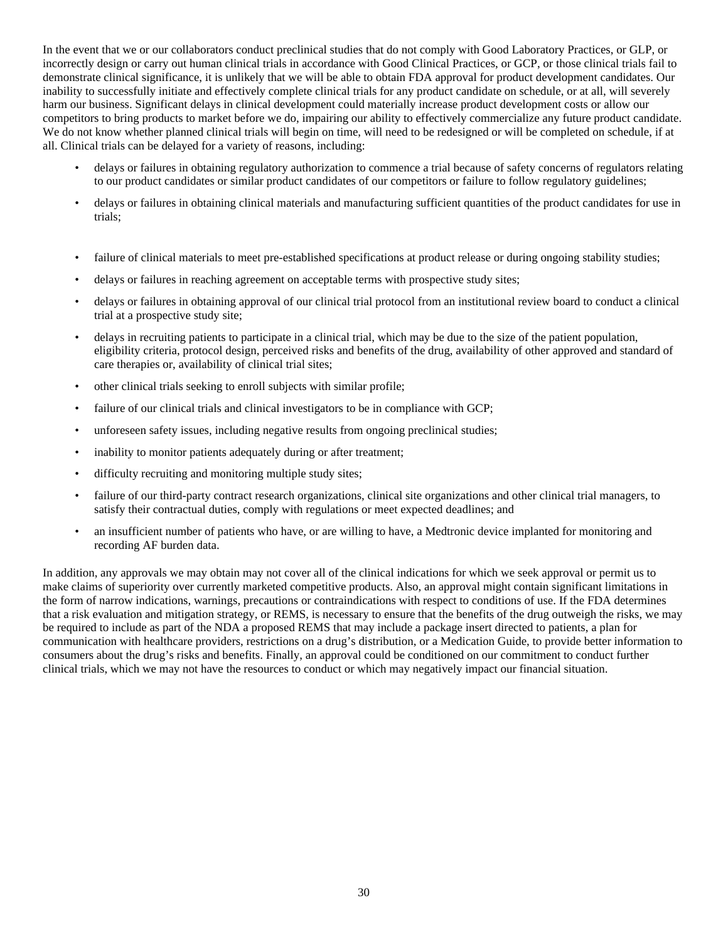In the event that we or our collaborators conduct preclinical studies that do not comply with Good Laboratory Practices, or GLP, or incorrectly design or carry out human clinical trials in accordance with Good Clinical Practices, or GCP, or those clinical trials fail to demonstrate clinical significance, it is unlikely that we will be able to obtain FDA approval for product development candidates. Our inability to successfully initiate and effectively complete clinical trials for any product candidate on schedule, or at all, will severely harm our business. Significant delays in clinical development could materially increase product development costs or allow our competitors to bring products to market before we do, impairing our ability to effectively commercialize any future product candidate. We do not know whether planned clinical trials will begin on time, will need to be redesigned or will be completed on schedule, if at all. Clinical trials can be delayed for a variety of reasons, including:

- delays or failures in obtaining regulatory authorization to commence a trial because of safety concerns of regulators relating to our product candidates or similar product candidates of our competitors or failure to follow regulatory guidelines;
- delays or failures in obtaining clinical materials and manufacturing sufficient quantities of the product candidates for use in trials;
- failure of clinical materials to meet pre-established specifications at product release or during ongoing stability studies;
- delays or failures in reaching agreement on acceptable terms with prospective study sites;
- delays or failures in obtaining approval of our clinical trial protocol from an institutional review board to conduct a clinical trial at a prospective study site;
- delays in recruiting patients to participate in a clinical trial, which may be due to the size of the patient population, eligibility criteria, protocol design, perceived risks and benefits of the drug, availability of other approved and standard of care therapies or, availability of clinical trial sites;
- other clinical trials seeking to enroll subjects with similar profile;
- failure of our clinical trials and clinical investigators to be in compliance with GCP;
- unforeseen safety issues, including negative results from ongoing preclinical studies;
- inability to monitor patients adequately during or after treatment;
- difficulty recruiting and monitoring multiple study sites;
- failure of our third-party contract research organizations, clinical site organizations and other clinical trial managers, to satisfy their contractual duties, comply with regulations or meet expected deadlines; and
- an insufficient number of patients who have, or are willing to have, a Medtronic device implanted for monitoring and recording AF burden data.

In addition, any approvals we may obtain may not cover all of the clinical indications for which we seek approval or permit us to make claims of superiority over currently marketed competitive products. Also, an approval might contain significant limitations in the form of narrow indications, warnings, precautions or contraindications with respect to conditions of use. If the FDA determines that a risk evaluation and mitigation strategy, or REMS, is necessary to ensure that the benefits of the drug outweigh the risks, we may be required to include as part of the NDA a proposed REMS that may include a package insert directed to patients, a plan for communication with healthcare providers, restrictions on a drug's distribution, or a Medication Guide, to provide better information to consumers about the drug's risks and benefits. Finally, an approval could be conditioned on our commitment to conduct further clinical trials, which we may not have the resources to conduct or which may negatively impact our financial situation.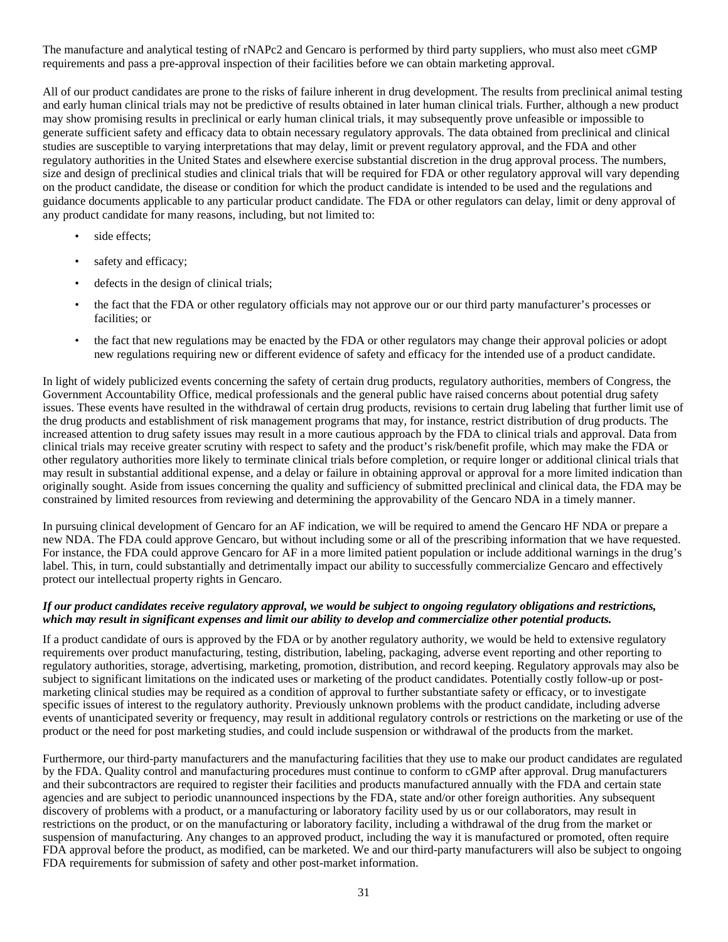The manufacture and analytical testing of rNAPc2 and Gencaro is performed by third party suppliers, who must also meet cGMP requirements and pass a pre-approval inspection of their facilities before we can obtain marketing approval.

All of our product candidates are prone to the risks of failure inherent in drug development. The results from preclinical animal testing and early human clinical trials may not be predictive of results obtained in later human clinical trials. Further, although a new product may show promising results in preclinical or early human clinical trials, it may subsequently prove unfeasible or impossible to generate sufficient safety and efficacy data to obtain necessary regulatory approvals. The data obtained from preclinical and clinical studies are susceptible to varying interpretations that may delay, limit or prevent regulatory approval, and the FDA and other regulatory authorities in the United States and elsewhere exercise substantial discretion in the drug approval process. The numbers, size and design of preclinical studies and clinical trials that will be required for FDA or other regulatory approval will vary depending on the product candidate, the disease or condition for which the product candidate is intended to be used and the regulations and guidance documents applicable to any particular product candidate. The FDA or other regulators can delay, limit or deny approval of any product candidate for many reasons, including, but not limited to:

- side effects;
- safety and efficacy;
- defects in the design of clinical trials;
- the fact that the FDA or other regulatory officials may not approve our or our third party manufacturer's processes or facilities; or
- the fact that new regulations may be enacted by the FDA or other regulators may change their approval policies or adopt new regulations requiring new or different evidence of safety and efficacy for the intended use of a product candidate.

In light of widely publicized events concerning the safety of certain drug products, regulatory authorities, members of Congress, the Government Accountability Office, medical professionals and the general public have raised concerns about potential drug safety issues. These events have resulted in the withdrawal of certain drug products, revisions to certain drug labeling that further limit use of the drug products and establishment of risk management programs that may, for instance, restrict distribution of drug products. The increased attention to drug safety issues may result in a more cautious approach by the FDA to clinical trials and approval. Data from clinical trials may receive greater scrutiny with respect to safety and the product's risk/benefit profile, which may make the FDA or other regulatory authorities more likely to terminate clinical trials before completion, or require longer or additional clinical trials that may result in substantial additional expense, and a delay or failure in obtaining approval or approval for a more limited indication than originally sought. Aside from issues concerning the quality and sufficiency of submitted preclinical and clinical data, the FDA may be constrained by limited resources from reviewing and determining the approvability of the Gencaro NDA in a timely manner.

In pursuing clinical development of Gencaro for an AF indication, we will be required to amend the Gencaro HF NDA or prepare a new NDA. The FDA could approve Gencaro, but without including some or all of the prescribing information that we have requested. For instance, the FDA could approve Gencaro for AF in a more limited patient population or include additional warnings in the drug's label. This, in turn, could substantially and detrimentally impact our ability to successfully commercialize Gencaro and effectively protect our intellectual property rights in Gencaro.

#### *If our product candidates receive regulatory approval, we would be subject to ongoing regulatory obligations and restrictions, which may result in significant expenses and limit our ability to develop and commercialize other potential products.*

If a product candidate of ours is approved by the FDA or by another regulatory authority, we would be held to extensive regulatory requirements over product manufacturing, testing, distribution, labeling, packaging, adverse event reporting and other reporting to regulatory authorities, storage, advertising, marketing, promotion, distribution, and record keeping. Regulatory approvals may also be subject to significant limitations on the indicated uses or marketing of the product candidates. Potentially costly follow-up or postmarketing clinical studies may be required as a condition of approval to further substantiate safety or efficacy, or to investigate specific issues of interest to the regulatory authority. Previously unknown problems with the product candidate, including adverse events of unanticipated severity or frequency, may result in additional regulatory controls or restrictions on the marketing or use of the product or the need for post marketing studies, and could include suspension or withdrawal of the products from the market.

Furthermore, our third-party manufacturers and the manufacturing facilities that they use to make our product candidates are regulated by the FDA. Quality control and manufacturing procedures must continue to conform to cGMP after approval. Drug manufacturers and their subcontractors are required to register their facilities and products manufactured annually with the FDA and certain state agencies and are subject to periodic unannounced inspections by the FDA, state and/or other foreign authorities. Any subsequent discovery of problems with a product, or a manufacturing or laboratory facility used by us or our collaborators, may result in restrictions on the product, or on the manufacturing or laboratory facility, including a withdrawal of the drug from the market or suspension of manufacturing. Any changes to an approved product, including the way it is manufactured or promoted, often require FDA approval before the product, as modified, can be marketed. We and our third-party manufacturers will also be subject to ongoing FDA requirements for submission of safety and other post-market information.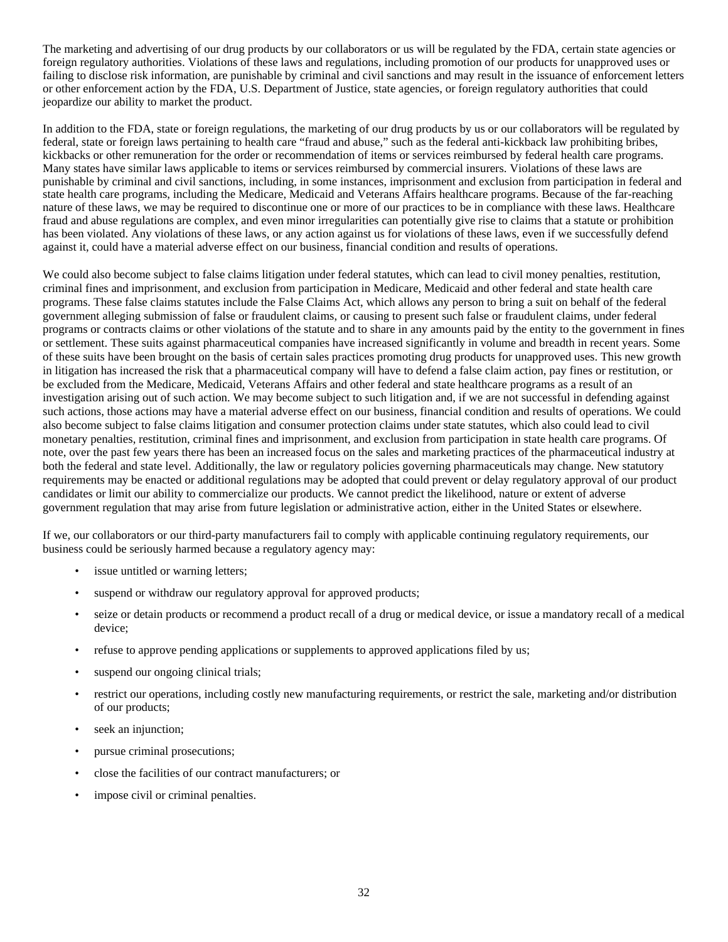The marketing and advertising of our drug products by our collaborators or us will be regulated by the FDA, certain state agencies or foreign regulatory authorities. Violations of these laws and regulations, including promotion of our products for unapproved uses or failing to disclose risk information, are punishable by criminal and civil sanctions and may result in the issuance of enforcement letters or other enforcement action by the FDA, U.S. Department of Justice, state agencies, or foreign regulatory authorities that could jeopardize our ability to market the product.

In addition to the FDA, state or foreign regulations, the marketing of our drug products by us or our collaborators will be regulated by federal, state or foreign laws pertaining to health care "fraud and abuse," such as the federal anti-kickback law prohibiting bribes, kickbacks or other remuneration for the order or recommendation of items or services reimbursed by federal health care programs. Many states have similar laws applicable to items or services reimbursed by commercial insurers. Violations of these laws are punishable by criminal and civil sanctions, including, in some instances, imprisonment and exclusion from participation in federal and state health care programs, including the Medicare, Medicaid and Veterans Affairs healthcare programs. Because of the far-reaching nature of these laws, we may be required to discontinue one or more of our practices to be in compliance with these laws. Healthcare fraud and abuse regulations are complex, and even minor irregularities can potentially give rise to claims that a statute or prohibition has been violated. Any violations of these laws, or any action against us for violations of these laws, even if we successfully defend against it, could have a material adverse effect on our business, financial condition and results of operations.

We could also become subject to false claims litigation under federal statutes, which can lead to civil money penalties, restitution, criminal fines and imprisonment, and exclusion from participation in Medicare, Medicaid and other federal and state health care programs. These false claims statutes include the False Claims Act, which allows any person to bring a suit on behalf of the federal government alleging submission of false or fraudulent claims, or causing to present such false or fraudulent claims, under federal programs or contracts claims or other violations of the statute and to share in any amounts paid by the entity to the government in fines or settlement. These suits against pharmaceutical companies have increased significantly in volume and breadth in recent years. Some of these suits have been brought on the basis of certain sales practices promoting drug products for unapproved uses. This new growth in litigation has increased the risk that a pharmaceutical company will have to defend a false claim action, pay fines or restitution, or be excluded from the Medicare, Medicaid, Veterans Affairs and other federal and state healthcare programs as a result of an investigation arising out of such action. We may become subject to such litigation and, if we are not successful in defending against such actions, those actions may have a material adverse effect on our business, financial condition and results of operations. We could also become subject to false claims litigation and consumer protection claims under state statutes, which also could lead to civil monetary penalties, restitution, criminal fines and imprisonment, and exclusion from participation in state health care programs. Of note, over the past few years there has been an increased focus on the sales and marketing practices of the pharmaceutical industry at both the federal and state level. Additionally, the law or regulatory policies governing pharmaceuticals may change. New statutory requirements may be enacted or additional regulations may be adopted that could prevent or delay regulatory approval of our product candidates or limit our ability to commercialize our products. We cannot predict the likelihood, nature or extent of adverse government regulation that may arise from future legislation or administrative action, either in the United States or elsewhere.

If we, our collaborators or our third-party manufacturers fail to comply with applicable continuing regulatory requirements, our business could be seriously harmed because a regulatory agency may:

- issue untitled or warning letters;
- suspend or withdraw our regulatory approval for approved products;
- seize or detain products or recommend a product recall of a drug or medical device, or issue a mandatory recall of a medical device;
- refuse to approve pending applications or supplements to approved applications filed by us;
- suspend our ongoing clinical trials;
- restrict our operations, including costly new manufacturing requirements, or restrict the sale, marketing and/or distribution of our products;
- seek an injunction;
- pursue criminal prosecutions;
- close the facilities of our contract manufacturers; or
- impose civil or criminal penalties.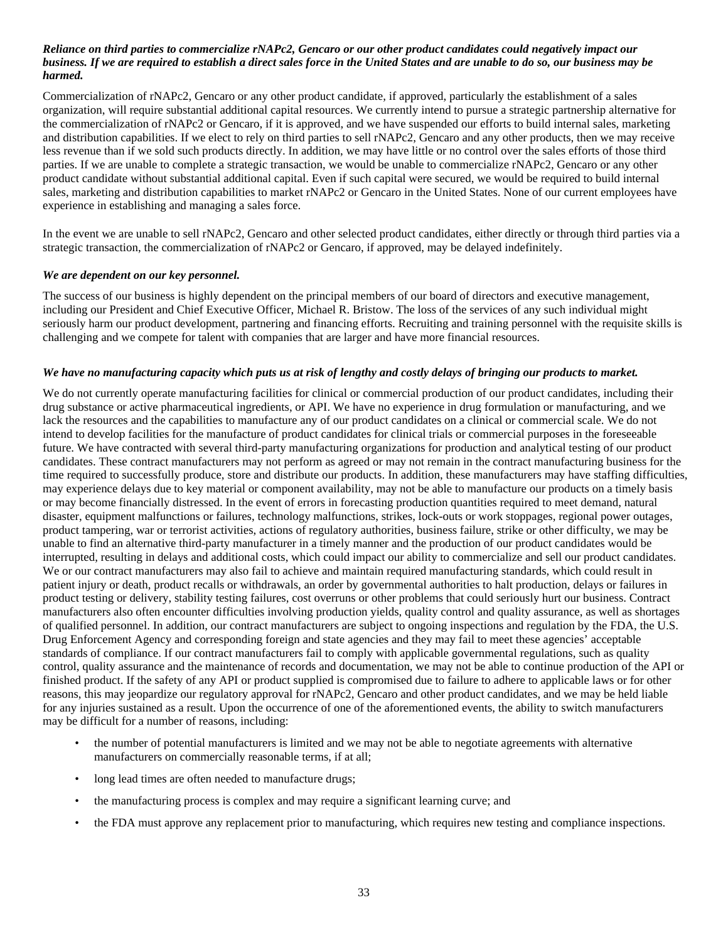#### *Reliance on third parties to commercialize rNAPc2, Gencaro or our other product candidates could negatively impact our business. If we are required to establish a direct sales force in the United States and are unable to do so, our business may be harmed.*

Commercialization of rNAPc2, Gencaro or any other product candidate, if approved, particularly the establishment of a sales organization, will require substantial additional capital resources. We currently intend to pursue a strategic partnership alternative for the commercialization of rNAPc2 or Gencaro, if it is approved, and we have suspended our efforts to build internal sales, marketing and distribution capabilities. If we elect to rely on third parties to sell rNAPc2, Gencaro and any other products, then we may receive less revenue than if we sold such products directly. In addition, we may have little or no control over the sales efforts of those third parties. If we are unable to complete a strategic transaction, we would be unable to commercialize rNAPc2, Gencaro or any other product candidate without substantial additional capital. Even if such capital were secured, we would be required to build internal sales, marketing and distribution capabilities to market rNAPc2 or Gencaro in the United States. None of our current employees have experience in establishing and managing a sales force.

In the event we are unable to sell rNAPc2, Gencaro and other selected product candidates, either directly or through third parties via a strategic transaction, the commercialization of rNAPc2 or Gencaro, if approved, may be delayed indefinitely.

#### *We are dependent on our key personnel.*

The success of our business is highly dependent on the principal members of our board of directors and executive management, including our President and Chief Executive Officer, Michael R. Bristow. The loss of the services of any such individual might seriously harm our product development, partnering and financing efforts. Recruiting and training personnel with the requisite skills is challenging and we compete for talent with companies that are larger and have more financial resources.

#### *We have no manufacturing capacity which puts us at risk of lengthy and costly delays of bringing our products to market.*

We do not currently operate manufacturing facilities for clinical or commercial production of our product candidates, including their drug substance or active pharmaceutical ingredients, or API. We have no experience in drug formulation or manufacturing, and we lack the resources and the capabilities to manufacture any of our product candidates on a clinical or commercial scale. We do not intend to develop facilities for the manufacture of product candidates for clinical trials or commercial purposes in the foreseeable future. We have contracted with several third-party manufacturing organizations for production and analytical testing of our product candidates. These contract manufacturers may not perform as agreed or may not remain in the contract manufacturing business for the time required to successfully produce, store and distribute our products. In addition, these manufacturers may have staffing difficulties, may experience delays due to key material or component availability, may not be able to manufacture our products on a timely basis or may become financially distressed. In the event of errors in forecasting production quantities required to meet demand, natural disaster, equipment malfunctions or failures, technology malfunctions, strikes, lock-outs or work stoppages, regional power outages, product tampering, war or terrorist activities, actions of regulatory authorities, business failure, strike or other difficulty, we may be unable to find an alternative third-party manufacturer in a timely manner and the production of our product candidates would be interrupted, resulting in delays and additional costs, which could impact our ability to commercialize and sell our product candidates. We or our contract manufacturers may also fail to achieve and maintain required manufacturing standards, which could result in patient injury or death, product recalls or withdrawals, an order by governmental authorities to halt production, delays or failures in product testing or delivery, stability testing failures, cost overruns or other problems that could seriously hurt our business. Contract manufacturers also often encounter difficulties involving production yields, quality control and quality assurance, as well as shortages of qualified personnel. In addition, our contract manufacturers are subject to ongoing inspections and regulation by the FDA, the U.S. Drug Enforcement Agency and corresponding foreign and state agencies and they may fail to meet these agencies' acceptable standards of compliance. If our contract manufacturers fail to comply with applicable governmental regulations, such as quality control, quality assurance and the maintenance of records and documentation, we may not be able to continue production of the API or finished product. If the safety of any API or product supplied is compromised due to failure to adhere to applicable laws or for other reasons, this may jeopardize our regulatory approval for rNAPc2, Gencaro and other product candidates, and we may be held liable for any injuries sustained as a result. Upon the occurrence of one of the aforementioned events, the ability to switch manufacturers may be difficult for a number of reasons, including:

- the number of potential manufacturers is limited and we may not be able to negotiate agreements with alternative manufacturers on commercially reasonable terms, if at all;
- long lead times are often needed to manufacture drugs;
- the manufacturing process is complex and may require a significant learning curve; and
- the FDA must approve any replacement prior to manufacturing, which requires new testing and compliance inspections.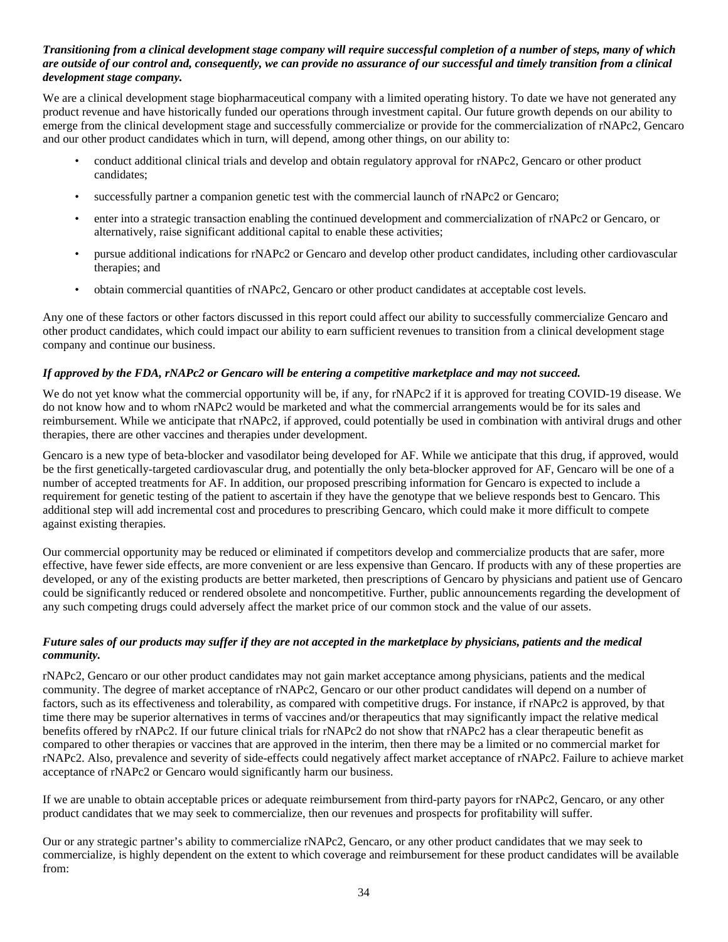#### *Transitioning from a clinical development stage company will require successful completion of a number of steps, many of which are outside of our control and, consequently, we can provide no assurance of our successful and timely transition from a clinical development stage company.*

We are a clinical development stage biopharmaceutical company with a limited operating history. To date we have not generated any product revenue and have historically funded our operations through investment capital. Our future growth depends on our ability to emerge from the clinical development stage and successfully commercialize or provide for the commercialization of rNAPc2, Gencaro and our other product candidates which in turn, will depend, among other things, on our ability to:

- conduct additional clinical trials and develop and obtain regulatory approval for rNAPc2, Gencaro or other product candidates;
- successfully partner a companion genetic test with the commercial launch of rNAPc2 or Gencaro;
- enter into a strategic transaction enabling the continued development and commercialization of rNAPc2 or Gencaro, or alternatively, raise significant additional capital to enable these activities;
- pursue additional indications for rNAPc2 or Gencaro and develop other product candidates, including other cardiovascular therapies; and
- obtain commercial quantities of rNAPc2, Gencaro or other product candidates at acceptable cost levels.

Any one of these factors or other factors discussed in this report could affect our ability to successfully commercialize Gencaro and other product candidates, which could impact our ability to earn sufficient revenues to transition from a clinical development stage company and continue our business.

# *If approved by the FDA, rNAPc2 or Gencaro will be entering a competitive marketplace and may not succeed.*

We do not yet know what the commercial opportunity will be, if any, for rNAPc2 if it is approved for treating COVID-19 disease. We do not know how and to whom rNAPc2 would be marketed and what the commercial arrangements would be for its sales and reimbursement. While we anticipate that rNAPc2, if approved, could potentially be used in combination with antiviral drugs and other therapies, there are other vaccines and therapies under development.

Gencaro is a new type of beta-blocker and vasodilator being developed for AF. While we anticipate that this drug, if approved, would be the first genetically-targeted cardiovascular drug, and potentially the only beta-blocker approved for AF, Gencaro will be one of a number of accepted treatments for AF. In addition, our proposed prescribing information for Gencaro is expected to include a requirement for genetic testing of the patient to ascertain if they have the genotype that we believe responds best to Gencaro. This additional step will add incremental cost and procedures to prescribing Gencaro, which could make it more difficult to compete against existing therapies.

Our commercial opportunity may be reduced or eliminated if competitors develop and commercialize products that are safer, more effective, have fewer side effects, are more convenient or are less expensive than Gencaro. If products with any of these properties are developed, or any of the existing products are better marketed, then prescriptions of Gencaro by physicians and patient use of Gencaro could be significantly reduced or rendered obsolete and noncompetitive. Further, public announcements regarding the development of any such competing drugs could adversely affect the market price of our common stock and the value of our assets.

#### *Future sales of our products may suffer if they are not accepted in the marketplace by physicians, patients and the medical community.*

rNAPc2, Gencaro or our other product candidates may not gain market acceptance among physicians, patients and the medical community. The degree of market acceptance of rNAPc2, Gencaro or our other product candidates will depend on a number of factors, such as its effectiveness and tolerability, as compared with competitive drugs. For instance, if rNAPc2 is approved, by that time there may be superior alternatives in terms of vaccines and/or therapeutics that may significantly impact the relative medical benefits offered by rNAPc2. If our future clinical trials for rNAPc2 do not show that rNAPc2 has a clear therapeutic benefit as compared to other therapies or vaccines that are approved in the interim, then there may be a limited or no commercial market for rNAPc2. Also, prevalence and severity of side-effects could negatively affect market acceptance of rNAPc2. Failure to achieve market acceptance of rNAPc2 or Gencaro would significantly harm our business.

If we are unable to obtain acceptable prices or adequate reimbursement from third-party payors for rNAPc2, Gencaro, or any other product candidates that we may seek to commercialize, then our revenues and prospects for profitability will suffer.

Our or any strategic partner's ability to commercialize rNAPc2, Gencaro, or any other product candidates that we may seek to commercialize, is highly dependent on the extent to which coverage and reimbursement for these product candidates will be available from: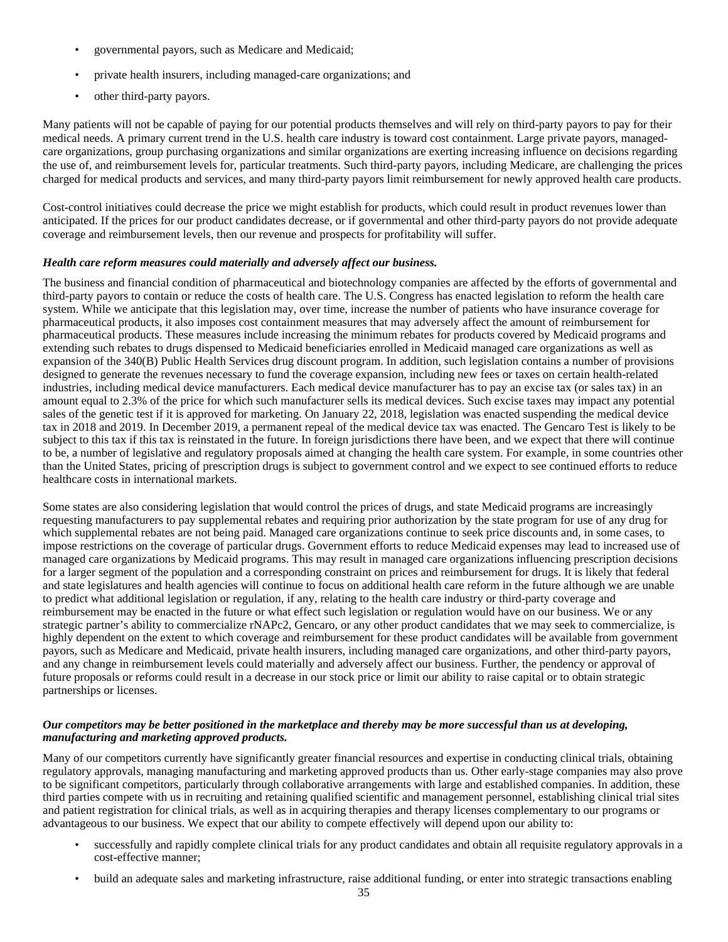- governmental payors, such as Medicare and Medicaid;
- private health insurers, including managed-care organizations; and
- other third-party payors.

Many patients will not be capable of paying for our potential products themselves and will rely on third-party payors to pay for their medical needs. A primary current trend in the U.S. health care industry is toward cost containment. Large private payors, managedcare organizations, group purchasing organizations and similar organizations are exerting increasing influence on decisions regarding the use of, and reimbursement levels for, particular treatments. Such third-party payors, including Medicare, are challenging the prices charged for medical products and services, and many third-party payors limit reimbursement for newly approved health care products.

Cost-control initiatives could decrease the price we might establish for products, which could result in product revenues lower than anticipated. If the prices for our product candidates decrease, or if governmental and other third-party payors do not provide adequate coverage and reimbursement levels, then our revenue and prospects for profitability will suffer.

## *Health care reform measures could materially and adversely affect our business.*

The business and financial condition of pharmaceutical and biotechnology companies are affected by the efforts of governmental and third-party payors to contain or reduce the costs of health care. The U.S. Congress has enacted legislation to reform the health care system. While we anticipate that this legislation may, over time, increase the number of patients who have insurance coverage for pharmaceutical products, it also imposes cost containment measures that may adversely affect the amount of reimbursement for pharmaceutical products. These measures include increasing the minimum rebates for products covered by Medicaid programs and extending such rebates to drugs dispensed to Medicaid beneficiaries enrolled in Medicaid managed care organizations as well as expansion of the 340(B) Public Health Services drug discount program. In addition, such legislation contains a number of provisions designed to generate the revenues necessary to fund the coverage expansion, including new fees or taxes on certain health-related industries, including medical device manufacturers. Each medical device manufacturer has to pay an excise tax (or sales tax) in an amount equal to 2.3% of the price for which such manufacturer sells its medical devices. Such excise taxes may impact any potential sales of the genetic test if it is approved for marketing. On January 22, 2018, legislation was enacted suspending the medical device tax in 2018 and 2019. In December 2019, a permanent repeal of the medical device tax was enacted. The Gencaro Test is likely to be subject to this tax if this tax is reinstated in the future. In foreign jurisdictions there have been, and we expect that there will continue to be, a number of legislative and regulatory proposals aimed at changing the health care system. For example, in some countries other than the United States, pricing of prescription drugs is subject to government control and we expect to see continued efforts to reduce healthcare costs in international markets.

Some states are also considering legislation that would control the prices of drugs, and state Medicaid programs are increasingly requesting manufacturers to pay supplemental rebates and requiring prior authorization by the state program for use of any drug for which supplemental rebates are not being paid. Managed care organizations continue to seek price discounts and, in some cases, to impose restrictions on the coverage of particular drugs. Government efforts to reduce Medicaid expenses may lead to increased use of managed care organizations by Medicaid programs. This may result in managed care organizations influencing prescription decisions for a larger segment of the population and a corresponding constraint on prices and reimbursement for drugs. It is likely that federal and state legislatures and health agencies will continue to focus on additional health care reform in the future although we are unable to predict what additional legislation or regulation, if any, relating to the health care industry or third-party coverage and reimbursement may be enacted in the future or what effect such legislation or regulation would have on our business. We or any strategic partner's ability to commercialize rNAPc2, Gencaro, or any other product candidates that we may seek to commercialize, is highly dependent on the extent to which coverage and reimbursement for these product candidates will be available from government payors, such as Medicare and Medicaid, private health insurers, including managed care organizations, and other third-party payors, and any change in reimbursement levels could materially and adversely affect our business. Further, the pendency or approval of future proposals or reforms could result in a decrease in our stock price or limit our ability to raise capital or to obtain strategic partnerships or licenses.

#### *Our competitors may be better positioned in the marketplace and thereby may be more successful than us at developing, manufacturing and marketing approved products.*

Many of our competitors currently have significantly greater financial resources and expertise in conducting clinical trials, obtaining regulatory approvals, managing manufacturing and marketing approved products than us. Other early-stage companies may also prove to be significant competitors, particularly through collaborative arrangements with large and established companies. In addition, these third parties compete with us in recruiting and retaining qualified scientific and management personnel, establishing clinical trial sites and patient registration for clinical trials, as well as in acquiring therapies and therapy licenses complementary to our programs or advantageous to our business. We expect that our ability to compete effectively will depend upon our ability to:

- successfully and rapidly complete clinical trials for any product candidates and obtain all requisite regulatory approvals in a cost-effective manner;
- build an adequate sales and marketing infrastructure, raise additional funding, or enter into strategic transactions enabling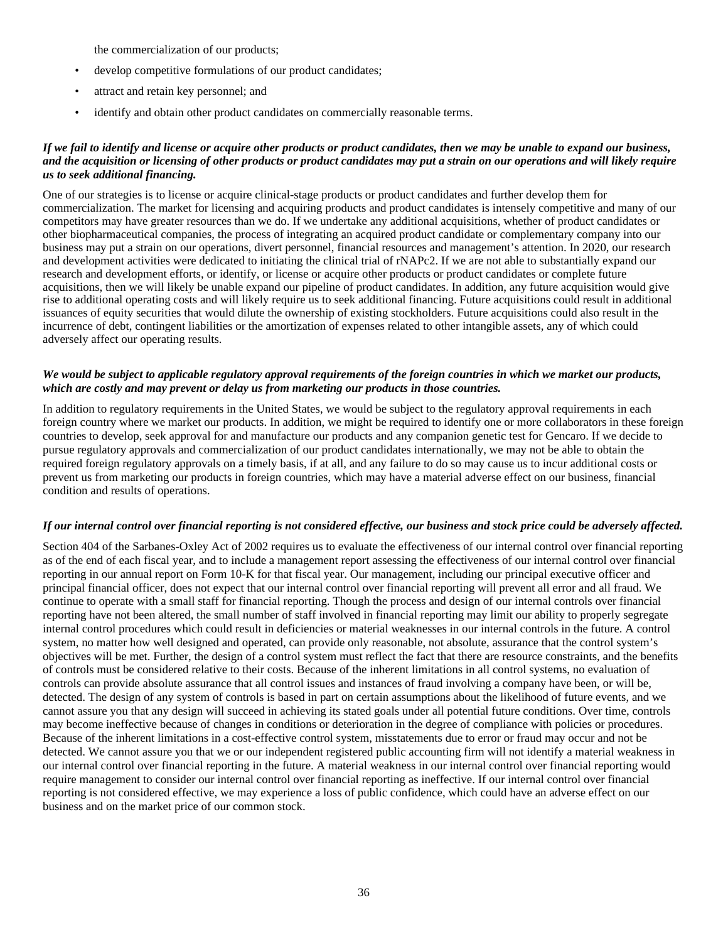the commercialization of our products;

- develop competitive formulations of our product candidates;
- attract and retain key personnel; and
- identify and obtain other product candidates on commercially reasonable terms.

## *If we fail to identify and license or acquire other products or product candidates, then we may be unable to expand our business, and the acquisition or licensing of other products or product candidates may put a strain on our operations and will likely require us to seek additional financing.*

One of our strategies is to license or acquire clinical-stage products or product candidates and further develop them for commercialization. The market for licensing and acquiring products and product candidates is intensely competitive and many of our competitors may have greater resources than we do. If we undertake any additional acquisitions, whether of product candidates or other biopharmaceutical companies, the process of integrating an acquired product candidate or complementary company into our business may put a strain on our operations, divert personnel, financial resources and management's attention. In 2020, our research and development activities were dedicated to initiating the clinical trial of rNAPc2. If we are not able to substantially expand our research and development efforts, or identify, or license or acquire other products or product candidates or complete future acquisitions, then we will likely be unable expand our pipeline of product candidates. In addition, any future acquisition would give rise to additional operating costs and will likely require us to seek additional financing. Future acquisitions could result in additional issuances of equity securities that would dilute the ownership of existing stockholders. Future acquisitions could also result in the incurrence of debt, contingent liabilities or the amortization of expenses related to other intangible assets, any of which could adversely affect our operating results.

#### *We would be subject to applicable regulatory approval requirements of the foreign countries in which we market our products, which are costly and may prevent or delay us from marketing our products in those countries.*

In addition to regulatory requirements in the United States, we would be subject to the regulatory approval requirements in each foreign country where we market our products. In addition, we might be required to identify one or more collaborators in these foreign countries to develop, seek approval for and manufacture our products and any companion genetic test for Gencaro. If we decide to pursue regulatory approvals and commercialization of our product candidates internationally, we may not be able to obtain the required foreign regulatory approvals on a timely basis, if at all, and any failure to do so may cause us to incur additional costs or prevent us from marketing our products in foreign countries, which may have a material adverse effect on our business, financial condition and results of operations.

## *If our internal control over financial reporting is not considered effective, our business and stock price could be adversely affected.*

Section 404 of the Sarbanes-Oxley Act of 2002 requires us to evaluate the effectiveness of our internal control over financial reporting as of the end of each fiscal year, and to include a management report assessing the effectiveness of our internal control over financial reporting in our annual report on Form 10-K for that fiscal year. Our management, including our principal executive officer and principal financial officer, does not expect that our internal control over financial reporting will prevent all error and all fraud. We continue to operate with a small staff for financial reporting. Though the process and design of our internal controls over financial reporting have not been altered, the small number of staff involved in financial reporting may limit our ability to properly segregate internal control procedures which could result in deficiencies or material weaknesses in our internal controls in the future. A control system, no matter how well designed and operated, can provide only reasonable, not absolute, assurance that the control system's objectives will be met. Further, the design of a control system must reflect the fact that there are resource constraints, and the benefits of controls must be considered relative to their costs. Because of the inherent limitations in all control systems, no evaluation of controls can provide absolute assurance that all control issues and instances of fraud involving a company have been, or will be, detected. The design of any system of controls is based in part on certain assumptions about the likelihood of future events, and we cannot assure you that any design will succeed in achieving its stated goals under all potential future conditions. Over time, controls may become ineffective because of changes in conditions or deterioration in the degree of compliance with policies or procedures. Because of the inherent limitations in a cost-effective control system, misstatements due to error or fraud may occur and not be detected. We cannot assure you that we or our independent registered public accounting firm will not identify a material weakness in our internal control over financial reporting in the future. A material weakness in our internal control over financial reporting would require management to consider our internal control over financial reporting as ineffective. If our internal control over financial reporting is not considered effective, we may experience a loss of public confidence, which could have an adverse effect on our business and on the market price of our common stock.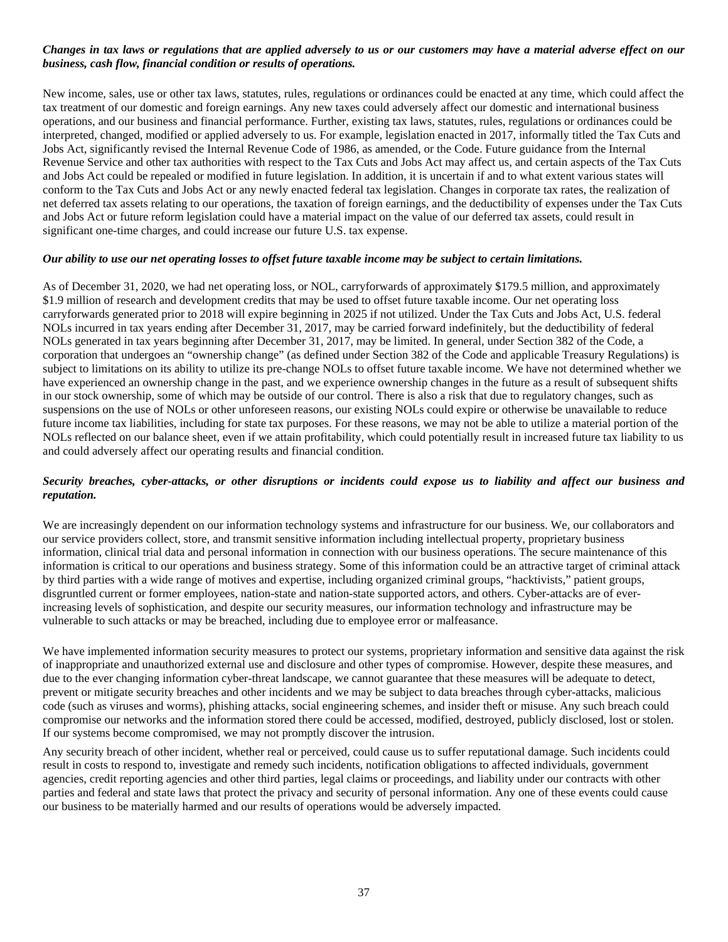## *Changes in tax laws or regulations that are applied adversely to us or our customers may have a material adverse effect on our business, cash flow, financial condition or results of operations.*

New income, sales, use or other tax laws, statutes, rules, regulations or ordinances could be enacted at any time, which could affect the tax treatment of our domestic and foreign earnings. Any new taxes could adversely affect our domestic and international business operations, and our business and financial performance. Further, existing tax laws, statutes, rules, regulations or ordinances could be interpreted, changed, modified or applied adversely to us. For example, legislation enacted in 2017, informally titled the Tax Cuts and Jobs Act, significantly revised the Internal Revenue Code of 1986, as amended, or the Code. Future guidance from the Internal Revenue Service and other tax authorities with respect to the Tax Cuts and Jobs Act may affect us, and certain aspects of the Tax Cuts and Jobs Act could be repealed or modified in future legislation. In addition, it is uncertain if and to what extent various states will conform to the Tax Cuts and Jobs Act or any newly enacted federal tax legislation. Changes in corporate tax rates, the realization of net deferred tax assets relating to our operations, the taxation of foreign earnings, and the deductibility of expenses under the Tax Cuts and Jobs Act or future reform legislation could have a material impact on the value of our deferred tax assets, could result in significant one-time charges, and could increase our future U.S. tax expense.

#### *Our ability to use our net operating losses to offset future taxable income may be subject to certain limitations.*

As of December 31, 2020, we had net operating loss, or NOL, carryforwards of approximately \$179.5 million, and approximately \$1.9 million of research and development credits that may be used to offset future taxable income. Our net operating loss carryforwards generated prior to 2018 will expire beginning in 2025 if not utilized. Under the Tax Cuts and Jobs Act, U.S. federal NOLs incurred in tax years ending after December 31, 2017, may be carried forward indefinitely, but the deductibility of federal NOLs generated in tax years beginning after December 31, 2017, may be limited. In general, under Section 382 of the Code, a corporation that undergoes an "ownership change" (as defined under Section 382 of the Code and applicable Treasury Regulations) is subject to limitations on its ability to utilize its pre-change NOLs to offset future taxable income. We have not determined whether we have experienced an ownership change in the past, and we experience ownership changes in the future as a result of subsequent shifts in our stock ownership, some of which may be outside of our control. There is also a risk that due to regulatory changes, such as suspensions on the use of NOLs or other unforeseen reasons, our existing NOLs could expire or otherwise be unavailable to reduce future income tax liabilities, including for state tax purposes. For these reasons, we may not be able to utilize a material portion of the NOLs reflected on our balance sheet, even if we attain profitability, which could potentially result in increased future tax liability to us and could adversely affect our operating results and financial condition.

## *Security breaches, cyber-attacks, or other disruptions or incidents could expose us to liability and affect our business and reputation.*

We are increasingly dependent on our information technology systems and infrastructure for our business. We, our collaborators and our service providers collect, store, and transmit sensitive information including intellectual property, proprietary business information, clinical trial data and personal information in connection with our business operations. The secure maintenance of this information is critical to our operations and business strategy. Some of this information could be an attractive target of criminal attack by third parties with a wide range of motives and expertise, including organized criminal groups, "hacktivists," patient groups, disgruntled current or former employees, nation-state and nation-state supported actors, and others. Cyber-attacks are of everincreasing levels of sophistication, and despite our security measures, our information technology and infrastructure may be vulnerable to such attacks or may be breached, including due to employee error or malfeasance.

We have implemented information security measures to protect our systems, proprietary information and sensitive data against the risk of inappropriate and unauthorized external use and disclosure and other types of compromise. However, despite these measures, and due to the ever changing information cyber-threat landscape, we cannot guarantee that these measures will be adequate to detect, prevent or mitigate security breaches and other incidents and we may be subject to data breaches through cyber-attacks, malicious code (such as viruses and worms), phishing attacks, social engineering schemes, and insider theft or misuse. Any such breach could compromise our networks and the information stored there could be accessed, modified, destroyed, publicly disclosed, lost or stolen. If our systems become compromised, we may not promptly discover the intrusion.

Any security breach of other incident, whether real or perceived, could cause us to suffer reputational damage. Such incidents could result in costs to respond to, investigate and remedy such incidents, notification obligations to affected individuals, government agencies, credit reporting agencies and other third parties, legal claims or proceedings, and liability under our contracts with other parties and federal and state laws that protect the privacy and security of personal information. Any one of these events could cause our business to be materially harmed and our results of operations would be adversely impacted.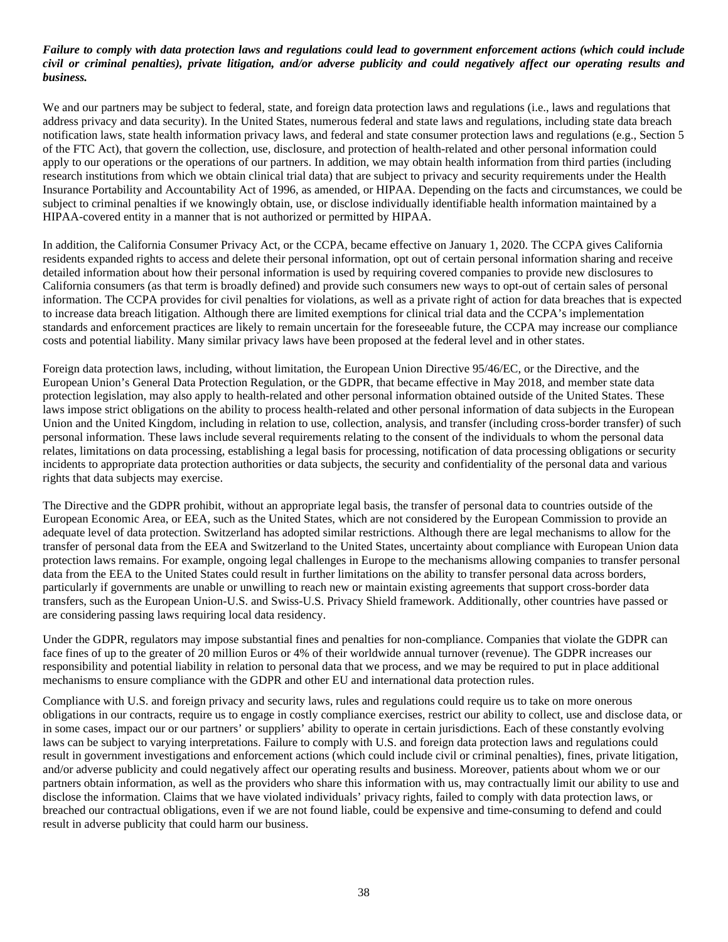## *Failure to comply with data protection laws and regulations could lead to government enforcement actions (which could include civil or criminal penalties), private litigation, and/or adverse publicity and could negatively affect our operating results and business.*

We and our partners may be subject to federal, state, and foreign data protection laws and regulations (i.e., laws and regulations that address privacy and data security). In the United States, numerous federal and state laws and regulations, including state data breach notification laws, state health information privacy laws, and federal and state consumer protection laws and regulations (e.g., Section 5 of the FTC Act), that govern the collection, use, disclosure, and protection of health-related and other personal information could apply to our operations or the operations of our partners. In addition, we may obtain health information from third parties (including research institutions from which we obtain clinical trial data) that are subject to privacy and security requirements under the Health Insurance Portability and Accountability Act of 1996, as amended, or HIPAA. Depending on the facts and circumstances, we could be subject to criminal penalties if we knowingly obtain, use, or disclose individually identifiable health information maintained by a HIPAA-covered entity in a manner that is not authorized or permitted by HIPAA.

In addition, the California Consumer Privacy Act, or the CCPA, became effective on January 1, 2020. The CCPA gives California residents expanded rights to access and delete their personal information, opt out of certain personal information sharing and receive detailed information about how their personal information is used by requiring covered companies to provide new disclosures to California consumers (as that term is broadly defined) and provide such consumers new ways to opt-out of certain sales of personal information. The CCPA provides for civil penalties for violations, as well as a private right of action for data breaches that is expected to increase data breach litigation. Although there are limited exemptions for clinical trial data and the CCPA's implementation standards and enforcement practices are likely to remain uncertain for the foreseeable future, the CCPA may increase our compliance costs and potential liability. Many similar privacy laws have been proposed at the federal level and in other states.

Foreign data protection laws, including, without limitation, the European Union Directive 95/46/EC, or the Directive, and the European Union's General Data Protection Regulation, or the GDPR, that became effective in May 2018, and member state data protection legislation, may also apply to health-related and other personal information obtained outside of the United States. These laws impose strict obligations on the ability to process health-related and other personal information of data subjects in the European Union and the United Kingdom, including in relation to use, collection, analysis, and transfer (including cross-border transfer) of such personal information. These laws include several requirements relating to the consent of the individuals to whom the personal data relates, limitations on data processing, establishing a legal basis for processing, notification of data processing obligations or security incidents to appropriate data protection authorities or data subjects, the security and confidentiality of the personal data and various rights that data subjects may exercise.

The Directive and the GDPR prohibit, without an appropriate legal basis, the transfer of personal data to countries outside of the European Economic Area, or EEA, such as the United States, which are not considered by the European Commission to provide an adequate level of data protection. Switzerland has adopted similar restrictions. Although there are legal mechanisms to allow for the transfer of personal data from the EEA and Switzerland to the United States, uncertainty about compliance with European Union data protection laws remains. For example, ongoing legal challenges in Europe to the mechanisms allowing companies to transfer personal data from the EEA to the United States could result in further limitations on the ability to transfer personal data across borders, particularly if governments are unable or unwilling to reach new or maintain existing agreements that support cross-border data transfers, such as the European Union-U.S. and Swiss-U.S. Privacy Shield framework. Additionally, other countries have passed or are considering passing laws requiring local data residency.

Under the GDPR, regulators may impose substantial fines and penalties for non-compliance. Companies that violate the GDPR can face fines of up to the greater of 20 million Euros or 4% of their worldwide annual turnover (revenue). The GDPR increases our responsibility and potential liability in relation to personal data that we process, and we may be required to put in place additional mechanisms to ensure compliance with the GDPR and other EU and international data protection rules.

Compliance with U.S. and foreign privacy and security laws, rules and regulations could require us to take on more onerous obligations in our contracts, require us to engage in costly compliance exercises, restrict our ability to collect, use and disclose data, or in some cases, impact our or our partners' or suppliers' ability to operate in certain jurisdictions. Each of these constantly evolving laws can be subject to varying interpretations. Failure to comply with U.S. and foreign data protection laws and regulations could result in government investigations and enforcement actions (which could include civil or criminal penalties), fines, private litigation, and/or adverse publicity and could negatively affect our operating results and business. Moreover, patients about whom we or our partners obtain information, as well as the providers who share this information with us, may contractually limit our ability to use and disclose the information. Claims that we have violated individuals' privacy rights, failed to comply with data protection laws, or breached our contractual obligations, even if we are not found liable, could be expensive and time-consuming to defend and could result in adverse publicity that could harm our business.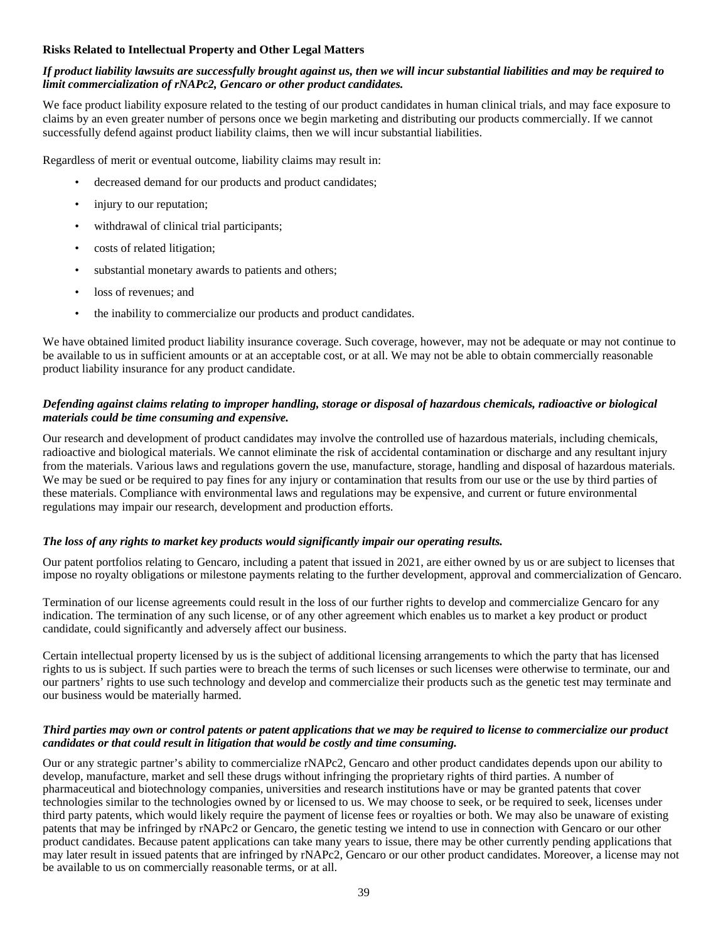## **Risks Related to Intellectual Property and Other Legal Matters**

## *If product liability lawsuits are successfully brought against us, then we will incur substantial liabilities and may be required to limit commercialization of rNAPc2, Gencaro or other product candidates.*

We face product liability exposure related to the testing of our product candidates in human clinical trials, and may face exposure to claims by an even greater number of persons once we begin marketing and distributing our products commercially. If we cannot successfully defend against product liability claims, then we will incur substantial liabilities.

Regardless of merit or eventual outcome, liability claims may result in:

- decreased demand for our products and product candidates;
- injury to our reputation;
- withdrawal of clinical trial participants;
- costs of related litigation;
- substantial monetary awards to patients and others;
- loss of revenues; and
- the inability to commercialize our products and product candidates.

We have obtained limited product liability insurance coverage. Such coverage, however, may not be adequate or may not continue to be available to us in sufficient amounts or at an acceptable cost, or at all. We may not be able to obtain commercially reasonable product liability insurance for any product candidate.

## *Defending against claims relating to improper handling, storage or disposal of hazardous chemicals, radioactive or biological materials could be time consuming and expensive.*

Our research and development of product candidates may involve the controlled use of hazardous materials, including chemicals, radioactive and biological materials. We cannot eliminate the risk of accidental contamination or discharge and any resultant injury from the materials. Various laws and regulations govern the use, manufacture, storage, handling and disposal of hazardous materials. We may be sued or be required to pay fines for any injury or contamination that results from our use or the use by third parties of these materials. Compliance with environmental laws and regulations may be expensive, and current or future environmental regulations may impair our research, development and production efforts.

#### *The loss of any rights to market key products would significantly impair our operating results.*

Our patent portfolios relating to Gencaro, including a patent that issued in 2021, are either owned by us or are subject to licenses that impose no royalty obligations or milestone payments relating to the further development, approval and commercialization of Gencaro.

Termination of our license agreements could result in the loss of our further rights to develop and commercialize Gencaro for any indication. The termination of any such license, or of any other agreement which enables us to market a key product or product candidate, could significantly and adversely affect our business.

Certain intellectual property licensed by us is the subject of additional licensing arrangements to which the party that has licensed rights to us is subject. If such parties were to breach the terms of such licenses or such licenses were otherwise to terminate, our and our partners' rights to use such technology and develop and commercialize their products such as the genetic test may terminate and our business would be materially harmed.

#### *Third parties may own or control patents or patent applications that we may be required to license to commercialize our product candidates or that could result in litigation that would be costly and time consuming.*

Our or any strategic partner's ability to commercialize rNAPc2, Gencaro and other product candidates depends upon our ability to develop, manufacture, market and sell these drugs without infringing the proprietary rights of third parties. A number of pharmaceutical and biotechnology companies, universities and research institutions have or may be granted patents that cover technologies similar to the technologies owned by or licensed to us. We may choose to seek, or be required to seek, licenses under third party patents, which would likely require the payment of license fees or royalties or both. We may also be unaware of existing patents that may be infringed by rNAPc2 or Gencaro, the genetic testing we intend to use in connection with Gencaro or our other product candidates. Because patent applications can take many years to issue, there may be other currently pending applications that may later result in issued patents that are infringed by rNAPc2, Gencaro or our other product candidates. Moreover, a license may not be available to us on commercially reasonable terms, or at all.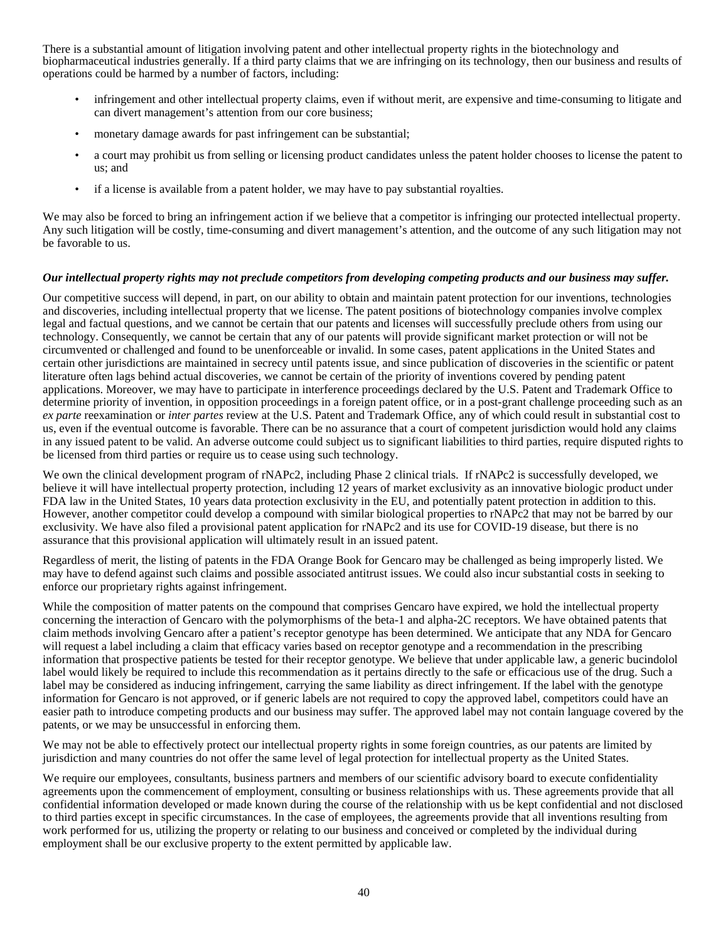There is a substantial amount of litigation involving patent and other intellectual property rights in the biotechnology and biopharmaceutical industries generally. If a third party claims that we are infringing on its technology, then our business and results of operations could be harmed by a number of factors, including:

- infringement and other intellectual property claims, even if without merit, are expensive and time-consuming to litigate and can divert management's attention from our core business;
- monetary damage awards for past infringement can be substantial;
- a court may prohibit us from selling or licensing product candidates unless the patent holder chooses to license the patent to us; and
- if a license is available from a patent holder, we may have to pay substantial royalties.

We may also be forced to bring an infringement action if we believe that a competitor is infringing our protected intellectual property. Any such litigation will be costly, time-consuming and divert management's attention, and the outcome of any such litigation may not be favorable to us.

#### *Our intellectual property rights may not preclude competitors from developing competing products and our business may suffer.*

Our competitive success will depend, in part, on our ability to obtain and maintain patent protection for our inventions, technologies and discoveries, including intellectual property that we license. The patent positions of biotechnology companies involve complex legal and factual questions, and we cannot be certain that our patents and licenses will successfully preclude others from using our technology. Consequently, we cannot be certain that any of our patents will provide significant market protection or will not be circumvented or challenged and found to be unenforceable or invalid. In some cases, patent applications in the United States and certain other jurisdictions are maintained in secrecy until patents issue, and since publication of discoveries in the scientific or patent literature often lags behind actual discoveries, we cannot be certain of the priority of inventions covered by pending patent applications. Moreover, we may have to participate in interference proceedings declared by the U.S. Patent and Trademark Office to determine priority of invention, in opposition proceedings in a foreign patent office, or in a post-grant challenge proceeding such as an *ex parte* reexamination or *inter partes* review at the U.S. Patent and Trademark Office, any of which could result in substantial cost to us, even if the eventual outcome is favorable. There can be no assurance that a court of competent jurisdiction would hold any claims in any issued patent to be valid. An adverse outcome could subject us to significant liabilities to third parties, require disputed rights to be licensed from third parties or require us to cease using such technology.

We own the clinical development program of rNAPc2, including Phase 2 clinical trials. If rNAPc2 is successfully developed, we believe it will have intellectual property protection, including 12 years of market exclusivity as an innovative biologic product under FDA law in the United States, 10 years data protection exclusivity in the EU, and potentially patent protection in addition to this. However, another competitor could develop a compound with similar biological properties to rNAPc2 that may not be barred by our exclusivity. We have also filed a provisional patent application for rNAPc2 and its use for COVID-19 disease, but there is no assurance that this provisional application will ultimately result in an issued patent.

Regardless of merit, the listing of patents in the FDA Orange Book for Gencaro may be challenged as being improperly listed. We may have to defend against such claims and possible associated antitrust issues. We could also incur substantial costs in seeking to enforce our proprietary rights against infringement.

While the composition of matter patents on the compound that comprises Gencaro have expired, we hold the intellectual property concerning the interaction of Gencaro with the polymorphisms of the beta-1 and alpha-2C receptors. We have obtained patents that claim methods involving Gencaro after a patient's receptor genotype has been determined. We anticipate that any NDA for Gencaro will request a label including a claim that efficacy varies based on receptor genotype and a recommendation in the prescribing information that prospective patients be tested for their receptor genotype. We believe that under applicable law, a generic bucindolol label would likely be required to include this recommendation as it pertains directly to the safe or efficacious use of the drug. Such a label may be considered as inducing infringement, carrying the same liability as direct infringement. If the label with the genotype information for Gencaro is not approved, or if generic labels are not required to copy the approved label, competitors could have an easier path to introduce competing products and our business may suffer. The approved label may not contain language covered by the patents, or we may be unsuccessful in enforcing them.

We may not be able to effectively protect our intellectual property rights in some foreign countries, as our patents are limited by jurisdiction and many countries do not offer the same level of legal protection for intellectual property as the United States.

We require our employees, consultants, business partners and members of our scientific advisory board to execute confidentiality agreements upon the commencement of employment, consulting or business relationships with us. These agreements provide that all confidential information developed or made known during the course of the relationship with us be kept confidential and not disclosed to third parties except in specific circumstances. In the case of employees, the agreements provide that all inventions resulting from work performed for us, utilizing the property or relating to our business and conceived or completed by the individual during employment shall be our exclusive property to the extent permitted by applicable law.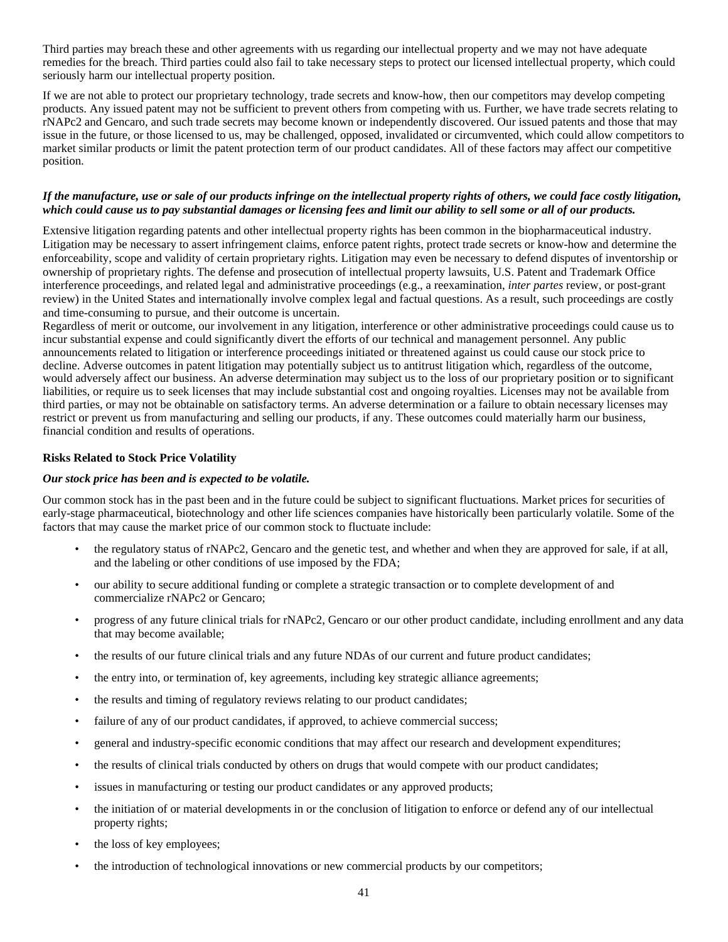Third parties may breach these and other agreements with us regarding our intellectual property and we may not have adequate remedies for the breach. Third parties could also fail to take necessary steps to protect our licensed intellectual property, which could seriously harm our intellectual property position.

If we are not able to protect our proprietary technology, trade secrets and know-how, then our competitors may develop competing products. Any issued patent may not be sufficient to prevent others from competing with us. Further, we have trade secrets relating to rNAPc2 and Gencaro, and such trade secrets may become known or independently discovered. Our issued patents and those that may issue in the future, or those licensed to us, may be challenged, opposed, invalidated or circumvented, which could allow competitors to market similar products or limit the patent protection term of our product candidates. All of these factors may affect our competitive position.

#### *If the manufacture, use or sale of our products infringe on the intellectual property rights of others, we could face costly litigation, which could cause us to pay substantial damages or licensing fees and limit our ability to sell some or all of our products.*

Extensive litigation regarding patents and other intellectual property rights has been common in the biopharmaceutical industry. Litigation may be necessary to assert infringement claims, enforce patent rights, protect trade secrets or know-how and determine the enforceability, scope and validity of certain proprietary rights. Litigation may even be necessary to defend disputes of inventorship or ownership of proprietary rights. The defense and prosecution of intellectual property lawsuits, U.S. Patent and Trademark Office interference proceedings, and related legal and administrative proceedings (e.g., a reexamination, *inter partes* review, or post-grant review) in the United States and internationally involve complex legal and factual questions. As a result, such proceedings are costly and time-consuming to pursue, and their outcome is uncertain.

Regardless of merit or outcome, our involvement in any litigation, interference or other administrative proceedings could cause us to incur substantial expense and could significantly divert the efforts of our technical and management personnel. Any public announcements related to litigation or interference proceedings initiated or threatened against us could cause our stock price to decline. Adverse outcomes in patent litigation may potentially subject us to antitrust litigation which, regardless of the outcome, would adversely affect our business. An adverse determination may subject us to the loss of our proprietary position or to significant liabilities, or require us to seek licenses that may include substantial cost and ongoing royalties. Licenses may not be available from third parties, or may not be obtainable on satisfactory terms. An adverse determination or a failure to obtain necessary licenses may restrict or prevent us from manufacturing and selling our products, if any. These outcomes could materially harm our business, financial condition and results of operations.

#### **Risks Related to Stock Price Volatility**

#### *Our stock price has been and is expected to be volatile.*

Our common stock has in the past been and in the future could be subject to significant fluctuations. Market prices for securities of early-stage pharmaceutical, biotechnology and other life sciences companies have historically been particularly volatile. Some of the factors that may cause the market price of our common stock to fluctuate include:

- the regulatory status of rNAPc2, Gencaro and the genetic test, and whether and when they are approved for sale, if at all, and the labeling or other conditions of use imposed by the FDA;
- our ability to secure additional funding or complete a strategic transaction or to complete development of and commercialize rNAPc2 or Gencaro;
- progress of any future clinical trials for rNAPc2, Gencaro or our other product candidate, including enrollment and any data that may become available;
- the results of our future clinical trials and any future NDAs of our current and future product candidates;
- the entry into, or termination of, key agreements, including key strategic alliance agreements;
- the results and timing of regulatory reviews relating to our product candidates;
- failure of any of our product candidates, if approved, to achieve commercial success;
- general and industry-specific economic conditions that may affect our research and development expenditures;
- the results of clinical trials conducted by others on drugs that would compete with our product candidates;
- issues in manufacturing or testing our product candidates or any approved products;
- the initiation of or material developments in or the conclusion of litigation to enforce or defend any of our intellectual property rights;
- the loss of key employees;
- the introduction of technological innovations or new commercial products by our competitors;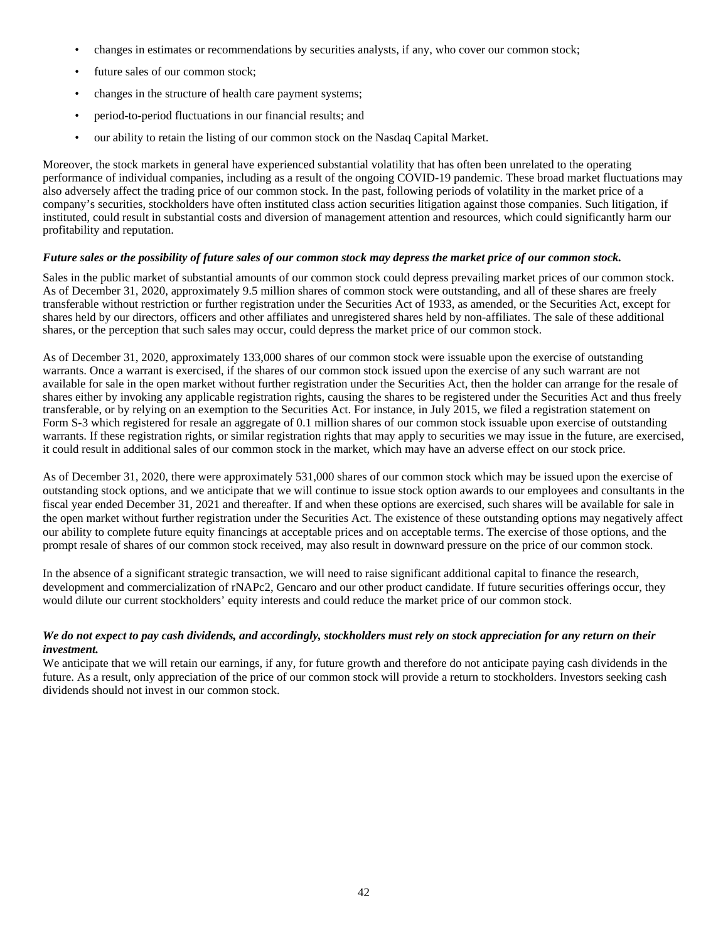- changes in estimates or recommendations by securities analysts, if any, who cover our common stock;
- future sales of our common stock;
- changes in the structure of health care payment systems;
- period-to-period fluctuations in our financial results; and
- our ability to retain the listing of our common stock on the Nasdaq Capital Market.

Moreover, the stock markets in general have experienced substantial volatility that has often been unrelated to the operating performance of individual companies, including as a result of the ongoing COVID-19 pandemic. These broad market fluctuations may also adversely affect the trading price of our common stock. In the past, following periods of volatility in the market price of a company's securities, stockholders have often instituted class action securities litigation against those companies. Such litigation, if instituted, could result in substantial costs and diversion of management attention and resources, which could significantly harm our profitability and reputation.

#### *Future sales or the possibility of future sales of our common stock may depress the market price of our common stock.*

Sales in the public market of substantial amounts of our common stock could depress prevailing market prices of our common stock. As of December 31, 2020, approximately 9.5 million shares of common stock were outstanding, and all of these shares are freely transferable without restriction or further registration under the Securities Act of 1933, as amended, or the Securities Act, except for shares held by our directors, officers and other affiliates and unregistered shares held by non-affiliates. The sale of these additional shares, or the perception that such sales may occur, could depress the market price of our common stock.

As of December 31, 2020, approximately 133,000 shares of our common stock were issuable upon the exercise of outstanding warrants. Once a warrant is exercised, if the shares of our common stock issued upon the exercise of any such warrant are not available for sale in the open market without further registration under the Securities Act, then the holder can arrange for the resale of shares either by invoking any applicable registration rights, causing the shares to be registered under the Securities Act and thus freely transferable, or by relying on an exemption to the Securities Act. For instance, in July 2015, we filed a registration statement on Form S-3 which registered for resale an aggregate of 0.1 million shares of our common stock issuable upon exercise of outstanding warrants. If these registration rights, or similar registration rights that may apply to securities we may issue in the future, are exercised, it could result in additional sales of our common stock in the market, which may have an adverse effect on our stock price.

As of December 31, 2020, there were approximately 531,000 shares of our common stock which may be issued upon the exercise of outstanding stock options, and we anticipate that we will continue to issue stock option awards to our employees and consultants in the fiscal year ended December 31, 2021 and thereafter. If and when these options are exercised, such shares will be available for sale in the open market without further registration under the Securities Act. The existence of these outstanding options may negatively affect our ability to complete future equity financings at acceptable prices and on acceptable terms. The exercise of those options, and the prompt resale of shares of our common stock received, may also result in downward pressure on the price of our common stock.

In the absence of a significant strategic transaction, we will need to raise significant additional capital to finance the research, development and commercialization of rNAPc2, Gencaro and our other product candidate. If future securities offerings occur, they would dilute our current stockholders' equity interests and could reduce the market price of our common stock.

## *We do not expect to pay cash dividends, and accordingly, stockholders must rely on stock appreciation for any return on their investment.*

We anticipate that we will retain our earnings, if any, for future growth and therefore do not anticipate paying cash dividends in the future. As a result, only appreciation of the price of our common stock will provide a return to stockholders. Investors seeking cash dividends should not invest in our common stock.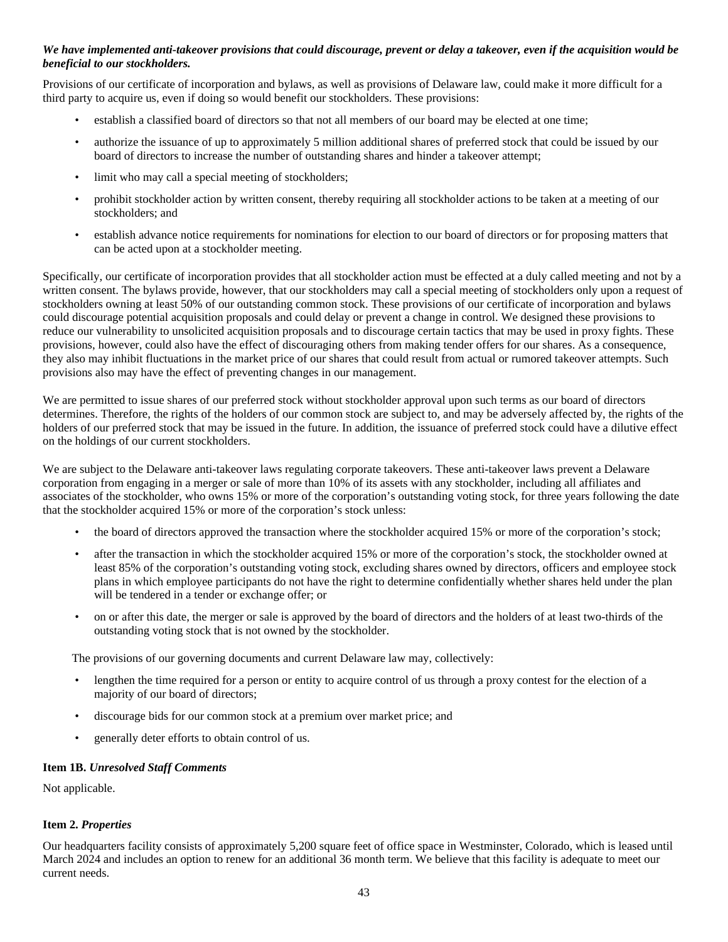## *We have implemented anti-takeover provisions that could discourage, prevent or delay a takeover, even if the acquisition would be beneficial to our stockholders.*

Provisions of our certificate of incorporation and bylaws, as well as provisions of Delaware law, could make it more difficult for a third party to acquire us, even if doing so would benefit our stockholders. These provisions:

- establish a classified board of directors so that not all members of our board may be elected at one time;
- authorize the issuance of up to approximately 5 million additional shares of preferred stock that could be issued by our board of directors to increase the number of outstanding shares and hinder a takeover attempt;
- limit who may call a special meeting of stockholders;
- prohibit stockholder action by written consent, thereby requiring all stockholder actions to be taken at a meeting of our stockholders; and
- establish advance notice requirements for nominations for election to our board of directors or for proposing matters that can be acted upon at a stockholder meeting.

Specifically, our certificate of incorporation provides that all stockholder action must be effected at a duly called meeting and not by a written consent. The bylaws provide, however, that our stockholders may call a special meeting of stockholders only upon a request of stockholders owning at least 50% of our outstanding common stock. These provisions of our certificate of incorporation and bylaws could discourage potential acquisition proposals and could delay or prevent a change in control. We designed these provisions to reduce our vulnerability to unsolicited acquisition proposals and to discourage certain tactics that may be used in proxy fights. These provisions, however, could also have the effect of discouraging others from making tender offers for our shares. As a consequence, they also may inhibit fluctuations in the market price of our shares that could result from actual or rumored takeover attempts. Such provisions also may have the effect of preventing changes in our management.

We are permitted to issue shares of our preferred stock without stockholder approval upon such terms as our board of directors determines. Therefore, the rights of the holders of our common stock are subject to, and may be adversely affected by, the rights of the holders of our preferred stock that may be issued in the future. In addition, the issuance of preferred stock could have a dilutive effect on the holdings of our current stockholders.

We are subject to the Delaware anti-takeover laws regulating corporate takeovers. These anti-takeover laws prevent a Delaware corporation from engaging in a merger or sale of more than 10% of its assets with any stockholder, including all affiliates and associates of the stockholder, who owns 15% or more of the corporation's outstanding voting stock, for three years following the date that the stockholder acquired 15% or more of the corporation's stock unless:

- the board of directors approved the transaction where the stockholder acquired 15% or more of the corporation's stock;
- after the transaction in which the stockholder acquired 15% or more of the corporation's stock, the stockholder owned at least 85% of the corporation's outstanding voting stock, excluding shares owned by directors, officers and employee stock plans in which employee participants do not have the right to determine confidentially whether shares held under the plan will be tendered in a tender or exchange offer; or
- on or after this date, the merger or sale is approved by the board of directors and the holders of at least two-thirds of the outstanding voting stock that is not owned by the stockholder.

The provisions of our governing documents and current Delaware law may, collectively:

- lengthen the time required for a person or entity to acquire control of us through a proxy contest for the election of a majority of our board of directors;
- discourage bids for our common stock at a premium over market price; and
- generally deter efforts to obtain control of us.

#### **Item 1B.** *Unresolved Staff Comments*

Not applicable.

## **Item 2.** *Properties*

Our headquarters facility consists of approximately 5,200 square feet of office space in Westminster, Colorado, which is leased until March 2024 and includes an option to renew for an additional 36 month term. We believe that this facility is adequate to meet our current needs.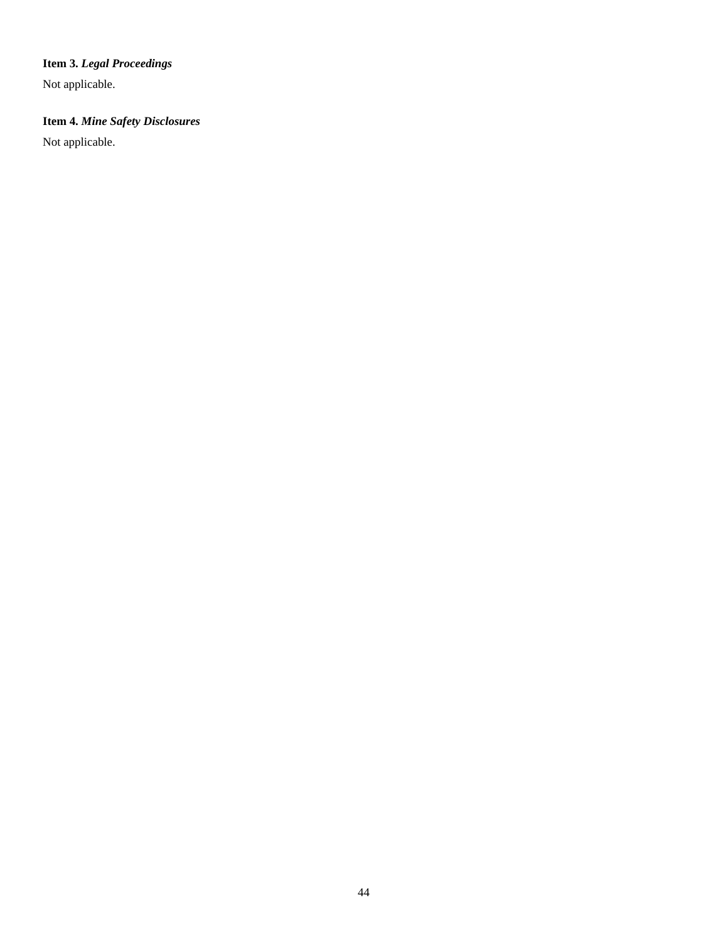# **Item 3.** *Legal Proceedings*

Not applicable.

# **Item 4.** *Mine Safety Disclosures*

Not applicable.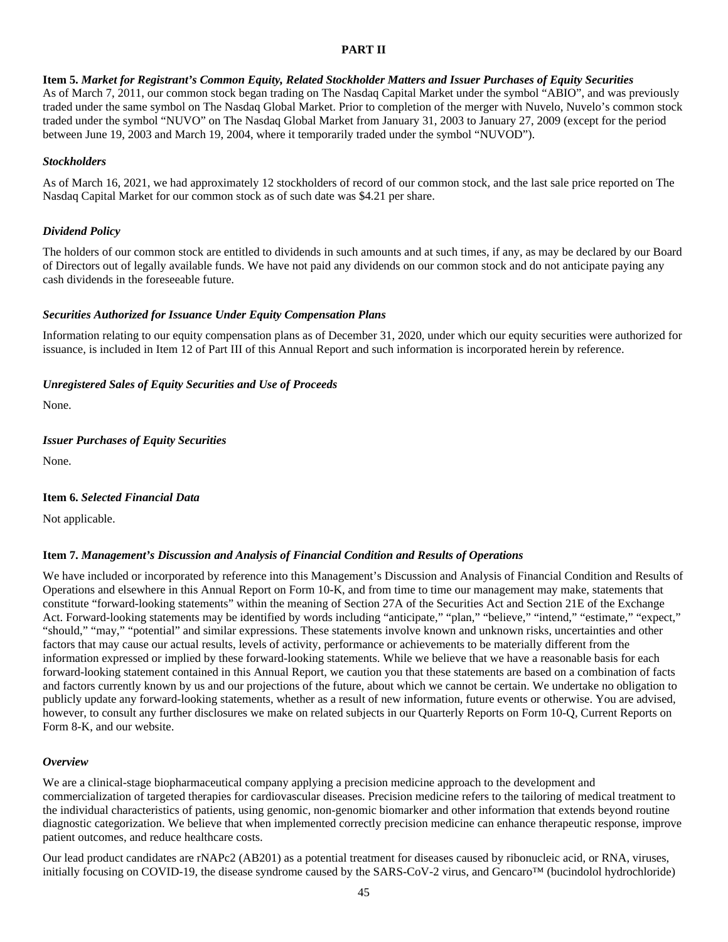## **PART II**

## **Item 5.** *Market for Registrant's Common Equity, Related Stockholder Matters and Issuer Purchases of Equity Securities*

As of March 7, 2011, our common stock began trading on The Nasdaq Capital Market under the symbol "ABIO", and was previously traded under the same symbol on The Nasdaq Global Market. Prior to completion of the merger with Nuvelo, Nuvelo's common stock traded under the symbol "NUVO" on The Nasdaq Global Market from January 31, 2003 to January 27, 2009 (except for the period between June 19, 2003 and March 19, 2004, where it temporarily traded under the symbol "NUVOD").

## *Stockholders*

As of March 16, 2021, we had approximately 12 stockholders of record of our common stock, and the last sale price reported on The Nasdaq Capital Market for our common stock as of such date was \$4.21 per share.

## *Dividend Policy*

The holders of our common stock are entitled to dividends in such amounts and at such times, if any, as may be declared by our Board of Directors out of legally available funds. We have not paid any dividends on our common stock and do not anticipate paying any cash dividends in the foreseeable future.

## *Securities Authorized for Issuance Under Equity Compensation Plans*

Information relating to our equity compensation plans as of December 31, 2020, under which our equity securities were authorized for issuance, is included in Item 12 of Part III of this Annual Report and such information is incorporated herein by reference.

## *Unregistered Sales of Equity Securities and Use of Proceeds*

None.

## *Issuer Purchases of Equity Securities*

None.

## **Item 6.** *Selected Financial Data*

Not applicable.

## **Item 7.** *Management's Discussion and Analysis of Financial Condition and Results of Operations*

We have included or incorporated by reference into this Management's Discussion and Analysis of Financial Condition and Results of Operations and elsewhere in this Annual Report on Form 10-K, and from time to time our management may make, statements that constitute "forward-looking statements" within the meaning of Section 27A of the Securities Act and Section 21E of the Exchange Act. Forward-looking statements may be identified by words including "anticipate," "plan," "believe," "intend," "estimate," "expect," "should," "may," "potential" and similar expressions. These statements involve known and unknown risks, uncertainties and other factors that may cause our actual results, levels of activity, performance or achievements to be materially different from the information expressed or implied by these forward-looking statements. While we believe that we have a reasonable basis for each forward-looking statement contained in this Annual Report, we caution you that these statements are based on a combination of facts and factors currently known by us and our projections of the future, about which we cannot be certain. We undertake no obligation to publicly update any forward-looking statements, whether as a result of new information, future events or otherwise. You are advised, however, to consult any further disclosures we make on related subjects in our Quarterly Reports on Form 10-Q, Current Reports on Form 8-K, and our website.

## *Overview*

We are a clinical-stage biopharmaceutical company applying a precision medicine approach to the development and commercialization of targeted therapies for cardiovascular diseases. Precision medicine refers to the tailoring of medical treatment to the individual characteristics of patients, using genomic, non-genomic biomarker and other information that extends beyond routine diagnostic categorization. We believe that when implemented correctly precision medicine can enhance therapeutic response, improve patient outcomes, and reduce healthcare costs.

Our lead product candidates are rNAPc2 (AB201) as a potential treatment for diseases caused by ribonucleic acid, or RNA, viruses, initially focusing on COVID-19, the disease syndrome caused by the SARS-CoV-2 virus, and Gencaro™ (bucindolol hydrochloride)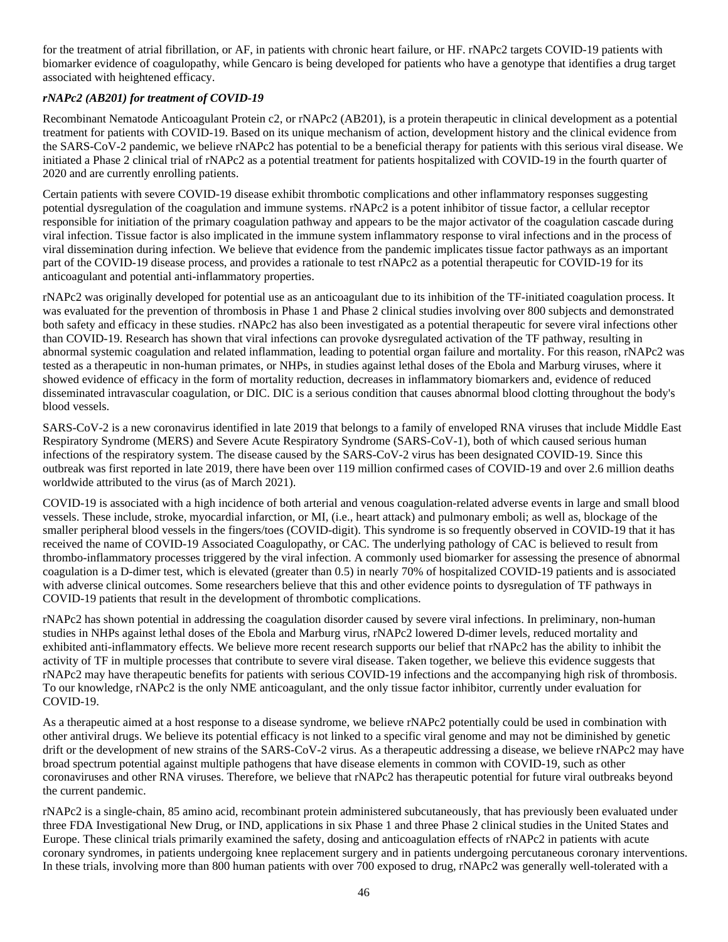for the treatment of atrial fibrillation, or AF, in patients with chronic heart failure, or HF. rNAPc2 targets COVID-19 patients with biomarker evidence of coagulopathy, while Gencaro is being developed for patients who have a genotype that identifies a drug target associated with heightened efficacy.

## *rNAPc2 (AB201) for treatment of COVID-19*

Recombinant Nematode Anticoagulant Protein c2, or rNAPc2 (AB201), is a protein therapeutic in clinical development as a potential treatment for patients with COVID-19. Based on its unique mechanism of action, development history and the clinical evidence from the SARS-CoV-2 pandemic, we believe rNAPc2 has potential to be a beneficial therapy for patients with this serious viral disease. We initiated a Phase 2 clinical trial of rNAPc2 as a potential treatment for patients hospitalized with COVID-19 in the fourth quarter of 2020 and are currently enrolling patients.

Certain patients with severe COVID-19 disease exhibit thrombotic complications and other inflammatory responses suggesting potential dysregulation of the coagulation and immune systems. rNAPc2 is a potent inhibitor of tissue factor, a cellular receptor responsible for initiation of the primary coagulation pathway and appears to be the major activator of the coagulation cascade during viral infection. Tissue factor is also implicated in the immune system inflammatory response to viral infections and in the process of viral dissemination during infection. We believe that evidence from the pandemic implicates tissue factor pathways as an important part of the COVID-19 disease process, and provides a rationale to test rNAPc2 as a potential therapeutic for COVID-19 for its anticoagulant and potential anti-inflammatory properties.

rNAPc2 was originally developed for potential use as an anticoagulant due to its inhibition of the TF-initiated coagulation process. It was evaluated for the prevention of thrombosis in Phase 1 and Phase 2 clinical studies involving over 800 subjects and demonstrated both safety and efficacy in these studies. rNAPc2 has also been investigated as a potential therapeutic for severe viral infections other than COVID-19. Research has shown that viral infections can provoke dysregulated activation of the TF pathway, resulting in abnormal systemic coagulation and related inflammation, leading to potential organ failure and mortality. For this reason, rNAPc2 was tested as a therapeutic in non-human primates, or NHPs, in studies against lethal doses of the Ebola and Marburg viruses, where it showed evidence of efficacy in the form of mortality reduction, decreases in inflammatory biomarkers and, evidence of reduced disseminated intravascular coagulation, or DIC. DIC is a serious condition that causes abnormal blood clotting throughout the body's blood vessels.

SARS-CoV-2 is a new coronavirus identified in late 2019 that belongs to a family of enveloped RNA viruses that include Middle East Respiratory Syndrome (MERS) and Severe Acute Respiratory Syndrome (SARS-CoV-1), both of which caused serious human infections of the respiratory system. The disease caused by the SARS-CoV-2 virus has been designated COVID-19. Since this outbreak was first reported in late 2019, there have been over 119 million confirmed cases of COVID-19 and over 2.6 million deaths worldwide attributed to the virus (as of March 2021).

COVID-19 is associated with a high incidence of both arterial and venous coagulation-related adverse events in large and small blood vessels. These include, stroke, myocardial infarction, or MI, (i.e., heart attack) and pulmonary emboli; as well as, blockage of the smaller peripheral blood vessels in the fingers/toes (COVID-digit). This syndrome is so frequently observed in COVID-19 that it has received the name of COVID-19 Associated Coagulopathy, or CAC. The underlying pathology of CAC is believed to result from thrombo-inflammatory processes triggered by the viral infection. A commonly used biomarker for assessing the presence of abnormal coagulation is a D-dimer test, which is elevated (greater than 0.5) in nearly 70% of hospitalized COVID-19 patients and is associated with adverse clinical outcomes. Some researchers believe that this and other evidence points to dysregulation of TF pathways in COVID-19 patients that result in the development of thrombotic complications.

rNAPc2 has shown potential in addressing the coagulation disorder caused by severe viral infections. In preliminary, non-human studies in NHPs against lethal doses of the Ebola and Marburg virus, rNAPc2 lowered D-dimer levels, reduced mortality and exhibited anti-inflammatory effects. We believe more recent research supports our belief that rNAPc2 has the ability to inhibit the activity of TF in multiple processes that contribute to severe viral disease. Taken together, we believe this evidence suggests that rNAPc2 may have therapeutic benefits for patients with serious COVID-19 infections and the accompanying high risk of thrombosis. To our knowledge, rNAPc2 is the only NME anticoagulant, and the only tissue factor inhibitor, currently under evaluation for COVID-19.

As a therapeutic aimed at a host response to a disease syndrome, we believe rNAPc2 potentially could be used in combination with other antiviral drugs. We believe its potential efficacy is not linked to a specific viral genome and may not be diminished by genetic drift or the development of new strains of the SARS-CoV-2 virus. As a therapeutic addressing a disease, we believe rNAPc2 may have broad spectrum potential against multiple pathogens that have disease elements in common with COVID-19, such as other coronaviruses and other RNA viruses. Therefore, we believe that rNAPc2 has therapeutic potential for future viral outbreaks beyond the current pandemic.

rNAPc2 is a single-chain, 85 amino acid, recombinant protein administered subcutaneously, that has previously been evaluated under three FDA Investigational New Drug, or IND, applications in six Phase 1 and three Phase 2 clinical studies in the United States and Europe. These clinical trials primarily examined the safety, dosing and anticoagulation effects of rNAPc2 in patients with acute coronary syndromes, in patients undergoing knee replacement surgery and in patients undergoing percutaneous coronary interventions. In these trials, involving more than 800 human patients with over 700 exposed to drug, rNAPc2 was generally well-tolerated with a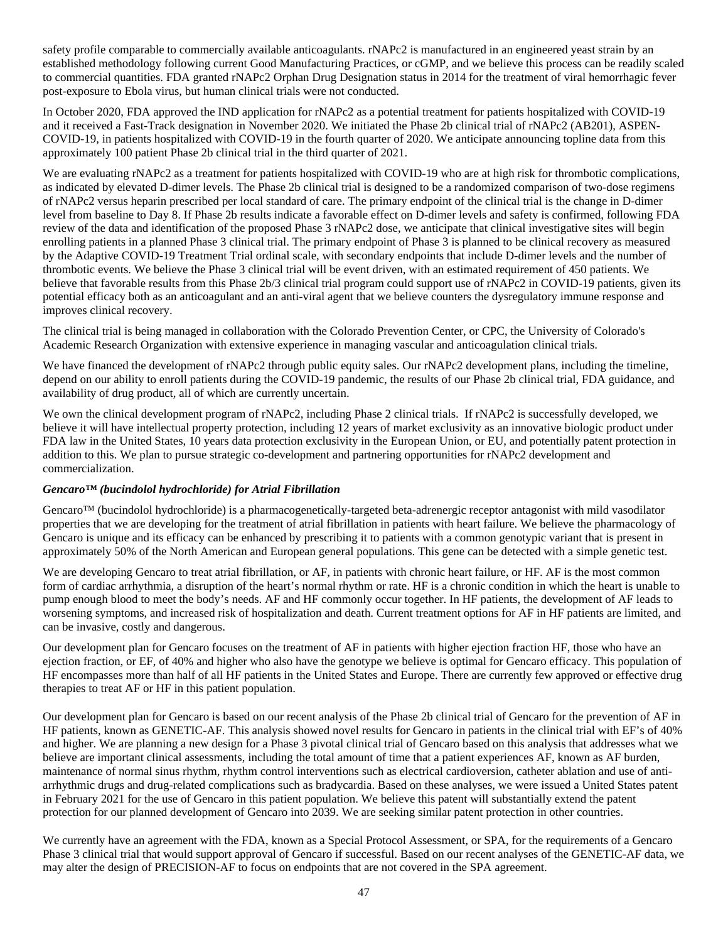safety profile comparable to commercially available anticoagulants. rNAPc2 is manufactured in an engineered yeast strain by an established methodology following current Good Manufacturing Practices, or cGMP, and we believe this process can be readily scaled to commercial quantities. FDA granted rNAPc2 Orphan Drug Designation status in 2014 for the treatment of viral hemorrhagic fever post-exposure to Ebola virus, but human clinical trials were not conducted.

In October 2020, FDA approved the IND application for rNAPc2 as a potential treatment for patients hospitalized with COVID-19 and it received a Fast-Track designation in November 2020. We initiated the Phase 2b clinical trial of rNAPc2 (AB201), ASPEN-COVID-19, in patients hospitalized with COVID-19 in the fourth quarter of 2020. We anticipate announcing topline data from this approximately 100 patient Phase 2b clinical trial in the third quarter of 2021.

We are evaluating rNAPc2 as a treatment for patients hospitalized with COVID-19 who are at high risk for thrombotic complications, as indicated by elevated D-dimer levels. The Phase 2b clinical trial is designed to be a randomized comparison of two-dose regimens of rNAPc2 versus heparin prescribed per local standard of care. The primary endpoint of the clinical trial is the change in D-dimer level from baseline to Day 8. If Phase 2b results indicate a favorable effect on D-dimer levels and safety is confirmed, following FDA review of the data and identification of the proposed Phase 3 rNAPc2 dose, we anticipate that clinical investigative sites will begin enrolling patients in a planned Phase 3 clinical trial. The primary endpoint of Phase 3 is planned to be clinical recovery as measured by the Adaptive COVID-19 Treatment Trial ordinal scale, with secondary endpoints that include D-dimer levels and the number of thrombotic events. We believe the Phase 3 clinical trial will be event driven, with an estimated requirement of 450 patients. We believe that favorable results from this Phase 2b/3 clinical trial program could support use of rNAPc2 in COVID-19 patients, given its potential efficacy both as an anticoagulant and an anti-viral agent that we believe counters the dysregulatory immune response and improves clinical recovery.

The clinical trial is being managed in collaboration with the Colorado Prevention Center, or CPC, the University of Colorado's Academic Research Organization with extensive experience in managing vascular and anticoagulation clinical trials.

We have financed the development of rNAPc2 through public equity sales. Our rNAPc2 development plans, including the timeline, depend on our ability to enroll patients during the COVID-19 pandemic, the results of our Phase 2b clinical trial, FDA guidance, and availability of drug product, all of which are currently uncertain.

We own the clinical development program of rNAPc2, including Phase 2 clinical trials. If rNAPc2 is successfully developed, we believe it will have intellectual property protection, including 12 years of market exclusivity as an innovative biologic product under FDA law in the United States, 10 years data protection exclusivity in the European Union, or EU, and potentially patent protection in addition to this. We plan to pursue strategic co-development and partnering opportunities for rNAPc2 development and commercialization.

## *Gencaro™ (bucindolol hydrochloride) for Atrial Fibrillation*

Gencaro™ (bucindolol hydrochloride) is a pharmacogenetically-targeted beta-adrenergic receptor antagonist with mild vasodilator properties that we are developing for the treatment of atrial fibrillation in patients with heart failure. We believe the pharmacology of Gencaro is unique and its efficacy can be enhanced by prescribing it to patients with a common genotypic variant that is present in approximately 50% of the North American and European general populations. This gene can be detected with a simple genetic test.

We are developing Gencaro to treat atrial fibrillation, or AF, in patients with chronic heart failure, or HF. AF is the most common form of cardiac arrhythmia, a disruption of the heart's normal rhythm or rate. HF is a chronic condition in which the heart is unable to pump enough blood to meet the body's needs. AF and HF commonly occur together. In HF patients, the development of AF leads to worsening symptoms, and increased risk of hospitalization and death. Current treatment options for AF in HF patients are limited, and can be invasive, costly and dangerous.

Our development plan for Gencaro focuses on the treatment of AF in patients with higher ejection fraction HF, those who have an ejection fraction, or EF, of 40% and higher who also have the genotype we believe is optimal for Gencaro efficacy. This population of HF encompasses more than half of all HF patients in the United States and Europe. There are currently few approved or effective drug therapies to treat AF or HF in this patient population.

Our development plan for Gencaro is based on our recent analysis of the Phase 2b clinical trial of Gencaro for the prevention of AF in HF patients, known as GENETIC-AF. This analysis showed novel results for Gencaro in patients in the clinical trial with EF's of 40% and higher. We are planning a new design for a Phase 3 pivotal clinical trial of Gencaro based on this analysis that addresses what we believe are important clinical assessments, including the total amount of time that a patient experiences AF, known as AF burden, maintenance of normal sinus rhythm, rhythm control interventions such as electrical cardioversion, catheter ablation and use of antiarrhythmic drugs and drug-related complications such as bradycardia. Based on these analyses, we were issued a United States patent in February 2021 for the use of Gencaro in this patient population. We believe this patent will substantially extend the patent protection for our planned development of Gencaro into 2039. We are seeking similar patent protection in other countries.

We currently have an agreement with the FDA, known as a Special Protocol Assessment, or SPA, for the requirements of a Gencaro Phase 3 clinical trial that would support approval of Gencaro if successful. Based on our recent analyses of the GENETIC-AF data, we may alter the design of PRECISION-AF to focus on endpoints that are not covered in the SPA agreement.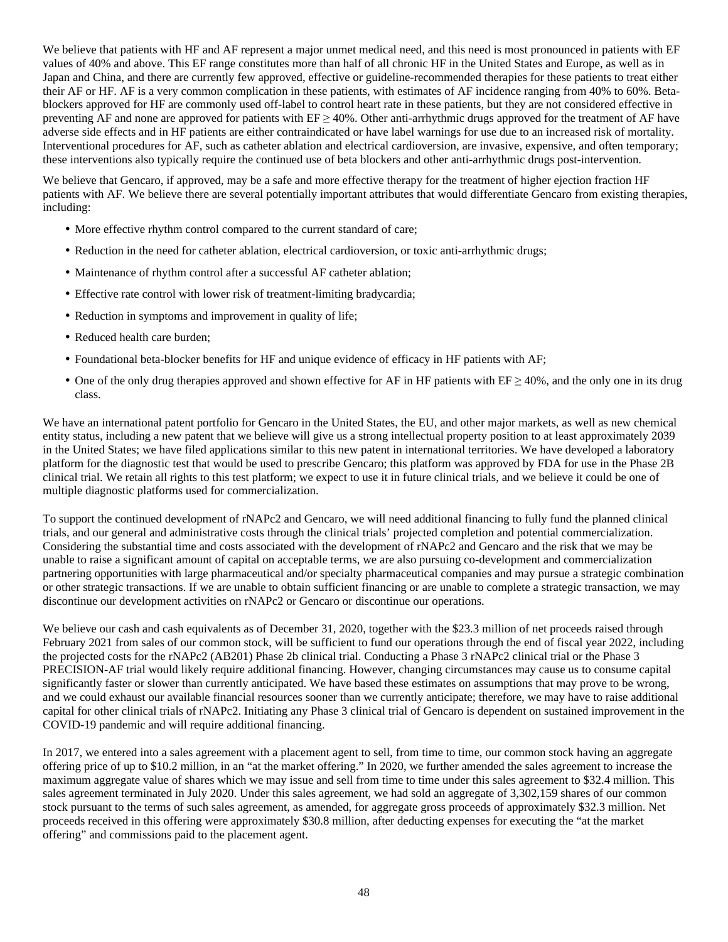We believe that patients with HF and AF represent a major unmet medical need, and this need is most pronounced in patients with EF values of 40% and above. This EF range constitutes more than half of all chronic HF in the United States and Europe, as well as in Japan and China, and there are currently few approved, effective or guideline-recommended therapies for these patients to treat either their AF or HF. AF is a very common complication in these patients, with estimates of AF incidence ranging from 40% to 60%. Betablockers approved for HF are commonly used off-label to control heart rate in these patients, but they are not considered effective in preventing AF and none are approved for patients with EF ≥ 40%. Other anti-arrhythmic drugs approved for the treatment of AF have adverse side effects and in HF patients are either contraindicated or have label warnings for use due to an increased risk of mortality. Interventional procedures for AF, such as catheter ablation and electrical cardioversion, are invasive, expensive, and often temporary; these interventions also typically require the continued use of beta blockers and other anti-arrhythmic drugs post-intervention.

We believe that Gencaro, if approved, may be a safe and more effective therapy for the treatment of higher ejection fraction HF patients with AF. We believe there are several potentially important attributes that would differentiate Gencaro from existing therapies, including:

- More effective rhythm control compared to the current standard of care;
- Reduction in the need for catheter ablation, electrical cardioversion, or toxic anti-arrhythmic drugs;
- Maintenance of rhythm control after a successful AF catheter ablation;
- Effective rate control with lower risk of treatment-limiting bradycardia;
- Reduction in symptoms and improvement in quality of life;
- Reduced health care burden;
- Foundational beta-blocker benefits for HF and unique evidence of efficacy in HF patients with AF;
- One of the only drug therapies approved and shown effective for AF in HF patients with  $EF \ge 40\%$ , and the only one in its drug class.

We have an international patent portfolio for Gencaro in the United States, the EU, and other major markets, as well as new chemical entity status, including a new patent that we believe will give us a strong intellectual property position to at least approximately 2039 in the United States; we have filed applications similar to this new patent in international territories. We have developed a laboratory platform for the diagnostic test that would be used to prescribe Gencaro; this platform was approved by FDA for use in the Phase 2B clinical trial. We retain all rights to this test platform; we expect to use it in future clinical trials, and we believe it could be one of multiple diagnostic platforms used for commercialization.

To support the continued development of rNAPc2 and Gencaro, we will need additional financing to fully fund the planned clinical trials, and our general and administrative costs through the clinical trials' projected completion and potential commercialization. Considering the substantial time and costs associated with the development of rNAPc2 and Gencaro and the risk that we may be unable to raise a significant amount of capital on acceptable terms, we are also pursuing co-development and commercialization partnering opportunities with large pharmaceutical and/or specialty pharmaceutical companies and may pursue a strategic combination or other strategic transactions. If we are unable to obtain sufficient financing or are unable to complete a strategic transaction, we may discontinue our development activities on rNAPc2 or Gencaro or discontinue our operations.

We believe our cash and cash equivalents as of December 31, 2020, together with the \$23.3 million of net proceeds raised through February 2021 from sales of our common stock, will be sufficient to fund our operations through the end of fiscal year 2022, including the projected costs for the rNAPc2 (AB201) Phase 2b clinical trial. Conducting a Phase 3 rNAPc2 clinical trial or the Phase 3 PRECISION-AF trial would likely require additional financing. However, changing circumstances may cause us to consume capital significantly faster or slower than currently anticipated. We have based these estimates on assumptions that may prove to be wrong, and we could exhaust our available financial resources sooner than we currently anticipate; therefore, we may have to raise additional capital for other clinical trials of rNAPc2. Initiating any Phase 3 clinical trial of Gencaro is dependent on sustained improvement in the COVID-19 pandemic and will require additional financing.

In 2017, we entered into a sales agreement with a placement agent to sell, from time to time, our common stock having an aggregate offering price of up to \$10.2 million, in an "at the market offering." In 2020, we further amended the sales agreement to increase the maximum aggregate value of shares which we may issue and sell from time to time under this sales agreement to \$32.4 million. This sales agreement terminated in July 2020. Under this sales agreement, we had sold an aggregate of 3,302,159 shares of our common stock pursuant to the terms of such sales agreement, as amended, for aggregate gross proceeds of approximately \$32.3 million. Net proceeds received in this offering were approximately \$30.8 million, after deducting expenses for executing the "at the market offering" and commissions paid to the placement agent.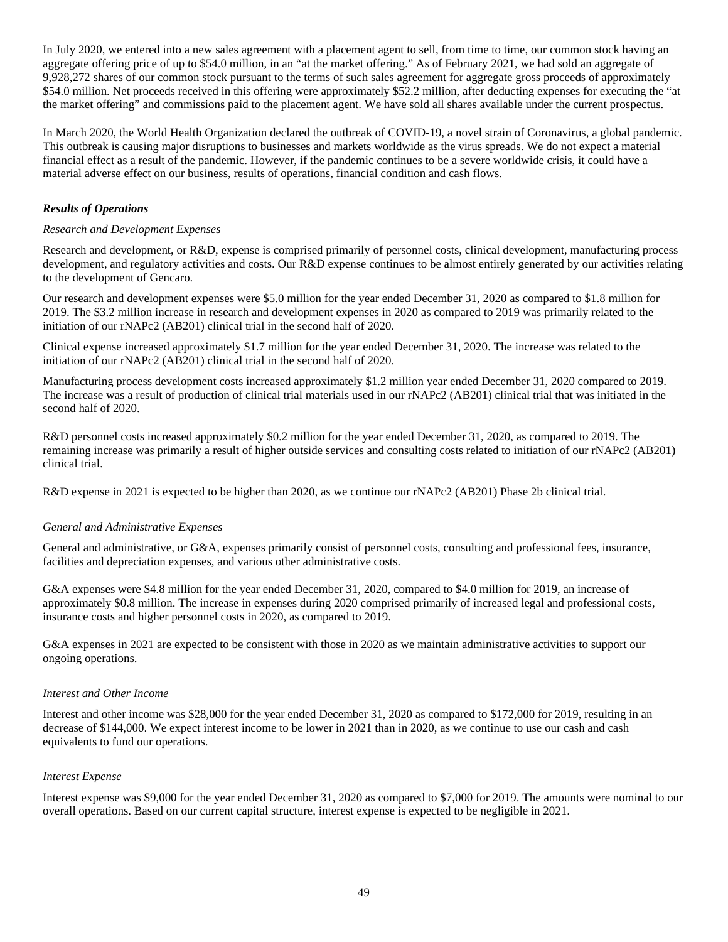In July 2020, we entered into a new sales agreement with a placement agent to sell, from time to time, our common stock having an aggregate offering price of up to \$54.0 million, in an "at the market offering." As of February 2021, we had sold an aggregate of 9,928,272 shares of our common stock pursuant to the terms of such sales agreement for aggregate gross proceeds of approximately \$54.0 million. Net proceeds received in this offering were approximately \$52.2 million, after deducting expenses for executing the "at the market offering" and commissions paid to the placement agent. We have sold all shares available under the current prospectus.

In March 2020, the World Health Organization declared the outbreak of COVID-19, a novel strain of Coronavirus, a global pandemic. This outbreak is causing major disruptions to businesses and markets worldwide as the virus spreads. We do not expect a material financial effect as a result of the pandemic. However, if the pandemic continues to be a severe worldwide crisis, it could have a material adverse effect on our business, results of operations, financial condition and cash flows.

## *Results of Operations*

## *Research and Development Expenses*

Research and development, or R&D, expense is comprised primarily of personnel costs, clinical development, manufacturing process development, and regulatory activities and costs. Our R&D expense continues to be almost entirely generated by our activities relating to the development of Gencaro.

Our research and development expenses were \$5.0 million for the year ended December 31, 2020 as compared to \$1.8 million for 2019. The \$3.2 million increase in research and development expenses in 2020 as compared to 2019 was primarily related to the initiation of our rNAPc2 (AB201) clinical trial in the second half of 2020.

Clinical expense increased approximately \$1.7 million for the year ended December 31, 2020. The increase was related to the initiation of our rNAPc2 (AB201) clinical trial in the second half of 2020.

Manufacturing process development costs increased approximately \$1.2 million year ended December 31, 2020 compared to 2019. The increase was a result of production of clinical trial materials used in our rNAPc2 (AB201) clinical trial that was initiated in the second half of 2020.

R&D personnel costs increased approximately \$0.2 million for the year ended December 31, 2020, as compared to 2019. The remaining increase was primarily a result of higher outside services and consulting costs related to initiation of our rNAPc2 (AB201) clinical trial.

R&D expense in 2021 is expected to be higher than 2020, as we continue our rNAPc2 (AB201) Phase 2b clinical trial.

## *General and Administrative Expenses*

General and administrative, or G&A, expenses primarily consist of personnel costs, consulting and professional fees, insurance, facilities and depreciation expenses, and various other administrative costs.

G&A expenses were \$4.8 million for the year ended December 31, 2020, compared to \$4.0 million for 2019, an increase of approximately \$0.8 million. The increase in expenses during 2020 comprised primarily of increased legal and professional costs, insurance costs and higher personnel costs in 2020, as compared to 2019.

G&A expenses in 2021 are expected to be consistent with those in 2020 as we maintain administrative activities to support our ongoing operations.

## *Interest and Other Income*

Interest and other income was \$28,000 for the year ended December 31, 2020 as compared to \$172,000 for 2019, resulting in an decrease of \$144,000. We expect interest income to be lower in 2021 than in 2020, as we continue to use our cash and cash equivalents to fund our operations.

## *Interest Expense*

Interest expense was \$9,000 for the year ended December 31, 2020 as compared to \$7,000 for 2019. The amounts were nominal to our overall operations. Based on our current capital structure, interest expense is expected to be negligible in 2021.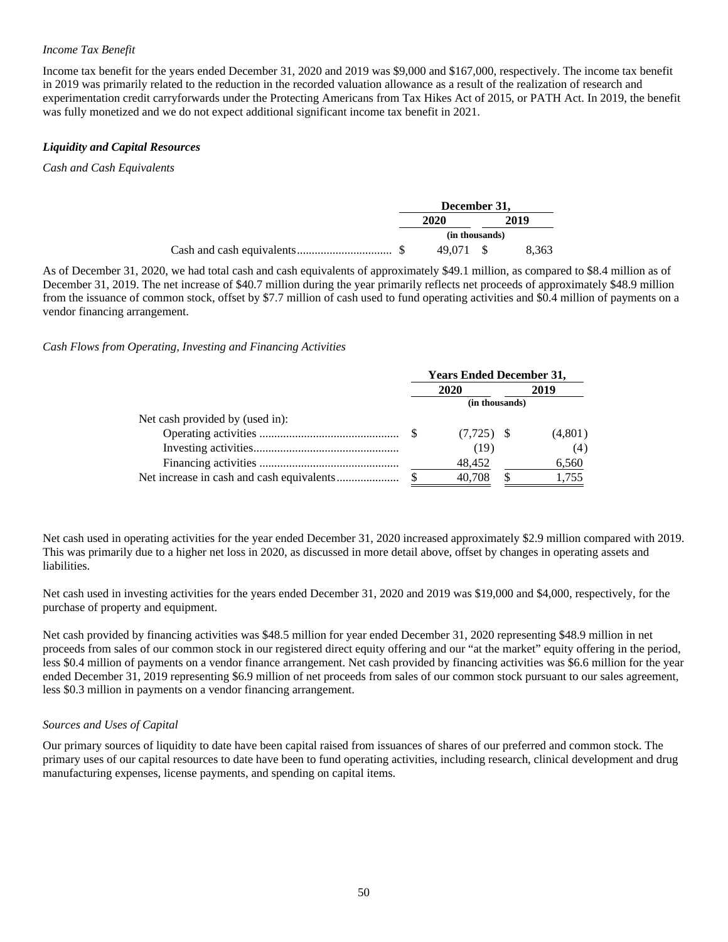## *Income Tax Benefit*

Income tax benefit for the years ended December 31, 2020 and 2019 was \$9,000 and \$167,000, respectively. The income tax benefit in 2019 was primarily related to the reduction in the recorded valuation allowance as a result of the realization of research and experimentation credit carryforwards under the Protecting Americans from Tax Hikes Act of 2015, or PATH Act. In 2019, the benefit was fully monetized and we do not expect additional significant income tax benefit in 2021.

## *Liquidity and Capital Resources*

*Cash and Cash Equivalents*

|  | December 31,   |      |       |
|--|----------------|------|-------|
|  | 2020           | 2019 |       |
|  | (in thousands) |      |       |
|  | 49.071 \$      |      | 8.363 |

As of December 31, 2020, we had total cash and cash equivalents of approximately \$49.1 million, as compared to \$8.4 million as of December 31, 2019. The net increase of \$40.7 million during the year primarily reflects net proceeds of approximately \$48.9 million from the issuance of common stock, offset by \$7.7 million of cash used to fund operating activities and \$0.4 million of payments on a vendor financing arrangement.

## *Cash Flows from Operating, Investing and Financing Activities*

|                                 | <b>Years Ended December 31,</b> |              |      |         |  |
|---------------------------------|---------------------------------|--------------|------|---------|--|
|                                 |                                 | 2020         | 2019 |         |  |
|                                 | (in thousands)                  |              |      |         |  |
| Net cash provided by (used in): |                                 |              |      |         |  |
|                                 |                                 | $(7,725)$ \$ |      | (4,801) |  |
|                                 |                                 | (19)         |      | (4)     |  |
|                                 |                                 | 48,452       |      | 6,560   |  |
|                                 |                                 | 40.708       |      | 1.755   |  |

Net cash used in operating activities for the year ended December 31, 2020 increased approximately \$2.9 million compared with 2019. This was primarily due to a higher net loss in 2020, as discussed in more detail above, offset by changes in operating assets and liabilities.

Net cash used in investing activities for the years ended December 31, 2020 and 2019 was \$19,000 and \$4,000, respectively, for the purchase of property and equipment.

Net cash provided by financing activities was \$48.5 million for year ended December 31, 2020 representing \$48.9 million in net proceeds from sales of our common stock in our registered direct equity offering and our "at the market" equity offering in the period, less \$0.4 million of payments on a vendor finance arrangement. Net cash provided by financing activities was \$6.6 million for the year ended December 31, 2019 representing \$6.9 million of net proceeds from sales of our common stock pursuant to our sales agreement, less \$0.3 million in payments on a vendor financing arrangement.

## *Sources and Uses of Capital*

Our primary sources of liquidity to date have been capital raised from issuances of shares of our preferred and common stock. The primary uses of our capital resources to date have been to fund operating activities, including research, clinical development and drug manufacturing expenses, license payments, and spending on capital items.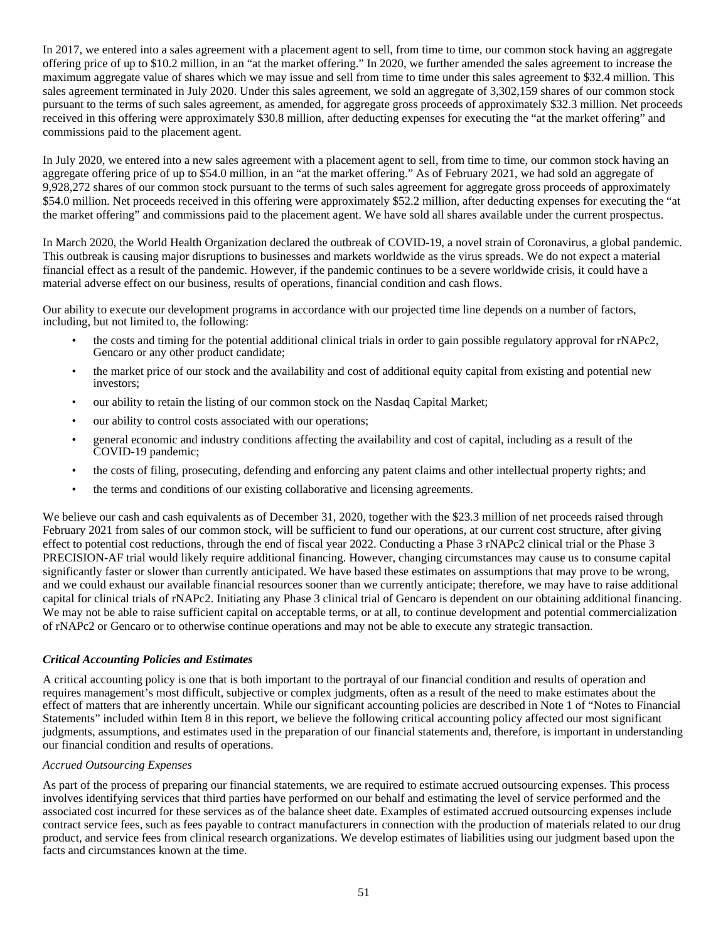In 2017, we entered into a sales agreement with a placement agent to sell, from time to time, our common stock having an aggregate offering price of up to \$10.2 million, in an "at the market offering." In 2020, we further amended the sales agreement to increase the maximum aggregate value of shares which we may issue and sell from time to time under this sales agreement to \$32.4 million. This sales agreement terminated in July 2020. Under this sales agreement, we sold an aggregate of 3,302,159 shares of our common stock pursuant to the terms of such sales agreement, as amended, for aggregate gross proceeds of approximately \$32.3 million. Net proceeds received in this offering were approximately \$30.8 million, after deducting expenses for executing the "at the market offering" and commissions paid to the placement agent.

In July 2020, we entered into a new sales agreement with a placement agent to sell, from time to time, our common stock having an aggregate offering price of up to \$54.0 million, in an "at the market offering." As of February 2021, we had sold an aggregate of 9,928,272 shares of our common stock pursuant to the terms of such sales agreement for aggregate gross proceeds of approximately \$54.0 million. Net proceeds received in this offering were approximately \$52.2 million, after deducting expenses for executing the "at the market offering" and commissions paid to the placement agent. We have sold all shares available under the current prospectus.

In March 2020, the World Health Organization declared the outbreak of COVID-19, a novel strain of Coronavirus, a global pandemic. This outbreak is causing major disruptions to businesses and markets worldwide as the virus spreads. We do not expect a material financial effect as a result of the pandemic. However, if the pandemic continues to be a severe worldwide crisis, it could have a material adverse effect on our business, results of operations, financial condition and cash flows.

Our ability to execute our development programs in accordance with our projected time line depends on a number of factors, including, but not limited to, the following:

- the costs and timing for the potential additional clinical trials in order to gain possible regulatory approval for rNAPc2, Gencaro or any other product candidate;
- the market price of our stock and the availability and cost of additional equity capital from existing and potential new investors;
- our ability to retain the listing of our common stock on the Nasdaq Capital Market;
- our ability to control costs associated with our operations;
- general economic and industry conditions affecting the availability and cost of capital, including as a result of the COVID-19 pandemic;
- the costs of filing, prosecuting, defending and enforcing any patent claims and other intellectual property rights; and
- the terms and conditions of our existing collaborative and licensing agreements.

We believe our cash and cash equivalents as of December 31, 2020, together with the \$23.3 million of net proceeds raised through February 2021 from sales of our common stock, will be sufficient to fund our operations, at our current cost structure, after giving effect to potential cost reductions, through the end of fiscal year 2022. Conducting a Phase 3 rNAPc2 clinical trial or the Phase 3 PRECISION-AF trial would likely require additional financing. However, changing circumstances may cause us to consume capital significantly faster or slower than currently anticipated. We have based these estimates on assumptions that may prove to be wrong, and we could exhaust our available financial resources sooner than we currently anticipate; therefore, we may have to raise additional capital for clinical trials of rNAPc2. Initiating any Phase 3 clinical trial of Gencaro is dependent on our obtaining additional financing. We may not be able to raise sufficient capital on acceptable terms, or at all, to continue development and potential commercialization of rNAPc2 or Gencaro or to otherwise continue operations and may not be able to execute any strategic transaction.

#### *Critical Accounting Policies and Estimates*

A critical accounting policy is one that is both important to the portrayal of our financial condition and results of operation and requires management's most difficult, subjective or complex judgments, often as a result of the need to make estimates about the effect of matters that are inherently uncertain. While our significant accounting policies are described in Note 1 of "Notes to Financial Statements" included within Item 8 in this report, we believe the following critical accounting policy affected our most significant judgments, assumptions, and estimates used in the preparation of our financial statements and, therefore, is important in understanding our financial condition and results of operations.

#### *Accrued Outsourcing Expenses*

As part of the process of preparing our financial statements, we are required to estimate accrued outsourcing expenses. This process involves identifying services that third parties have performed on our behalf and estimating the level of service performed and the associated cost incurred for these services as of the balance sheet date. Examples of estimated accrued outsourcing expenses include contract service fees, such as fees payable to contract manufacturers in connection with the production of materials related to our drug product, and service fees from clinical research organizations. We develop estimates of liabilities using our judgment based upon the facts and circumstances known at the time.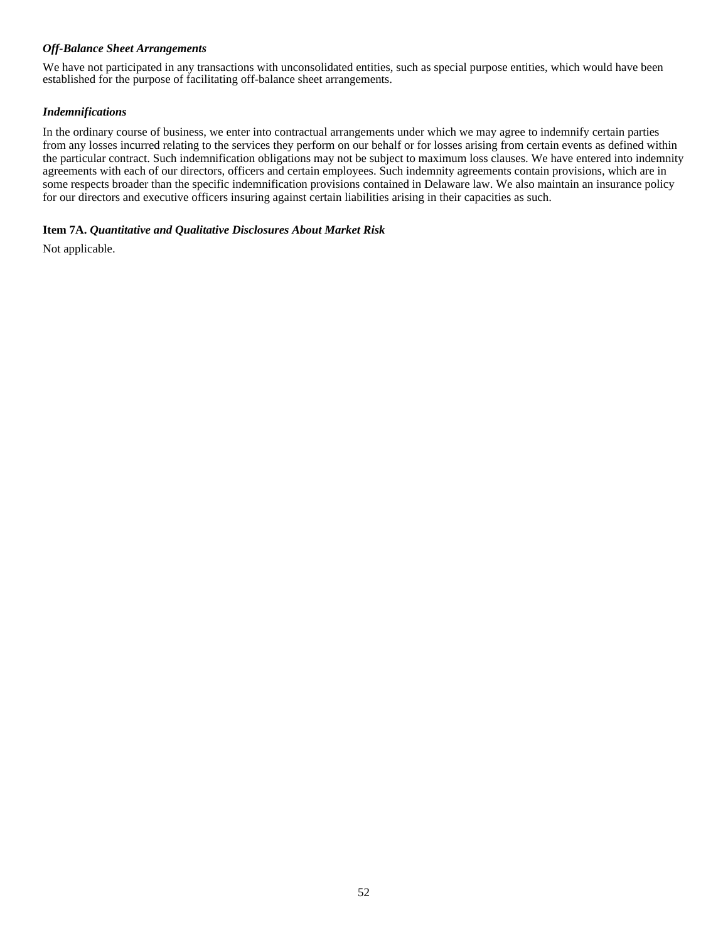#### *Off-Balance Sheet Arrangements*

We have not participated in any transactions with unconsolidated entities, such as special purpose entities, which would have been established for the purpose of facilitating off-balance sheet arrangements.

## *Indemnifications*

In the ordinary course of business, we enter into contractual arrangements under which we may agree to indemnify certain parties from any losses incurred relating to the services they perform on our behalf or for losses arising from certain events as defined within the particular contract. Such indemnification obligations may not be subject to maximum loss clauses. We have entered into indemnity agreements with each of our directors, officers and certain employees. Such indemnity agreements contain provisions, which are in some respects broader than the specific indemnification provisions contained in Delaware law. We also maintain an insurance policy for our directors and executive officers insuring against certain liabilities arising in their capacities as such.

#### **Item 7A.** *Quantitative and Qualitative Disclosures About Market Risk*

Not applicable.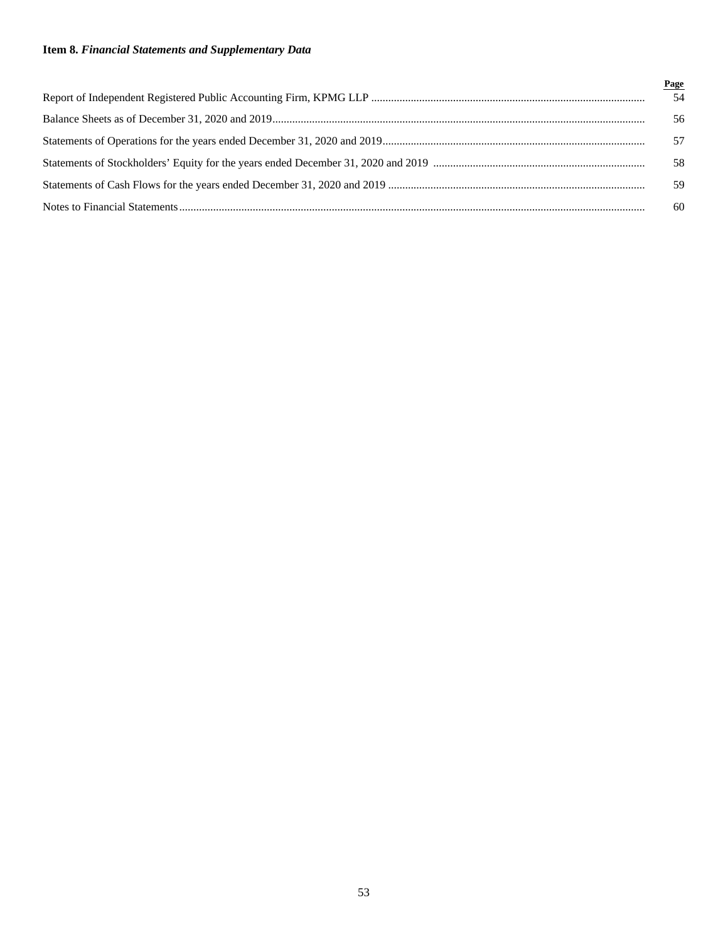# **Item 8.** *Financial Statements and Supplementary Data*

| Page |
|------|
| 54   |
| 56   |
| 57   |
| 58   |
| 59   |
| 60   |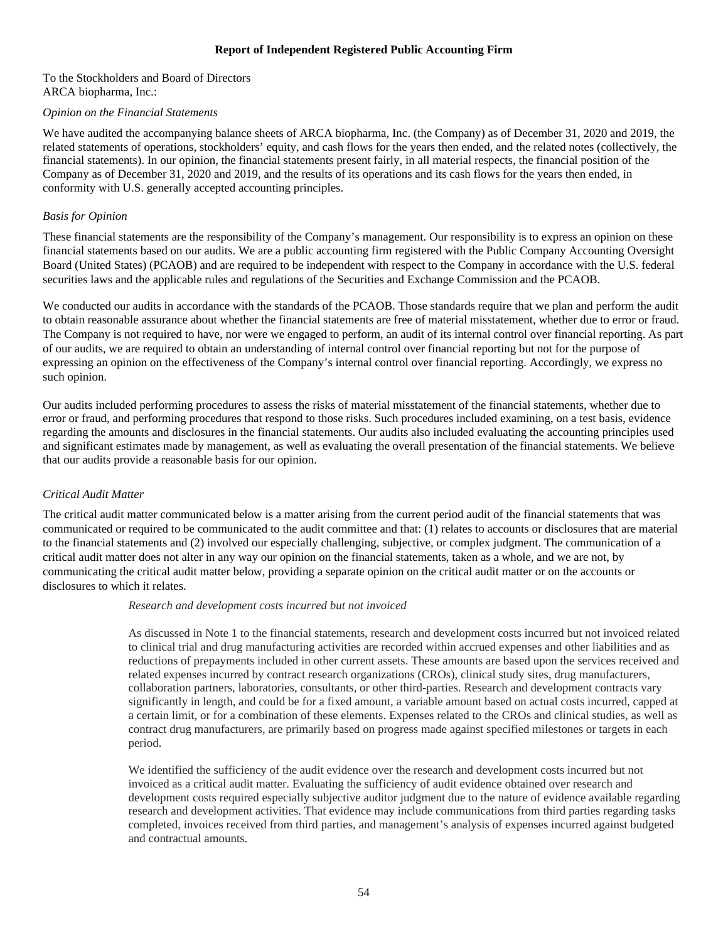## <span id="page-55-0"></span>**Report of Independent Registered Public Accounting Firm**

To the Stockholders and Board of Directors ARCA biopharma, Inc.:

#### *Opinion on the Financial Statements*

We have audited the accompanying balance sheets of ARCA biopharma, Inc. (the Company) as of December 31, 2020 and 2019, the related statements of operations, stockholders' equity, and cash flows for the years then ended, and the related notes (collectively, the financial statements). In our opinion, the financial statements present fairly, in all material respects, the financial position of the Company as of December 31, 2020 and 2019, and the results of its operations and its cash flows for the years then ended, in conformity with U.S. generally accepted accounting principles.

## *Basis for Opinion*

These financial statements are the responsibility of the Company's management. Our responsibility is to express an opinion on these financial statements based on our audits. We are a public accounting firm registered with the Public Company Accounting Oversight Board (United States) (PCAOB) and are required to be independent with respect to the Company in accordance with the U.S. federal securities laws and the applicable rules and regulations of the Securities and Exchange Commission and the PCAOB.

We conducted our audits in accordance with the standards of the PCAOB. Those standards require that we plan and perform the audit to obtain reasonable assurance about whether the financial statements are free of material misstatement, whether due to error or fraud. The Company is not required to have, nor were we engaged to perform, an audit of its internal control over financial reporting. As part of our audits, we are required to obtain an understanding of internal control over financial reporting but not for the purpose of expressing an opinion on the effectiveness of the Company's internal control over financial reporting. Accordingly, we express no such opinion.

Our audits included performing procedures to assess the risks of material misstatement of the financial statements, whether due to error or fraud, and performing procedures that respond to those risks. Such procedures included examining, on a test basis, evidence regarding the amounts and disclosures in the financial statements. Our audits also included evaluating the accounting principles used and significant estimates made by management, as well as evaluating the overall presentation of the financial statements. We believe that our audits provide a reasonable basis for our opinion.

## *Critical Audit Matter*

The critical audit matter communicated below is a matter arising from the current period audit of the financial statements that was communicated or required to be communicated to the audit committee and that: (1) relates to accounts or disclosures that are material to the financial statements and (2) involved our especially challenging, subjective, or complex judgment. The communication of a critical audit matter does not alter in any way our opinion on the financial statements, taken as a whole, and we are not, by communicating the critical audit matter below, providing a separate opinion on the critical audit matter or on the accounts or disclosures to which it relates.

## *Research and development costs incurred but not invoiced*

As discussed in Note 1 to the financial statements, research and development costs incurred but not invoiced related to clinical trial and drug manufacturing activities are recorded within accrued expenses and other liabilities and as reductions of prepayments included in other current assets. These amounts are based upon the services received and related expenses incurred by contract research organizations (CROs), clinical study sites, drug manufacturers, collaboration partners, laboratories, consultants, or other third-parties. Research and development contracts vary significantly in length, and could be for a fixed amount, a variable amount based on actual costs incurred, capped at a certain limit, or for a combination of these elements. Expenses related to the CROs and clinical studies, as well as contract drug manufacturers, are primarily based on progress made against specified milestones or targets in each period.

We identified the sufficiency of the audit evidence over the research and development costs incurred but not invoiced as a critical audit matter. Evaluating the sufficiency of audit evidence obtained over research and development costs required especially subjective auditor judgment due to the nature of evidence available regarding research and development activities. That evidence may include communications from third parties regarding tasks completed, invoices received from third parties, and management's analysis of expenses incurred against budgeted and contractual amounts.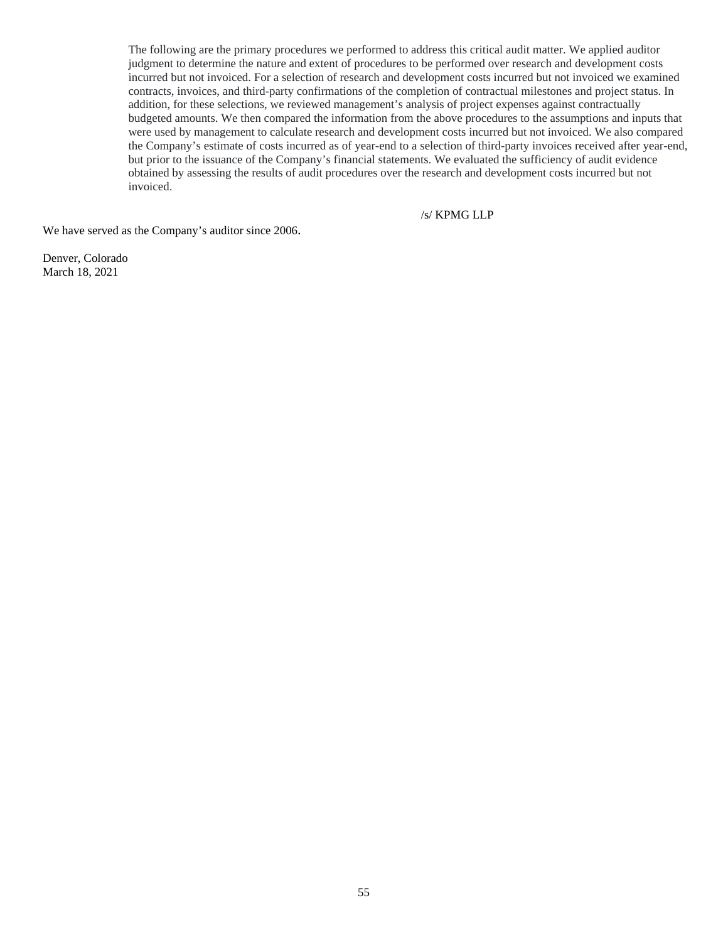The following are the primary procedures we performed to address this critical audit matter. We applied auditor judgment to determine the nature and extent of procedures to be performed over research and development costs incurred but not invoiced. For a selection of research and development costs incurred but not invoiced we examined contracts, invoices, and third-party confirmations of the completion of contractual milestones and project status. In addition, for these selections, we reviewed management's analysis of project expenses against contractually budgeted amounts. We then compared the information from the above procedures to the assumptions and inputs that were used by management to calculate research and development costs incurred but not invoiced. We also compared the Company's estimate of costs incurred as of year-end to a selection of third-party invoices received after year-end, but prior to the issuance of the Company's financial statements. We evaluated the sufficiency of audit evidence obtained by assessing the results of audit procedures over the research and development costs incurred but not invoiced.

/s/ KPMG LLP

We have served as the Company's auditor since 2006.

Denver, Colorado March 18, 2021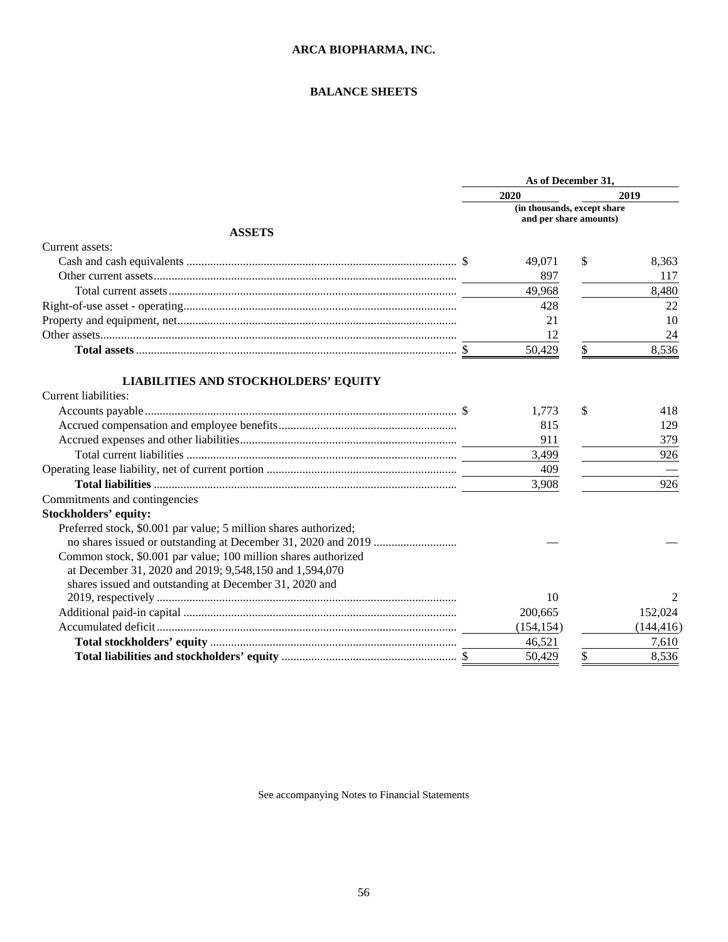## <span id="page-57-0"></span>**BALANCE SHEETS**

|                                                                  | As of December 31, |                                                       |            |  |
|------------------------------------------------------------------|--------------------|-------------------------------------------------------|------------|--|
|                                                                  | 2020               |                                                       | 2019       |  |
|                                                                  |                    | (in thousands, except share<br>and per share amounts) |            |  |
| <b>ASSETS</b>                                                    |                    |                                                       |            |  |
| Current assets:                                                  |                    |                                                       |            |  |
|                                                                  | 49,071             | S.                                                    | 8,363      |  |
|                                                                  | 897                |                                                       | 117        |  |
|                                                                  | 49,968             |                                                       | 8,480      |  |
|                                                                  | 428                |                                                       | 22         |  |
|                                                                  | 21                 |                                                       |            |  |
|                                                                  |                    |                                                       | 10         |  |
|                                                                  | 12                 |                                                       | 24         |  |
|                                                                  | 50,429             | \$                                                    | 8,536      |  |
| <b>LIABILITIES AND STOCKHOLDERS' EQUITY</b>                      |                    |                                                       |            |  |
| Current liabilities:                                             |                    |                                                       |            |  |
|                                                                  | 1,773              | \$                                                    | 418        |  |
|                                                                  | 815                |                                                       | 129        |  |
|                                                                  | 911                |                                                       | 379        |  |
|                                                                  | 3,499              |                                                       | 926        |  |
|                                                                  | 409                |                                                       |            |  |
|                                                                  | 3,908              |                                                       | 926        |  |
| Commitments and contingencies                                    |                    |                                                       |            |  |
| <b>Stockholders' equity:</b>                                     |                    |                                                       |            |  |
| Preferred stock, \$0.001 par value; 5 million shares authorized; |                    |                                                       |            |  |
|                                                                  |                    |                                                       |            |  |
| Common stock, \$0.001 par value; 100 million shares authorized   |                    |                                                       |            |  |
| at December 31, 2020 and 2019; 9,548,150 and 1,594,070           |                    |                                                       |            |  |
| shares issued and outstanding at December 31, 2020 and           |                    |                                                       |            |  |
|                                                                  | 10                 |                                                       | 2          |  |
|                                                                  | 200,665            |                                                       | 152,024    |  |
|                                                                  | (154, 154)         |                                                       | (144, 416) |  |
|                                                                  | 46,521             |                                                       | 7.610      |  |
|                                                                  | 50.429             | \$                                                    | 8,536      |  |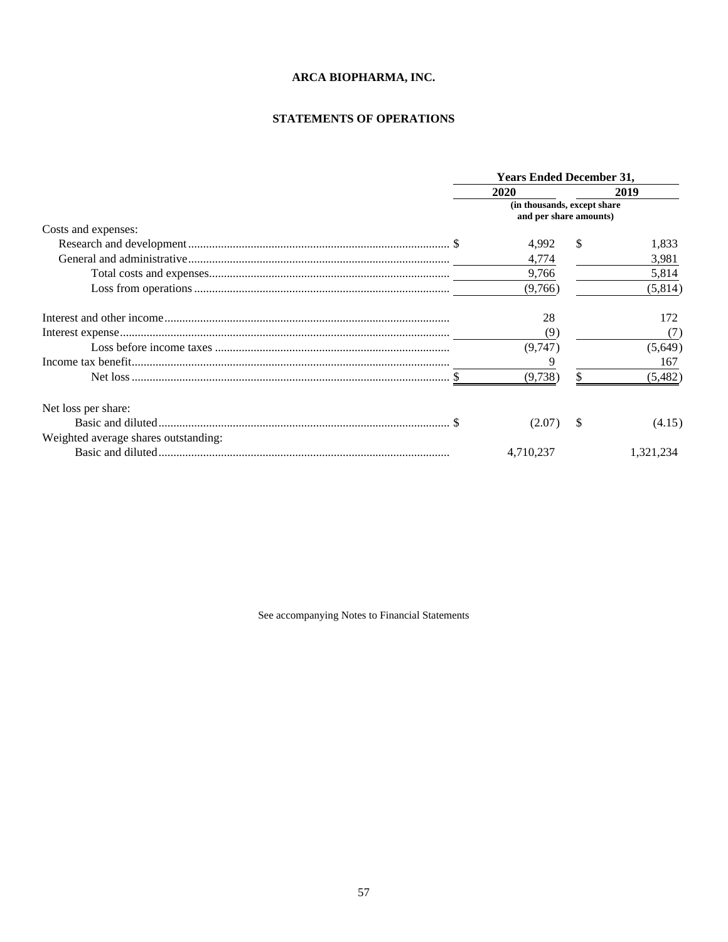# <span id="page-58-0"></span>**STATEMENTS OF OPERATIONS**

|                                      |           | <b>Years Ended December 31,</b>                               |                |  |  |
|--------------------------------------|-----------|---------------------------------------------------------------|----------------|--|--|
|                                      | 2020      | 2019<br>(in thousands, except share<br>and per share amounts) |                |  |  |
|                                      |           |                                                               |                |  |  |
| Costs and expenses:                  |           |                                                               |                |  |  |
|                                      | 4,992     | \$.                                                           | 1,833          |  |  |
|                                      | 4,774     |                                                               | 3,981          |  |  |
|                                      | 9,766     |                                                               | 5,814          |  |  |
|                                      | (9,766)   |                                                               | (5,814)        |  |  |
|                                      | 28        |                                                               | 172            |  |  |
|                                      | (9)       |                                                               | (7)            |  |  |
|                                      | (9,747)   |                                                               | (5,649)        |  |  |
|                                      |           |                                                               | 167            |  |  |
|                                      | (9,738)   |                                                               | (5,482)        |  |  |
| Net loss per share:                  |           |                                                               |                |  |  |
|                                      | (2.07)    | \$.                                                           | (4.15)         |  |  |
| Weighted average shares outstanding: |           |                                                               |                |  |  |
|                                      | 4.710.237 |                                                               | 1.321.<br>.234 |  |  |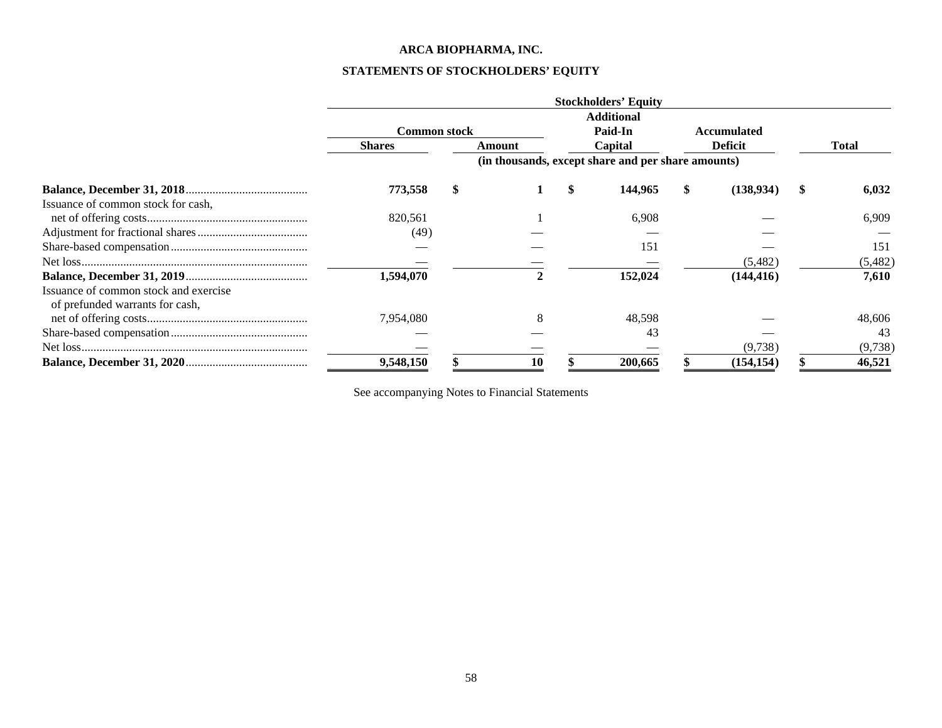# <span id="page-59-0"></span>**STATEMENTS OF STOCKHOLDERS' EQUITY**

|                                                                          |                     |              | <b>Stockholders' Equity</b>                        |   |                    |              |         |
|--------------------------------------------------------------------------|---------------------|--------------|----------------------------------------------------|---|--------------------|--------------|---------|
|                                                                          |                     |              | <b>Additional</b>                                  |   |                    |              |         |
|                                                                          | <b>Common stock</b> |              | Paid-In                                            |   | <b>Accumulated</b> |              |         |
|                                                                          | <b>Shares</b>       | Amount       | Capital                                            |   | <b>Deficit</b>     | <b>Total</b> |         |
|                                                                          |                     |              | (in thousands, except share and per share amounts) |   |                    |              |         |
|                                                                          | 773,558             |              | 144,965                                            | S | (138,934)          |              | 6,032   |
| Issuance of common stock for cash,                                       |                     |              |                                                    |   |                    |              |         |
|                                                                          | 820,561             |              | 6,908                                              |   |                    |              | 6,909   |
|                                                                          | (49)                |              |                                                    |   |                    |              |         |
|                                                                          |                     |              | 151                                                |   |                    |              | 151     |
|                                                                          |                     |              |                                                    |   | (5,482)            |              | (5,482) |
|                                                                          | 1,594,070           | $\mathbf{2}$ | 152,024                                            |   | (144, 416)         |              | 7,610   |
| Issuance of common stock and exercise<br>of prefunded warrants for cash, |                     |              |                                                    |   |                    |              |         |
|                                                                          | 7,954,080           |              | 48,598                                             |   |                    |              | 48,606  |
|                                                                          |                     |              | 43                                                 |   |                    |              | 43      |
|                                                                          |                     |              |                                                    |   | (9,738)            |              | (9,738) |
|                                                                          | 9,548,150           | 10           | 200,665                                            |   | (154, 154)         |              | 46,521  |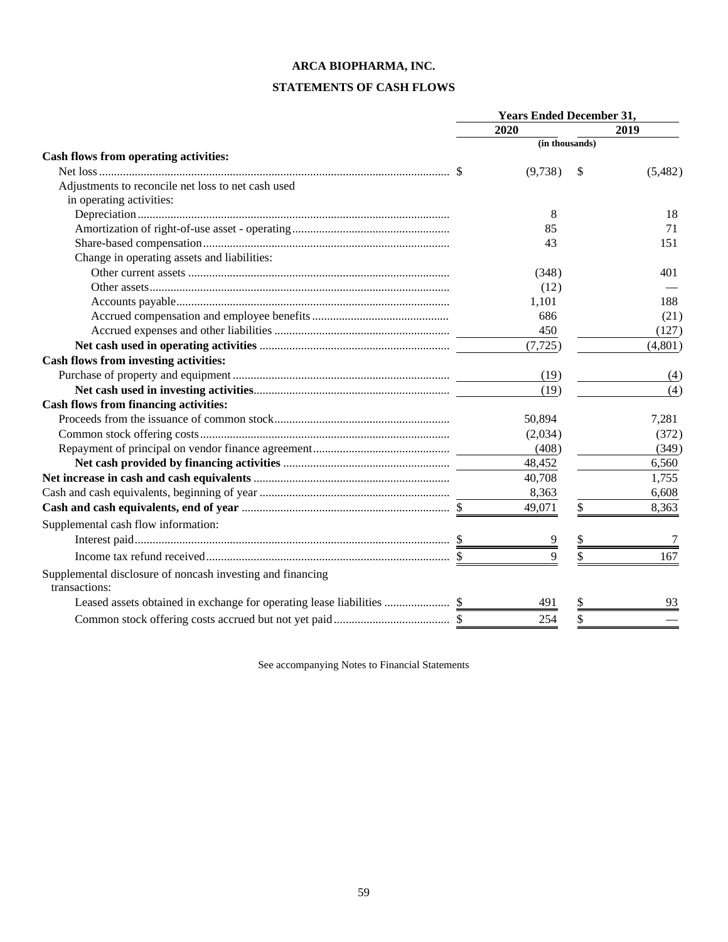# <span id="page-60-0"></span>**STATEMENTS OF CASH FLOWS**

|                                                                             | <b>Years Ended December 31,</b> |                |    |         |
|-----------------------------------------------------------------------------|---------------------------------|----------------|----|---------|
|                                                                             |                                 | 2020           |    | 2019    |
|                                                                             |                                 | (in thousands) |    |         |
| Cash flows from operating activities:                                       |                                 |                |    |         |
|                                                                             |                                 | (9,738)        | S  | (5,482) |
| Adjustments to reconcile net loss to net cash used                          |                                 |                |    |         |
| in operating activities:                                                    |                                 |                |    |         |
|                                                                             |                                 | 8              |    | 18      |
|                                                                             |                                 | 85             |    | 71      |
|                                                                             |                                 | 43             |    | 151     |
| Change in operating assets and liabilities:                                 |                                 |                |    |         |
|                                                                             |                                 | (348)          |    | 401     |
|                                                                             |                                 | (12)           |    |         |
|                                                                             |                                 | 1,101          |    | 188     |
|                                                                             |                                 | 686            |    | (21)    |
|                                                                             |                                 | 450            |    | (127)   |
|                                                                             |                                 | (7, 725)       |    | (4,801) |
| Cash flows from investing activities:                                       |                                 |                |    |         |
|                                                                             |                                 | (19)           |    | (4)     |
|                                                                             |                                 | (19)           |    | (4)     |
| <b>Cash flows from financing activities:</b>                                |                                 |                |    |         |
|                                                                             |                                 | 50,894         |    | 7,281   |
|                                                                             |                                 | (2,034)        |    | (372)   |
|                                                                             |                                 | (408)          |    | (349)   |
|                                                                             |                                 | 48,452         |    | 6,560   |
|                                                                             |                                 | 40,708         |    | 1,755   |
|                                                                             |                                 | 8,363          |    | 6,608   |
|                                                                             |                                 | 49,071         | \$ | 8,363   |
| Supplemental cash flow information:                                         |                                 |                |    |         |
|                                                                             |                                 |                |    |         |
|                                                                             |                                 | Q              |    | 167     |
| Supplemental disclosure of noncash investing and financing<br>transactions: |                                 |                |    |         |
|                                                                             |                                 | 491            |    | 93      |
|                                                                             |                                 | 254            |    |         |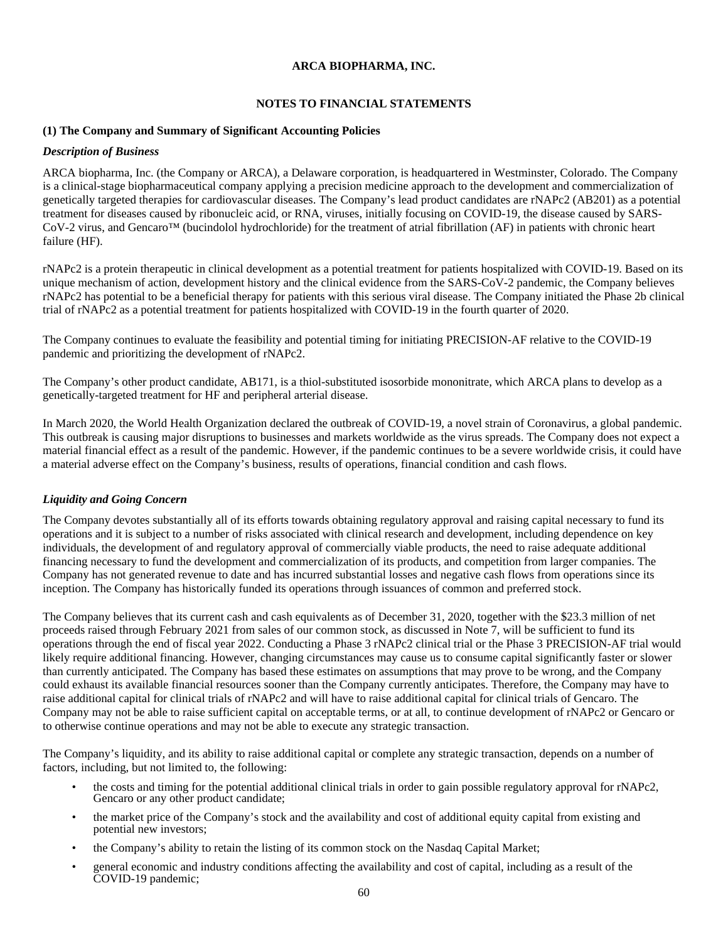#### <span id="page-61-0"></span>**NOTES TO FINANCIAL STATEMENTS**

#### **(1) The Company and Summary of Significant Accounting Policies**

#### *Description of Business*

ARCA biopharma, Inc. (the Company or ARCA), a Delaware corporation, is headquartered in Westminster, Colorado. The Company is a clinical-stage biopharmaceutical company applying a precision medicine approach to the development and commercialization of genetically targeted therapies for cardiovascular diseases. The Company's lead product candidates are rNAPc2 (AB201) as a potential treatment for diseases caused by ribonucleic acid, or RNA, viruses, initially focusing on COVID-19, the disease caused by SARS-CoV-2 virus, and Gencaro™ (bucindolol hydrochloride) for the treatment of atrial fibrillation (AF) in patients with chronic heart failure (HF).

rNAPc2 is a protein therapeutic in clinical development as a potential treatment for patients hospitalized with COVID-19. Based on its unique mechanism of action, development history and the clinical evidence from the SARS-CoV-2 pandemic, the Company believes rNAPc2 has potential to be a beneficial therapy for patients with this serious viral disease. The Company initiated the Phase 2b clinical trial of rNAPc2 as a potential treatment for patients hospitalized with COVID-19 in the fourth quarter of 2020.

The Company continues to evaluate the feasibility and potential timing for initiating PRECISION-AF relative to the COVID-19 pandemic and prioritizing the development of rNAPc2.

The Company's other product candidate, AB171, is a thiol-substituted isosorbide mononitrate, which ARCA plans to develop as a genetically-targeted treatment for HF and peripheral arterial disease.

In March 2020, the World Health Organization declared the outbreak of COVID-19, a novel strain of Coronavirus, a global pandemic. This outbreak is causing major disruptions to businesses and markets worldwide as the virus spreads. The Company does not expect a material financial effect as a result of the pandemic. However, if the pandemic continues to be a severe worldwide crisis, it could have a material adverse effect on the Company's business, results of operations, financial condition and cash flows.

## *Liquidity and Going Concern*

The Company devotes substantially all of its efforts towards obtaining regulatory approval and raising capital necessary to fund its operations and it is subject to a number of risks associated with clinical research and development, including dependence on key individuals, the development of and regulatory approval of commercially viable products, the need to raise adequate additional financing necessary to fund the development and commercialization of its products, and competition from larger companies. The Company has not generated revenue to date and has incurred substantial losses and negative cash flows from operations since its inception. The Company has historically funded its operations through issuances of common and preferred stock.

The Company believes that its current cash and cash equivalents as of December 31, 2020, together with the \$23.3 million of net proceeds raised through February 2021 from sales of our common stock, as discussed in Note 7, will be sufficient to fund its operations through the end of fiscal year 2022. Conducting a Phase 3 rNAPc2 clinical trial or the Phase 3 PRECISION-AF trial would likely require additional financing. However, changing circumstances may cause us to consume capital significantly faster or slower than currently anticipated. The Company has based these estimates on assumptions that may prove to be wrong, and the Company could exhaust its available financial resources sooner than the Company currently anticipates. Therefore, the Company may have to raise additional capital for clinical trials of rNAPc2 and will have to raise additional capital for clinical trials of Gencaro. The Company may not be able to raise sufficient capital on acceptable terms, or at all, to continue development of rNAPc2 or Gencaro or to otherwise continue operations and may not be able to execute any strategic transaction.

The Company's liquidity, and its ability to raise additional capital or complete any strategic transaction, depends on a number of factors, including, but not limited to, the following:

- the costs and timing for the potential additional clinical trials in order to gain possible regulatory approval for rNAPc2, Gencaro or any other product candidate;
- the market price of the Company's stock and the availability and cost of additional equity capital from existing and potential new investors;
- the Company's ability to retain the listing of its common stock on the Nasdaq Capital Market;
- general economic and industry conditions affecting the availability and cost of capital, including as a result of the COVID-19 pandemic;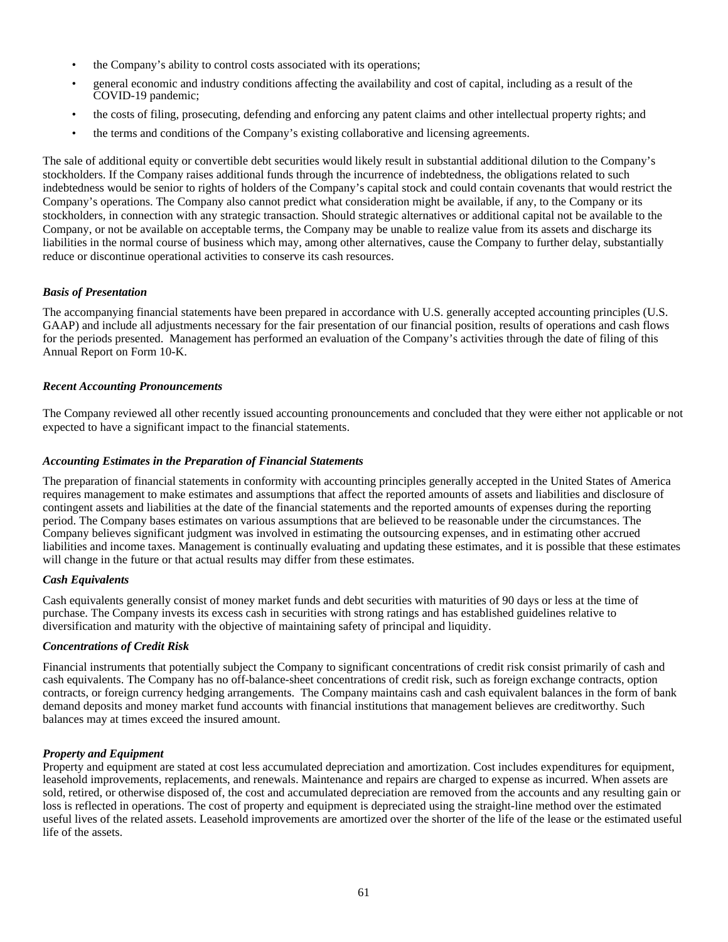- the Company's ability to control costs associated with its operations;
- general economic and industry conditions affecting the availability and cost of capital, including as a result of the COVID-19 pandemic;
- the costs of filing, prosecuting, defending and enforcing any patent claims and other intellectual property rights; and
- the terms and conditions of the Company's existing collaborative and licensing agreements.

The sale of additional equity or convertible debt securities would likely result in substantial additional dilution to the Company's stockholders. If the Company raises additional funds through the incurrence of indebtedness, the obligations related to such indebtedness would be senior to rights of holders of the Company's capital stock and could contain covenants that would restrict the Company's operations. The Company also cannot predict what consideration might be available, if any, to the Company or its stockholders, in connection with any strategic transaction. Should strategic alternatives or additional capital not be available to the Company, or not be available on acceptable terms, the Company may be unable to realize value from its assets and discharge its liabilities in the normal course of business which may, among other alternatives, cause the Company to further delay, substantially reduce or discontinue operational activities to conserve its cash resources.

## *Basis of Presentation*

The accompanying financial statements have been prepared in accordance with U.S. generally accepted accounting principles (U.S. GAAP) and include all adjustments necessary for the fair presentation of our financial position, results of operations and cash flows for the periods presented. Management has performed an evaluation of the Company's activities through the date of filing of this Annual Report on Form 10-K.

## *Recent Accounting Pronouncements*

The Company reviewed all other recently issued accounting pronouncements and concluded that they were either not applicable or not expected to have a significant impact to the financial statements.

## *Accounting Estimates in the Preparation of Financial Statements*

The preparation of financial statements in conformity with accounting principles generally accepted in the United States of America requires management to make estimates and assumptions that affect the reported amounts of assets and liabilities and disclosure of contingent assets and liabilities at the date of the financial statements and the reported amounts of expenses during the reporting period. The Company bases estimates on various assumptions that are believed to be reasonable under the circumstances. The Company believes significant judgment was involved in estimating the outsourcing expenses, and in estimating other accrued liabilities and income taxes. Management is continually evaluating and updating these estimates, and it is possible that these estimates will change in the future or that actual results may differ from these estimates.

## *Cash Equivalents*

Cash equivalents generally consist of money market funds and debt securities with maturities of 90 days or less at the time of purchase. The Company invests its excess cash in securities with strong ratings and has established guidelines relative to diversification and maturity with the objective of maintaining safety of principal and liquidity.

## *Concentrations of Credit Risk*

Financial instruments that potentially subject the Company to significant concentrations of credit risk consist primarily of cash and cash equivalents. The Company has no off-balance-sheet concentrations of credit risk, such as foreign exchange contracts, option contracts, or foreign currency hedging arrangements. The Company maintains cash and cash equivalent balances in the form of bank demand deposits and money market fund accounts with financial institutions that management believes are creditworthy. Such balances may at times exceed the insured amount.

## *Property and Equipment*

Property and equipment are stated at cost less accumulated depreciation and amortization. Cost includes expenditures for equipment, leasehold improvements, replacements, and renewals. Maintenance and repairs are charged to expense as incurred. When assets are sold, retired, or otherwise disposed of, the cost and accumulated depreciation are removed from the accounts and any resulting gain or loss is reflected in operations. The cost of property and equipment is depreciated using the straight-line method over the estimated useful lives of the related assets. Leasehold improvements are amortized over the shorter of the life of the lease or the estimated useful life of the assets.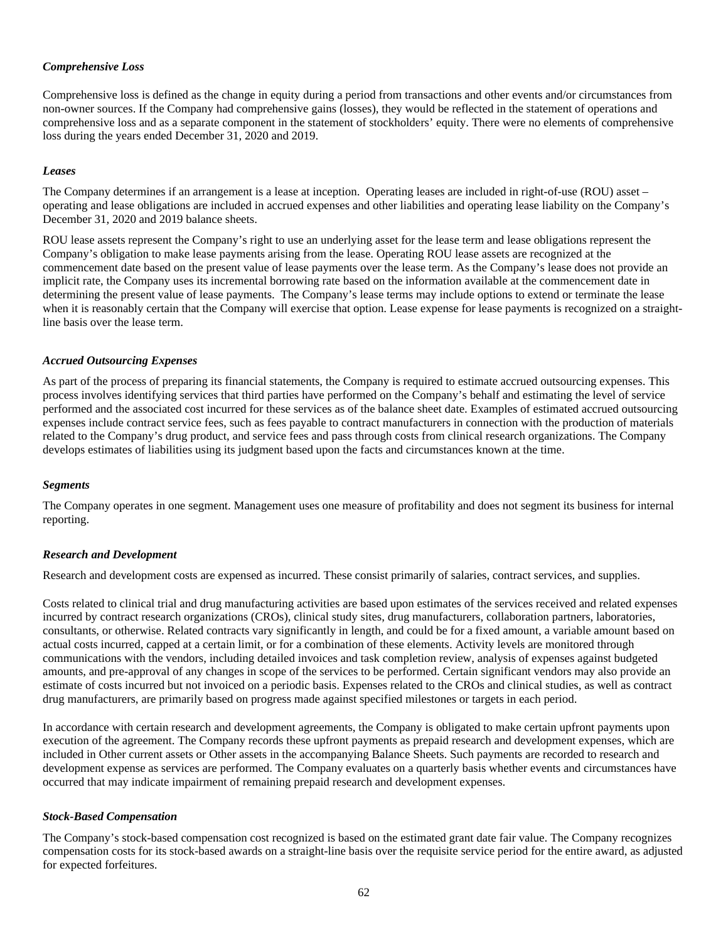#### *Comprehensive Loss*

Comprehensive loss is defined as the change in equity during a period from transactions and other events and/or circumstances from non-owner sources. If the Company had comprehensive gains (losses), they would be reflected in the statement of operations and comprehensive loss and as a separate component in the statement of stockholders' equity. There were no elements of comprehensive loss during the years ended December 31, 2020 and 2019.

#### *Leases*

The Company determines if an arrangement is a lease at inception. Operating leases are included in right-of-use (ROU) asset – operating and lease obligations are included in accrued expenses and other liabilities and operating lease liability on the Company's December 31, 2020 and 2019 balance sheets.

ROU lease assets represent the Company's right to use an underlying asset for the lease term and lease obligations represent the Company's obligation to make lease payments arising from the lease. Operating ROU lease assets are recognized at the commencement date based on the present value of lease payments over the lease term. As the Company's lease does not provide an implicit rate, the Company uses its incremental borrowing rate based on the information available at the commencement date in determining the present value of lease payments. The Company's lease terms may include options to extend or terminate the lease when it is reasonably certain that the Company will exercise that option. Lease expense for lease payments is recognized on a straightline basis over the lease term.

#### *Accrued Outsourcing Expenses*

As part of the process of preparing its financial statements, the Company is required to estimate accrued outsourcing expenses. This process involves identifying services that third parties have performed on the Company's behalf and estimating the level of service performed and the associated cost incurred for these services as of the balance sheet date. Examples of estimated accrued outsourcing expenses include contract service fees, such as fees payable to contract manufacturers in connection with the production of materials related to the Company's drug product, and service fees and pass through costs from clinical research organizations. The Company develops estimates of liabilities using its judgment based upon the facts and circumstances known at the time.

#### *Segments*

The Company operates in one segment. Management uses one measure of profitability and does not segment its business for internal reporting.

#### *Research and Development*

Research and development costs are expensed as incurred. These consist primarily of salaries, contract services, and supplies.

Costs related to clinical trial and drug manufacturing activities are based upon estimates of the services received and related expenses incurred by contract research organizations (CROs), clinical study sites, drug manufacturers, collaboration partners, laboratories, consultants, or otherwise. Related contracts vary significantly in length, and could be for a fixed amount, a variable amount based on actual costs incurred, capped at a certain limit, or for a combination of these elements. Activity levels are monitored through communications with the vendors, including detailed invoices and task completion review, analysis of expenses against budgeted amounts, and pre-approval of any changes in scope of the services to be performed. Certain significant vendors may also provide an estimate of costs incurred but not invoiced on a periodic basis. Expenses related to the CROs and clinical studies, as well as contract drug manufacturers, are primarily based on progress made against specified milestones or targets in each period.

In accordance with certain research and development agreements, the Company is obligated to make certain upfront payments upon execution of the agreement. The Company records these upfront payments as prepaid research and development expenses, which are included in Other current assets or Other assets in the accompanying Balance Sheets. Such payments are recorded to research and development expense as services are performed. The Company evaluates on a quarterly basis whether events and circumstances have occurred that may indicate impairment of remaining prepaid research and development expenses.

#### *Stock-Based Compensation*

The Company's stock-based compensation cost recognized is based on the estimated grant date fair value. The Company recognizes compensation costs for its stock-based awards on a straight-line basis over the requisite service period for the entire award, as adjusted for expected forfeitures.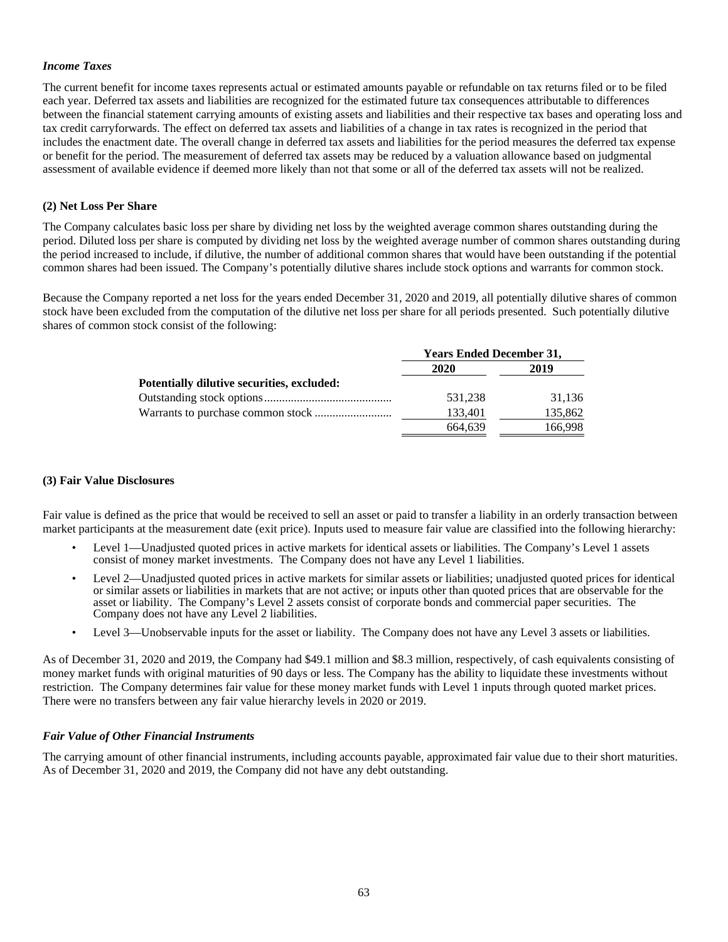#### *Income Taxes*

The current benefit for income taxes represents actual or estimated amounts payable or refundable on tax returns filed or to be filed each year. Deferred tax assets and liabilities are recognized for the estimated future tax consequences attributable to differences between the financial statement carrying amounts of existing assets and liabilities and their respective tax bases and operating loss and tax credit carryforwards. The effect on deferred tax assets and liabilities of a change in tax rates is recognized in the period that includes the enactment date. The overall change in deferred tax assets and liabilities for the period measures the deferred tax expense or benefit for the period. The measurement of deferred tax assets may be reduced by a valuation allowance based on judgmental assessment of available evidence if deemed more likely than not that some or all of the deferred tax assets will not be realized.

#### **(2) Net Loss Per Share**

The Company calculates basic loss per share by dividing net loss by the weighted average common shares outstanding during the period. Diluted loss per share is computed by dividing net loss by the weighted average number of common shares outstanding during the period increased to include, if dilutive, the number of additional common shares that would have been outstanding if the potential common shares had been issued. The Company's potentially dilutive shares include stock options and warrants for common stock.

Because the Company reported a net loss for the years ended December 31, 2020 and 2019, all potentially dilutive shares of common stock have been excluded from the computation of the dilutive net loss per share for all periods presented. Such potentially dilutive shares of common stock consist of the following:

|                                            | <b>Years Ended December 31,</b> |         |  |  |
|--------------------------------------------|---------------------------------|---------|--|--|
|                                            | 2020                            | 2019    |  |  |
| Potentially dilutive securities, excluded: |                                 |         |  |  |
|                                            | 531.238                         | 31.136  |  |  |
|                                            | 133,401                         | 135,862 |  |  |
|                                            | 664.639                         | 166,998 |  |  |

#### **(3) Fair Value Disclosures**

Fair value is defined as the price that would be received to sell an asset or paid to transfer a liability in an orderly transaction between market participants at the measurement date (exit price). Inputs used to measure fair value are classified into the following hierarchy:

- Level 1—Unadjusted quoted prices in active markets for identical assets or liabilities. The Company's Level 1 assets consist of money market investments. The Company does not have any Level 1 liabilities.
- Level 2—Unadjusted quoted prices in active markets for similar assets or liabilities; unadjusted quoted prices for identical or similar assets or liabilities in markets that are not active; or inputs other than quoted prices that are observable for the asset or liability. The Company's Level 2 assets consist of corporate bonds and commercial paper securities. The Company does not have any Level 2 liabilities.
- Level 3—Unobservable inputs for the asset or liability. The Company does not have any Level 3 assets or liabilities.

As of December 31, 2020 and 2019, the Company had \$49.1 million and \$8.3 million, respectively, of cash equivalents consisting of money market funds with original maturities of 90 days or less. The Company has the ability to liquidate these investments without restriction. The Company determines fair value for these money market funds with Level 1 inputs through quoted market prices. There were no transfers between any fair value hierarchy levels in 2020 or 2019.

#### *Fair Value of Other Financial Instruments*

The carrying amount of other financial instruments, including accounts payable, approximated fair value due to their short maturities. As of December 31, 2020 and 2019, the Company did not have any debt outstanding.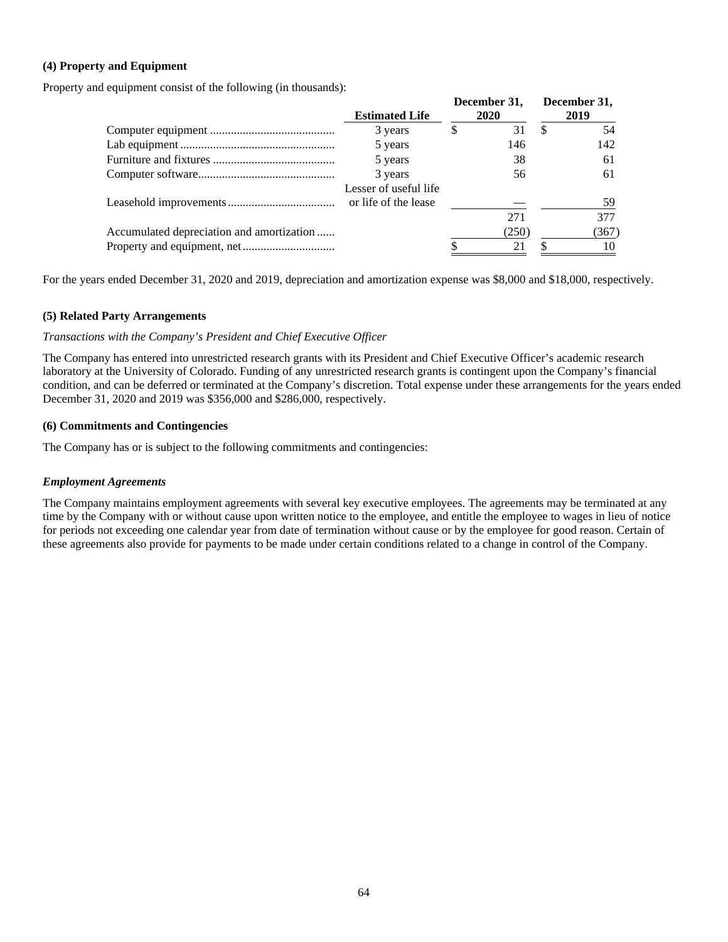## **(4) Property and Equipment**

Property and equipment consist of the following (in thousands):

|                                           | <b>Estimated Life</b> |   | December 31,<br>2020 |    | December 31,<br>2019 |
|-------------------------------------------|-----------------------|---|----------------------|----|----------------------|
|                                           | 3 years               | S | 31                   | .১ | 54                   |
|                                           | 5 years               |   | 146                  |    | 142                  |
|                                           | 5 years               |   | 38                   |    | 61                   |
|                                           | 3 years               |   | 56                   |    | 61                   |
|                                           | Lesser of useful life |   |                      |    | 59                   |
|                                           |                       |   | 271                  |    | 377                  |
| Accumulated depreciation and amortization |                       |   | (250)                |    | (367)                |
|                                           |                       |   | 21                   |    | 10                   |

For the years ended December 31, 2020 and 2019, depreciation and amortization expense was \$8,000 and \$18,000, respectively.

#### **(5) Related Party Arrangements**

#### *Transactions with the Company's President and Chief Executive Officer*

The Company has entered into unrestricted research grants with its President and Chief Executive Officer's academic research laboratory at the University of Colorado. Funding of any unrestricted research grants is contingent upon the Company's financial condition, and can be deferred or terminated at the Company's discretion. Total expense under these arrangements for the years ended December 31, 2020 and 2019 was \$356,000 and \$286,000, respectively.

#### **(6) Commitments and Contingencies**

The Company has or is subject to the following commitments and contingencies:

#### *Employment Agreements*

The Company maintains employment agreements with several key executive employees. The agreements may be terminated at any time by the Company with or without cause upon written notice to the employee, and entitle the employee to wages in lieu of notice for periods not exceeding one calendar year from date of termination without cause or by the employee for good reason. Certain of these agreements also provide for payments to be made under certain conditions related to a change in control of the Company.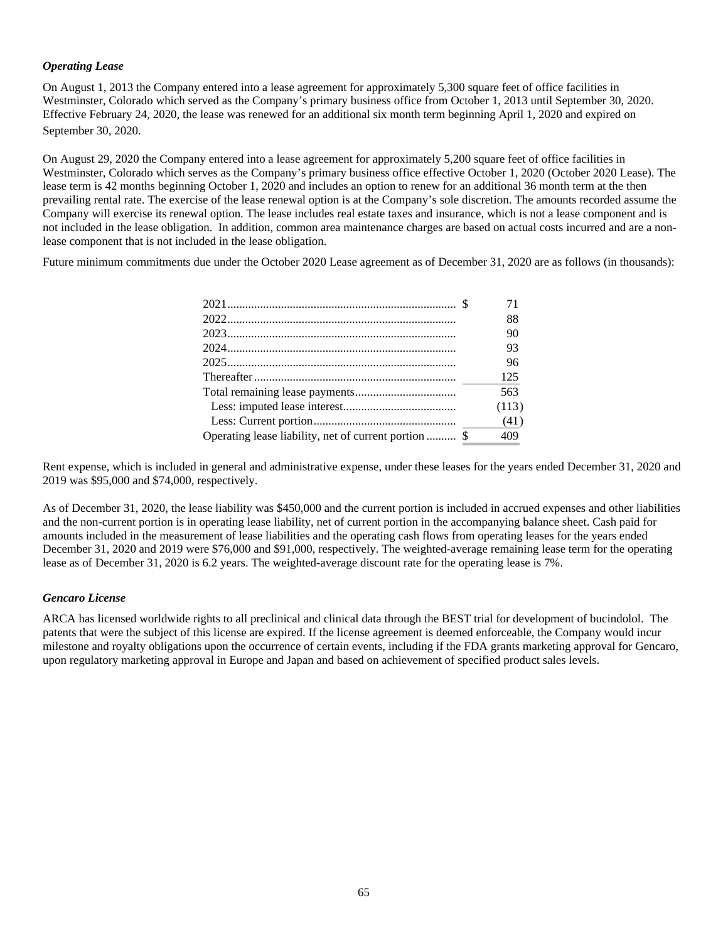## *Operating Lease*

On August 1, 2013 the Company entered into a lease agreement for approximately 5,300 square feet of office facilities in Westminster, Colorado which served as the Company's primary business office from October 1, 2013 until September 30, 2020. Effective February 24, 2020, the lease was renewed for an additional six month term beginning April 1, 2020 and expired on September 30, 2020.

On August 29, 2020 the Company entered into a lease agreement for approximately 5,200 square feet of office facilities in Westminster, Colorado which serves as the Company's primary business office effective October 1, 2020 (October 2020 Lease). The lease term is 42 months beginning October 1, 2020 and includes an option to renew for an additional 36 month term at the then prevailing rental rate. The exercise of the lease renewal option is at the Company's sole discretion. The amounts recorded assume the Company will exercise its renewal option. The lease includes real estate taxes and insurance, which is not a lease component and is not included in the lease obligation. In addition, common area maintenance charges are based on actual costs incurred and are a nonlease component that is not included in the lease obligation.

Future minimum commitments due under the October 2020 Lease agreement as of December 31, 2020 are as follows (in thousands):

|  | 88    |
|--|-------|
|  | 90    |
|  | 93    |
|  | 96    |
|  | 125   |
|  | 563   |
|  | (113) |
|  | (41)  |
|  | 409   |

Rent expense, which is included in general and administrative expense, under these leases for the years ended December 31, 2020 and 2019 was \$95,000 and \$74,000, respectively.

As of December 31, 2020, the lease liability was \$450,000 and the current portion is included in accrued expenses and other liabilities and the non-current portion is in operating lease liability, net of current portion in the accompanying balance sheet. Cash paid for amounts included in the measurement of lease liabilities and the operating cash flows from operating leases for the years ended December 31, 2020 and 2019 were \$76,000 and \$91,000, respectively. The weighted-average remaining lease term for the operating lease as of December 31, 2020 is 6.2 years. The weighted-average discount rate for the operating lease is 7%.

## *Gencaro License*

ARCA has licensed worldwide rights to all preclinical and clinical data through the BEST trial for development of bucindolol. The patents that were the subject of this license are expired. If the license agreement is deemed enforceable, the Company would incur milestone and royalty obligations upon the occurrence of certain events, including if the FDA grants marketing approval for Gencaro, upon regulatory marketing approval in Europe and Japan and based on achievement of specified product sales levels.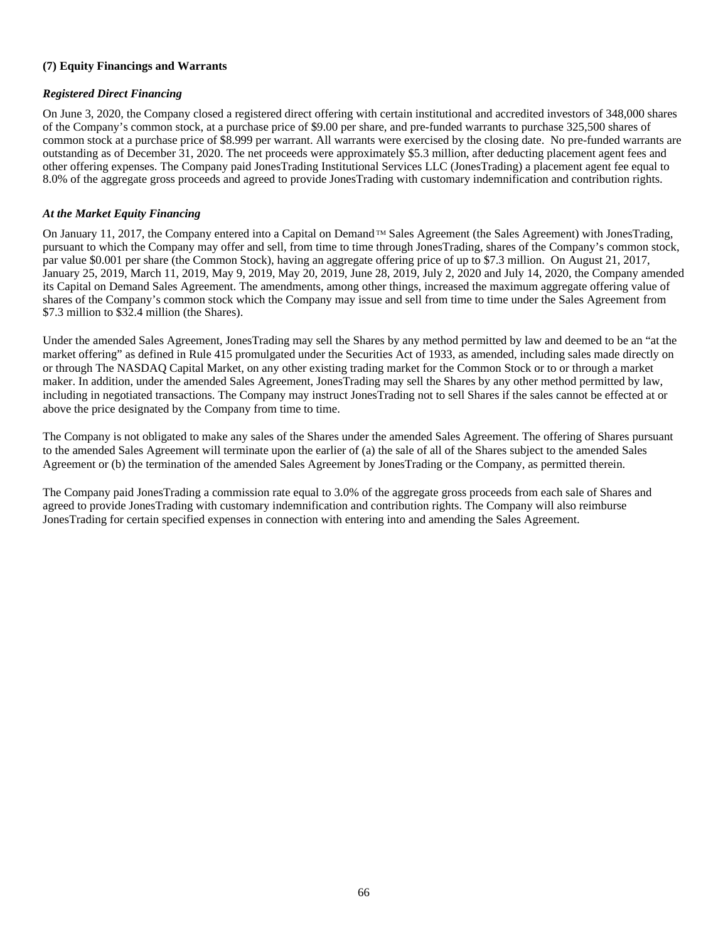## **(7) Equity Financings and Warrants**

## *Registered Direct Financing*

On June 3, 2020, the Company closed a registered direct offering with certain institutional and accredited investors of 348,000 shares of the Company's common stock, at a purchase price of \$9.00 per share, and pre-funded warrants to purchase 325,500 shares of common stock at a purchase price of \$8.999 per warrant. All warrants were exercised by the closing date. No pre-funded warrants are outstanding as of December 31, 2020. The net proceeds were approximately \$5.3 million, after deducting placement agent fees and other offering expenses. The Company paid JonesTrading Institutional Services LLC (JonesTrading) a placement agent fee equal to 8.0% of the aggregate gross proceeds and agreed to provide JonesTrading with customary indemnification and contribution rights.

## *At the Market Equity Financing*

On January 11, 2017, the Company entered into a Capital on Demand TM Sales Agreement (the Sales Agreement) with JonesTrading, pursuant to which the Company may offer and sell, from time to time through JonesTrading, shares of the Company's common stock, par value \$0.001 per share (the Common Stock), having an aggregate offering price of up to \$7.3 million. On August 21, 2017, January 25, 2019, March 11, 2019, May 9, 2019, May 20, 2019, June 28, 2019, July 2, 2020 and July 14, 2020, the Company amended its Capital on Demand Sales Agreement. The amendments, among other things, increased the maximum aggregate offering value of shares of the Company's common stock which the Company may issue and sell from time to time under the Sales Agreement from \$7.3 million to \$32.4 million (the Shares).

Under the amended Sales Agreement, JonesTrading may sell the Shares by any method permitted by law and deemed to be an "at the market offering" as defined in Rule 415 promulgated under the Securities Act of 1933, as amended, including sales made directly on or through The NASDAQ Capital Market, on any other existing trading market for the Common Stock or to or through a market maker. In addition, under the amended Sales Agreement, JonesTrading may sell the Shares by any other method permitted by law, including in negotiated transactions. The Company may instruct JonesTrading not to sell Shares if the sales cannot be effected at or above the price designated by the Company from time to time.

The Company is not obligated to make any sales of the Shares under the amended Sales Agreement. The offering of Shares pursuant to the amended Sales Agreement will terminate upon the earlier of (a) the sale of all of the Shares subject to the amended Sales Agreement or (b) the termination of the amended Sales Agreement by JonesTrading or the Company, as permitted therein.

The Company paid JonesTrading a commission rate equal to 3.0% of the aggregate gross proceeds from each sale of Shares and agreed to provide JonesTrading with customary indemnification and contribution rights. The Company will also reimburse JonesTrading for certain specified expenses in connection with entering into and amending the Sales Agreement.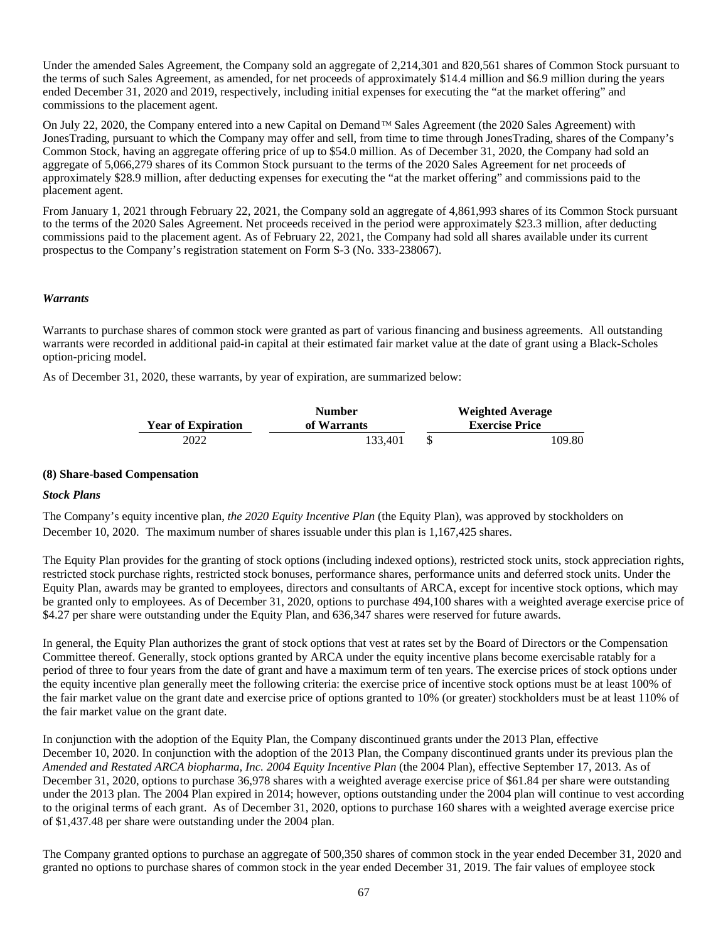Under the amended Sales Agreement, the Company sold an aggregate of 2,214,301 and 820,561 shares of Common Stock pursuant to the terms of such Sales Agreement, as amended, for net proceeds of approximately \$14.4 million and \$6.9 million during the years ended December 31, 2020 and 2019, respectively, including initial expenses for executing the "at the market offering" and commissions to the placement agent.

On July 22, 2020, the Company entered into a new Capital on Demand  $TM$  Sales Agreement (the 2020 Sales Agreement) with JonesTrading, pursuant to which the Company may offer and sell, from time to time through JonesTrading, shares of the Company's Common Stock, having an aggregate offering price of up to \$54.0 million. As of December 31, 2020, the Company had sold an aggregate of 5,066,279 shares of its Common Stock pursuant to the terms of the 2020 Sales Agreement for net proceeds of approximately \$28.9 million, after deducting expenses for executing the "at the market offering" and commissions paid to the placement agent.

From January 1, 2021 through February 22, 2021, the Company sold an aggregate of 4,861,993 shares of its Common Stock pursuant to the terms of the 2020 Sales Agreement. Net proceeds received in the period were approximately \$23.3 million, after deducting commissions paid to the placement agent. As of February 22, 2021, the Company had sold all shares available under its current prospectus to the Company's registration statement on Form S-3 (No. 333-238067).

## *Warrants*

Warrants to purchase shares of common stock were granted as part of various financing and business agreements. All outstanding warrants were recorded in additional paid-in capital at their estimated fair market value at the date of grant using a Black-Scholes option-pricing model.

As of December 31, 2020, these warrants, by year of expiration, are summarized below:

|                           | <b>Number</b> |  | <b>Weighted Average</b> |
|---------------------------|---------------|--|-------------------------|
| <b>Year of Expiration</b> | of Warrants   |  | <b>Exercise Price</b>   |
| 2022                      | 133.401       |  | 109.80                  |

#### **(8) Share-based Compensation**

#### *Stock Plans*

The Company's equity incentive plan, *the 2020 Equity Incentive Plan* (the Equity Plan), was approved by stockholders on December 10, 2020. The maximum number of shares issuable under this plan is 1,167,425 shares.

The Equity Plan provides for the granting of stock options (including indexed options), restricted stock units, stock appreciation rights, restricted stock purchase rights, restricted stock bonuses, performance shares, performance units and deferred stock units. Under the Equity Plan, awards may be granted to employees, directors and consultants of ARCA, except for incentive stock options, which may be granted only to employees. As of December 31, 2020, options to purchase 494,100 shares with a weighted average exercise price of \$4.27 per share were outstanding under the Equity Plan, and 636,347 shares were reserved for future awards.

In general, the Equity Plan authorizes the grant of stock options that vest at rates set by the Board of Directors or the Compensation Committee thereof. Generally, stock options granted by ARCA under the equity incentive plans become exercisable ratably for a period of three to four years from the date of grant and have a maximum term of ten years. The exercise prices of stock options under the equity incentive plan generally meet the following criteria: the exercise price of incentive stock options must be at least 100% of the fair market value on the grant date and exercise price of options granted to 10% (or greater) stockholders must be at least 110% of the fair market value on the grant date.

In conjunction with the adoption of the Equity Plan, the Company discontinued grants under the 2013 Plan, effective December 10, 2020. In conjunction with the adoption of the 2013 Plan, the Company discontinued grants under its previous plan the *Amended and Restated ARCA biopharma, Inc. 2004 Equity Incentive Plan (the 2004 Plan), effective September 17, 2013. As of* December 31, 2020, options to purchase 36,978 shares with a weighted average exercise price of \$61.84 per share were outstanding under the 2013 plan. The 2004 Plan expired in 2014; however, options outstanding under the 2004 plan will continue to vest according to the original terms of each grant. As of December 31, 2020, options to purchase 160 shares with a weighted average exercise price of \$1,437.48 per share were outstanding under the 2004 plan.

The Company granted options to purchase an aggregate of 500,350 shares of common stock in the year ended December 31, 2020 and granted no options to purchase shares of common stock in the year ended December 31, 2019. The fair values of employee stock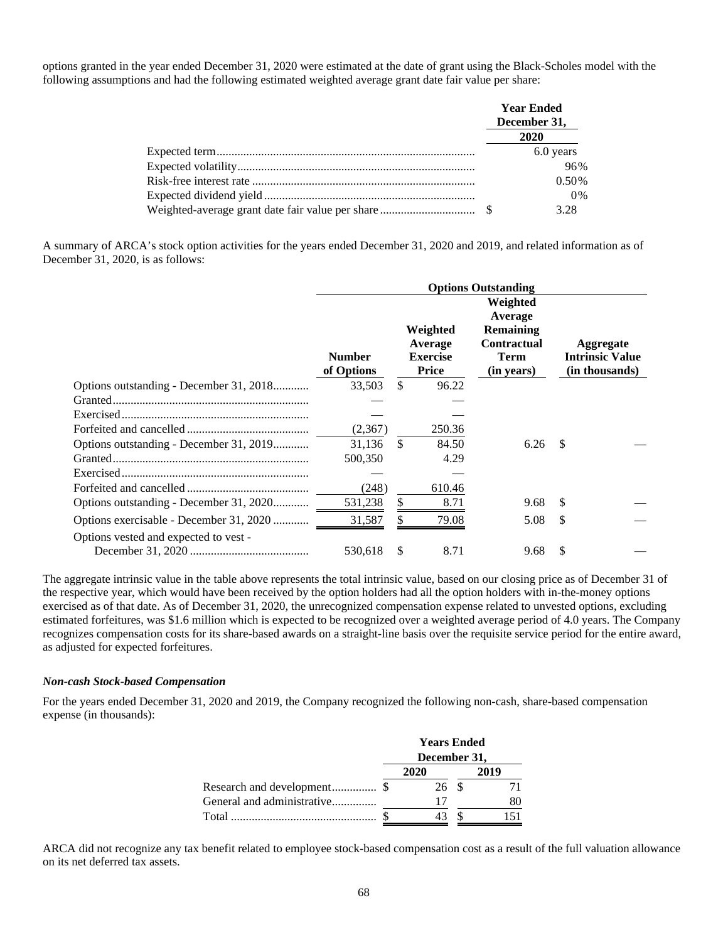options granted in the year ended December 31, 2020 were estimated at the date of grant using the Black-Scholes model with the following assumptions and had the following estimated weighted average grant date fair value per share:

|  | <b>Year Ended</b><br>December 31, |
|--|-----------------------------------|
|  | 2020                              |
|  | 6.0 years                         |
|  | 96%                               |
|  | 0.50%                             |
|  | 0%                                |
|  | 3.28                              |

A summary of ARCA's stock option activities for the years ended December 31, 2020 and 2019, and related information as of December 31, 2020, is as follows:

|                                         | <b>Options Outstanding</b>  |                                                        |        |                                                                                            |     |                                                       |  |
|-----------------------------------------|-----------------------------|--------------------------------------------------------|--------|--------------------------------------------------------------------------------------------|-----|-------------------------------------------------------|--|
|                                         | <b>Number</b><br>of Options | Weighted<br>Average<br><b>Exercise</b><br><b>Price</b> |        | Weighted<br>Average<br><b>Remaining</b><br><b>Contractual</b><br><b>Term</b><br>(in years) |     | Aggregate<br><b>Intrinsic Value</b><br>(in thousands) |  |
| Options outstanding - December 31, 2018 | 33.503                      | \$                                                     | 96.22  |                                                                                            |     |                                                       |  |
|                                         |                             |                                                        |        |                                                                                            |     |                                                       |  |
|                                         |                             |                                                        |        |                                                                                            |     |                                                       |  |
|                                         | (2,367)                     |                                                        | 250.36 |                                                                                            |     |                                                       |  |
| Options outstanding - December 31, 2019 | 31,136                      | <sup>\$</sup>                                          | 84.50  | 6.26                                                                                       | -S  |                                                       |  |
|                                         | 500,350                     |                                                        | 4.29   |                                                                                            |     |                                                       |  |
|                                         |                             |                                                        |        |                                                                                            |     |                                                       |  |
|                                         | (248)                       |                                                        | 610.46 |                                                                                            |     |                                                       |  |
| Options outstanding - December 31, 2020 | 531,238                     | S                                                      | 8.71   | 9.68                                                                                       | -S  |                                                       |  |
| Options exercisable - December 31, 2020 | 31,587                      |                                                        | 79.08  | 5.08                                                                                       | S.  |                                                       |  |
| Options vested and expected to vest -   |                             |                                                        |        |                                                                                            |     |                                                       |  |
|                                         | 530,618                     | \$                                                     | 8.71   | 9.68                                                                                       | \$. |                                                       |  |

The aggregate intrinsic value in the table above represents the total intrinsic value, based on our closing price as of December 31 of the respective year, which would have been received by the option holders had all the option holders with in-the-money options exercised as of that date. As of December 31, 2020, the unrecognized compensation expense related to unvested options, excluding estimated forfeitures, was \$1.6 million which is expected to be recognized over a weighted average period of 4.0 years. The Company recognizes compensation costs for its share-based awards on a straight-line basis over the requisite service period for the entire award, as adjusted for expected forfeitures.

#### *Non-cash Stock-based Compensation*

For the years ended December 31, 2020 and 2019, the Company recognized the following non-cash, share-based compensation expense (in thousands):

|                             | <b>Years Ended</b><br>December 31, |       |  |      |
|-----------------------------|------------------------------------|-------|--|------|
|                             |                                    |       |  |      |
|                             | 2020                               |       |  | 2019 |
| Research and development \$ |                                    | 26 \$ |  |      |
| General and administrative  |                                    |       |  |      |
| Total                       |                                    |       |  |      |

ARCA did not recognize any tax benefit related to employee stock-based compensation cost as a result of the full valuation allowance on its net deferred tax assets.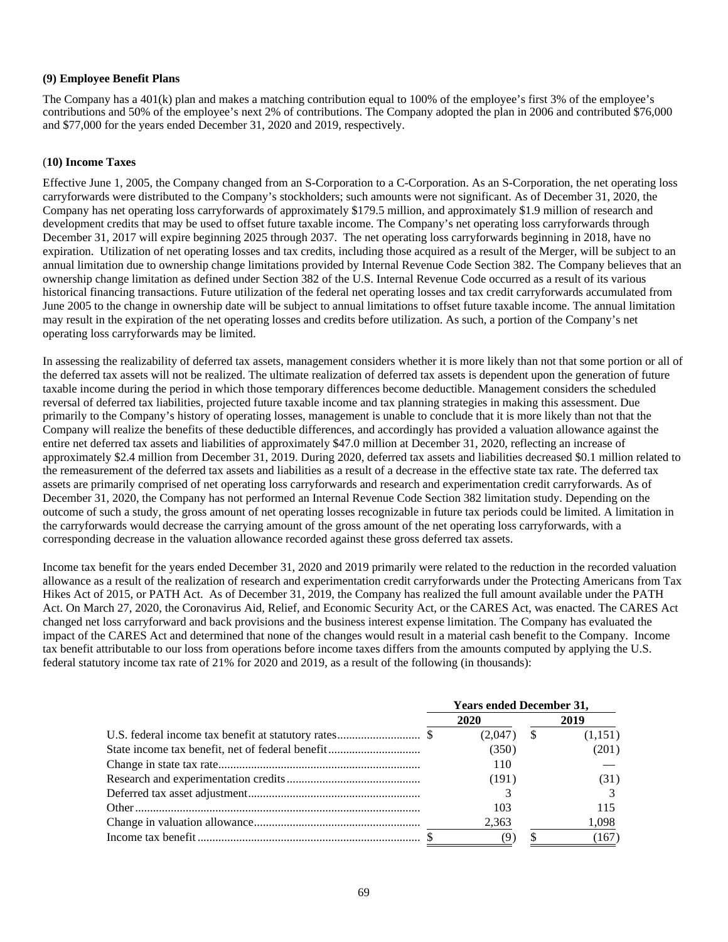## **(9) Employee Benefit Plans**

The Company has a 401(k) plan and makes a matching contribution equal to 100% of the employee's first 3% of the employee's contributions and 50% of the employee's next 2% of contributions. The Company adopted the plan in 2006 and contributed \$76,000 and \$77,000 for the years ended December 31, 2020 and 2019, respectively.

## (**10) Income Taxes**

Effective June 1, 2005, the Company changed from an S-Corporation to a C-Corporation. As an S-Corporation, the net operating loss carryforwards were distributed to the Company's stockholders; such amounts were not significant. As of December 31, 2020, the Company has net operating loss carryforwards of approximately \$179.5 million, and approximately \$1.9 million of research and development credits that may be used to offset future taxable income. The Company's net operating loss carryforwards through December 31, 2017 will expire beginning 2025 through 2037. The net operating loss carryforwards beginning in 2018, have no expiration. Utilization of net operating losses and tax credits, including those acquired as a result of the Merger, will be subject to an annual limitation due to ownership change limitations provided by Internal Revenue Code Section 382. The Company believes that an ownership change limitation as defined under Section 382 of the U.S. Internal Revenue Code occurred as a result of its various historical financing transactions. Future utilization of the federal net operating losses and tax credit carryforwards accumulated from June 2005 to the change in ownership date will be subject to annual limitations to offset future taxable income. The annual limitation may result in the expiration of the net operating losses and credits before utilization. As such, a portion of the Company's net operating loss carryforwards may be limited.

In assessing the realizability of deferred tax assets, management considers whether it is more likely than not that some portion or all of the deferred tax assets will not be realized. The ultimate realization of deferred tax assets is dependent upon the generation of future taxable income during the period in which those temporary differences become deductible. Management considers the scheduled reversal of deferred tax liabilities, projected future taxable income and tax planning strategies in making this assessment. Due primarily to the Company's history of operating losses, management is unable to conclude that it is more likely than not that the Company will realize the benefits of these deductible differences, and accordingly has provided a valuation allowance against the entire net deferred tax assets and liabilities of approximately \$47.0 million at December 31, 2020, reflecting an increase of approximately \$2.4 million from December 31, 2019. During 2020, deferred tax assets and liabilities decreased \$0.1 million related to the remeasurement of the deferred tax assets and liabilities as a result of a decrease in the effective state tax rate. The deferred tax assets are primarily comprised of net operating loss carryforwards and research and experimentation credit carryforwards. As of December 31, 2020, the Company has not performed an Internal Revenue Code Section 382 limitation study. Depending on the outcome of such a study, the gross amount of net operating losses recognizable in future tax periods could be limited. A limitation in the carryforwards would decrease the carrying amount of the gross amount of the net operating loss carryforwards, with a corresponding decrease in the valuation allowance recorded against these gross deferred tax assets.

Income tax benefit for the years ended December 31, 2020 and 2019 primarily were related to the reduction in the recorded valuation allowance as a result of the realization of research and experimentation credit carryforwards under the Protecting Americans from Tax Hikes Act of 2015, or PATH Act. As of December 31, 2019, the Company has realized the full amount available under the PATH Act. On March 27, 2020, the Coronavirus Aid, Relief, and Economic Security Act, or the CARES Act, was enacted. The CARES Act changed net loss carryforward and back provisions and the business interest expense limitation. The Company has evaluated the impact of the CARES Act and determined that none of the changes would result in a material cash benefit to the Company. Income tax benefit attributable to our loss from operations before income taxes differs from the amounts computed by applying the U.S. federal statutory income tax rate of 21% for 2020 and 2019, as a result of the following (in thousands):

| <b>Years ended December 31,</b> |              |  |         |
|---------------------------------|--------------|--|---------|
|                                 | 2020         |  | 2019    |
|                                 | $(2,047)$ \$ |  | (1,151) |
|                                 | (350)        |  | (201)   |
|                                 | 110          |  |         |
|                                 | (191)        |  | (31)    |
|                                 |              |  |         |
|                                 | 103          |  | 115     |
|                                 | 2,363        |  | 1,098   |
|                                 | (9           |  | (167)   |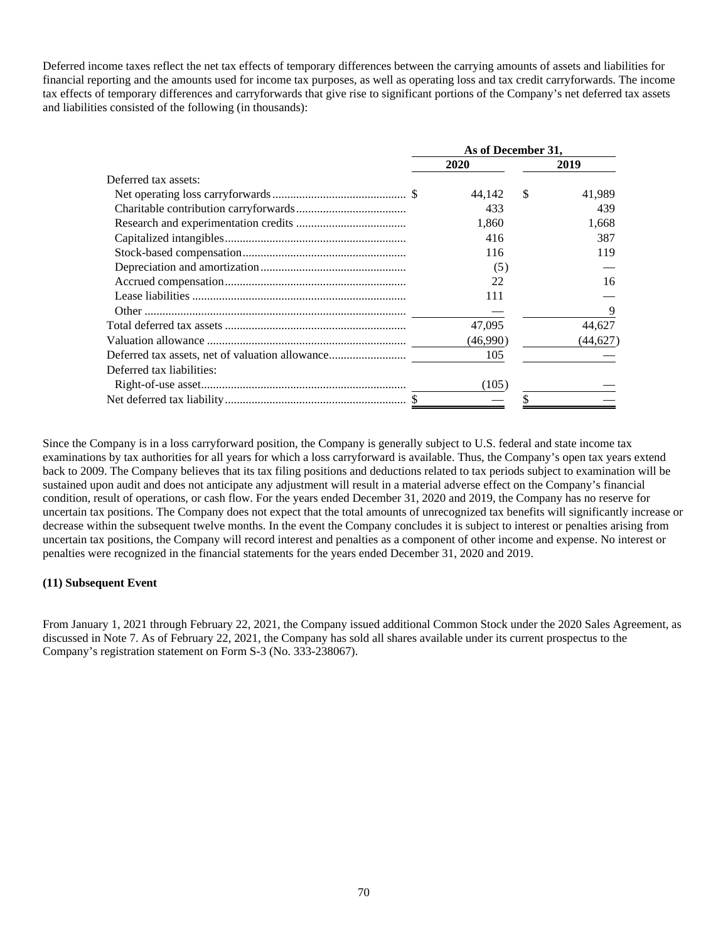Deferred income taxes reflect the net tax effects of temporary differences between the carrying amounts of assets and liabilities for financial reporting and the amounts used for income tax purposes, as well as operating loss and tax credit carryforwards. The income tax effects of temporary differences and carryforwards that give rise to significant portions of the Company's net deferred tax assets and liabilities consisted of the following (in thousands):

|                           | As of December 31. |               |           |  |
|---------------------------|--------------------|---------------|-----------|--|
|                           | 2020               |               | 2019      |  |
| Deferred tax assets:      |                    |               |           |  |
|                           | 44.142             | <sup>\$</sup> | 41,989    |  |
|                           |                    | 433           | 439       |  |
|                           | 1,860              |               | 1.668     |  |
|                           |                    | 416           | 387       |  |
|                           |                    | 116           | 119       |  |
|                           |                    | (5)           |           |  |
|                           |                    | 22            | 16        |  |
|                           |                    | 111           |           |  |
|                           |                    |               | 9         |  |
|                           | 47,095             |               | 44,627    |  |
|                           | (46,990)           |               | (44, 627) |  |
|                           |                    | 105           |           |  |
| Deferred tax liabilities: |                    |               |           |  |
|                           |                    | (105)         |           |  |
|                           |                    |               |           |  |

Since the Company is in a loss carryforward position, the Company is generally subject to U.S. federal and state income tax examinations by tax authorities for all years for which a loss carryforward is available. Thus, the Company's open tax years extend back to 2009. The Company believes that its tax filing positions and deductions related to tax periods subject to examination will be sustained upon audit and does not anticipate any adjustment will result in a material adverse effect on the Company's financial condition, result of operations, or cash flow. For the years ended December 31, 2020 and 2019, the Company has no reserve for uncertain tax positions. The Company does not expect that the total amounts of unrecognized tax benefits will significantly increase or decrease within the subsequent twelve months. In the event the Company concludes it is subject to interest or penalties arising from uncertain tax positions, the Company will record interest and penalties as a component of other income and expense. No interest or penalties were recognized in the financial statements for the years ended December 31, 2020 and 2019.

## **(11) Subsequent Event**

From January 1, 2021 through February 22, 2021, the Company issued additional Common Stock under the 2020 Sales Agreement, as discussed in Note 7. As of February 22, 2021, the Company has sold all shares available under its current prospectus to the Company's registration statement on Form S-3 (No. 333-238067).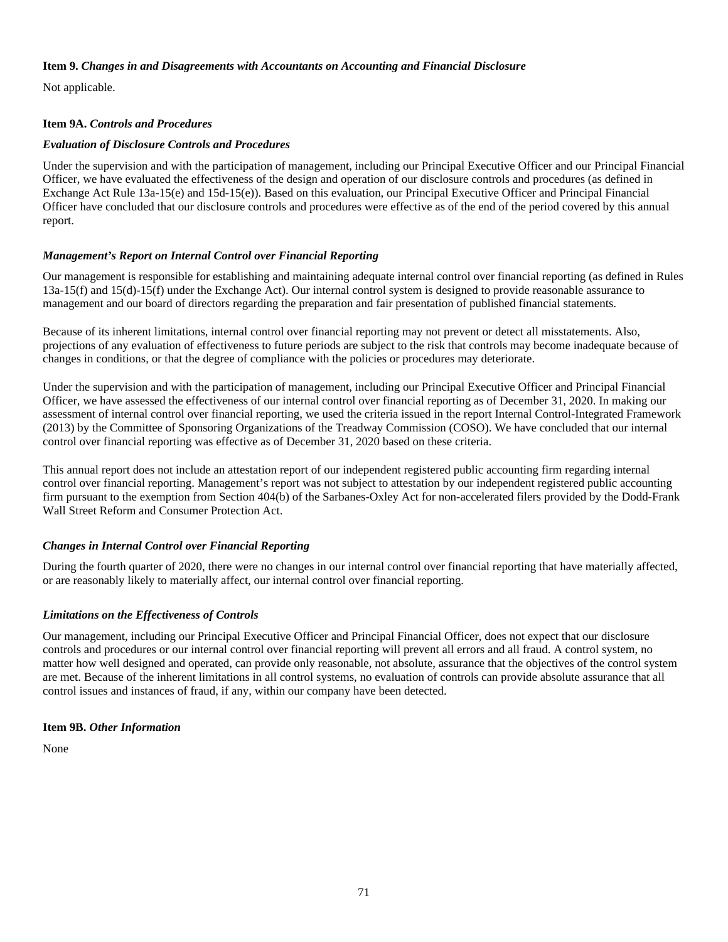# **Item 9.** *Changes in and Disagreements with Accountants on Accounting and Financial Disclosure*

Not applicable.

# **Item 9A.** *Controls and Procedures*

# *Evaluation of Disclosure Controls and Procedures*

Under the supervision and with the participation of management, including our Principal Executive Officer and our Principal Financial Officer, we have evaluated the effectiveness of the design and operation of our disclosure controls and procedures (as defined in Exchange Act Rule 13a-15(e) and 15d-15(e)). Based on this evaluation, our Principal Executive Officer and Principal Financial Officer have concluded that our disclosure controls and procedures were effective as of the end of the period covered by this annual report.

# *Management's Report on Internal Control over Financial Reporting*

Our management is responsible for establishing and maintaining adequate internal control over financial reporting (as defined in Rules 13a-15(f) and 15(d)-15(f) under the Exchange Act). Our internal control system is designed to provide reasonable assurance to management and our board of directors regarding the preparation and fair presentation of published financial statements.

Because of its inherent limitations, internal control over financial reporting may not prevent or detect all misstatements. Also, projections of any evaluation of effectiveness to future periods are subject to the risk that controls may become inadequate because of changes in conditions, or that the degree of compliance with the policies or procedures may deteriorate.

Under the supervision and with the participation of management, including our Principal Executive Officer and Principal Financial Officer, we have assessed the effectiveness of our internal control over financial reporting as of December 31, 2020. In making our assessment of internal control over financial reporting, we used the criteria issued in the report Internal Control-Integrated Framework (2013) by the Committee of Sponsoring Organizations of the Treadway Commission (COSO). We have concluded that our internal control over financial reporting was effective as of December 31, 2020 based on these criteria.

This annual report does not include an attestation report of our independent registered public accounting firm regarding internal control over financial reporting. Management's report was not subject to attestation by our independent registered public accounting firm pursuant to the exemption from Section 404(b) of the Sarbanes-Oxley Act for non-accelerated filers provided by the Dodd-Frank Wall Street Reform and Consumer Protection Act.

# *Changes in Internal Control over Financial Reporting*

During the fourth quarter of 2020, there were no changes in our internal control over financial reporting that have materially affected, or are reasonably likely to materially affect, our internal control over financial reporting.

# *Limitations on the Effectiveness of Controls*

Our management, including our Principal Executive Officer and Principal Financial Officer, does not expect that our disclosure controls and procedures or our internal control over financial reporting will prevent all errors and all fraud. A control system, no matter how well designed and operated, can provide only reasonable, not absolute, assurance that the objectives of the control system are met. Because of the inherent limitations in all control systems, no evaluation of controls can provide absolute assurance that all control issues and instances of fraud, if any, within our company have been detected.

# **Item 9B.** *Other Information*

None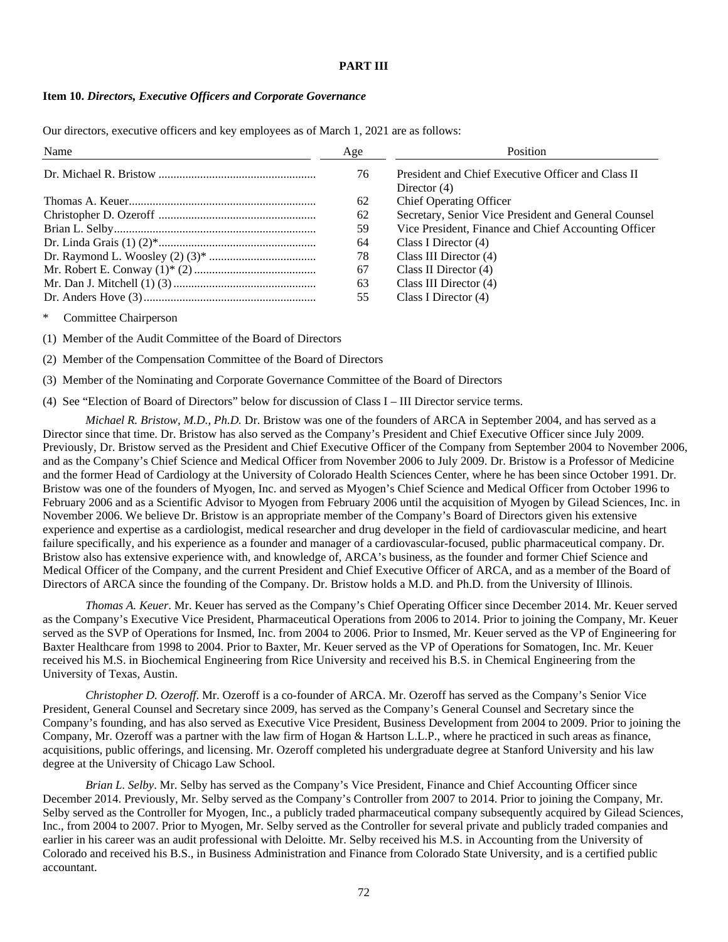# **PART III**

### **Item 10.** *Directors, Executive Officers and Corporate Governance*

Our directors, executive officers and key employees as of March 1, 2021 are as follows:

| Name | Age | <b>Position</b>                                                      |
|------|-----|----------------------------------------------------------------------|
|      | 76  | President and Chief Executive Officer and Class II<br>Director $(4)$ |
|      | 62  | <b>Chief Operating Officer</b>                                       |
|      | 62  | Secretary, Senior Vice President and General Counsel                 |
|      | 59  | Vice President, Finance and Chief Accounting Officer                 |
|      | 64  | Class I Director $(4)$                                               |
|      | 78  | Class III Director $(4)$                                             |
|      | 67  | Class II Director $(4)$                                              |
|      | 63  | Class III Director $(4)$                                             |
|      | 55  | Class I Director $(4)$                                               |

Committee Chairperson

(1) Member of the Audit Committee of the Board of Directors

(2) Member of the Compensation Committee of the Board of Directors

(3) Member of the Nominating and Corporate Governance Committee of the Board of Directors

(4) See "Election of Board of Directors" below for discussion of Class I – III Director service terms.

*Michael R. Bristow, M.D., Ph.D.* Dr. Bristow was one of the founders of ARCA in September 2004, and has served as a Director since that time. Dr. Bristow has also served as the Company's President and Chief Executive Officer since July 2009. Previously, Dr. Bristow served as the President and Chief Executive Officer of the Company from September 2004 to November 2006, and as the Company's Chief Science and Medical Officer from November 2006 to July 2009. Dr. Bristow is a Professor of Medicine and the former Head of Cardiology at the University of Colorado Health Sciences Center, where he has been since October 1991. Dr. Bristow was one of the founders of Myogen, Inc. and served as Myogen's Chief Science and Medical Officer from October 1996 to February 2006 and as a Scientific Advisor to Myogen from February 2006 until the acquisition of Myogen by Gilead Sciences, Inc. in November 2006. We believe Dr. Bristow is an appropriate member of the Company's Board of Directors given his extensive experience and expertise as a cardiologist, medical researcher and drug developer in the field of cardiovascular medicine, and heart failure specifically, and his experience as a founder and manager of a cardiovascular-focused, public pharmaceutical company. Dr. Bristow also has extensive experience with, and knowledge of, ARCA's business, as the founder and former Chief Science and Medical Officer of the Company, and the current President and Chief Executive Officer of ARCA, and as a member of the Board of Directors of ARCA since the founding of the Company. Dr. Bristow holds a M.D. and Ph.D. from the University of Illinois.

*Thomas A. Keuer*. Mr. Keuer has served as the Company's Chief Operating Officer since December 2014. Mr. Keuer served as the Company's Executive Vice President, Pharmaceutical Operations from 2006 to 2014. Prior to joining the Company, Mr. Keuer served as the SVP of Operations for Insmed, Inc. from 2004 to 2006. Prior to Insmed, Mr. Keuer served as the VP of Engineering for Baxter Healthcare from 1998 to 2004. Prior to Baxter, Mr. Keuer served as the VP of Operations for Somatogen, Inc. Mr. Keuer received his M.S. in Biochemical Engineering from Rice University and received his B.S. in Chemical Engineering from the University of Texas, Austin.

*Christopher D. Ozeroff*. Mr. Ozeroff is a co-founder of ARCA. Mr. Ozeroff has served as the Company's Senior Vice President, General Counsel and Secretary since 2009, has served as the Company's General Counsel and Secretary since the Company's founding, and has also served as Executive Vice President, Business Development from 2004 to 2009. Prior to joining the Company, Mr. Ozeroff was a partner with the law firm of Hogan & Hartson L.L.P., where he practiced in such areas as finance, acquisitions, public offerings, and licensing. Mr. Ozeroff completed his undergraduate degree at Stanford University and his law degree at the University of Chicago Law School.

*Brian L. Selby*. Mr. Selby has served as the Company's Vice President, Finance and Chief Accounting Officer since December 2014. Previously, Mr. Selby served as the Company's Controller from 2007 to 2014. Prior to joining the Company, Mr. Selby served as the Controller for Myogen, Inc., a publicly traded pharmaceutical company subsequently acquired by Gilead Sciences, Inc., from 2004 to 2007. Prior to Myogen, Mr. Selby served as the Controller for several private and publicly traded companies and earlier in his career was an audit professional with Deloitte. Mr. Selby received his M.S. in Accounting from the University of Colorado and received his B.S., in Business Administration and Finance from Colorado State University, and is a certified public accountant.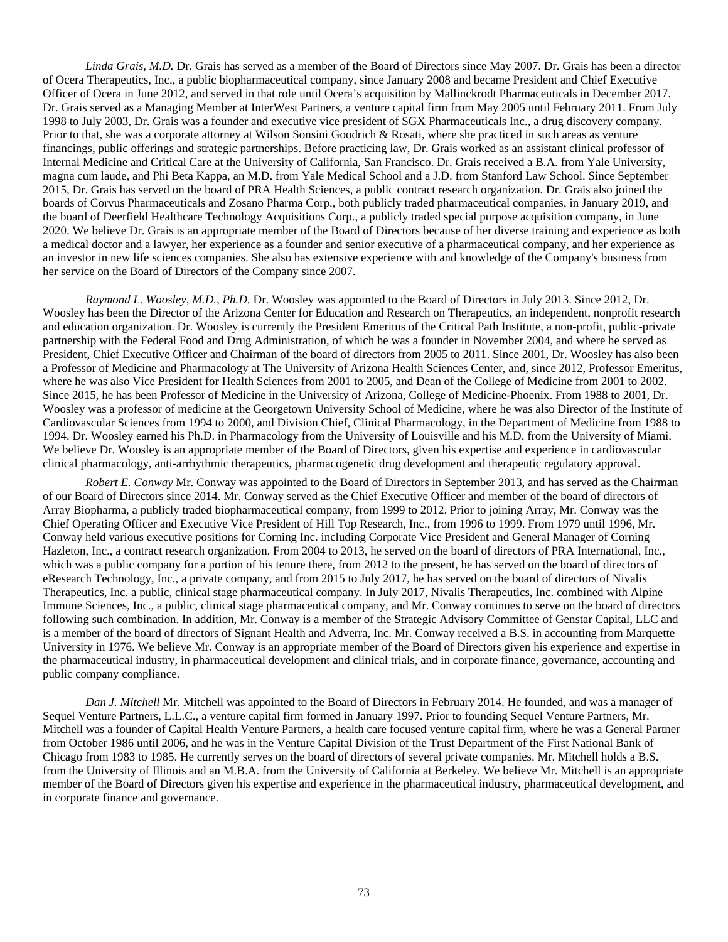*Linda Grais, M.D.* Dr. Grais has served as a member of the Board of Directors since May 2007. Dr. Grais has been a director of Ocera Therapeutics, Inc., a public biopharmaceutical company, since January 2008 and became President and Chief Executive Officer of Ocera in June 2012, and served in that role until Ocera's acquisition by Mallinckrodt Pharmaceuticals in December 2017. Dr. Grais served as a Managing Member at InterWest Partners, a venture capital firm from May 2005 until February 2011. From July 1998 to July 2003, Dr. Grais was a founder and executive vice president of SGX Pharmaceuticals Inc., a drug discovery company. Prior to that, she was a corporate attorney at Wilson Sonsini Goodrich & Rosati, where she practiced in such areas as venture financings, public offerings and strategic partnerships. Before practicing law, Dr. Grais worked as an assistant clinical professor of Internal Medicine and Critical Care at the University of California, San Francisco. Dr. Grais received a B.A. from Yale University, magna cum laude, and Phi Beta Kappa, an M.D. from Yale Medical School and a J.D. from Stanford Law School. Since September 2015, Dr. Grais has served on the board of PRA Health Sciences, a public contract research organization. Dr. Grais also joined the boards of Corvus Pharmaceuticals and Zosano Pharma Corp., both publicly traded pharmaceutical companies, in January 2019, and the board of Deerfield Healthcare Technology Acquisitions Corp., a publicly traded special purpose acquisition company, in June 2020. We believe Dr. Grais is an appropriate member of the Board of Directors because of her diverse training and experience as both a medical doctor and a lawyer, her experience as a founder and senior executive of a pharmaceutical company, and her experience as an investor in new life sciences companies. She also has extensive experience with and knowledge of the Company's business from her service on the Board of Directors of the Company since 2007.

*Raymond L. Woosley, M.D., Ph.D.* Dr. Woosley was appointed to the Board of Directors in July 2013. Since 2012, Dr. Woosley has been the Director of the Arizona Center for Education and Research on Therapeutics, an independent, nonprofit research and education organization. Dr. Woosley is currently the President Emeritus of the Critical Path Institute, a non-profit, public-private partnership with the Federal Food and Drug Administration, of which he was a founder in November 2004, and where he served as President, Chief Executive Officer and Chairman of the board of directors from 2005 to 2011. Since 2001, Dr. Woosley has also been a Professor of Medicine and Pharmacology at The University of Arizona Health Sciences Center, and, since 2012, Professor Emeritus, where he was also Vice President for Health Sciences from 2001 to 2005, and Dean of the College of Medicine from 2001 to 2002. Since 2015, he has been Professor of Medicine in the University of Arizona, College of Medicine-Phoenix. From 1988 to 2001, Dr. Woosley was a professor of medicine at the Georgetown University School of Medicine, where he was also Director of the Institute of Cardiovascular Sciences from 1994 to 2000, and Division Chief, Clinical Pharmacology, in the Department of Medicine from 1988 to 1994. Dr. Woosley earned his Ph.D. in Pharmacology from the University of Louisville and his M.D. from the University of Miami. We believe Dr. Woosley is an appropriate member of the Board of Directors, given his expertise and experience in cardiovascular clinical pharmacology, anti-arrhythmic therapeutics, pharmacogenetic drug development and therapeutic regulatory approval.

*Robert E. Conway* Mr. Conway was appointed to the Board of Directors in September 2013, and has served as the Chairman of our Board of Directors since 2014. Mr. Conway served as the Chief Executive Officer and member of the board of directors of Array Biopharma, a publicly traded biopharmaceutical company, from 1999 to 2012. Prior to joining Array, Mr. Conway was the Chief Operating Officer and Executive Vice President of Hill Top Research, Inc., from 1996 to 1999. From 1979 until 1996, Mr. Conway held various executive positions for Corning Inc. including Corporate Vice President and General Manager of Corning Hazleton, Inc., a contract research organization. From 2004 to 2013, he served on the board of directors of PRA International, Inc., which was a public company for a portion of his tenure there, from 2012 to the present, he has served on the board of directors of eResearch Technology, Inc., a private company, and from 2015 to July 2017, he has served on the board of directors of Nivalis Therapeutics, Inc. a public, clinical stage pharmaceutical company. In July 2017, Nivalis Therapeutics, Inc. combined with Alpine Immune Sciences, Inc., a public, clinical stage pharmaceutical company, and Mr. Conway continues to serve on the board of directors following such combination. In addition, Mr. Conway is a member of the Strategic Advisory Committee of Genstar Capital, LLC and is a member of the board of directors of Signant Health and Adverra, Inc. Mr. Conway received a B.S. in accounting from Marquette University in 1976. We believe Mr. Conway is an appropriate member of the Board of Directors given his experience and expertise in the pharmaceutical industry, in pharmaceutical development and clinical trials, and in corporate finance, governance, accounting and public company compliance.

*Dan J. Mitchell* Mr. Mitchell was appointed to the Board of Directors in February 2014. He founded, and was a manager of Sequel Venture Partners, L.L.C., a venture capital firm formed in January 1997. Prior to founding Sequel Venture Partners, Mr. Mitchell was a founder of Capital Health Venture Partners, a health care focused venture capital firm, where he was a General Partner from October 1986 until 2006, and he was in the Venture Capital Division of the Trust Department of the First National Bank of Chicago from 1983 to 1985. He currently serves on the board of directors of several private companies. Mr. Mitchell holds a B.S. from the University of Illinois and an M.B.A. from the University of California at Berkeley. We believe Mr. Mitchell is an appropriate member of the Board of Directors given his expertise and experience in the pharmaceutical industry, pharmaceutical development, and in corporate finance and governance.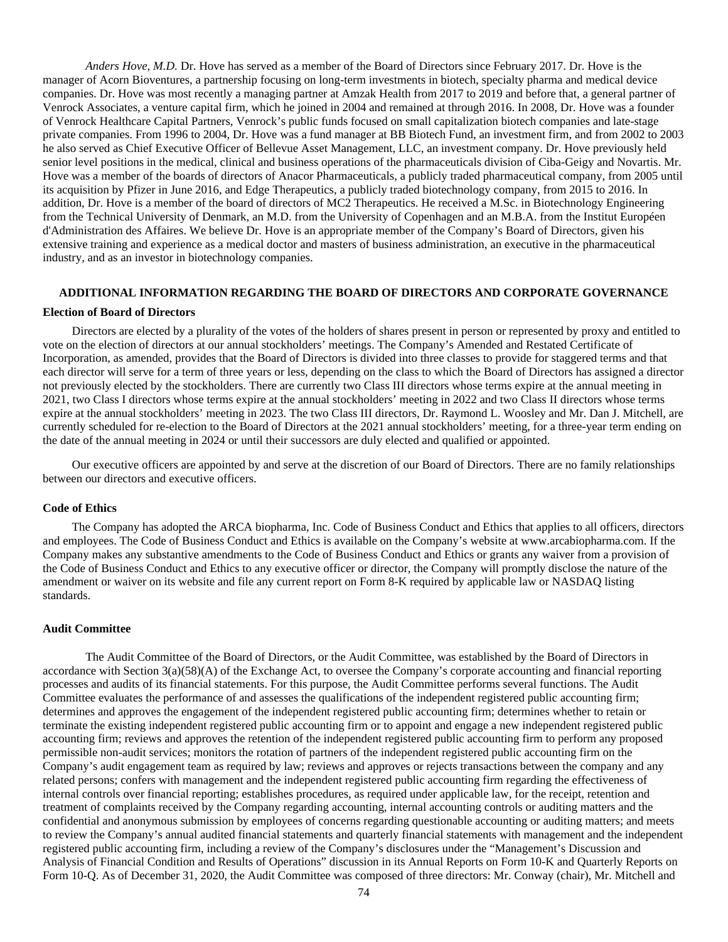*Anders Hove, M.D.* Dr. Hove has served as a member of the Board of Directors since February 2017. Dr. Hove is the manager of Acorn Bioventures, a partnership focusing on long-term investments in biotech, specialty pharma and medical device companies. Dr. Hove was most recently a managing partner at Amzak Health from 2017 to 2019 and before that, a general partner of Venrock Associates, a venture capital firm, which he joined in 2004 and remained at through 2016. In 2008, Dr. Hove was a founder of Venrock Healthcare Capital Partners, Venrock's public funds focused on small capitalization biotech companies and late-stage private companies. From 1996 to 2004, Dr. Hove was a fund manager at BB Biotech Fund, an investment firm, and from 2002 to 2003 he also served as Chief Executive Officer of Bellevue Asset Management, LLC, an investment company. Dr. Hove previously held senior level positions in the medical, clinical and business operations of the pharmaceuticals division of Ciba-Geigy and Novartis. Mr. Hove was a member of the boards of directors of Anacor Pharmaceuticals, a publicly traded pharmaceutical company, from 2005 until its acquisition by Pfizer in June 2016, and Edge Therapeutics, a publicly traded biotechnology company, from 2015 to 2016. In addition, Dr. Hove is a member of the board of directors of MC2 Therapeutics. He received a M.Sc. in Biotechnology Engineering from the Technical University of Denmark, an M.D. from the University of Copenhagen and an M.B.A. from the Institut Européen d'Administration des Affaires. We believe Dr. Hove is an appropriate member of the Company's Board of Directors, given his extensive training and experience as a medical doctor and masters of business administration, an executive in the pharmaceutical industry, and as an investor in biotechnology companies.

# **ADDITIONAL INFORMATION REGARDING THE BOARD OF DIRECTORS AND CORPORATE GOVERNANCE**

#### **Election of Board of Directors**

Directors are elected by a plurality of the votes of the holders of shares present in person or represented by proxy and entitled to vote on the election of directors at our annual stockholders' meetings. The Company's Amended and Restated Certificate of Incorporation, as amended, provides that the Board of Directors is divided into three classes to provide for staggered terms and that each director will serve for a term of three years or less, depending on the class to which the Board of Directors has assigned a director not previously elected by the stockholders. There are currently two Class III directors whose terms expire at the annual meeting in 2021, two Class I directors whose terms expire at the annual stockholders' meeting in 2022 and two Class II directors whose terms expire at the annual stockholders' meeting in 2023. The two Class III directors, Dr. Raymond L. Woosley and Mr. Dan J. Mitchell, are currently scheduled for re-election to the Board of Directors at the 2021 annual stockholders' meeting, for a three-year term ending on the date of the annual meeting in 2024 or until their successors are duly elected and qualified or appointed.

Our executive officers are appointed by and serve at the discretion of our Board of Directors. There are no family relationships between our directors and executive officers.

#### **Code of Ethics**

The Company has adopted the ARCA biopharma, Inc. Code of Business Conduct and Ethics that applies to all officers, directors and employees. The Code of Business Conduct and Ethics is available on the Company's website at www.arcabiopharma.com. If the Company makes any substantive amendments to the Code of Business Conduct and Ethics or grants any waiver from a provision of the Code of Business Conduct and Ethics to any executive officer or director, the Company will promptly disclose the nature of the amendment or waiver on its website and file any current report on Form 8-K required by applicable law or NASDAQ listing standards.

# **Audit Committee**

The Audit Committee of the Board of Directors, or the Audit Committee, was established by the Board of Directors in accordance with Section 3(a)(58)(A) of the Exchange Act, to oversee the Company's corporate accounting and financial reporting processes and audits of its financial statements. For this purpose, the Audit Committee performs several functions. The Audit Committee evaluates the performance of and assesses the qualifications of the independent registered public accounting firm; determines and approves the engagement of the independent registered public accounting firm; determines whether to retain or terminate the existing independent registered public accounting firm or to appoint and engage a new independent registered public accounting firm; reviews and approves the retention of the independent registered public accounting firm to perform any proposed permissible non-audit services; monitors the rotation of partners of the independent registered public accounting firm on the Company's audit engagement team as required by law; reviews and approves or rejects transactions between the company and any related persons; confers with management and the independent registered public accounting firm regarding the effectiveness of internal controls over financial reporting; establishes procedures, as required under applicable law, for the receipt, retention and treatment of complaints received by the Company regarding accounting, internal accounting controls or auditing matters and the confidential and anonymous submission by employees of concerns regarding questionable accounting or auditing matters; and meets to review the Company's annual audited financial statements and quarterly financial statements with management and the independent registered public accounting firm, including a review of the Company's disclosures under the "Management's Discussion and Analysis of Financial Condition and Results of Operations" discussion in its Annual Reports on Form 10-K and Quarterly Reports on Form 10-Q. As of December 31, 2020, the Audit Committee was composed of three directors: Mr. Conway (chair), Mr. Mitchell and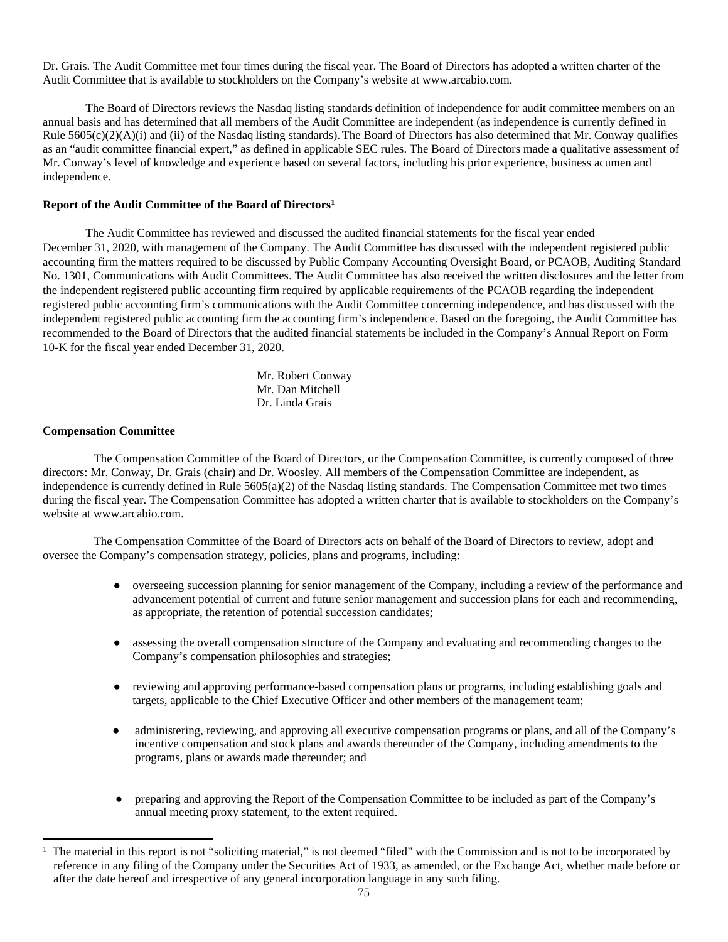Dr. Grais. The Audit Committee met four times during the fiscal year. The Board of Directors has adopted a written charter of the Audit Committee that is available to stockholders on the Company's website at www.arcabio.com.

The Board of Directors reviews the Nasdaq listing standards definition of independence for audit committee members on an annual basis and has determined that all members of the Audit Committee are independent (as independence is currently defined in Rule  $5605(c)(2)(A)(i)$  and (ii) of the Nasdaq listing standards). The Board of Directors has also determined that Mr. Conway qualifies as an "audit committee financial expert," as defined in applicable SEC rules. The Board of Directors made a qualitative assessment of Mr. Conway's level of knowledge and experience based on several factors, including his prior experience, business acumen and independence.

# **Report of the Audit Committee of the Board of Directors<sup>1</sup>**

The Audit Committee has reviewed and discussed the audited financial statements for the fiscal year ended December 31, 2020, with management of the Company. The Audit Committee has discussed with the independent registered public accounting firm the matters required to be discussed by Public Company Accounting Oversight Board, or PCAOB, Auditing Standard No. 1301, Communications with Audit Committees. The Audit Committee has also received the written disclosures and the letter from the independent registered public accounting firm required by applicable requirements of the PCAOB regarding the independent registered public accounting firm's communications with the Audit Committee concerning independence, and has discussed with the independent registered public accounting firm the accounting firm's independence. Based on the foregoing, the Audit Committee has recommended to the Board of Directors that the audited financial statements be included in the Company's Annual Report on Form 10-K for the fiscal year ended December 31, 2020.

> Mr. Robert Conway Mr. Dan Mitchell Dr. Linda Grais

# **Compensation Committee**

The Compensation Committee of the Board of Directors, or the Compensation Committee, is currently composed of three directors: Mr. Conway, Dr. Grais (chair) and Dr. Woosley. All members of the Compensation Committee are independent, as independence is currently defined in Rule 5605(a)(2) of the Nasdaq listing standards. The Compensation Committee met two times during the fiscal year. The Compensation Committee has adopted a written charter that is available to stockholders on the Company's website at www.arcabio.com.

The Compensation Committee of the Board of Directors acts on behalf of the Board of Directors to review, adopt and oversee the Company's compensation strategy, policies, plans and programs, including:

- overseeing succession planning for senior management of the Company, including a review of the performance and advancement potential of current and future senior management and succession plans for each and recommending, as appropriate, the retention of potential succession candidates;
- assessing the overall compensation structure of the Company and evaluating and recommending changes to the Company's compensation philosophies and strategies;
- reviewing and approving performance-based compensation plans or programs, including establishing goals and targets, applicable to the Chief Executive Officer and other members of the management team;
- administering, reviewing, and approving all executive compensation programs or plans, and all of the Company's incentive compensation and stock plans and awards thereunder of the Company, including amendments to the programs, plans or awards made thereunder; and
- preparing and approving the Report of the Compensation Committee to be included as part of the Company's annual meeting proxy statement, to the extent required.

<sup>1</sup> The material in this report is not "soliciting material," is not deemed "filed" with the Commission and is not to be incorporated by reference in any filing of the Company under the Securities Act of 1933, as amended, or the Exchange Act, whether made before or after the date hereof and irrespective of any general incorporation language in any such filing.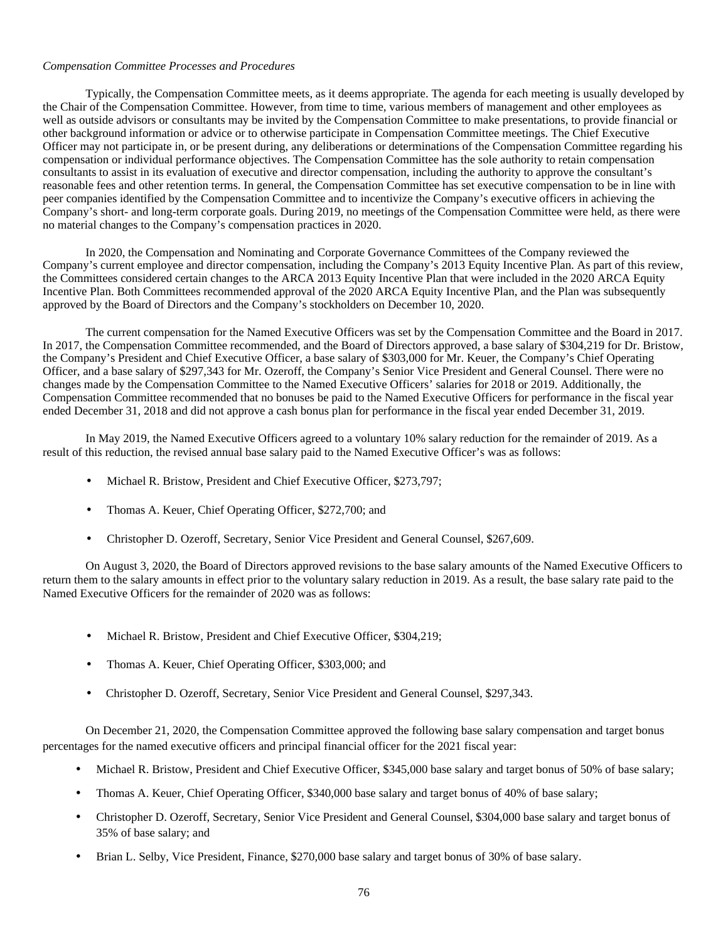# *Compensation Committee Processes and Procedures*

Typically, the Compensation Committee meets, as it deems appropriate. The agenda for each meeting is usually developed by the Chair of the Compensation Committee. However, from time to time, various members of management and other employees as well as outside advisors or consultants may be invited by the Compensation Committee to make presentations, to provide financial or other background information or advice or to otherwise participate in Compensation Committee meetings. The Chief Executive Officer may not participate in, or be present during, any deliberations or determinations of the Compensation Committee regarding his compensation or individual performance objectives. The Compensation Committee has the sole authority to retain compensation consultants to assist in its evaluation of executive and director compensation, including the authority to approve the consultant's reasonable fees and other retention terms. In general, the Compensation Committee has set executive compensation to be in line with peer companies identified by the Compensation Committee and to incentivize the Company's executive officers in achieving the Company's short- and long-term corporate goals. During 2019, no meetings of the Compensation Committee were held, as there were no material changes to the Company's compensation practices in 2020.

In 2020, the Compensation and Nominating and Corporate Governance Committees of the Company reviewed the Company's current employee and director compensation, including the Company's 2013 Equity Incentive Plan. As part of this review, the Committees considered certain changes to the ARCA 2013 Equity Incentive Plan that were included in the 2020 ARCA Equity Incentive Plan. Both Committees recommended approval of the 2020 ARCA Equity Incentive Plan, and the Plan was subsequently approved by the Board of Directors and the Company's stockholders on December 10, 2020.

The current compensation for the Named Executive Officers was set by the Compensation Committee and the Board in 2017. In 2017, the Compensation Committee recommended, and the Board of Directors approved, a base salary of \$304,219 for Dr. Bristow, the Company's President and Chief Executive Officer, a base salary of \$303,000 for Mr. Keuer, the Company's Chief Operating Officer, and a base salary of \$297,343 for Mr. Ozeroff, the Company's Senior Vice President and General Counsel. There were no changes made by the Compensation Committee to the Named Executive Officers' salaries for 2018 or 2019. Additionally, the Compensation Committee recommended that no bonuses be paid to the Named Executive Officers for performance in the fiscal year ended December 31, 2018 and did not approve a cash bonus plan for performance in the fiscal year ended December 31, 2019.

In May 2019, the Named Executive Officers agreed to a voluntary 10% salary reduction for the remainder of 2019. As a result of this reduction, the revised annual base salary paid to the Named Executive Officer's was as follows:

- Michael R. Bristow, President and Chief Executive Officer, \$273,797;
- Thomas A. Keuer, Chief Operating Officer, \$272,700; and
- Christopher D. Ozeroff, Secretary, Senior Vice President and General Counsel, \$267,609.

On August 3, 2020, the Board of Directors approved revisions to the base salary amounts of the Named Executive Officers to return them to the salary amounts in effect prior to the voluntary salary reduction in 2019. As a result, the base salary rate paid to the Named Executive Officers for the remainder of 2020 was as follows:

- Michael R. Bristow, President and Chief Executive Officer, \$304,219;
- Thomas A. Keuer, Chief Operating Officer, \$303,000; and
- Christopher D. Ozeroff, Secretary, Senior Vice President and General Counsel, \$297,343.

On December 21, 2020, the Compensation Committee approved the following base salary compensation and target bonus percentages for the named executive officers and principal financial officer for the 2021 fiscal year:

- Michael R. Bristow, President and Chief Executive Officer, \$345,000 base salary and target bonus of 50% of base salary;
- Thomas A. Keuer, Chief Operating Officer, \$340,000 base salary and target bonus of 40% of base salary;
- Christopher D. Ozeroff, Secretary, Senior Vice President and General Counsel, \$304,000 base salary and target bonus of 35% of base salary; and
- Brian L. Selby, Vice President, Finance, \$270,000 base salary and target bonus of 30% of base salary.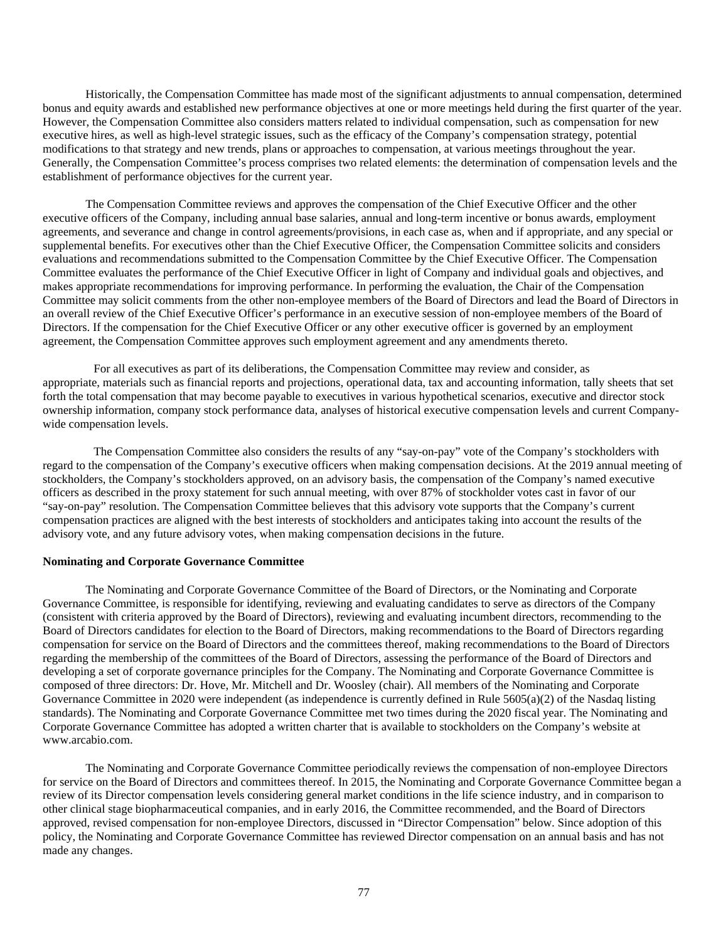Historically, the Compensation Committee has made most of the significant adjustments to annual compensation, determined bonus and equity awards and established new performance objectives at one or more meetings held during the first quarter of the year. However, the Compensation Committee also considers matters related to individual compensation, such as compensation for new executive hires, as well as high-level strategic issues, such as the efficacy of the Company's compensation strategy, potential modifications to that strategy and new trends, plans or approaches to compensation, at various meetings throughout the year. Generally, the Compensation Committee's process comprises two related elements: the determination of compensation levels and the establishment of performance objectives for the current year.

The Compensation Committee reviews and approves the compensation of the Chief Executive Officer and the other executive officers of the Company, including annual base salaries, annual and long-term incentive or bonus awards, employment agreements, and severance and change in control agreements/provisions, in each case as, when and if appropriate, and any special or supplemental benefits. For executives other than the Chief Executive Officer, the Compensation Committee solicits and considers evaluations and recommendations submitted to the Compensation Committee by the Chief Executive Officer. The Compensation Committee evaluates the performance of the Chief Executive Officer in light of Company and individual goals and objectives, and makes appropriate recommendations for improving performance. In performing the evaluation, the Chair of the Compensation Committee may solicit comments from the other non-employee members of the Board of Directors and lead the Board of Directors in an overall review of the Chief Executive Officer's performance in an executive session of non-employee members of the Board of Directors. If the compensation for the Chief Executive Officer or any other executive officer is governed by an employment agreement, the Compensation Committee approves such employment agreement and any amendments thereto.

For all executives as part of its deliberations, the Compensation Committee may review and consider, as appropriate, materials such as financial reports and projections, operational data, tax and accounting information, tally sheets that set forth the total compensation that may become payable to executives in various hypothetical scenarios, executive and director stock ownership information, company stock performance data, analyses of historical executive compensation levels and current Companywide compensation levels.

The Compensation Committee also considers the results of any "say-on-pay" vote of the Company's stockholders with regard to the compensation of the Company's executive officers when making compensation decisions. At the 2019 annual meeting of stockholders, the Company's stockholders approved, on an advisory basis, the compensation of the Company's named executive officers as described in the proxy statement for such annual meeting, with over 87% of stockholder votes cast in favor of our "say-on-pay" resolution. The Compensation Committee believes that this advisory vote supports that the Company's current compensation practices are aligned with the best interests of stockholders and anticipates taking into account the results of the advisory vote, and any future advisory votes, when making compensation decisions in the future.

### **Nominating and Corporate Governance Committee**

The Nominating and Corporate Governance Committee of the Board of Directors, or the Nominating and Corporate Governance Committee, is responsible for identifying, reviewing and evaluating candidates to serve as directors of the Company (consistent with criteria approved by the Board of Directors), reviewing and evaluating incumbent directors, recommending to the Board of Directors candidates for election to the Board of Directors, making recommendations to the Board of Directors regarding compensation for service on the Board of Directors and the committees thereof, making recommendations to the Board of Directors regarding the membership of the committees of the Board of Directors, assessing the performance of the Board of Directors and developing a set of corporate governance principles for the Company. The Nominating and Corporate Governance Committee is composed of three directors: Dr. Hove, Mr. Mitchell and Dr. Woosley (chair). All members of the Nominating and Corporate Governance Committee in 2020 were independent (as independence is currently defined in Rule 5605(a)(2) of the Nasdaq listing standards). The Nominating and Corporate Governance Committee met two times during the 2020 fiscal year. The Nominating and Corporate Governance Committee has adopted a written charter that is available to stockholders on the Company's website at www.arcabio.com.

The Nominating and Corporate Governance Committee periodically reviews the compensation of non-employee Directors for service on the Board of Directors and committees thereof. In 2015, the Nominating and Corporate Governance Committee began a review of its Director compensation levels considering general market conditions in the life science industry, and in comparison to other clinical stage biopharmaceutical companies, and in early 2016, the Committee recommended, and the Board of Directors approved, revised compensation for non-employee Directors, discussed in "Director Compensation" below. Since adoption of this policy, the Nominating and Corporate Governance Committee has reviewed Director compensation on an annual basis and has not made any changes.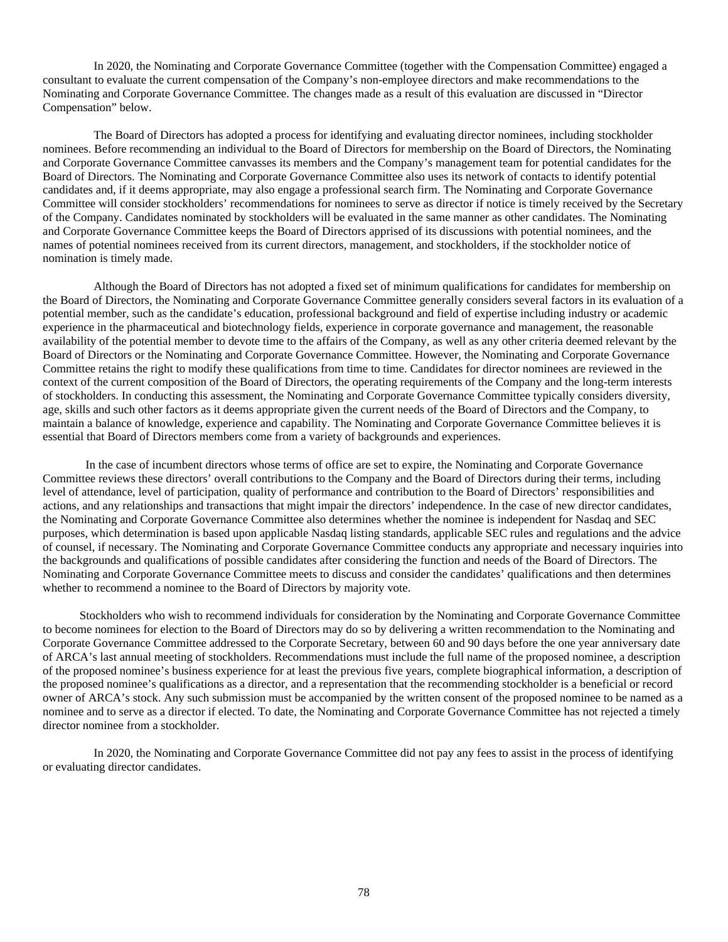In 2020, the Nominating and Corporate Governance Committee (together with the Compensation Committee) engaged a consultant to evaluate the current compensation of the Company's non-employee directors and make recommendations to the Nominating and Corporate Governance Committee. The changes made as a result of this evaluation are discussed in "Director Compensation" below.

The Board of Directors has adopted a process for identifying and evaluating director nominees, including stockholder nominees. Before recommending an individual to the Board of Directors for membership on the Board of Directors, the Nominating and Corporate Governance Committee canvasses its members and the Company's management team for potential candidates for the Board of Directors. The Nominating and Corporate Governance Committee also uses its network of contacts to identify potential candidates and, if it deems appropriate, may also engage a professional search firm. The Nominating and Corporate Governance Committee will consider stockholders' recommendations for nominees to serve as director if notice is timely received by the Secretary of the Company. Candidates nominated by stockholders will be evaluated in the same manner as other candidates. The Nominating and Corporate Governance Committee keeps the Board of Directors apprised of its discussions with potential nominees, and the names of potential nominees received from its current directors, management, and stockholders, if the stockholder notice of nomination is timely made.

Although the Board of Directors has not adopted a fixed set of minimum qualifications for candidates for membership on the Board of Directors, the Nominating and Corporate Governance Committee generally considers several factors in its evaluation of a potential member, such as the candidate's education, professional background and field of expertise including industry or academic experience in the pharmaceutical and biotechnology fields, experience in corporate governance and management, the reasonable availability of the potential member to devote time to the affairs of the Company, as well as any other criteria deemed relevant by the Board of Directors or the Nominating and Corporate Governance Committee. However, the Nominating and Corporate Governance Committee retains the right to modify these qualifications from time to time. Candidates for director nominees are reviewed in the context of the current composition of the Board of Directors, the operating requirements of the Company and the long-term interests of stockholders. In conducting this assessment, the Nominating and Corporate Governance Committee typically considers diversity, age, skills and such other factors as it deems appropriate given the current needs of the Board of Directors and the Company, to maintain a balance of knowledge, experience and capability. The Nominating and Corporate Governance Committee believes it is essential that Board of Directors members come from a variety of backgrounds and experiences.

In the case of incumbent directors whose terms of office are set to expire, the Nominating and Corporate Governance Committee reviews these directors' overall contributions to the Company and the Board of Directors during their terms, including level of attendance, level of participation, quality of performance and contribution to the Board of Directors' responsibilities and actions, and any relationships and transactions that might impair the directors' independence. In the case of new director candidates, the Nominating and Corporate Governance Committee also determines whether the nominee is independent for Nasdaq and SEC purposes, which determination is based upon applicable Nasdaq listing standards, applicable SEC rules and regulations and the advice of counsel, if necessary. The Nominating and Corporate Governance Committee conducts any appropriate and necessary inquiries into the backgrounds and qualifications of possible candidates after considering the function and needs of the Board of Directors. The Nominating and Corporate Governance Committee meets to discuss and consider the candidates' qualifications and then determines whether to recommend a nominee to the Board of Directors by majority vote.

Stockholders who wish to recommend individuals for consideration by the Nominating and Corporate Governance Committee to become nominees for election to the Board of Directors may do so by delivering a written recommendation to the Nominating and Corporate Governance Committee addressed to the Corporate Secretary, between 60 and 90 days before the one year anniversary date of ARCA's last annual meeting of stockholders. Recommendations must include the full name of the proposed nominee, a description of the proposed nominee's business experience for at least the previous five years, complete biographical information, a description of the proposed nominee's qualifications as a director, and a representation that the recommending stockholder is a beneficial or record owner of ARCA's stock. Any such submission must be accompanied by the written consent of the proposed nominee to be named as a nominee and to serve as a director if elected. To date, the Nominating and Corporate Governance Committee has not rejected a timely director nominee from a stockholder.

In 2020, the Nominating and Corporate Governance Committee did not pay any fees to assist in the process of identifying or evaluating director candidates.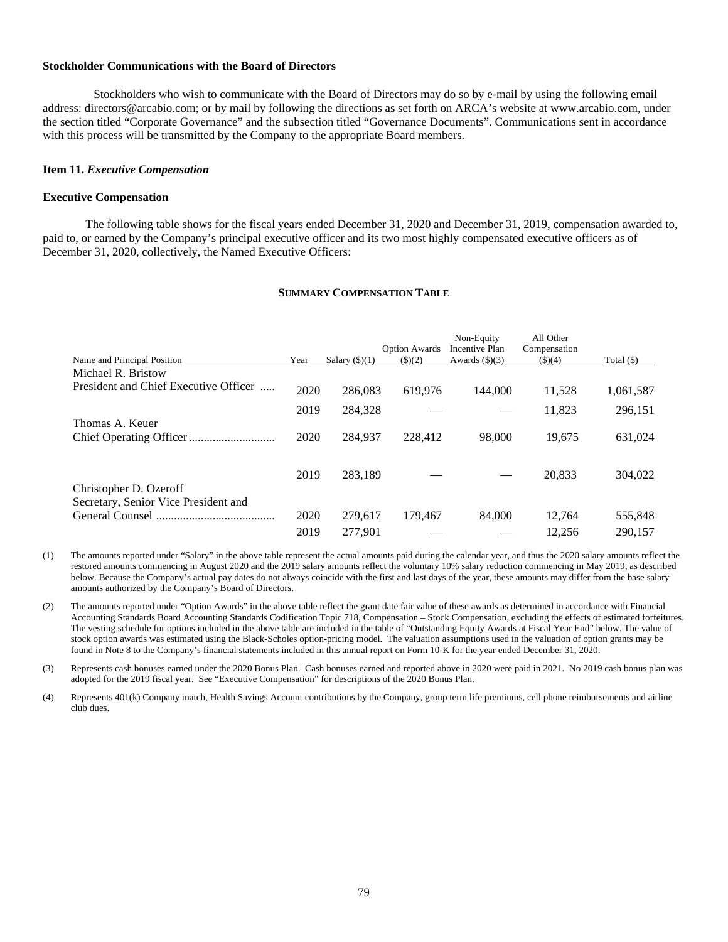# **Stockholder Communications with the Board of Directors**

Stockholders who wish to communicate with the Board of Directors may do so by e-mail by using the following email address: directors@arcabio.com; or by mail by following the directions as set forth on ARCA's website at www.arcabio.com, under the section titled "Corporate Governance" and the subsection titled "Governance Documents". Communications sent in accordance with this process will be transmitted by the Company to the appropriate Board members.

### **Item 11.** *Executive Compensation*

#### **Executive Compensation**

The following table shows for the fiscal years ended December 31, 2020 and December 31, 2019, compensation awarded to, paid to, or earned by the Company's principal executive officer and its two most highly compensated executive officers as of December 31, 2020, collectively, the Named Executive Officers:

### **SUMMARY COMPENSATION TABLE**

|                                                                |      |                     | <b>Option Awards</b> | Non-Equity<br><b>Incentive Plan</b> | All Other<br>Compensation |              |
|----------------------------------------------------------------|------|---------------------|----------------------|-------------------------------------|---------------------------|--------------|
| Name and Principal Position                                    | Year | Salary $($ 8) $(1)$ | $($ (\$)(2)          | Awards $(\text{\$})(3)$             | $($ \$ $)(4)$             | Total $(\$)$ |
| Michael R. Bristow                                             |      |                     |                      |                                     |                           |              |
| President and Chief Executive Officer                          | 2020 | 286,083             | 619.976              | 144.000                             | 11,528                    | 1,061,587    |
|                                                                | 2019 | 284.328             |                      |                                     | 11.823                    | 296,151      |
| Thomas A. Keuer                                                | 2020 | 284,937             | 228,412              | 98,000                              | 19,675                    | 631,024      |
| Christopher D. Ozeroff<br>Secretary, Senior Vice President and | 2019 | 283.189             |                      |                                     | 20.833                    | 304,022      |
|                                                                | 2020 | 279,617             | 179.467              | 84,000                              | 12.764                    | 555,848      |
|                                                                |      |                     |                      |                                     |                           |              |
|                                                                | 2019 | 277.901             |                      |                                     | 12.256                    | 290.157      |

(1) The amounts reported under "Salary" in the above table represent the actual amounts paid during the calendar year, and thus the 2020 salary amounts reflect the restored amounts commencing in August 2020 and the 2019 salary amounts reflect the voluntary 10% salary reduction commencing in May 2019, as described below. Because the Company's actual pay dates do not always coincide with the first and last days of the year, these amounts may differ from the base salary amounts authorized by the Company's Board of Directors.

(2) The amounts reported under "Option Awards" in the above table reflect the grant date fair value of these awards as determined in accordance with Financial Accounting Standards Board Accounting Standards Codification Topic 718, Compensation – Stock Compensation, excluding the effects of estimated forfeitures. The vesting schedule for options included in the above table are included in the table of "Outstanding Equity Awards at Fiscal Year End" below. The value of stock option awards was estimated using the Black-Scholes option-pricing model. The valuation assumptions used in the valuation of option grants may be found in Note 8 to the Company's financial statements included in this annual report on Form 10-K for the year ended December 31, 2020.

(3) Represents cash bonuses earned under the 2020 Bonus Plan. Cash bonuses earned and reported above in 2020 were paid in 2021. No 2019 cash bonus plan was adopted for the 2019 fiscal year. See "Executive Compensation" for descriptions of the 2020 Bonus Plan.

(4) Represents 401(k) Company match, Health Savings Account contributions by the Company, group term life premiums, cell phone reimbursements and airline club dues.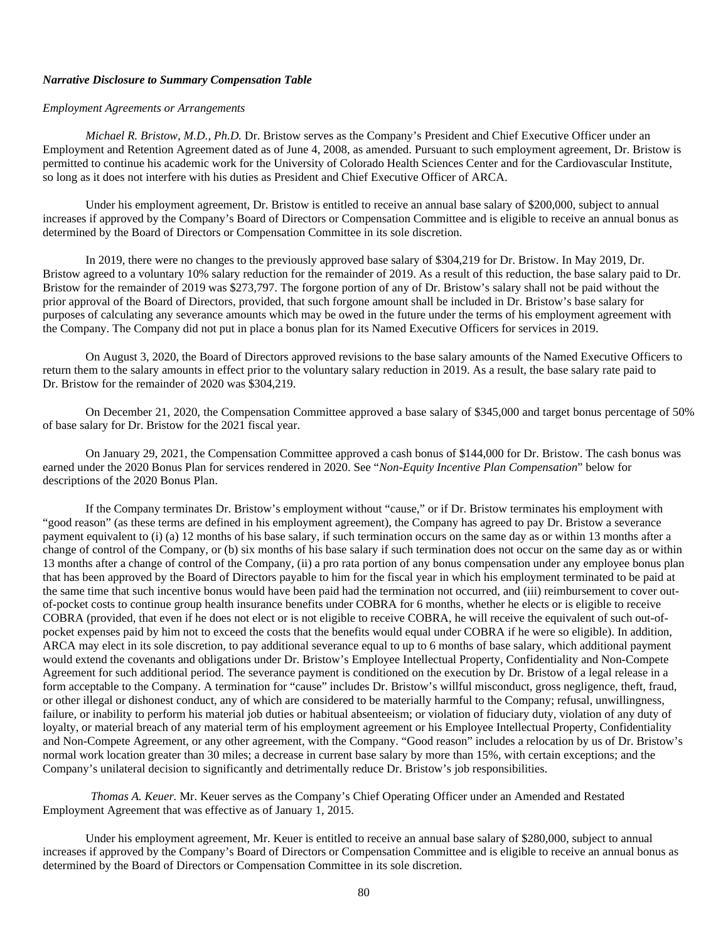# *Narrative Disclosure to Summary Compensation Table*

#### *Employment Agreements or Arrangements*

*Michael R. Bristow, M.D., Ph.D.* Dr. Bristow serves as the Company's President and Chief Executive Officer under an Employment and Retention Agreement dated as of June 4, 2008, as amended. Pursuant to such employment agreement, Dr. Bristow is permitted to continue his academic work for the University of Colorado Health Sciences Center and for the Cardiovascular Institute, so long as it does not interfere with his duties as President and Chief Executive Officer of ARCA.

Under his employment agreement, Dr. Bristow is entitled to receive an annual base salary of \$200,000, subject to annual increases if approved by the Company's Board of Directors or Compensation Committee and is eligible to receive an annual bonus as determined by the Board of Directors or Compensation Committee in its sole discretion.

In 2019, there were no changes to the previously approved base salary of \$304,219 for Dr. Bristow. In May 2019, Dr. Bristow agreed to a voluntary 10% salary reduction for the remainder of 2019. As a result of this reduction, the base salary paid to Dr. Bristow for the remainder of 2019 was \$273,797. The forgone portion of any of Dr. Bristow's salary shall not be paid without the prior approval of the Board of Directors, provided, that such forgone amount shall be included in Dr. Bristow's base salary for purposes of calculating any severance amounts which may be owed in the future under the terms of his employment agreement with the Company. The Company did not put in place a bonus plan for its Named Executive Officers for services in 2019.

On August 3, 2020, the Board of Directors approved revisions to the base salary amounts of the Named Executive Officers to return them to the salary amounts in effect prior to the voluntary salary reduction in 2019. As a result, the base salary rate paid to Dr. Bristow for the remainder of 2020 was \$304,219.

On December 21, 2020, the Compensation Committee approved a base salary of \$345,000 and target bonus percentage of 50% of base salary for Dr. Bristow for the 2021 fiscal year.

On January 29, 2021, the Compensation Committee approved a cash bonus of \$144,000 for Dr. Bristow. The cash bonus was earned under the 2020 Bonus Plan for services rendered in 2020. See "*Non-Equity Incentive Plan Compensation*" below for descriptions of the 2020 Bonus Plan.

If the Company terminates Dr. Bristow's employment without "cause," or if Dr. Bristow terminates his employment with "good reason" (as these terms are defined in his employment agreement), the Company has agreed to pay Dr. Bristow a severance payment equivalent to (i) (a) 12 months of his base salary, if such termination occurs on the same day as or within 13 months after a change of control of the Company, or (b) six months of his base salary if such termination does not occur on the same day as or within 13 months after a change of control of the Company, (ii) a pro rata portion of any bonus compensation under any employee bonus plan that has been approved by the Board of Directors payable to him for the fiscal year in which his employment terminated to be paid at the same time that such incentive bonus would have been paid had the termination not occurred, and (iii) reimbursement to cover outof-pocket costs to continue group health insurance benefits under COBRA for 6 months, whether he elects or is eligible to receive COBRA (provided, that even if he does not elect or is not eligible to receive COBRA, he will receive the equivalent of such out-ofpocket expenses paid by him not to exceed the costs that the benefits would equal under COBRA if he were so eligible). In addition, ARCA may elect in its sole discretion, to pay additional severance equal to up to 6 months of base salary, which additional payment would extend the covenants and obligations under Dr. Bristow's Employee Intellectual Property, Confidentiality and Non-Compete Agreement for such additional period. The severance payment is conditioned on the execution by Dr. Bristow of a legal release in a form acceptable to the Company. A termination for "cause" includes Dr. Bristow's willful misconduct, gross negligence, theft, fraud, or other illegal or dishonest conduct, any of which are considered to be materially harmful to the Company; refusal, unwillingness, failure, or inability to perform his material job duties or habitual absenteeism; or violation of fiduciary duty, violation of any duty of loyalty, or material breach of any material term of his employment agreement or his Employee Intellectual Property, Confidentiality and Non-Compete Agreement, or any other agreement, with the Company. "Good reason" includes a relocation by us of Dr. Bristow's normal work location greater than 30 miles; a decrease in current base salary by more than 15%, with certain exceptions; and the Company's unilateral decision to significantly and detrimentally reduce Dr. Bristow's job responsibilities.

*Thomas A. Keuer.* Mr. Keuer serves as the Company's Chief Operating Officer under an Amended and Restated Employment Agreement that was effective as of January 1, 2015.

Under his employment agreement, Mr. Keuer is entitled to receive an annual base salary of \$280,000, subject to annual increases if approved by the Company's Board of Directors or Compensation Committee and is eligible to receive an annual bonus as determined by the Board of Directors or Compensation Committee in its sole discretion.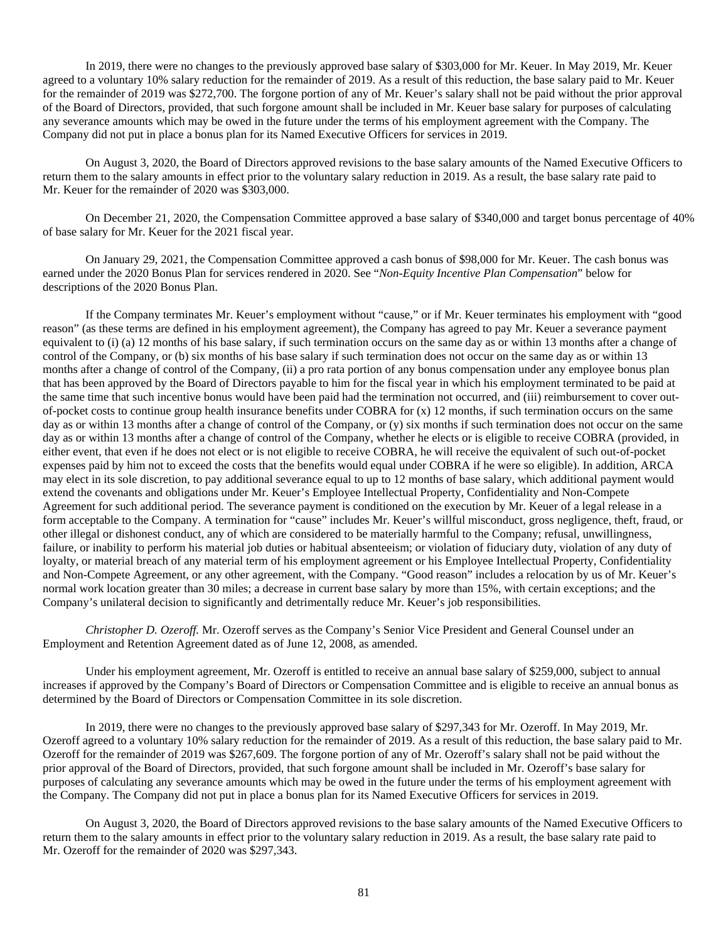In 2019, there were no changes to the previously approved base salary of \$303,000 for Mr. Keuer. In May 2019, Mr. Keuer agreed to a voluntary 10% salary reduction for the remainder of 2019. As a result of this reduction, the base salary paid to Mr. Keuer for the remainder of 2019 was \$272,700. The forgone portion of any of Mr. Keuer's salary shall not be paid without the prior approval of the Board of Directors, provided, that such forgone amount shall be included in Mr. Keuer base salary for purposes of calculating any severance amounts which may be owed in the future under the terms of his employment agreement with the Company. The Company did not put in place a bonus plan for its Named Executive Officers for services in 2019.

On August 3, 2020, the Board of Directors approved revisions to the base salary amounts of the Named Executive Officers to return them to the salary amounts in effect prior to the voluntary salary reduction in 2019. As a result, the base salary rate paid to Mr. Keuer for the remainder of 2020 was \$303,000.

On December 21, 2020, the Compensation Committee approved a base salary of \$340,000 and target bonus percentage of 40% of base salary for Mr. Keuer for the 2021 fiscal year.

On January 29, 2021, the Compensation Committee approved a cash bonus of \$98,000 for Mr. Keuer. The cash bonus was earned under the 2020 Bonus Plan for services rendered in 2020. See "*Non-Equity Incentive Plan Compensation*" below for descriptions of the 2020 Bonus Plan.

If the Company terminates Mr. Keuer's employment without "cause," or if Mr. Keuer terminates his employment with "good reason" (as these terms are defined in his employment agreement), the Company has agreed to pay Mr. Keuer a severance payment equivalent to (i) (a) 12 months of his base salary, if such termination occurs on the same day as or within 13 months after a change of control of the Company, or (b) six months of his base salary if such termination does not occur on the same day as or within 13 months after a change of control of the Company, (ii) a pro rata portion of any bonus compensation under any employee bonus plan that has been approved by the Board of Directors payable to him for the fiscal year in which his employment terminated to be paid at the same time that such incentive bonus would have been paid had the termination not occurred, and (iii) reimbursement to cover outof-pocket costs to continue group health insurance benefits under COBRA for  $(x)$  12 months, if such termination occurs on the same day as or within 13 months after a change of control of the Company, or (y) six months if such termination does not occur on the same day as or within 13 months after a change of control of the Company, whether he elects or is eligible to receive COBRA (provided, in either event, that even if he does not elect or is not eligible to receive COBRA, he will receive the equivalent of such out-of-pocket expenses paid by him not to exceed the costs that the benefits would equal under COBRA if he were so eligible). In addition, ARCA may elect in its sole discretion, to pay additional severance equal to up to 12 months of base salary, which additional payment would extend the covenants and obligations under Mr. Keuer's Employee Intellectual Property, Confidentiality and Non-Compete Agreement for such additional period. The severance payment is conditioned on the execution by Mr. Keuer of a legal release in a form acceptable to the Company. A termination for "cause" includes Mr. Keuer's willful misconduct, gross negligence, theft, fraud, or other illegal or dishonest conduct, any of which are considered to be materially harmful to the Company; refusal, unwillingness, failure, or inability to perform his material job duties or habitual absenteeism; or violation of fiduciary duty, violation of any duty of loyalty, or material breach of any material term of his employment agreement or his Employee Intellectual Property, Confidentiality and Non-Compete Agreement, or any other agreement, with the Company. "Good reason" includes a relocation by us of Mr. Keuer's normal work location greater than 30 miles; a decrease in current base salary by more than 15%, with certain exceptions; and the Company's unilateral decision to significantly and detrimentally reduce Mr. Keuer's job responsibilities.

*Christopher D. Ozeroff.* Mr. Ozeroff serves as the Company's Senior Vice President and General Counsel under an Employment and Retention Agreement dated as of June 12, 2008, as amended.

Under his employment agreement, Mr. Ozeroff is entitled to receive an annual base salary of \$259,000, subject to annual increases if approved by the Company's Board of Directors or Compensation Committee and is eligible to receive an annual bonus as determined by the Board of Directors or Compensation Committee in its sole discretion.

In 2019, there were no changes to the previously approved base salary of \$297,343 for Mr. Ozeroff. In May 2019, Mr. Ozeroff agreed to a voluntary 10% salary reduction for the remainder of 2019. As a result of this reduction, the base salary paid to Mr. Ozeroff for the remainder of 2019 was \$267,609. The forgone portion of any of Mr. Ozeroff's salary shall not be paid without the prior approval of the Board of Directors, provided, that such forgone amount shall be included in Mr. Ozeroff's base salary for purposes of calculating any severance amounts which may be owed in the future under the terms of his employment agreement with the Company. The Company did not put in place a bonus plan for its Named Executive Officers for services in 2019.

On August 3, 2020, the Board of Directors approved revisions to the base salary amounts of the Named Executive Officers to return them to the salary amounts in effect prior to the voluntary salary reduction in 2019. As a result, the base salary rate paid to Mr. Ozeroff for the remainder of 2020 was \$297,343.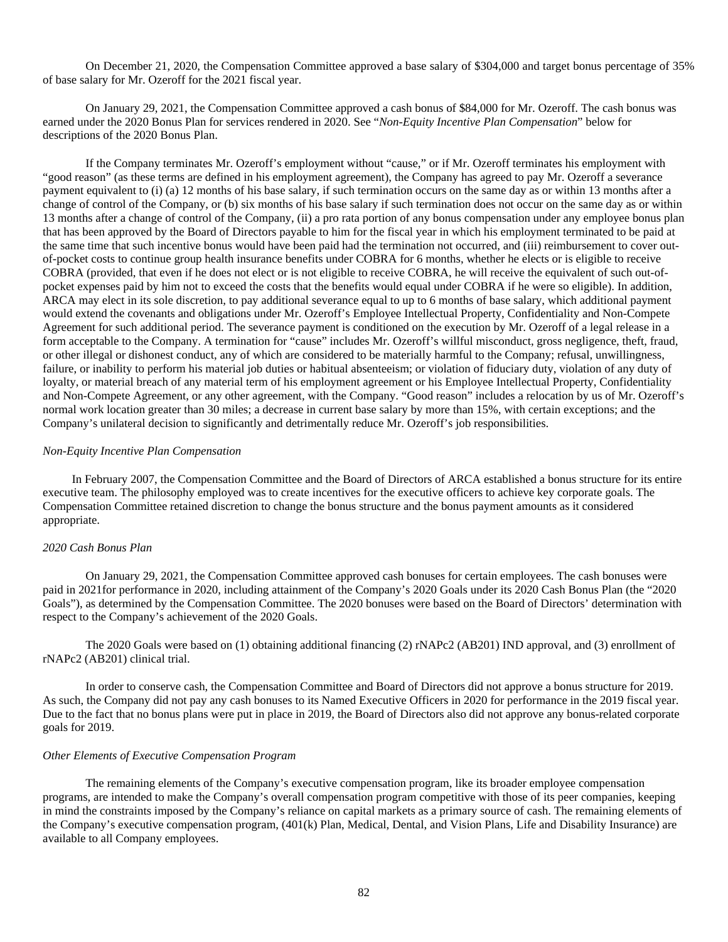On December 21, 2020, the Compensation Committee approved a base salary of \$304,000 and target bonus percentage of 35% of base salary for Mr. Ozeroff for the 2021 fiscal year.

On January 29, 2021, the Compensation Committee approved a cash bonus of \$84,000 for Mr. Ozeroff. The cash bonus was earned under the 2020 Bonus Plan for services rendered in 2020. See "*Non-Equity Incentive Plan Compensation*" below for descriptions of the 2020 Bonus Plan.

If the Company terminates Mr. Ozeroff's employment without "cause," or if Mr. Ozeroff terminates his employment with "good reason" (as these terms are defined in his employment agreement), the Company has agreed to pay Mr. Ozeroff a severance payment equivalent to (i) (a) 12 months of his base salary, if such termination occurs on the same day as or within 13 months after a change of control of the Company, or (b) six months of his base salary if such termination does not occur on the same day as or within 13 months after a change of control of the Company, (ii) a pro rata portion of any bonus compensation under any employee bonus plan that has been approved by the Board of Directors payable to him for the fiscal year in which his employment terminated to be paid at the same time that such incentive bonus would have been paid had the termination not occurred, and (iii) reimbursement to cover outof-pocket costs to continue group health insurance benefits under COBRA for 6 months, whether he elects or is eligible to receive COBRA (provided, that even if he does not elect or is not eligible to receive COBRA, he will receive the equivalent of such out-ofpocket expenses paid by him not to exceed the costs that the benefits would equal under COBRA if he were so eligible). In addition, ARCA may elect in its sole discretion, to pay additional severance equal to up to 6 months of base salary, which additional payment would extend the covenants and obligations under Mr. Ozeroff's Employee Intellectual Property, Confidentiality and Non-Compete Agreement for such additional period. The severance payment is conditioned on the execution by Mr. Ozeroff of a legal release in a form acceptable to the Company. A termination for "cause" includes Mr. Ozeroff's willful misconduct, gross negligence, theft, fraud, or other illegal or dishonest conduct, any of which are considered to be materially harmful to the Company; refusal, unwillingness, failure, or inability to perform his material job duties or habitual absenteeism; or violation of fiduciary duty, violation of any duty of loyalty, or material breach of any material term of his employment agreement or his Employee Intellectual Property, Confidentiality and Non-Compete Agreement, or any other agreement, with the Company. "Good reason" includes a relocation by us of Mr. Ozeroff's normal work location greater than 30 miles; a decrease in current base salary by more than 15%, with certain exceptions; and the Company's unilateral decision to significantly and detrimentally reduce Mr. Ozeroff's job responsibilities.

#### *Non-Equity Incentive Plan Compensation*

In February 2007, the Compensation Committee and the Board of Directors of ARCA established a bonus structure for its entire executive team. The philosophy employed was to create incentives for the executive officers to achieve key corporate goals. The Compensation Committee retained discretion to change the bonus structure and the bonus payment amounts as it considered appropriate.

### *2020 Cash Bonus Plan*

On January 29, 2021, the Compensation Committee approved cash bonuses for certain employees. The cash bonuses were paid in 2021for performance in 2020, including attainment of the Company's 2020 Goals under its 2020 Cash Bonus Plan (the "2020 Goals"), as determined by the Compensation Committee. The 2020 bonuses were based on the Board of Directors' determination with respect to the Company's achievement of the 2020 Goals.

The 2020 Goals were based on (1) obtaining additional financing (2) rNAPc2 (AB201) IND approval, and (3) enrollment of rNAPc2 (AB201) clinical trial.

In order to conserve cash, the Compensation Committee and Board of Directors did not approve a bonus structure for 2019. As such, the Company did not pay any cash bonuses to its Named Executive Officers in 2020 for performance in the 2019 fiscal year. Due to the fact that no bonus plans were put in place in 2019, the Board of Directors also did not approve any bonus-related corporate goals for 2019.

#### *Other Elements of Executive Compensation Program*

The remaining elements of the Company's executive compensation program, like its broader employee compensation programs, are intended to make the Company's overall compensation program competitive with those of its peer companies, keeping in mind the constraints imposed by the Company's reliance on capital markets as a primary source of cash. The remaining elements of the Company's executive compensation program, (401(k) Plan, Medical, Dental, and Vision Plans, Life and Disability Insurance) are available to all Company employees.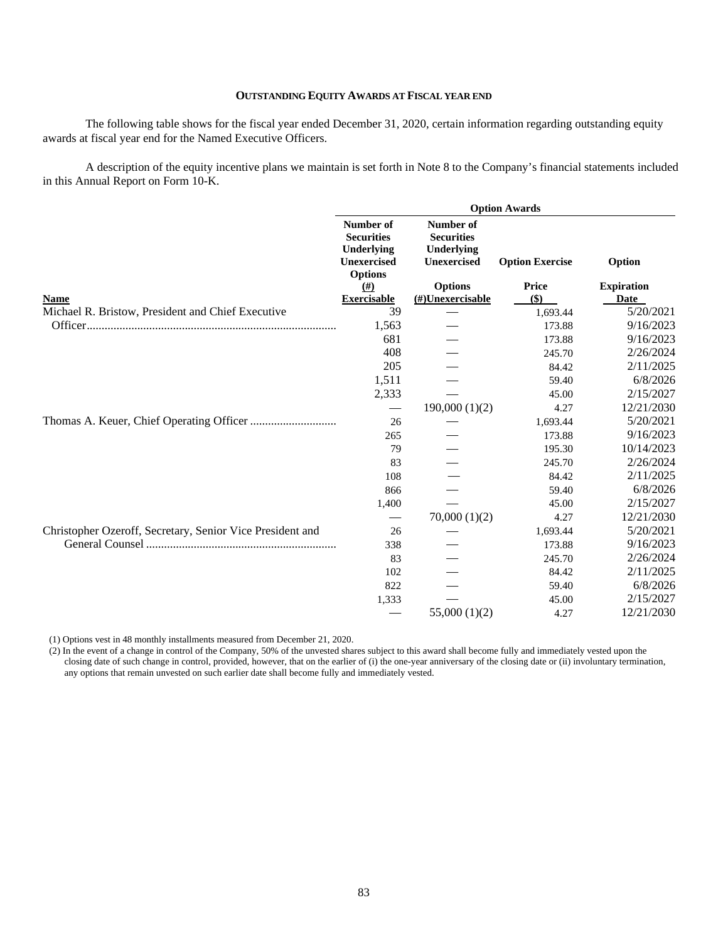# **OUTSTANDING EQUITY AWARDS AT FISCAL YEAR END**

The following table shows for the fiscal year ended December 31, 2020, certain information regarding outstanding equity awards at fiscal year end for the Named Executive Officers.

A description of the equity incentive plans we maintain is set forth in Note 8 to the Company's financial statements included in this Annual Report on Form 10-K.

|                                                           |                                                                                      |                                                                           | <b>Option Awards</b>   |                   |
|-----------------------------------------------------------|--------------------------------------------------------------------------------------|---------------------------------------------------------------------------|------------------------|-------------------|
|                                                           | Number of<br><b>Securities</b><br>Underlying<br><b>Unexercised</b><br><b>Options</b> | <b>Number of</b><br><b>Securities</b><br>Underlying<br><b>Unexercised</b> | <b>Option Exercise</b> | Option            |
|                                                           | $\left(\# \right)$                                                                   | <b>Options</b>                                                            | Price                  | <b>Expiration</b> |
| <b>Name</b>                                               | <b>Exercisable</b>                                                                   | $(\#)$ Unexercisable                                                      | $($)$                  | Date              |
| Michael R. Bristow, President and Chief Executive         | 39                                                                                   |                                                                           | 1,693.44               | 5/20/2021         |
|                                                           | 1,563                                                                                |                                                                           | 173.88                 | 9/16/2023         |
|                                                           | 681                                                                                  |                                                                           | 173.88                 | 9/16/2023         |
|                                                           | 408                                                                                  |                                                                           | 245.70                 | 2/26/2024         |
|                                                           | 205                                                                                  |                                                                           | 84.42                  | 2/11/2025         |
|                                                           | 1,511                                                                                |                                                                           | 59.40                  | 6/8/2026          |
|                                                           | 2,333                                                                                |                                                                           | 45.00                  | 2/15/2027         |
|                                                           | $\overbrace{\phantom{aaaaa}}$                                                        | 190,000(1)(2)                                                             | 4.27                   | 12/21/2030        |
|                                                           | 26                                                                                   |                                                                           | 1,693.44               | 5/20/2021         |
|                                                           | 265                                                                                  |                                                                           | 173.88                 | 9/16/2023         |
|                                                           | 79                                                                                   |                                                                           | 195.30                 | 10/14/2023        |
|                                                           | 83                                                                                   |                                                                           | 245.70                 | 2/26/2024         |
|                                                           | 108                                                                                  |                                                                           | 84.42                  | 2/11/2025         |
|                                                           | 866                                                                                  |                                                                           | 59.40                  | 6/8/2026          |
|                                                           | 1,400                                                                                |                                                                           | 45.00                  | 2/15/2027         |
|                                                           | $\overbrace{\phantom{13333}}$                                                        | 70,000(1)(2)                                                              | 4.27                   | 12/21/2030        |
| Christopher Ozeroff, Secretary, Senior Vice President and | 26                                                                                   |                                                                           | 1,693.44               | 5/20/2021         |
|                                                           | 338                                                                                  |                                                                           | 173.88                 | 9/16/2023         |
|                                                           | 83                                                                                   |                                                                           | 245.70                 | 2/26/2024         |
|                                                           | 102                                                                                  |                                                                           | 84.42                  | 2/11/2025         |
|                                                           | 822                                                                                  |                                                                           | 59.40                  | 6/8/2026          |
|                                                           | 1,333                                                                                |                                                                           | 45.00                  | 2/15/2027         |
|                                                           |                                                                                      | 55,000(1)(2)                                                              | 4.27                   | 12/21/2030        |

(1) Options vest in 48 monthly installments measured from December 21, 2020.

(2) In the event of a change in control of the Company, 50% of the unvested shares subject to this award shall become fully and immediately vested upon the closing date of such change in control, provided, however, that on the earlier of (i) the one-year anniversary of the closing date or (ii) involuntary termination, any options that remain unvested on such earlier date shall become fully and immediately vested.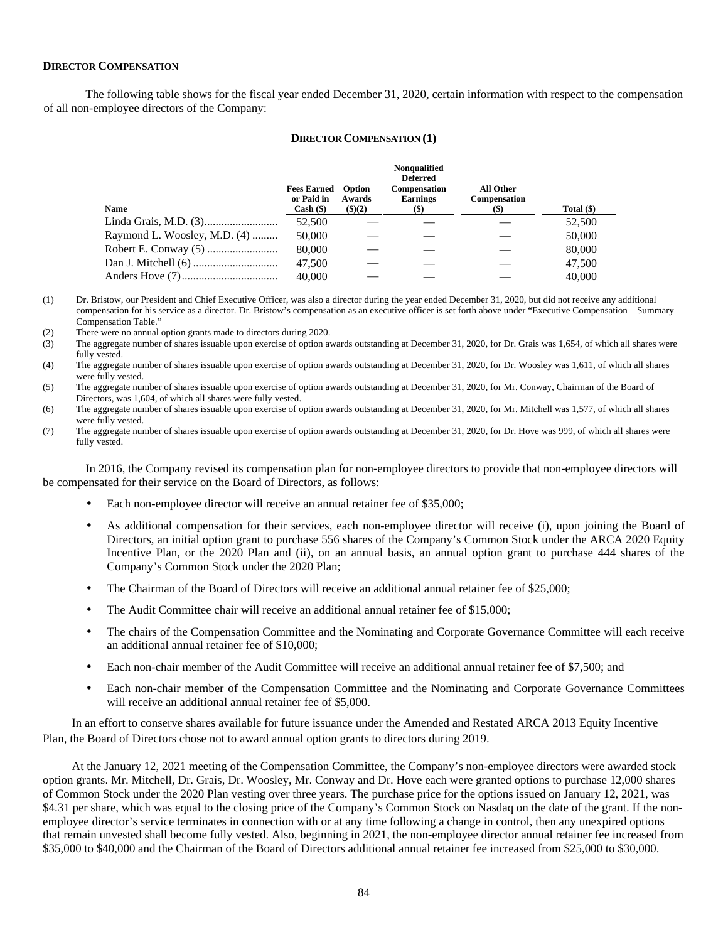# **DIRECTOR COMPENSATION**

The following table shows for the fiscal year ended December 31, 2020, certain information with respect to the compensation of all non-employee directors of the Company:

### **DIRECTOR COMPENSATION (1)**

|                                | <b>Fees Earned</b><br>or Paid in | <b>Option</b><br>Awards | Nonqualified<br><b>Deferred</b><br><b>Compensation</b><br><b>Earnings</b> | All Other<br><b>Compensation</b> |              |
|--------------------------------|----------------------------------|-------------------------|---------------------------------------------------------------------------|----------------------------------|--------------|
| <b>Name</b>                    | $Cash (\$)$                      | (3)(2)                  | $(\$)$                                                                    | $(\$)$                           | Total $(\$)$ |
|                                | 52,500                           |                         |                                                                           |                                  | 52,500       |
| Raymond L. Woosley, M.D. $(4)$ | 50,000                           |                         |                                                                           |                                  | 50,000       |
|                                | 80,000                           |                         |                                                                           |                                  | 80,000       |
|                                | 47,500                           |                         |                                                                           |                                  | 47,500       |
|                                | 40,000                           |                         |                                                                           |                                  | 40,000       |

(1) Dr. Bristow, our President and Chief Executive Officer, was also a director during the year ended December 31, 2020, but did not receive any additional compensation for his service as a director. Dr. Bristow's compensation as an executive officer is set forth above under "Executive Compensation—Summary Compensation Table."

(2) There were no annual option grants made to directors during 2020.

- (3) The aggregate number of shares issuable upon exercise of option awards outstanding at December 31, 2020, for Dr. Grais was 1,654, of which all shares were fully vested.
- (4) The aggregate number of shares issuable upon exercise of option awards outstanding at December 31, 2020, for Dr. Woosley was 1,611, of which all shares were fully vested.
- (5) The aggregate number of shares issuable upon exercise of option awards outstanding at December 31, 2020, for Mr. Conway, Chairman of the Board of Directors, was 1,604, of which all shares were fully vested.
- (6) The aggregate number of shares issuable upon exercise of option awards outstanding at December 31, 2020, for Mr. Mitchell was 1,577, of which all shares were fully vested.
- (7) The aggregate number of shares issuable upon exercise of option awards outstanding at December 31, 2020, for Dr. Hove was 999, of which all shares were fully vested.

In 2016, the Company revised its compensation plan for non-employee directors to provide that non-employee directors will be compensated for their service on the Board of Directors, as follows:

- Each non-employee director will receive an annual retainer fee of \$35,000;
- As additional compensation for their services, each non-employee director will receive (i), upon joining the Board of Directors, an initial option grant to purchase 556 shares of the Company's Common Stock under the ARCA 2020 Equity Incentive Plan, or the 2020 Plan and (ii), on an annual basis, an annual option grant to purchase 444 shares of the Company's Common Stock under the 2020 Plan;
- The Chairman of the Board of Directors will receive an additional annual retainer fee of \$25,000;
- The Audit Committee chair will receive an additional annual retainer fee of \$15,000;
- The chairs of the Compensation Committee and the Nominating and Corporate Governance Committee will each receive an additional annual retainer fee of \$10,000;
- Each non-chair member of the Audit Committee will receive an additional annual retainer fee of \$7,500; and
- Each non-chair member of the Compensation Committee and the Nominating and Corporate Governance Committees will receive an additional annual retainer fee of \$5,000.

In an effort to conserve shares available for future issuance under the Amended and Restated ARCA 2013 Equity Incentive Plan, the Board of Directors chose not to award annual option grants to directors during 2019.

At the January 12, 2021 meeting of the Compensation Committee, the Company's non-employee directors were awarded stock option grants. Mr. Mitchell, Dr. Grais, Dr. Woosley, Mr. Conway and Dr. Hove each were granted options to purchase 12,000 shares of Common Stock under the 2020 Plan vesting over three years. The purchase price for the options issued on January 12, 2021, was \$4.31 per share, which was equal to the closing price of the Company's Common Stock on Nasdaq on the date of the grant. If the nonemployee director's service terminates in connection with or at any time following a change in control, then any unexpired options that remain unvested shall become fully vested. Also, beginning in 2021, the non-employee director annual retainer fee increased from \$35,000 to \$40,000 and the Chairman of the Board of Directors additional annual retainer fee increased from \$25,000 to \$30,000.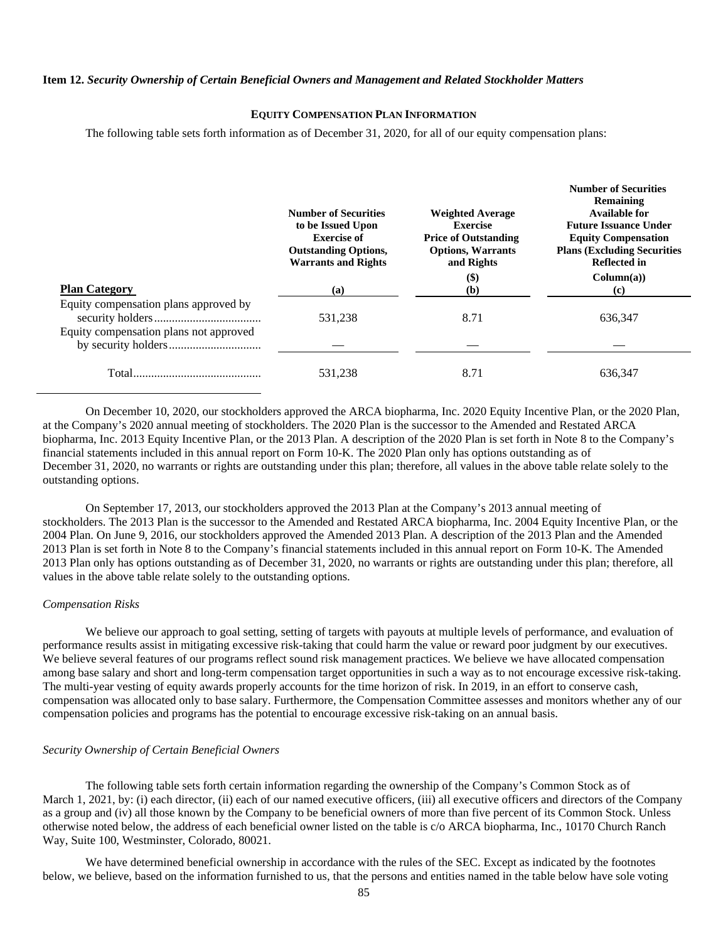# **Item 12.** *Security Ownership of Certain Beneficial Owners and Management and Related Stockholder Matters*

# **EQUITY COMPENSATION PLAN INFORMATION**

The following table sets forth information as of December 31, 2020, for all of our equity compensation plans:

|                                                                                 | <b>Number of Securities</b><br>to be Issued Upon<br><b>Exercise of</b><br><b>Outstanding Options,</b><br><b>Warrants and Rights</b> | <b>Weighted Average</b><br><b>Exercise</b><br><b>Price of Outstanding</b><br><b>Options, Warrants</b><br>and Rights<br>$\left( \text{\$}\right)$ | <b>Number of Securities</b><br>Remaining<br>Available for<br><b>Future Issuance Under</b><br><b>Equity Compensation</b><br><b>Plans (Excluding Securities)</b><br><b>Reflected in</b><br>Column(a) |
|---------------------------------------------------------------------------------|-------------------------------------------------------------------------------------------------------------------------------------|--------------------------------------------------------------------------------------------------------------------------------------------------|----------------------------------------------------------------------------------------------------------------------------------------------------------------------------------------------------|
| <b>Plan Category</b>                                                            | (a)                                                                                                                                 | (b)                                                                                                                                              | (c)                                                                                                                                                                                                |
| Equity compensation plans approved by<br>Equity compensation plans not approved | 531,238                                                                                                                             | 8.71                                                                                                                                             | 636.347                                                                                                                                                                                            |
|                                                                                 |                                                                                                                                     |                                                                                                                                                  |                                                                                                                                                                                                    |
|                                                                                 | 531,238                                                                                                                             | 8.71                                                                                                                                             | 636.347                                                                                                                                                                                            |

On December 10, 2020, our stockholders approved the ARCA biopharma, Inc. 2020 Equity Incentive Plan, or the 2020 Plan, at the Company's 2020 annual meeting of stockholders. The 2020 Plan is the successor to the Amended and Restated ARCA biopharma, Inc. 2013 Equity Incentive Plan, or the 2013 Plan. A description of the 2020 Plan is set forth in Note 8 to the Company's financial statements included in this annual report on Form 10-K. The 2020 Plan only has options outstanding as of December 31, 2020, no warrants or rights are outstanding under this plan; therefore, all values in the above table relate solely to the outstanding options.

On September 17, 2013, our stockholders approved the 2013 Plan at the Company's 2013 annual meeting of stockholders. The 2013 Plan is the successor to the Amended and Restated ARCA biopharma, Inc. 2004 Equity Incentive Plan, or the 2004 Plan. On June 9, 2016, our stockholders approved the Amended 2013 Plan. A description of the 2013 Plan and the Amended 2013 Plan is set forth in Note 8 to the Company's financial statements included in this annual report on Form 10-K. The Amended 2013 Plan only has options outstanding as of December 31, 2020, no warrants or rights are outstanding under this plan; therefore, all values in the above table relate solely to the outstanding options.

#### *Compensation Risks*

We believe our approach to goal setting, setting of targets with payouts at multiple levels of performance, and evaluation of performance results assist in mitigating excessive risk-taking that could harm the value or reward poor judgment by our executives. We believe several features of our programs reflect sound risk management practices. We believe we have allocated compensation among base salary and short and long-term compensation target opportunities in such a way as to not encourage excessive risk-taking. The multi-year vesting of equity awards properly accounts for the time horizon of risk. In 2019, in an effort to conserve cash, compensation was allocated only to base salary. Furthermore, the Compensation Committee assesses and monitors whether any of our compensation policies and programs has the potential to encourage excessive risk-taking on an annual basis.

### *Security Ownership of Certain Beneficial Owners*

The following table sets forth certain information regarding the ownership of the Company's Common Stock as of March 1, 2021, by: (i) each director, (ii) each of our named executive officers, (iii) all executive officers and directors of the Company as a group and (iv) all those known by the Company to be beneficial owners of more than five percent of its Common Stock. Unless otherwise noted below, the address of each beneficial owner listed on the table is c/o ARCA biopharma, Inc., 10170 Church Ranch Way, Suite 100, Westminster, Colorado, 80021.

We have determined beneficial ownership in accordance with the rules of the SEC. Except as indicated by the footnotes below, we believe, based on the information furnished to us, that the persons and entities named in the table below have sole voting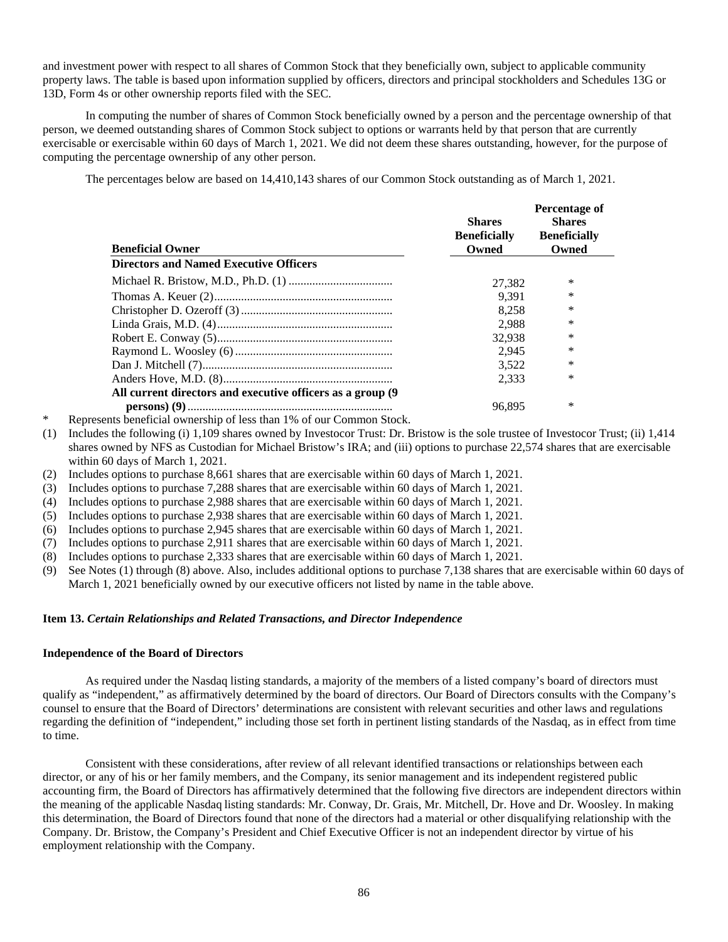and investment power with respect to all shares of Common Stock that they beneficially own, subject to applicable community property laws. The table is based upon information supplied by officers, directors and principal stockholders and Schedules 13G or 13D, Form 4s or other ownership reports filed with the SEC.

In computing the number of shares of Common Stock beneficially owned by a person and the percentage ownership of that person, we deemed outstanding shares of Common Stock subject to options or warrants held by that person that are currently exercisable or exercisable within 60 days of March 1, 2021. We did not deem these shares outstanding, however, for the purpose of computing the percentage ownership of any other person.

The percentages below are based on 14,410,143 shares of our Common Stock outstanding as of March 1, 2021.

| <b>Beneficial Owner</b>                                     | <b>Shares</b><br><b>Beneficially</b><br>Owned | Percentage of<br><b>Shares</b><br><b>Beneficially</b><br>Owned |
|-------------------------------------------------------------|-----------------------------------------------|----------------------------------------------------------------|
| <b>Directors and Named Executive Officers</b>               |                                               |                                                                |
|                                                             | 27,382                                        | ∗                                                              |
|                                                             | 9.391                                         | *                                                              |
|                                                             | 8.258                                         | *                                                              |
|                                                             | 2.988                                         | $\ast$                                                         |
|                                                             | 32.938                                        | *                                                              |
|                                                             | 2.945                                         | *                                                              |
|                                                             | 3.522                                         | *                                                              |
|                                                             | 2.333                                         | $\ast$                                                         |
| All current directors and executive officers as a group (9) |                                               |                                                                |
|                                                             | 96.895                                        | ∗                                                              |

- Represents beneficial ownership of less than 1% of our Common Stock.
- (1) Includes the following (i) 1,109 shares owned by Investocor Trust: Dr. Bristow is the sole trustee of Investocor Trust; (ii) 1,414 shares owned by NFS as Custodian for Michael Bristow's IRA; and (iii) options to purchase 22,574 shares that are exercisable within 60 days of March 1, 2021.
- (2) Includes options to purchase 8,661 shares that are exercisable within 60 days of March 1, 2021.
- (3) Includes options to purchase 7,288 shares that are exercisable within 60 days of March 1, 2021.
- (4) Includes options to purchase 2,988 shares that are exercisable within 60 days of March 1, 2021.
- (5) Includes options to purchase 2,938 shares that are exercisable within 60 days of March 1, 2021.
- (6) Includes options to purchase 2,945 shares that are exercisable within 60 days of March 1, 2021.
- (7) Includes options to purchase 2,911 shares that are exercisable within 60 days of March 1, 2021.
- (8) Includes options to purchase 2,333 shares that are exercisable within 60 days of March 1, 2021.
- (9) See Notes (1) through (8) above. Also, includes additional options to purchase 7,138 shares that are exercisable within 60 days of March 1, 2021 beneficially owned by our executive officers not listed by name in the table above.

#### **Item 13.** *Certain Relationships and Related Transactions, and Director Independence*

#### **Independence of the Board of Directors**

As required under the Nasdaq listing standards, a majority of the members of a listed company's board of directors must qualify as "independent," as affirmatively determined by the board of directors. Our Board of Directors consults with the Company's counsel to ensure that the Board of Directors' determinations are consistent with relevant securities and other laws and regulations regarding the definition of "independent," including those set forth in pertinent listing standards of the Nasdaq, as in effect from time to time.

Consistent with these considerations, after review of all relevant identified transactions or relationships between each director, or any of his or her family members, and the Company, its senior management and its independent registered public accounting firm, the Board of Directors has affirmatively determined that the following five directors are independent directors within the meaning of the applicable Nasdaq listing standards: Mr. Conway, Dr. Grais, Mr. Mitchell, Dr. Hove and Dr. Woosley. In making this determination, the Board of Directors found that none of the directors had a material or other disqualifying relationship with the Company. Dr. Bristow, the Company's President and Chief Executive Officer is not an independent director by virtue of his employment relationship with the Company.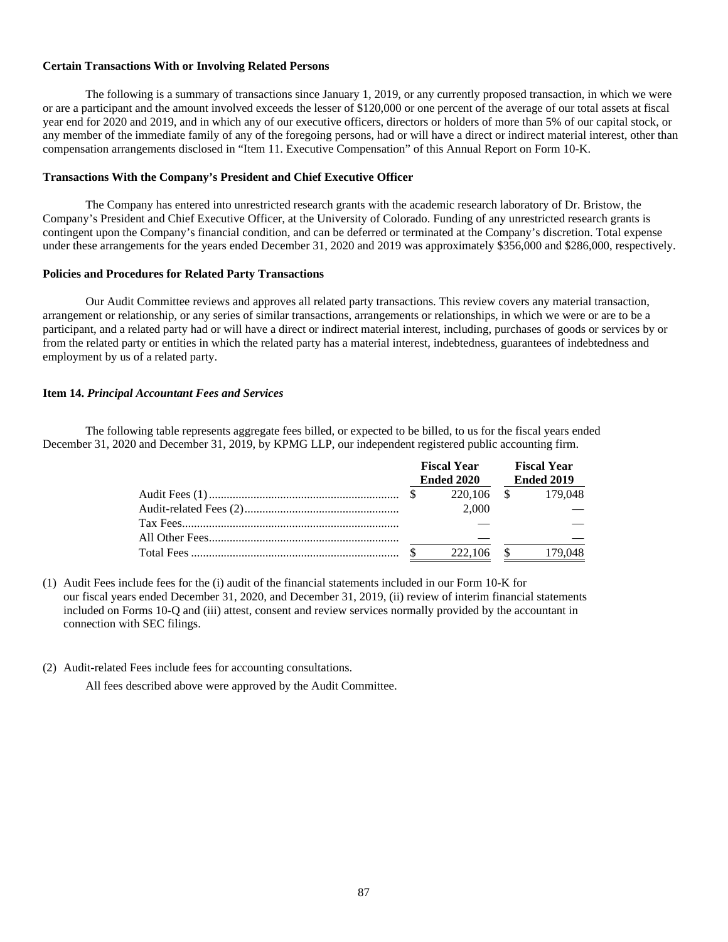# **Certain Transactions With or Involving Related Persons**

The following is a summary of transactions since January 1, 2019, or any currently proposed transaction, in which we were or are a participant and the amount involved exceeds the lesser of \$120,000 or one percent of the average of our total assets at fiscal year end for 2020 and 2019, and in which any of our executive officers, directors or holders of more than 5% of our capital stock, or any member of the immediate family of any of the foregoing persons, had or will have a direct or indirect material interest, other than compensation arrangements disclosed in "Item 11. Executive Compensation" of this Annual Report on Form 10-K.

# **Transactions With the Company's President and Chief Executive Officer**

The Company has entered into unrestricted research grants with the academic research laboratory of Dr. Bristow, the Company's President and Chief Executive Officer, at the University of Colorado. Funding of any unrestricted research grants is contingent upon the Company's financial condition, and can be deferred or terminated at the Company's discretion. Total expense under these arrangements for the years ended December 31, 2020 and 2019 was approximately \$356,000 and \$286,000, respectively.

### **Policies and Procedures for Related Party Transactions**

Our Audit Committee reviews and approves all related party transactions. This review covers any material transaction, arrangement or relationship, or any series of similar transactions, arrangements or relationships, in which we were or are to be a participant, and a related party had or will have a direct or indirect material interest, including, purchases of goods or services by or from the related party or entities in which the related party has a material interest, indebtedness, guarantees of indebtedness and employment by us of a related party.

# **Item 14.** *Principal Accountant Fees and Services*

The following table represents aggregate fees billed, or expected to be billed, to us for the fiscal years ended December 31, 2020 and December 31, 2019, by KPMG LLP, our independent registered public accounting firm.

|  | <b>Fiscal Year</b><br><b>Ended 2020</b> | <b>Fiscal Year</b><br>Ended 2019 |         |  |
|--|-----------------------------------------|----------------------------------|---------|--|
|  | 220,106                                 | $\mathbb{S}$                     | 179.048 |  |
|  | 2.000                                   |                                  |         |  |
|  |                                         |                                  |         |  |
|  |                                         |                                  |         |  |
|  | 222,106                                 | - S                              | 179.048 |  |

(1) Audit Fees include fees for the (i) audit of the financial statements included in our Form 10-K for our fiscal years ended December 31, 2020, and December 31, 2019, (ii) review of interim financial statements included on Forms 10-Q and (iii) attest, consent and review services normally provided by the accountant in connection with SEC filings.

(2) Audit-related Fees include fees for accounting consultations.

All fees described above were approved by the Audit Committee.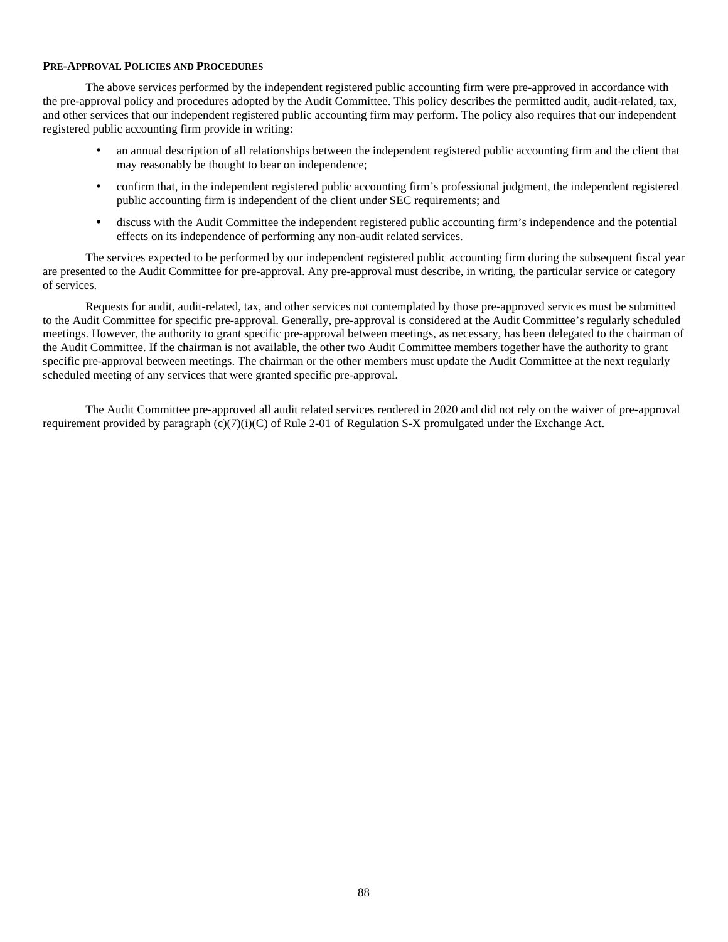# **PRE-APPROVAL POLICIES AND PROCEDURES**

The above services performed by the independent registered public accounting firm were pre-approved in accordance with the pre-approval policy and procedures adopted by the Audit Committee. This policy describes the permitted audit, audit-related, tax, and other services that our independent registered public accounting firm may perform. The policy also requires that our independent registered public accounting firm provide in writing:

- an annual description of all relationships between the independent registered public accounting firm and the client that may reasonably be thought to bear on independence;
- confirm that, in the independent registered public accounting firm's professional judgment, the independent registered public accounting firm is independent of the client under SEC requirements; and
- discuss with the Audit Committee the independent registered public accounting firm's independence and the potential effects on its independence of performing any non-audit related services.

The services expected to be performed by our independent registered public accounting firm during the subsequent fiscal year are presented to the Audit Committee for pre-approval. Any pre-approval must describe, in writing, the particular service or category of services.

Requests for audit, audit-related, tax, and other services not contemplated by those pre-approved services must be submitted to the Audit Committee for specific pre-approval. Generally, pre-approval is considered at the Audit Committee's regularly scheduled meetings. However, the authority to grant specific pre-approval between meetings, as necessary, has been delegated to the chairman of the Audit Committee. If the chairman is not available, the other two Audit Committee members together have the authority to grant specific pre-approval between meetings. The chairman or the other members must update the Audit Committee at the next regularly scheduled meeting of any services that were granted specific pre-approval.

 The Audit Committee pre-approved all audit related services rendered in 2020 and did not rely on the waiver of pre-approval requirement provided by paragraph  $(c)(7)(i)(C)$  of Rule 2-01 of Regulation S-X promulgated under the Exchange Act.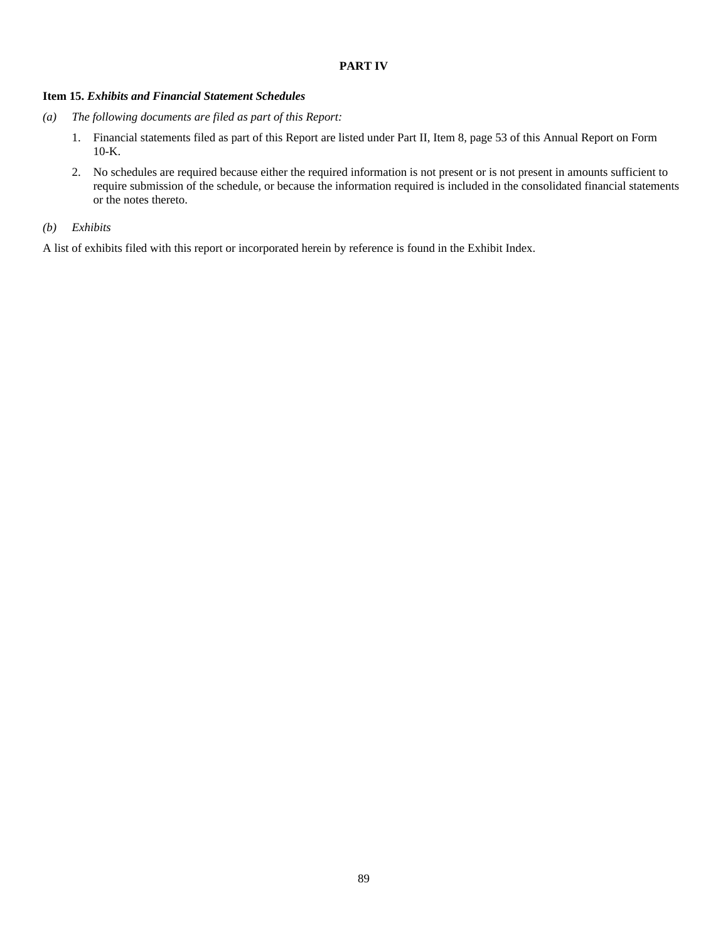# **PART IV**

# **Item 15.** *Exhibits and Financial Statement Schedules*

- *(a) The following documents are filed as part of this Report:* 
	- 1. Financial statements filed as part of this Report are listed under Part II, Item 8, page 53 of this Annual Report on Form 10-K.
	- 2. No schedules are required because either the required information is not present or is not present in amounts sufficient to require submission of the schedule, or because the information required is included in the consolidated financial statements or the notes thereto.

# *(b) Exhibits*

A list of exhibits filed with this report or incorporated herein by reference is found in the Exhibit Index.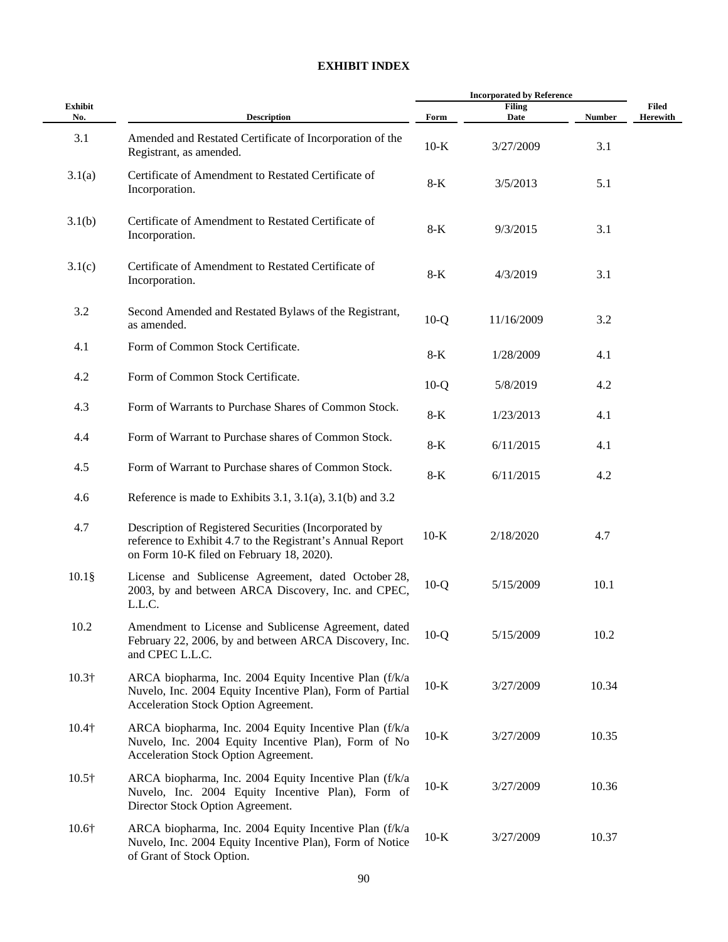# **EXHIBIT INDEX**

| Exhibit<br>No. | <b>Description</b>                                                                                                                                               | Form   | <b>Filing</b><br>Date | <b>Number</b> | Filed<br><b>Herewith</b> |
|----------------|------------------------------------------------------------------------------------------------------------------------------------------------------------------|--------|-----------------------|---------------|--------------------------|
| 3.1            | Amended and Restated Certificate of Incorporation of the<br>Registrant, as amended.                                                                              | $10-K$ | 3/27/2009             | 3.1           |                          |
| 3.1(a)         | Certificate of Amendment to Restated Certificate of<br>Incorporation.                                                                                            | $8-K$  | 3/5/2013              | 5.1           |                          |
| 3.1(b)         | Certificate of Amendment to Restated Certificate of<br>Incorporation.                                                                                            | $8-K$  | 9/3/2015              | 3.1           |                          |
| 3.1(c)         | Certificate of Amendment to Restated Certificate of<br>Incorporation.                                                                                            | $8-K$  | 4/3/2019              | 3.1           |                          |
| 3.2            | Second Amended and Restated Bylaws of the Registrant,<br>as amended.                                                                                             | $10-Q$ | 11/16/2009            | 3.2           |                          |
| 4.1            | Form of Common Stock Certificate.                                                                                                                                | $8-K$  | 1/28/2009             | 4.1           |                          |
| 4.2            | Form of Common Stock Certificate.                                                                                                                                | $10-Q$ | 5/8/2019              | 4.2           |                          |
| 4.3            | Form of Warrants to Purchase Shares of Common Stock.                                                                                                             | $8-K$  | 1/23/2013             | 4.1           |                          |
| 4.4            | Form of Warrant to Purchase shares of Common Stock.                                                                                                              | $8-K$  | 6/11/2015             | 4.1           |                          |
| 4.5            | Form of Warrant to Purchase shares of Common Stock.                                                                                                              | $8-K$  | 6/11/2015             | 4.2           |                          |
| 4.6            | Reference is made to Exhibits 3.1, 3.1(a), 3.1(b) and 3.2                                                                                                        |        |                       |               |                          |
| 4.7            | Description of Registered Securities (Incorporated by<br>reference to Exhibit 4.7 to the Registrant's Annual Report<br>on Form 10-K filed on February 18, 2020). | $10-K$ | 2/18/2020             | 4.7           |                          |
| $10.1$ §       | License and Sublicense Agreement, dated October 28,<br>2003, by and between ARCA Discovery, Inc. and CPEC,<br>L.L.C.                                             | $10-Q$ | 5/15/2009             | 10.1          |                          |
| 10.2           | Amendment to License and Sublicense Agreement, dated<br>February 22, 2006, by and between ARCA Discovery, Inc.<br>and CPEC L.L.C.                                | $10-Q$ | 5/15/2009             | 10.2          |                          |
| $10.3\dagger$  | ARCA biopharma, Inc. 2004 Equity Incentive Plan (f/k/a<br>Nuvelo, Inc. 2004 Equity Incentive Plan), Form of Partial<br>Acceleration Stock Option Agreement.      | $10-K$ | 3/27/2009             | 10.34         |                          |
| $10.4\dagger$  | ARCA biopharma, Inc. 2004 Equity Incentive Plan (f/k/a<br>Nuvelo, Inc. 2004 Equity Incentive Plan), Form of No<br>Acceleration Stock Option Agreement.           | $10-K$ | 3/27/2009             | 10.35         |                          |
| $10.5\dagger$  | ARCA biopharma, Inc. 2004 Equity Incentive Plan (f/k/a<br>Nuvelo, Inc. 2004 Equity Incentive Plan), Form of<br>Director Stock Option Agreement.                  | $10-K$ | 3/27/2009             | 10.36         |                          |
| $10.6\dagger$  | ARCA biopharma, Inc. 2004 Equity Incentive Plan (f/k/a<br>Nuvelo, Inc. 2004 Equity Incentive Plan), Form of Notice<br>of Grant of Stock Option.                  | $10-K$ | 3/27/2009             | 10.37         |                          |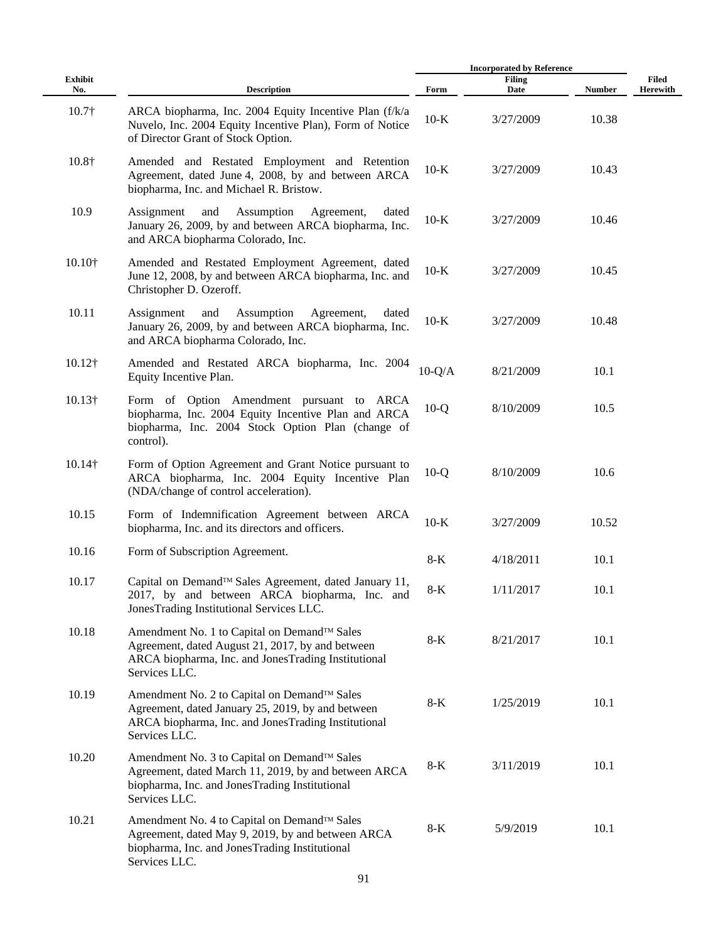|                       |                                                                                                                                                                          | <b>Incorporated by Reference</b> |                       |               |                   |
|-----------------------|--------------------------------------------------------------------------------------------------------------------------------------------------------------------------|----------------------------------|-----------------------|---------------|-------------------|
| <b>Exhibit</b><br>No. | <b>Description</b>                                                                                                                                                       | Form                             | <b>Filing</b><br>Date | <b>Number</b> | Filed<br>Herewith |
| $10.7\dagger$         | ARCA biopharma, Inc. 2004 Equity Incentive Plan (f/k/a<br>Nuvelo, Inc. 2004 Equity Incentive Plan), Form of Notice<br>of Director Grant of Stock Option.                 | $10-K$                           | 3/27/2009             | 10.38         |                   |
| 10.8†                 | Amended and Restated Employment and Retention<br>Agreement, dated June 4, 2008, by and between ARCA<br>biopharma, Inc. and Michael R. Bristow.                           | $10-K$                           | 3/27/2009             | 10.43         |                   |
| 10.9                  | Assignment<br>and<br>Assumption<br>Agreement,<br>dated<br>January 26, 2009, by and between ARCA biopharma, Inc.<br>and ARCA biopharma Colorado, Inc.                     | $10-K$                           | 3/27/2009             | 10.46         |                   |
| 10.10†                | Amended and Restated Employment Agreement, dated<br>June 12, 2008, by and between ARCA biopharma, Inc. and<br>Christopher D. Ozeroff.                                    | $10-K$                           | 3/27/2009             | 10.45         |                   |
| 10.11                 | Assignment<br>and<br>Assumption<br>Agreement,<br>dated<br>January 26, 2009, by and between ARCA biopharma, Inc.<br>and ARCA biopharma Colorado, Inc.                     | $10-K$                           | 3/27/2009             | 10.48         |                   |
| $10.12\dagger$        | Amended and Restated ARCA biopharma, Inc. 2004<br>Equity Incentive Plan.                                                                                                 | $10-Q/A$                         | 8/21/2009             | 10.1          |                   |
| $10.13\dagger$        | Form of Option Amendment pursuant to ARCA<br>biopharma, Inc. 2004 Equity Incentive Plan and ARCA<br>biopharma, Inc. 2004 Stock Option Plan (change of<br>control).       | $10-Q$                           | 8/10/2009             | 10.5          |                   |
| 10.14†                | Form of Option Agreement and Grant Notice pursuant to<br>ARCA biopharma, Inc. 2004 Equity Incentive Plan<br>(NDA/change of control acceleration).                        | $10-Q$                           | 8/10/2009             | 10.6          |                   |
| 10.15                 | Form of Indemnification Agreement between ARCA<br>biopharma, Inc. and its directors and officers.                                                                        | $10-K$                           | 3/27/2009             | 10.52         |                   |
| 10.16                 | Form of Subscription Agreement.                                                                                                                                          | $8-K$                            | 4/18/2011             | 10.1          |                   |
| 10.17                 | Capital on Demand™ Sales Agreement, dated January 11,<br>2017, by and between ARCA biopharma, Inc. and<br>JonesTrading Institutional Services LLC.                       | 8-K                              | 1/11/2017             | 10.1          |                   |
| 10.18                 | Amendment No. 1 to Capital on Demand™ Sales<br>Agreement, dated August 21, 2017, by and between<br>ARCA biopharma, Inc. and JonesTrading Institutional<br>Services LLC.  | $8-K$                            | 8/21/2017             | 10.1          |                   |
| 10.19                 | Amendment No. 2 to Capital on Demand™ Sales<br>Agreement, dated January 25, 2019, by and between<br>ARCA biopharma, Inc. and JonesTrading Institutional<br>Services LLC. | 8-K                              | 1/25/2019             | 10.1          |                   |
| 10.20                 | Amendment No. 3 to Capital on Demand™ Sales<br>Agreement, dated March 11, 2019, by and between ARCA<br>biopharma, Inc. and JonesTrading Institutional<br>Services LLC.   | $8-K$                            | 3/11/2019             | 10.1          |                   |
| 10.21                 | Amendment No. 4 to Capital on Demand™ Sales<br>Agreement, dated May 9, 2019, by and between ARCA<br>biopharma, Inc. and JonesTrading Institutional<br>Services LLC.      | $8-K$                            | 5/9/2019              | 10.1          |                   |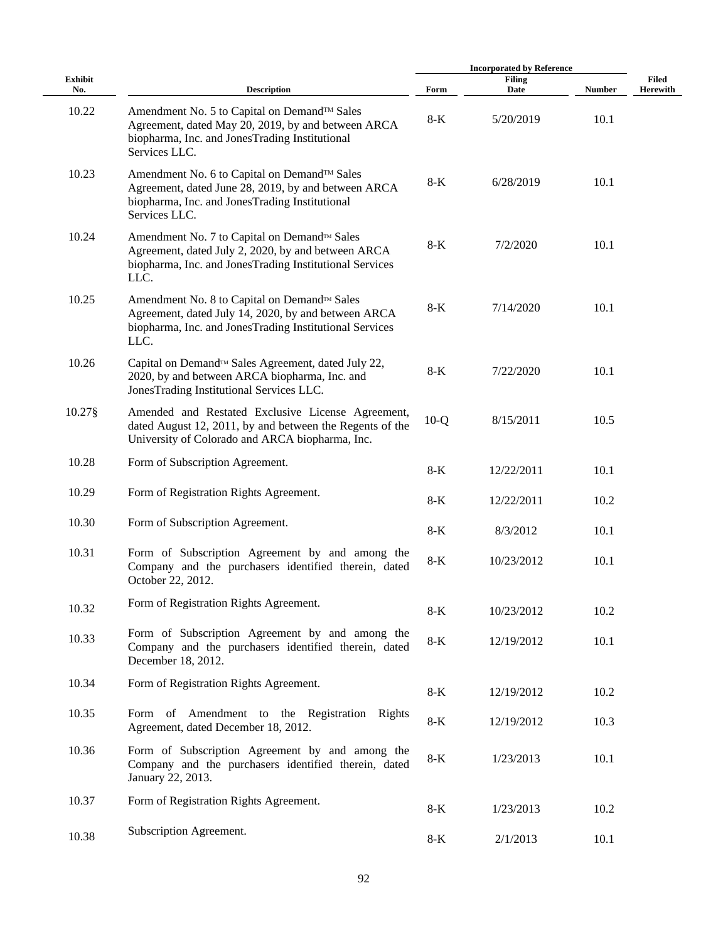|                       |                                                                                                                                                                       | <b>Incorporated by Reference</b> |                       |               |                          |
|-----------------------|-----------------------------------------------------------------------------------------------------------------------------------------------------------------------|----------------------------------|-----------------------|---------------|--------------------------|
| <b>Exhibit</b><br>No. | <b>Description</b>                                                                                                                                                    | Form                             | <b>Filing</b><br>Date | <b>Number</b> | Filed<br><b>Herewith</b> |
| 10.22                 | Amendment No. 5 to Capital on Demand™ Sales<br>Agreement, dated May 20, 2019, by and between ARCA<br>biopharma, Inc. and JonesTrading Institutional<br>Services LLC.  | $8-K$                            | 5/20/2019             | 10.1          |                          |
| 10.23                 | Amendment No. 6 to Capital on Demand™ Sales<br>Agreement, dated June 28, 2019, by and between ARCA<br>biopharma, Inc. and JonesTrading Institutional<br>Services LLC. | $8-K$                            | 6/28/2019             | 10.1          |                          |
| 10.24                 | Amendment No. 7 to Capital on Demand™ Sales<br>Agreement, dated July 2, 2020, by and between ARCA<br>biopharma, Inc. and JonesTrading Institutional Services<br>LLC.  | $8-K$                            | 7/2/2020              | 10.1          |                          |
| 10.25                 | Amendment No. 8 to Capital on Demand™ Sales<br>Agreement, dated July 14, 2020, by and between ARCA<br>biopharma, Inc. and JonesTrading Institutional Services<br>LLC. | $8-K$                            | 7/14/2020             | 10.1          |                          |
| 10.26                 | Capital on Demand™ Sales Agreement, dated July 22,<br>2020, by and between ARCA biopharma, Inc. and<br>JonesTrading Institutional Services LLC.                       | $8-K$                            | 7/22/2020             | 10.1          |                          |
| 10.27§                | Amended and Restated Exclusive License Agreement,<br>dated August 12, 2011, by and between the Regents of the<br>University of Colorado and ARCA biopharma, Inc.      | $10-Q$                           | 8/15/2011             | 10.5          |                          |
| 10.28                 | Form of Subscription Agreement.                                                                                                                                       | $8-K$                            | 12/22/2011            | 10.1          |                          |
| 10.29                 | Form of Registration Rights Agreement.                                                                                                                                | $8-K$                            | 12/22/2011            | 10.2          |                          |
| 10.30                 | Form of Subscription Agreement.                                                                                                                                       | $8-K$                            | 8/3/2012              | 10.1          |                          |
| 10.31                 | Form of Subscription Agreement by and among the<br>Company and the purchasers identified therein, dated<br>October 22, 2012.                                          | $8-K$                            | 10/23/2012            | 10.1          |                          |
| 10.32                 | Form of Registration Rights Agreement.                                                                                                                                | $8-K$                            | 10/23/2012            | 10.2          |                          |
| 10.33                 | Form of Subscription Agreement by and among the<br>Company and the purchasers identified therein, dated<br>December 18, 2012.                                         | $8-K$                            | 12/19/2012            | 10.1          |                          |
| 10.34                 | Form of Registration Rights Agreement.                                                                                                                                | $8-K$                            | 12/19/2012            | 10.2          |                          |
| 10.35                 | Form of Amendment to the Registration Rights<br>Agreement, dated December 18, 2012.                                                                                   | $8-K$                            | 12/19/2012            | 10.3          |                          |
| 10.36                 | Form of Subscription Agreement by and among the<br>Company and the purchasers identified therein, dated<br>January 22, 2013.                                          | $8-K$                            | 1/23/2013             | 10.1          |                          |
| 10.37                 | Form of Registration Rights Agreement.                                                                                                                                | $8-K$                            | 1/23/2013             | 10.2          |                          |
| 10.38                 | Subscription Agreement.                                                                                                                                               | $8-K$                            | 2/1/2013              | 10.1          |                          |
|                       |                                                                                                                                                                       |                                  |                       |               |                          |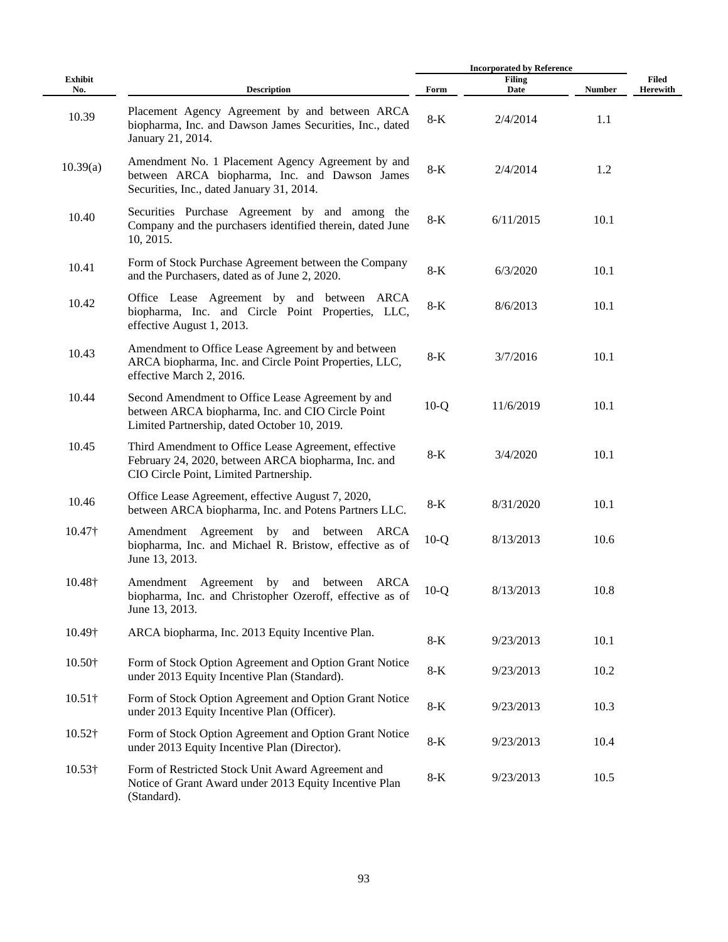|                       |                                                                                                                                                        |        | <b>Incorporated by Reference</b> |               |                          |  |
|-----------------------|--------------------------------------------------------------------------------------------------------------------------------------------------------|--------|----------------------------------|---------------|--------------------------|--|
| <b>Exhibit</b><br>No. | <b>Description</b>                                                                                                                                     | Form   | <b>Filing</b><br>Date            | <b>Number</b> | Filed<br><b>Herewith</b> |  |
| 10.39                 | Placement Agency Agreement by and between ARCA<br>biopharma, Inc. and Dawson James Securities, Inc., dated<br>January 21, 2014.                        | $8-K$  | 2/4/2014                         | 1.1           |                          |  |
| 10.39(a)              | Amendment No. 1 Placement Agency Agreement by and<br>between ARCA biopharma, Inc. and Dawson James<br>Securities, Inc., dated January 31, 2014.        | $8-K$  | 2/4/2014                         | 1.2           |                          |  |
| 10.40                 | Securities Purchase Agreement by and among the<br>Company and the purchasers identified therein, dated June<br>10, 2015.                               | $8-K$  | 6/11/2015                        | 10.1          |                          |  |
| 10.41                 | Form of Stock Purchase Agreement between the Company<br>and the Purchasers, dated as of June 2, 2020.                                                  | $8-K$  | 6/3/2020                         | 10.1          |                          |  |
| 10.42                 | Office Lease Agreement by and between ARCA<br>biopharma, Inc. and Circle Point Properties, LLC,<br>effective August 1, 2013.                           | $8-K$  | 8/6/2013                         | 10.1          |                          |  |
| 10.43                 | Amendment to Office Lease Agreement by and between<br>ARCA biopharma, Inc. and Circle Point Properties, LLC,<br>effective March 2, 2016.               | $8-K$  | 3/7/2016                         | 10.1          |                          |  |
| 10.44                 | Second Amendment to Office Lease Agreement by and<br>between ARCA biopharma, Inc. and CIO Circle Point<br>Limited Partnership, dated October 10, 2019. | $10-Q$ | 11/6/2019                        | 10.1          |                          |  |
| 10.45                 | Third Amendment to Office Lease Agreement, effective<br>February 24, 2020, between ARCA biopharma, Inc. and<br>CIO Circle Point, Limited Partnership.  | $8-K$  | 3/4/2020                         | 10.1          |                          |  |
| 10.46                 | Office Lease Agreement, effective August 7, 2020,<br>between ARCA biopharma, Inc. and Potens Partners LLC.                                             | $8-K$  | 8/31/2020                        | 10.1          |                          |  |
| 10.47†                | Amendment Agreement by<br>and between ARCA<br>biopharma, Inc. and Michael R. Bristow, effective as of<br>June 13, 2013.                                | $10-Q$ | 8/13/2013                        | 10.6          |                          |  |
| 10.48†                | by<br>Amendment Agreement<br>and between<br>ARCA<br>biopharma, Inc. and Christopher Ozeroff, effective as of<br>June 13, 2013.                         | $10-Q$ | 8/13/2013                        | 10.8          |                          |  |
| 10.49†                | ARCA biopharma, Inc. 2013 Equity Incentive Plan.                                                                                                       | $8-K$  | 9/23/2013                        | 10.1          |                          |  |
| $10.50\dagger$        | Form of Stock Option Agreement and Option Grant Notice<br>under 2013 Equity Incentive Plan (Standard).                                                 | $8-K$  | 9/23/2013                        | 10.2          |                          |  |
| $10.51\dagger$        | Form of Stock Option Agreement and Option Grant Notice<br>under 2013 Equity Incentive Plan (Officer).                                                  | $8-K$  | 9/23/2013                        | 10.3          |                          |  |
| $10.52\dagger$        | Form of Stock Option Agreement and Option Grant Notice<br>under 2013 Equity Incentive Plan (Director).                                                 | $8-K$  | 9/23/2013                        | 10.4          |                          |  |
| $10.53\dagger$        | Form of Restricted Stock Unit Award Agreement and<br>Notice of Grant Award under 2013 Equity Incentive Plan<br>(Standard).                             | $8-K$  | 9/23/2013                        | 10.5          |                          |  |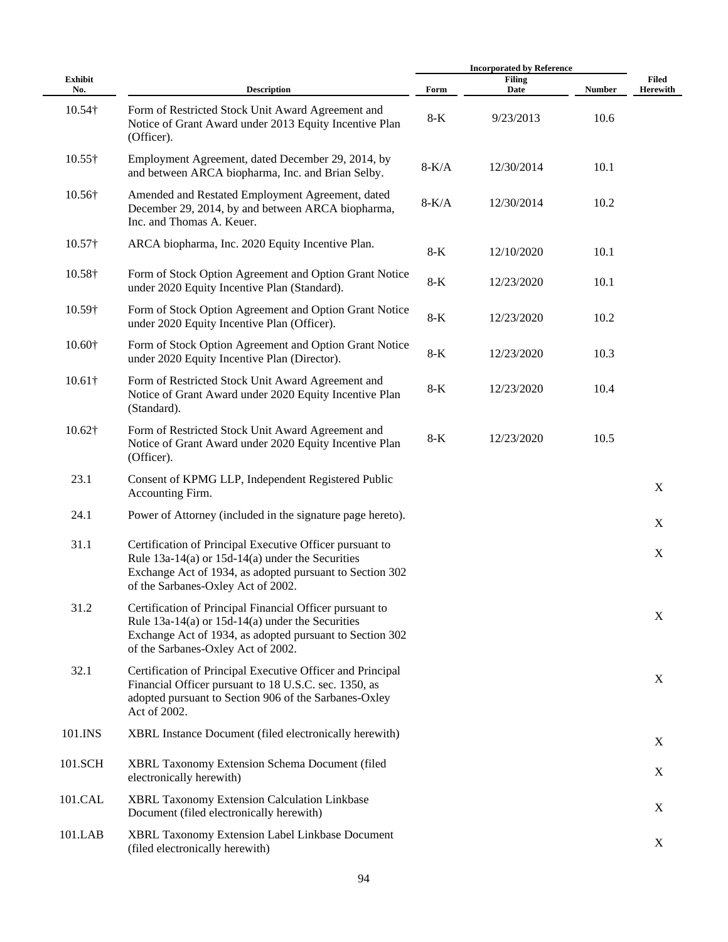|                       |                                                                                                                                                                                                                    |         | <b>Incorporated by Reference</b> |               |                                 |  |
|-----------------------|--------------------------------------------------------------------------------------------------------------------------------------------------------------------------------------------------------------------|---------|----------------------------------|---------------|---------------------------------|--|
| <b>Exhibit</b><br>No. | <b>Description</b>                                                                                                                                                                                                 | Form    | <b>Filing</b><br>Date            | <b>Number</b> | <b>Filed</b><br><b>Herewith</b> |  |
| $10.54\dagger$        | Form of Restricted Stock Unit Award Agreement and<br>Notice of Grant Award under 2013 Equity Incentive Plan<br>(Officer).                                                                                          | $8-K$   | 9/23/2013                        | 10.6          |                                 |  |
| $10.55\dagger$        | Employment Agreement, dated December 29, 2014, by<br>and between ARCA biopharma, Inc. and Brian Selby.                                                                                                             | $8-K/A$ | 12/30/2014                       | 10.1          |                                 |  |
| 10.56†                | Amended and Restated Employment Agreement, dated<br>December 29, 2014, by and between ARCA biopharma,<br>Inc. and Thomas A. Keuer.                                                                                 | $8-K/A$ | 12/30/2014                       | 10.2          |                                 |  |
| $10.57\dagger$        | ARCA biopharma, Inc. 2020 Equity Incentive Plan.                                                                                                                                                                   | 8-K     | 12/10/2020                       | 10.1          |                                 |  |
| 10.58†                | Form of Stock Option Agreement and Option Grant Notice<br>under 2020 Equity Incentive Plan (Standard).                                                                                                             | $8-K$   | 12/23/2020                       | 10.1          |                                 |  |
| 10.59†                | Form of Stock Option Agreement and Option Grant Notice<br>under 2020 Equity Incentive Plan (Officer).                                                                                                              | $8-K$   | 12/23/2020                       | 10.2          |                                 |  |
| $10.60\dagger$        | Form of Stock Option Agreement and Option Grant Notice<br>under 2020 Equity Incentive Plan (Director).                                                                                                             | $8-K$   | 12/23/2020                       | 10.3          |                                 |  |
| $10.61\dagger$        | Form of Restricted Stock Unit Award Agreement and<br>Notice of Grant Award under 2020 Equity Incentive Plan<br>(Standard).                                                                                         | $8-K$   | 12/23/2020                       | 10.4          |                                 |  |
| $10.62\dagger$        | Form of Restricted Stock Unit Award Agreement and<br>Notice of Grant Award under 2020 Equity Incentive Plan<br>(Officer).                                                                                          | $8-K$   | 12/23/2020                       | 10.5          |                                 |  |
| 23.1                  | Consent of KPMG LLP, Independent Registered Public<br>Accounting Firm.                                                                                                                                             |         |                                  |               | $\boldsymbol{X}$                |  |
| 24.1                  | Power of Attorney (included in the signature page hereto).                                                                                                                                                         |         |                                  |               | X                               |  |
| 31.1                  | Certification of Principal Executive Officer pursuant to<br>Rule $13a-14(a)$ or $15d-14(a)$ under the Securities<br>Exchange Act of 1934, as adopted pursuant to Section 302<br>of the Sarbanes-Oxley Act of 2002. |         |                                  |               | X                               |  |
| 31.2                  | Certification of Principal Financial Officer pursuant to<br>Rule $13a-14(a)$ or $15d-14(a)$ under the Securities<br>Exchange Act of 1934, as adopted pursuant to Section 302<br>of the Sarbanes-Oxley Act of 2002. |         |                                  |               | X                               |  |
| 32.1                  | Certification of Principal Executive Officer and Principal<br>Financial Officer pursuant to 18 U.S.C. sec. 1350, as<br>adopted pursuant to Section 906 of the Sarbanes-Oxley<br>Act of 2002.                       |         |                                  |               | $\boldsymbol{X}$                |  |
| 101.INS               | XBRL Instance Document (filed electronically herewith)                                                                                                                                                             |         |                                  |               | X                               |  |
| 101.SCH               | XBRL Taxonomy Extension Schema Document (filed<br>electronically herewith)                                                                                                                                         |         |                                  |               | X                               |  |
| 101.CAL               | XBRL Taxonomy Extension Calculation Linkbase<br>Document (filed electronically herewith)                                                                                                                           |         |                                  |               | X                               |  |
| 101.LAB               | XBRL Taxonomy Extension Label Linkbase Document<br>(filed electronically herewith)                                                                                                                                 |         |                                  |               | X                               |  |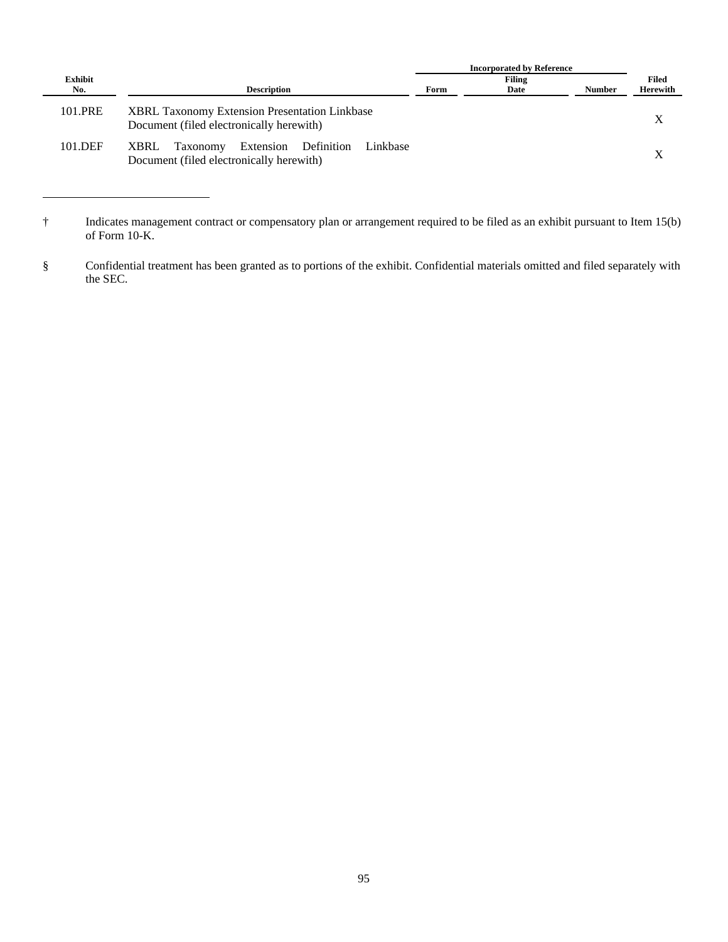|                |                                                                                                            | <b>Incorporated by Reference</b> |                       |               |                   |
|----------------|------------------------------------------------------------------------------------------------------------|----------------------------------|-----------------------|---------------|-------------------|
| Exhibit<br>No. | <b>Description</b>                                                                                         | Form                             | <b>Filing</b><br>Date | <b>Number</b> | Filed<br>Herewith |
| 101.PRE        | <b>XBRL Taxonomy Extension Presentation Linkbase</b><br>Document (filed electronically herewith)           |                                  |                       |               |                   |
| 101.DEF        | Extension<br>Definition<br><b>XBRL</b><br>Taxonomy<br>Linkbase<br>Document (filed electronically herewith) |                                  |                       |               |                   |

<sup>†</sup> Indicates management contract or compensatory plan or arrangement required to be filed as an exhibit pursuant to Item 15(b) of Form 10-K.

<sup>§</sup> Confidential treatment has been granted as to portions of the exhibit. Confidential materials omitted and filed separately with the SEC.